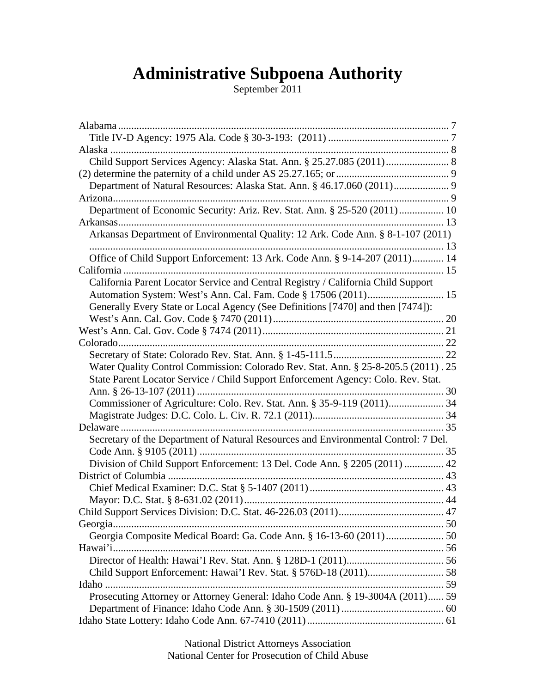# **Administrative Subpoena Authority**

September 2011

| Department of Natural Resources: Alaska Stat. Ann. § 46.17.060 (2011) 9            |  |
|------------------------------------------------------------------------------------|--|
|                                                                                    |  |
| Department of Economic Security: Ariz. Rev. Stat. Ann. § 25-520 (2011) 10          |  |
|                                                                                    |  |
| Arkansas Department of Environmental Quality: 12 Ark. Code Ann. § 8-1-107 (2011)   |  |
|                                                                                    |  |
| Office of Child Support Enforcement: 13 Ark. Code Ann. § 9-14-207 (2011) 14        |  |
|                                                                                    |  |
| California Parent Locator Service and Central Registry / California Child Support  |  |
|                                                                                    |  |
| Generally Every State or Local Agency (See Definitions [7470] and then [7474]):    |  |
|                                                                                    |  |
|                                                                                    |  |
|                                                                                    |  |
|                                                                                    |  |
| Water Quality Control Commission: Colorado Rev. Stat. Ann. § 25-8-205.5 (2011). 25 |  |
| State Parent Locator Service / Child Support Enforcement Agency: Colo. Rev. Stat.  |  |
|                                                                                    |  |
| Commissioner of Agriculture: Colo. Rev. Stat. Ann. § 35-9-119 (2011) 34            |  |
|                                                                                    |  |
|                                                                                    |  |
| Secretary of the Department of Natural Resources and Environmental Control: 7 Del. |  |
|                                                                                    |  |
| Division of Child Support Enforcement: 13 Del. Code Ann. § 2205 (2011)  42         |  |
|                                                                                    |  |
|                                                                                    |  |
|                                                                                    |  |
|                                                                                    |  |
|                                                                                    |  |
| Georgia Composite Medical Board: Ga. Code Ann. § 16-13-60 (2011)  50               |  |
|                                                                                    |  |
|                                                                                    |  |
|                                                                                    |  |
|                                                                                    |  |
|                                                                                    |  |
| Prosecuting Attorney or Attorney General: Idaho Code Ann. § 19-3004A (2011) 59     |  |
|                                                                                    |  |
|                                                                                    |  |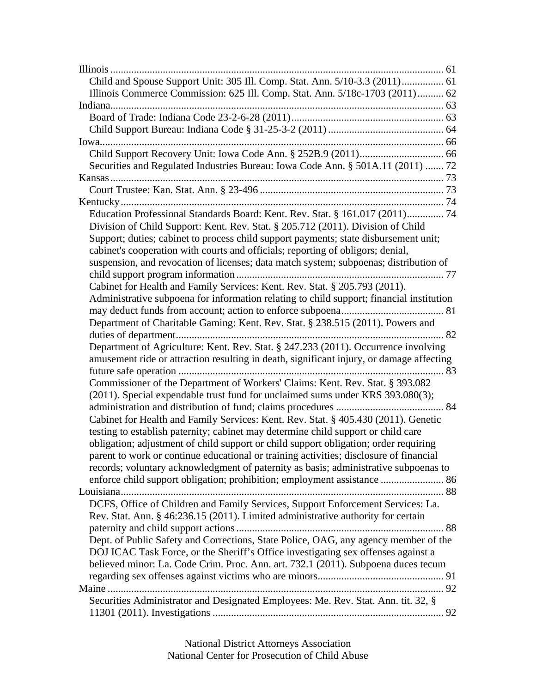| Child and Spouse Support Unit: 305 Ill. Comp. Stat. Ann. 5/10-3.3 (2011) 61              |  |
|------------------------------------------------------------------------------------------|--|
| Illinois Commerce Commission: 625 Ill. Comp. Stat. Ann. 5/18c-1703 (2011) 62             |  |
|                                                                                          |  |
|                                                                                          |  |
|                                                                                          |  |
|                                                                                          |  |
|                                                                                          |  |
| Securities and Regulated Industries Bureau: Iowa Code Ann. § 501A.11 (2011)  72          |  |
|                                                                                          |  |
|                                                                                          |  |
|                                                                                          |  |
| Education Professional Standards Board: Kent. Rev. Stat. § 161.017 (2011) 74             |  |
| Division of Child Support: Kent. Rev. Stat. § 205.712 (2011). Division of Child          |  |
| Support; duties; cabinet to process child support payments; state disbursement unit;     |  |
| cabinet's cooperation with courts and officials; reporting of obligors; denial,          |  |
| suspension, and revocation of licenses; data match system; subpoenas; distribution of    |  |
|                                                                                          |  |
| Cabinet for Health and Family Services: Kent. Rev. Stat. § 205.793 (2011).               |  |
| Administrative subpoena for information relating to child support; financial institution |  |
|                                                                                          |  |
| Department of Charitable Gaming: Kent. Rev. Stat. § 238.515 (2011). Powers and           |  |
|                                                                                          |  |
| Department of Agriculture: Kent. Rev. Stat. § 247.233 (2011). Occurrence involving       |  |
| amusement ride or attraction resulting in death, significant injury, or damage affecting |  |
|                                                                                          |  |
| Commissioner of the Department of Workers' Claims: Kent. Rev. Stat. § 393.082            |  |
| (2011). Special expendable trust fund for unclaimed sums under KRS 393.080(3);           |  |
|                                                                                          |  |
| Cabinet for Health and Family Services: Kent. Rev. Stat. § 405.430 (2011). Genetic       |  |
| testing to establish paternity; cabinet may determine child support or child care        |  |
| obligation; adjustment of child support or child support obligation; order requiring     |  |
| parent to work or continue educational or training activities; disclosure of financial   |  |
| records; voluntary acknowledgment of paternity as basis; administrative subpoenas to     |  |
| enforce child support obligation; prohibition; employment assistance  86                 |  |
|                                                                                          |  |
| DCFS, Office of Children and Family Services, Support Enforcement Services: La.          |  |
| Rev. Stat. Ann. § 46:236.15 (2011). Limited administrative authority for certain         |  |
|                                                                                          |  |
| Dept. of Public Safety and Corrections, State Police, OAG, any agency member of the      |  |
| DOJ ICAC Task Force, or the Sheriff's Office investigating sex offenses against a        |  |
| believed minor: La. Code Crim. Proc. Ann. art. 732.1 (2011). Subpoena duces tecum        |  |
|                                                                                          |  |
|                                                                                          |  |
| Securities Administrator and Designated Employees: Me. Rev. Stat. Ann. tit. 32, §        |  |
|                                                                                          |  |
|                                                                                          |  |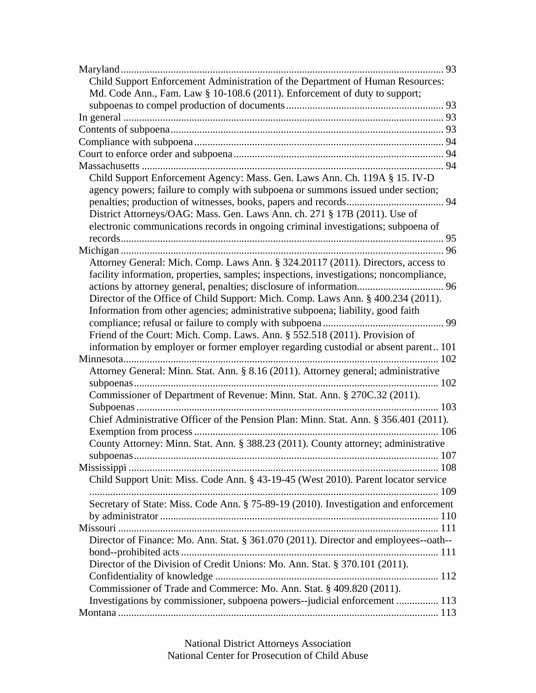| Child Support Enforcement Administration of the Department of Human Resources:         |  |
|----------------------------------------------------------------------------------------|--|
| Md. Code Ann., Fam. Law § 10-108.6 (2011). Enforcement of duty to support;             |  |
|                                                                                        |  |
|                                                                                        |  |
|                                                                                        |  |
|                                                                                        |  |
|                                                                                        |  |
|                                                                                        |  |
| Child Support Enforcement Agency: Mass. Gen. Laws Ann. Ch. 119A § 15. IV-D             |  |
| agency powers; failure to comply with subpoena or summons issued under section;        |  |
|                                                                                        |  |
| District Attorneys/OAG: Mass. Gen. Laws Ann. ch. 271 § 17B (2011). Use of              |  |
| electronic communications records in ongoing criminal investigations; subpoena of      |  |
|                                                                                        |  |
|                                                                                        |  |
| Attorney General: Mich. Comp. Laws Ann. § 324.20117 (2011). Directors, access to       |  |
| facility information, properties, samples; inspections, investigations; noncompliance, |  |
|                                                                                        |  |
| Director of the Office of Child Support: Mich. Comp. Laws Ann. § 400.234 (2011).       |  |
| Information from other agencies; administrative subpoena; liability, good faith        |  |
|                                                                                        |  |
| Friend of the Court: Mich. Comp. Laws. Ann. § 552.518 (2011). Provision of             |  |
| information by employer or former employer regarding custodial or absent parent 101    |  |
|                                                                                        |  |
| Attorney General: Minn. Stat. Ann. § 8.16 (2011). Attorney general; administrative     |  |
|                                                                                        |  |
| Commissioner of Department of Revenue: Minn. Stat. Ann. § 270C.32 (2011).              |  |
|                                                                                        |  |
| Chief Administrative Officer of the Pension Plan: Minn. Stat. Ann. § 356.401 (2011).   |  |
|                                                                                        |  |
| County Attorney: Minn. Stat. Ann. § 388.23 (2011). County attorney; administrative     |  |
|                                                                                        |  |
|                                                                                        |  |
| Child Support Unit: Miss. Code Ann. § 43-19-45 (West 2010). Parent locator service     |  |
|                                                                                        |  |
| Secretary of State: Miss. Code Ann. § 75-89-19 (2010). Investigation and enforcement   |  |
|                                                                                        |  |
|                                                                                        |  |
| Director of Finance: Mo. Ann. Stat. § 361.070 (2011). Director and employees--oath--   |  |
|                                                                                        |  |
| Director of the Division of Credit Unions: Mo. Ann. Stat. § 370.101 (2011).            |  |
|                                                                                        |  |
| Commissioner of Trade and Commerce: Mo. Ann. Stat. § 409.820 (2011).                   |  |
| Investigations by commissioner, subpoena powers--judicial enforcement  113             |  |
|                                                                                        |  |
|                                                                                        |  |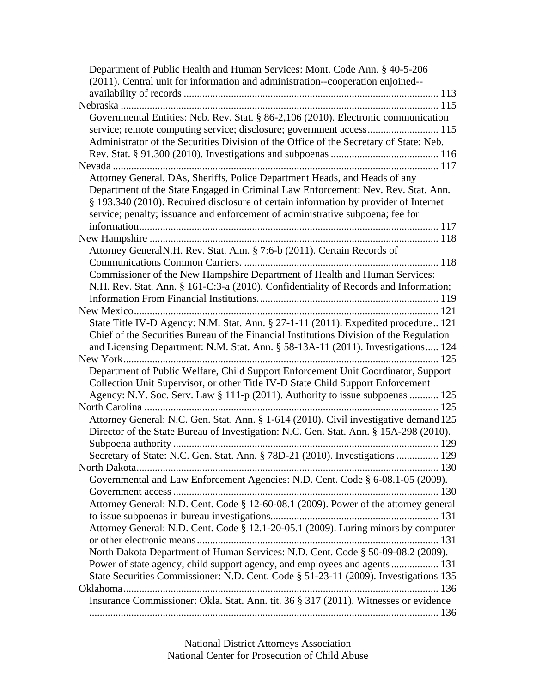| Department of Public Health and Human Services: Mont. Code Ann. § 40-5-206              |
|-----------------------------------------------------------------------------------------|
| (2011). Central unit for information and administration--cooperation enjoined--         |
|                                                                                         |
|                                                                                         |
| Governmental Entities: Neb. Rev. Stat. § 86-2,106 (2010). Electronic communication      |
|                                                                                         |
| Administrator of the Securities Division of the Office of the Secretary of State: Neb.  |
|                                                                                         |
|                                                                                         |
| Attorney General, DAs, Sheriffs, Police Department Heads, and Heads of any              |
|                                                                                         |
| Department of the State Engaged in Criminal Law Enforcement: Nev. Rev. Stat. Ann.       |
| § 193.340 (2010). Required disclosure of certain information by provider of Internet    |
| service; penalty; issuance and enforcement of administrative subpoena; fee for          |
|                                                                                         |
|                                                                                         |
| Attorney GeneralN.H. Rev. Stat. Ann. § 7:6-b (2011). Certain Records of                 |
|                                                                                         |
| Commissioner of the New Hampshire Department of Health and Human Services:              |
| N.H. Rev. Stat. Ann. § 161-C:3-a (2010). Confidentiality of Records and Information;    |
|                                                                                         |
|                                                                                         |
| State Title IV-D Agency: N.M. Stat. Ann. § 27-1-11 (2011). Expedited procedure 121      |
| Chief of the Securities Bureau of the Financial Institutions Division of the Regulation |
| and Licensing Department: N.M. Stat. Ann. § 58-13A-11 (2011). Investigations 124        |
|                                                                                         |
| Department of Public Welfare, Child Support Enforcement Unit Coordinator, Support       |
| Collection Unit Supervisor, or other Title IV-D State Child Support Enforcement         |
| Agency: N.Y. Soc. Serv. Law § 111-p (2011). Authority to issue subpoenas  125           |
|                                                                                         |
| Attorney General: N.C. Gen. Stat. Ann. § 1-614 (2010). Civil investigative demand 125   |
| Director of the State Bureau of Investigation: N.C. Gen. Stat. Ann. § 15A-298 (2010).   |
|                                                                                         |
| Secretary of State: N.C. Gen. Stat. Ann. § 78D-21 (2010). Investigations  129           |
|                                                                                         |
| Governmental and Law Enforcement Agencies: N.D. Cent. Code § 6-08.1-05 (2009).          |
|                                                                                         |
| Attorney General: N.D. Cent. Code § 12-60-08.1 (2009). Power of the attorney general    |
|                                                                                         |
| Attorney General: N.D. Cent. Code § 12.1-20-05.1 (2009). Luring minors by computer      |
|                                                                                         |
| North Dakota Department of Human Services: N.D. Cent. Code § 50-09-08.2 (2009).         |
| Power of state agency, child support agency, and employees and agents  131              |
| State Securities Commissioner: N.D. Cent. Code § 51-23-11 (2009). Investigations 135    |
|                                                                                         |
| Insurance Commissioner: Okla. Stat. Ann. tit. 36 § 317 (2011). Witnesses or evidence    |
|                                                                                         |
|                                                                                         |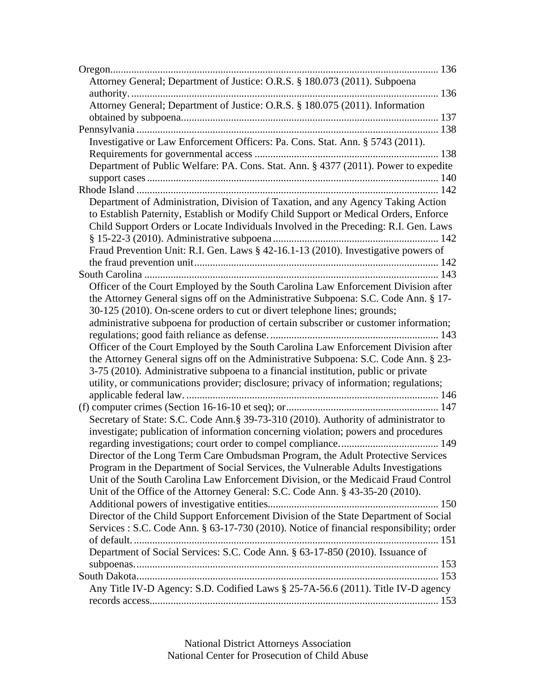| Attorney General; Department of Justice: O.R.S. § 180.073 (2011). Subpoena              |  |
|-----------------------------------------------------------------------------------------|--|
|                                                                                         |  |
| Attorney General; Department of Justice: O.R.S. § 180.075 (2011). Information           |  |
|                                                                                         |  |
|                                                                                         |  |
| Investigative or Law Enforcement Officers: Pa. Cons. Stat. Ann. § 5743 (2011).          |  |
|                                                                                         |  |
| Department of Public Welfare: PA. Cons. Stat. Ann. § 4377 (2011). Power to expedite     |  |
|                                                                                         |  |
|                                                                                         |  |
| Department of Administration, Division of Taxation, and any Agency Taking Action        |  |
| to Establish Paternity, Establish or Modify Child Support or Medical Orders, Enforce    |  |
| Child Support Orders or Locate Individuals Involved in the Preceding: R.I. Gen. Laws    |  |
|                                                                                         |  |
| Fraud Prevention Unit: R.I. Gen. Laws § 42-16.1-13 (2010). Investigative powers of      |  |
|                                                                                         |  |
|                                                                                         |  |
|                                                                                         |  |
| Officer of the Court Employed by the South Carolina Law Enforcement Division after      |  |
| the Attorney General signs off on the Administrative Subpoena: S.C. Code Ann. § 17-     |  |
| 30-125 (2010). On-scene orders to cut or divert telephone lines; grounds;               |  |
| administrative subpoena for production of certain subscriber or customer information;   |  |
|                                                                                         |  |
| Officer of the Court Employed by the South Carolina Law Enforcement Division after      |  |
| the Attorney General signs off on the Administrative Subpoena: S.C. Code Ann. § 23-     |  |
| 3-75 (2010). Administrative subpoena to a financial institution, public or private      |  |
| utility, or communications provider; disclosure; privacy of information; regulations;   |  |
|                                                                                         |  |
|                                                                                         |  |
| Secretary of State: S.C. Code Ann.§ 39-73-310 (2010). Authority of administrator to     |  |
| investigate; publication of information concerning violation; powers and procedures     |  |
|                                                                                         |  |
| Director of the Long Term Care Ombudsman Program, the Adult Protective Services         |  |
| Program in the Department of Social Services, the Vulnerable Adults Investigations      |  |
| Unit of the South Carolina Law Enforcement Division, or the Medicaid Fraud Control      |  |
| Unit of the Office of the Attorney General: S.C. Code Ann. § 43-35-20 (2010).           |  |
|                                                                                         |  |
| Director of the Child Support Enforcement Division of the State Department of Social    |  |
| Services : S.C. Code Ann. § 63-17-730 (2010). Notice of financial responsibility; order |  |
|                                                                                         |  |
| Department of Social Services: S.C. Code Ann. § 63-17-850 (2010). Issuance of           |  |
|                                                                                         |  |
|                                                                                         |  |
| Any Title IV-D Agency: S.D. Codified Laws § 25-7A-56.6 (2011). Title IV-D agency        |  |
|                                                                                         |  |
|                                                                                         |  |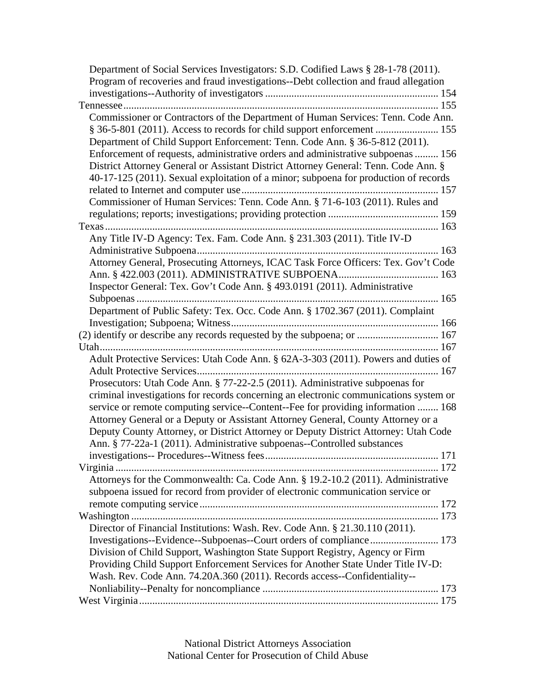| Department of Social Services Investigators: S.D. Codified Laws § 28-1-78 (2011).                                                                                       |
|-------------------------------------------------------------------------------------------------------------------------------------------------------------------------|
| Program of recoveries and fraud investigations--Debt collection and fraud allegation                                                                                    |
|                                                                                                                                                                         |
|                                                                                                                                                                         |
| Commissioner or Contractors of the Department of Human Services: Tenn. Code Ann.                                                                                        |
| § 36-5-801 (2011). Access to records for child support enforcement  155                                                                                                 |
| Department of Child Support Enforcement: Tenn. Code Ann. § 36-5-812 (2011).                                                                                             |
| Enforcement of requests, administrative orders and administrative subpoenas  156                                                                                        |
| District Attorney General or Assistant District Attorney General: Tenn. Code Ann. §                                                                                     |
| 40-17-125 (2011). Sexual exploitation of a minor; subpoena for production of records                                                                                    |
|                                                                                                                                                                         |
| Commissioner of Human Services: Tenn. Code Ann. § 71-6-103 (2011). Rules and                                                                                            |
|                                                                                                                                                                         |
|                                                                                                                                                                         |
| Any Title IV-D Agency: Tex. Fam. Code Ann. § 231.303 (2011). Title IV-D                                                                                                 |
|                                                                                                                                                                         |
| Attorney General, Prosecuting Attorneys, ICAC Task Force Officers: Tex. Gov't Code                                                                                      |
|                                                                                                                                                                         |
| Inspector General: Tex. Gov't Code Ann. § 493.0191 (2011). Administrative                                                                                               |
|                                                                                                                                                                         |
| Department of Public Safety: Tex. Occ. Code Ann. § 1702.367 (2011). Complaint                                                                                           |
|                                                                                                                                                                         |
| (2) identify or describe any records requested by the subpoena; or  167                                                                                                 |
|                                                                                                                                                                         |
| Adult Protective Services: Utah Code Ann. § 62A-3-303 (2011). Powers and duties of                                                                                      |
|                                                                                                                                                                         |
| Prosecutors: Utah Code Ann. § 77-22-2.5 (2011). Administrative subpoenas for                                                                                            |
| criminal investigations for records concerning an electronic communications system or                                                                                   |
| service or remote computing service--Content--Fee for providing information  168                                                                                        |
| Attorney General or a Deputy or Assistant Attorney General, County Attorney or a<br>Deputy County Attorney, or District Attorney or Deputy District Attorney: Utah Code |
| Ann. § 77-22a-1 (2011). Administrative subpoenas--Controlled substances                                                                                                 |
|                                                                                                                                                                         |
|                                                                                                                                                                         |
| Attorneys for the Commonwealth: Ca. Code Ann. § 19.2-10.2 (2011). Administrative                                                                                        |
| subpoena issued for record from provider of electronic communication service or                                                                                         |
|                                                                                                                                                                         |
|                                                                                                                                                                         |
| Director of Financial Institutions: Wash. Rev. Code Ann. § 21.30.110 (2011).                                                                                            |
|                                                                                                                                                                         |
| Division of Child Support, Washington State Support Registry, Agency or Firm                                                                                            |
| Providing Child Support Enforcement Services for Another State Under Title IV-D:                                                                                        |
| Wash. Rev. Code Ann. 74.20A.360 (2011). Records access--Confidentiality--                                                                                               |
|                                                                                                                                                                         |
|                                                                                                                                                                         |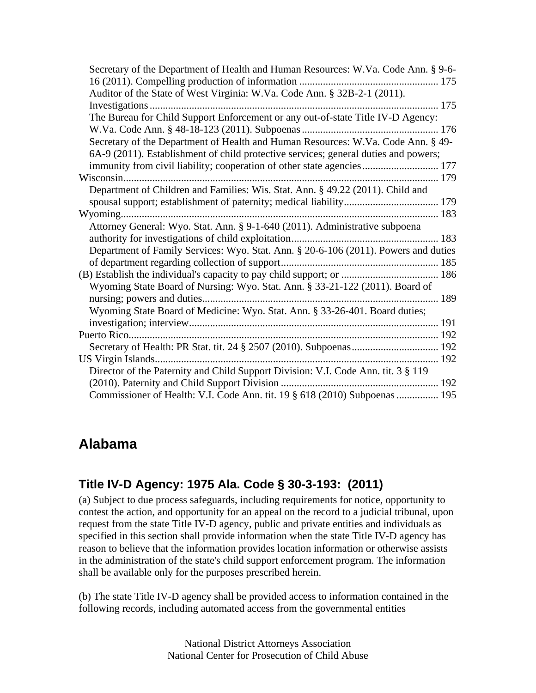| Secretary of the Department of Health and Human Resources: W.Va. Code Ann. § 9-6-   |  |
|-------------------------------------------------------------------------------------|--|
|                                                                                     |  |
| Auditor of the State of West Virginia: W.Va. Code Ann. § 32B-2-1 (2011).            |  |
|                                                                                     |  |
| The Bureau for Child Support Enforcement or any out-of-state Title IV-D Agency:     |  |
|                                                                                     |  |
| Secretary of the Department of Health and Human Resources: W.Va. Code Ann. § 49-    |  |
| 6A-9 (2011). Establishment of child protective services; general duties and powers; |  |
| immunity from civil liability; cooperation of other state agencies 177              |  |
|                                                                                     |  |
| Department of Children and Families: Wis. Stat. Ann. § 49.22 (2011). Child and      |  |
|                                                                                     |  |
|                                                                                     |  |
| Attorney General: Wyo. Stat. Ann. § 9-1-640 (2011). Administrative subpoena         |  |
|                                                                                     |  |
| Department of Family Services: Wyo. Stat. Ann. § 20-6-106 (2011). Powers and duties |  |
|                                                                                     |  |
|                                                                                     |  |
| Wyoming State Board of Nursing: Wyo. Stat. Ann. § 33-21-122 (2011). Board of        |  |
|                                                                                     |  |
| Wyoming State Board of Medicine: Wyo. Stat. Ann. § 33-26-401. Board duties;         |  |
|                                                                                     |  |
|                                                                                     |  |
|                                                                                     |  |
|                                                                                     |  |
| Director of the Paternity and Child Support Division: V.I. Code Ann. tit. 3 § 119   |  |
|                                                                                     |  |
| Commissioner of Health: V.I. Code Ann. tit. 19 § 618 (2010) Subpoenas  195          |  |

### **Alabama**

### **Title IV-D Agency: 1975 Ala. Code § 30-3-193: (2011)**

(a) Subject to due process safeguards, including requirements for notice, opportunity to contest the action, and opportunity for an appeal on the record to a judicial tribunal, upon request from the state Title IV-D agency, public and private entities and individuals as specified in this section shall provide information when the state Title IV-D agency has reason to believe that the information provides location information or otherwise assists in the administration of the state's child support enforcement program. The information shall be available only for the purposes prescribed herein.

(b) The state Title IV-D agency shall be provided access to information contained in the following records, including automated access from the governmental entities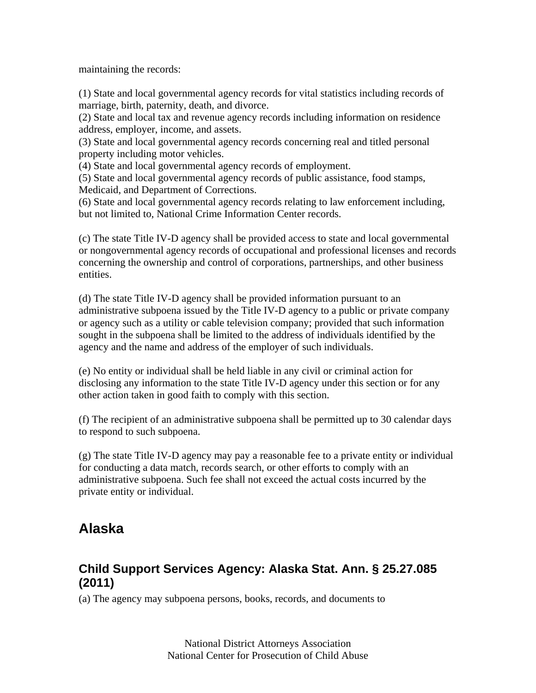maintaining the records:

(1) State and local governmental agency records for vital statistics including records of marriage, birth, paternity, death, and divorce.

(2) State and local tax and revenue agency records including information on residence address, employer, income, and assets.

(3) State and local governmental agency records concerning real and titled personal property including motor vehicles.

(4) State and local governmental agency records of employment.

(5) State and local governmental agency records of public assistance, food stamps, Medicaid, and Department of Corrections.

(6) State and local governmental agency records relating to law enforcement including, but not limited to, National Crime Information Center records.

(c) The state Title IV-D agency shall be provided access to state and local governmental or nongovernmental agency records of occupational and professional licenses and records concerning the ownership and control of corporations, partnerships, and other business entities.

(d) The state Title IV-D agency shall be provided information pursuant to an administrative subpoena issued by the Title IV-D agency to a public or private company or agency such as a utility or cable television company; provided that such information sought in the subpoena shall be limited to the address of individuals identified by the agency and the name and address of the employer of such individuals.

(e) No entity or individual shall be held liable in any civil or criminal action for disclosing any information to the state Title IV-D agency under this section or for any other action taken in good faith to comply with this section.

(f) The recipient of an administrative subpoena shall be permitted up to 30 calendar days to respond to such subpoena.

(g) The state Title IV-D agency may pay a reasonable fee to a private entity or individual for conducting a data match, records search, or other efforts to comply with an administrative subpoena. Such fee shall not exceed the actual costs incurred by the private entity or individual.

### **Alaska**

### **Child Support Services Agency: Alaska Stat. Ann. § 25.27.085 (2011)**

(a) The agency may subpoena persons, books, records, and documents to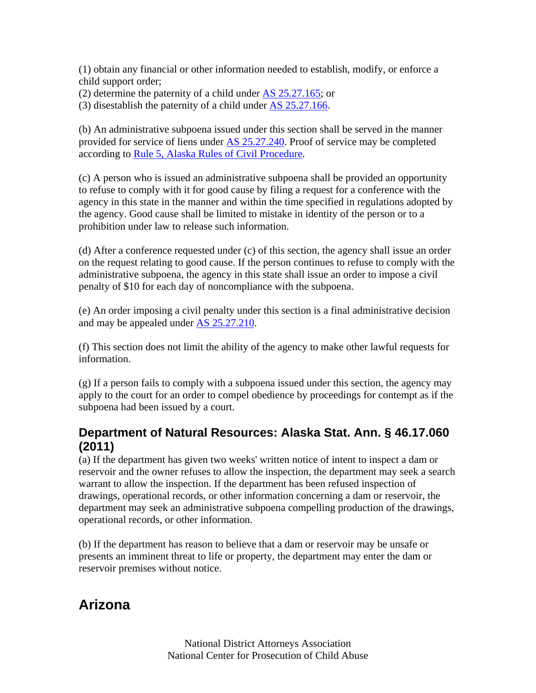(1) obtain any financial or other information needed to establish, modify, or enforce a child support order;

(2) determine the paternity of a child under AS 25.27.165; or

(3) disestablish the paternity of a child under AS 25.27.166.

(b) An administrative subpoena issued under this section shall be served in the manner provided for service of liens under AS 25.27.240. Proof of service may be completed according to Rule 5, Alaska Rules of Civil Procedure.

(c) A person who is issued an administrative subpoena shall be provided an opportunity to refuse to comply with it for good cause by filing a request for a conference with the agency in this state in the manner and within the time specified in regulations adopted by the agency. Good cause shall be limited to mistake in identity of the person or to a prohibition under law to release such information.

(d) After a conference requested under (c) of this section, the agency shall issue an order on the request relating to good cause. If the person continues to refuse to comply with the administrative subpoena, the agency in this state shall issue an order to impose a civil penalty of \$10 for each day of noncompliance with the subpoena.

(e) An order imposing a civil penalty under this section is a final administrative decision and may be appealed under AS 25.27.210.

(f) This section does not limit the ability of the agency to make other lawful requests for information.

 $(g)$  If a person fails to comply with a subpoena issued under this section, the agency may apply to the court for an order to compel obedience by proceedings for contempt as if the subpoena had been issued by a court.

#### **Department of Natural Resources: Alaska Stat. Ann. § 46.17.060 (2011)**

(a) If the department has given two weeks' written notice of intent to inspect a dam or reservoir and the owner refuses to allow the inspection, the department may seek a search warrant to allow the inspection. If the department has been refused inspection of drawings, operational records, or other information concerning a dam or reservoir, the department may seek an administrative subpoena compelling production of the drawings, operational records, or other information.

(b) If the department has reason to believe that a dam or reservoir may be unsafe or presents an imminent threat to life or property, the department may enter the dam or reservoir premises without notice.

### **Arizona**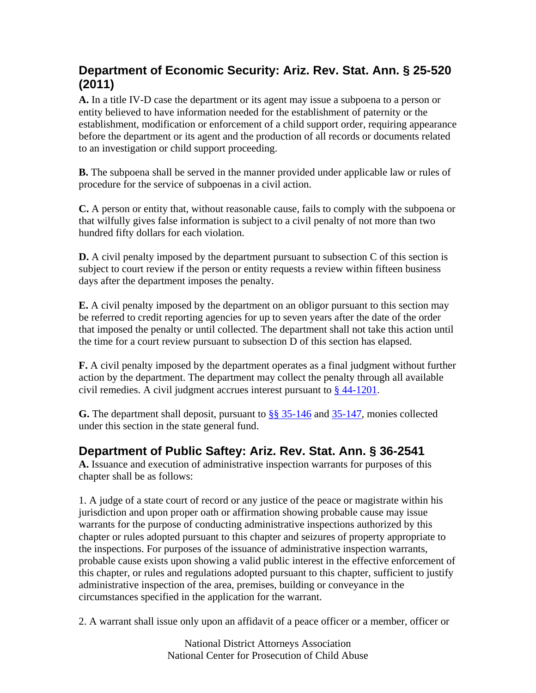### **Department of Economic Security: Ariz. Rev. Stat. Ann. § 25-520 (2011)**

**A.** In a title IV-D case the department or its agent may issue a subpoena to a person or entity believed to have information needed for the establishment of paternity or the establishment, modification or enforcement of a child support order, requiring appearance before the department or its agent and the production of all records or documents related to an investigation or child support proceeding.

**B.** The subpoena shall be served in the manner provided under applicable law or rules of procedure for the service of subpoenas in a civil action.

**C.** A person or entity that, without reasonable cause, fails to comply with the subpoena or that wilfully gives false information is subject to a civil penalty of not more than two hundred fifty dollars for each violation.

**D.** A civil penalty imposed by the department pursuant to subsection C of this section is subject to court review if the person or entity requests a review within fifteen business days after the department imposes the penalty.

**E.** A civil penalty imposed by the department on an obligor pursuant to this section may be referred to credit reporting agencies for up to seven years after the date of the order that imposed the penalty or until collected. The department shall not take this action until the time for a court review pursuant to subsection D of this section has elapsed.

**F.** A civil penalty imposed by the department operates as a final judgment without further action by the department. The department may collect the penalty through all available civil remedies. A civil judgment accrues interest pursuant to § 44-1201.

**G.** The department shall deposit, pursuant to §§ 35-146 and 35-147, monies collected under this section in the state general fund.

### **Department of Public Saftey: Ariz. Rev. Stat. Ann. § 36-2541**

**A.** Issuance and execution of administrative inspection warrants for purposes of this chapter shall be as follows:

1. A judge of a state court of record or any justice of the peace or magistrate within his jurisdiction and upon proper oath or affirmation showing probable cause may issue warrants for the purpose of conducting administrative inspections authorized by this chapter or rules adopted pursuant to this chapter and seizures of property appropriate to the inspections. For purposes of the issuance of administrative inspection warrants, probable cause exists upon showing a valid public interest in the effective enforcement of this chapter, or rules and regulations adopted pursuant to this chapter, sufficient to justify administrative inspection of the area, premises, building or conveyance in the circumstances specified in the application for the warrant.

2. A warrant shall issue only upon an affidavit of a peace officer or a member, officer or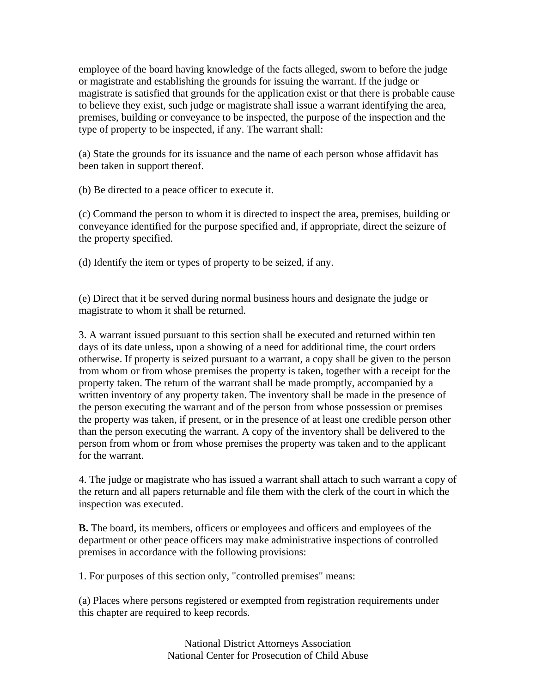employee of the board having knowledge of the facts alleged, sworn to before the judge or magistrate and establishing the grounds for issuing the warrant. If the judge or magistrate is satisfied that grounds for the application exist or that there is probable cause to believe they exist, such judge or magistrate shall issue a warrant identifying the area, premises, building or conveyance to be inspected, the purpose of the inspection and the type of property to be inspected, if any. The warrant shall:

(a) State the grounds for its issuance and the name of each person whose affidavit has been taken in support thereof.

(b) Be directed to a peace officer to execute it.

(c) Command the person to whom it is directed to inspect the area, premises, building or conveyance identified for the purpose specified and, if appropriate, direct the seizure of the property specified.

(d) Identify the item or types of property to be seized, if any.

(e) Direct that it be served during normal business hours and designate the judge or magistrate to whom it shall be returned.

3. A warrant issued pursuant to this section shall be executed and returned within ten days of its date unless, upon a showing of a need for additional time, the court orders otherwise. If property is seized pursuant to a warrant, a copy shall be given to the person from whom or from whose premises the property is taken, together with a receipt for the property taken. The return of the warrant shall be made promptly, accompanied by a written inventory of any property taken. The inventory shall be made in the presence of the person executing the warrant and of the person from whose possession or premises the property was taken, if present, or in the presence of at least one credible person other than the person executing the warrant. A copy of the inventory shall be delivered to the person from whom or from whose premises the property was taken and to the applicant for the warrant.

4. The judge or magistrate who has issued a warrant shall attach to such warrant a copy of the return and all papers returnable and file them with the clerk of the court in which the inspection was executed.

**B.** The board, its members, officers or employees and officers and employees of the department or other peace officers may make administrative inspections of controlled premises in accordance with the following provisions:

1. For purposes of this section only, "controlled premises" means:

(a) Places where persons registered or exempted from registration requirements under this chapter are required to keep records.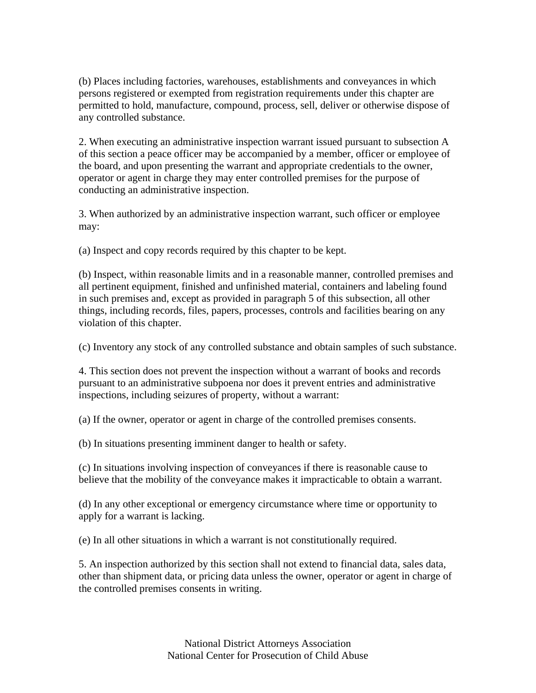(b) Places including factories, warehouses, establishments and conveyances in which persons registered or exempted from registration requirements under this chapter are permitted to hold, manufacture, compound, process, sell, deliver or otherwise dispose of any controlled substance.

2. When executing an administrative inspection warrant issued pursuant to subsection A of this section a peace officer may be accompanied by a member, officer or employee of the board, and upon presenting the warrant and appropriate credentials to the owner, operator or agent in charge they may enter controlled premises for the purpose of conducting an administrative inspection.

3. When authorized by an administrative inspection warrant, such officer or employee may:

(a) Inspect and copy records required by this chapter to be kept.

(b) Inspect, within reasonable limits and in a reasonable manner, controlled premises and all pertinent equipment, finished and unfinished material, containers and labeling found in such premises and, except as provided in paragraph 5 of this subsection, all other things, including records, files, papers, processes, controls and facilities bearing on any violation of this chapter.

(c) Inventory any stock of any controlled substance and obtain samples of such substance.

4. This section does not prevent the inspection without a warrant of books and records pursuant to an administrative subpoena nor does it prevent entries and administrative inspections, including seizures of property, without a warrant:

(a) If the owner, operator or agent in charge of the controlled premises consents.

(b) In situations presenting imminent danger to health or safety.

(c) In situations involving inspection of conveyances if there is reasonable cause to believe that the mobility of the conveyance makes it impracticable to obtain a warrant.

(d) In any other exceptional or emergency circumstance where time or opportunity to apply for a warrant is lacking.

(e) In all other situations in which a warrant is not constitutionally required.

5. An inspection authorized by this section shall not extend to financial data, sales data, other than shipment data, or pricing data unless the owner, operator or agent in charge of the controlled premises consents in writing.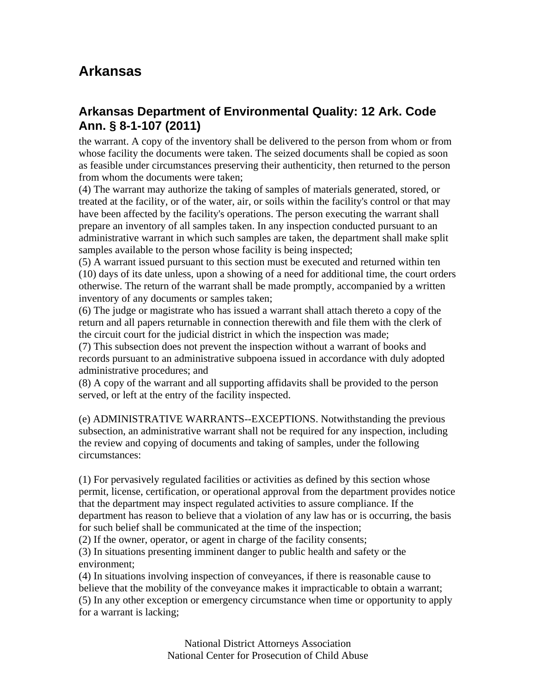### **Arkansas**

### **Arkansas Department of Environmental Quality: 12 Ark. Code Ann. § 8-1-107 (2011)**

the warrant. A copy of the inventory shall be delivered to the person from whom or from whose facility the documents were taken. The seized documents shall be copied as soon as feasible under circumstances preserving their authenticity, then returned to the person from whom the documents were taken;

(4) The warrant may authorize the taking of samples of materials generated, stored, or treated at the facility, or of the water, air, or soils within the facility's control or that may have been affected by the facility's operations. The person executing the warrant shall prepare an inventory of all samples taken. In any inspection conducted pursuant to an administrative warrant in which such samples are taken, the department shall make split samples available to the person whose facility is being inspected;

(5) A warrant issued pursuant to this section must be executed and returned within ten (10) days of its date unless, upon a showing of a need for additional time, the court orders otherwise. The return of the warrant shall be made promptly, accompanied by a written inventory of any documents or samples taken;

(6) The judge or magistrate who has issued a warrant shall attach thereto a copy of the return and all papers returnable in connection therewith and file them with the clerk of the circuit court for the judicial district in which the inspection was made;

(7) This subsection does not prevent the inspection without a warrant of books and records pursuant to an administrative subpoena issued in accordance with duly adopted administrative procedures; and

(8) A copy of the warrant and all supporting affidavits shall be provided to the person served, or left at the entry of the facility inspected.

(e) ADMINISTRATIVE WARRANTS--EXCEPTIONS. Notwithstanding the previous subsection, an administrative warrant shall not be required for any inspection, including the review and copying of documents and taking of samples, under the following circumstances:

(1) For pervasively regulated facilities or activities as defined by this section whose permit, license, certification, or operational approval from the department provides notice that the department may inspect regulated activities to assure compliance. If the department has reason to believe that a violation of any law has or is occurring, the basis for such belief shall be communicated at the time of the inspection;

(2) If the owner, operator, or agent in charge of the facility consents;

(3) In situations presenting imminent danger to public health and safety or the environment;

(4) In situations involving inspection of conveyances, if there is reasonable cause to believe that the mobility of the conveyance makes it impracticable to obtain a warrant; (5) In any other exception or emergency circumstance when time or opportunity to apply for a warrant is lacking;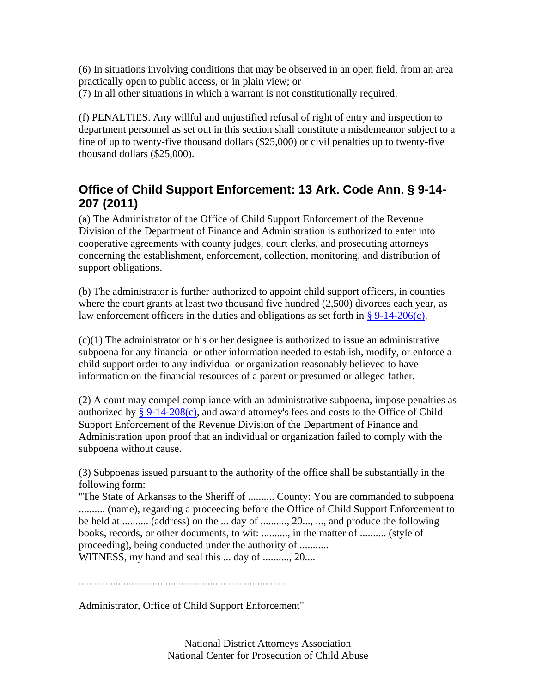(6) In situations involving conditions that may be observed in an open field, from an area practically open to public access, or in plain view; or (7) In all other situations in which a warrant is not constitutionally required.

(f) PENALTIES. Any willful and unjustified refusal of right of entry and inspection to department personnel as set out in this section shall constitute a misdemeanor subject to a fine of up to twenty-five thousand dollars (\$25,000) or civil penalties up to twenty-five thousand dollars (\$25,000).

### **Office of Child Support Enforcement: 13 Ark. Code Ann. § 9-14- 207 (2011)**

(a) The Administrator of the Office of Child Support Enforcement of the Revenue Division of the Department of Finance and Administration is authorized to enter into cooperative agreements with county judges, court clerks, and prosecuting attorneys concerning the establishment, enforcement, collection, monitoring, and distribution of support obligations.

(b) The administrator is further authorized to appoint child support officers, in counties where the court grants at least two thousand five hundred (2,500) divorces each year, as law enforcement officers in the duties and obligations as set forth in §  $9-14-206(c)$ .

(c)(1) The administrator or his or her designee is authorized to issue an administrative subpoena for any financial or other information needed to establish, modify, or enforce a child support order to any individual or organization reasonably believed to have information on the financial resources of a parent or presumed or alleged father.

(2) A court may compel compliance with an administrative subpoena, impose penalties as authorized by  $\S 9-14-208(c)$ , and award attorney's fees and costs to the Office of Child Support Enforcement of the Revenue Division of the Department of Finance and Administration upon proof that an individual or organization failed to comply with the subpoena without cause.

(3) Subpoenas issued pursuant to the authority of the office shall be substantially in the following form:

"The State of Arkansas to the Sheriff of .......... County: You are commanded to subpoena .......... (name), regarding a proceeding before the Office of Child Support Enforcement to be held at .......... (address) on the ... day of .........., 20..., ..., and produce the following books, records, or other documents, to wit: .........., in the matter of .......... (style of proceeding), being conducted under the authority of ........... WITNESS, my hand and seal this ... day of .........., 20....

...............................................................................

Administrator, Office of Child Support Enforcement"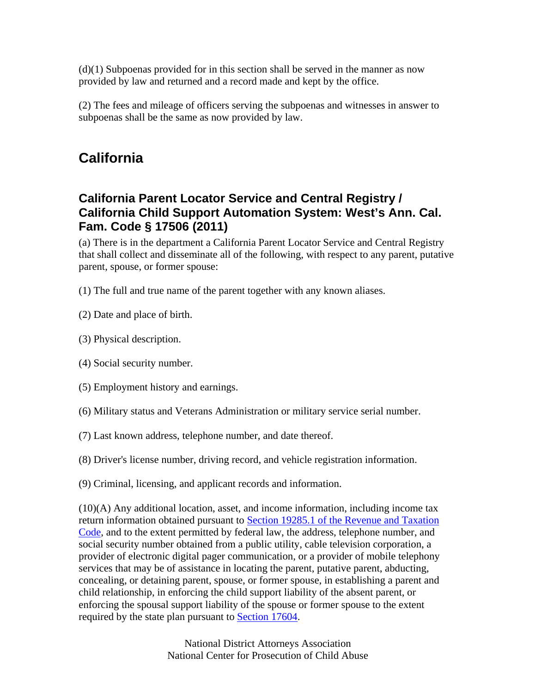(d)(1) Subpoenas provided for in this section shall be served in the manner as now provided by law and returned and a record made and kept by the office.

(2) The fees and mileage of officers serving the subpoenas and witnesses in answer to subpoenas shall be the same as now provided by law.

### **California**

#### **California Parent Locator Service and Central Registry / California Child Support Automation System: West's Ann. Cal. Fam. Code § 17506 (2011)**

(a) There is in the department a California Parent Locator Service and Central Registry that shall collect and disseminate all of the following, with respect to any parent, putative parent, spouse, or former spouse:

(1) The full and true name of the parent together with any known aliases.

(2) Date and place of birth.

(3) Physical description.

(4) Social security number.

(5) Employment history and earnings.

(6) Military status and Veterans Administration or military service serial number.

(7) Last known address, telephone number, and date thereof.

(8) Driver's license number, driving record, and vehicle registration information.

(9) Criminal, licensing, and applicant records and information.

 $(10)(A)$  Any additional location, asset, and income information, including income tax return information obtained pursuant to Section 19285.1 of the Revenue and Taxation Code, and to the extent permitted by federal law, the address, telephone number, and social security number obtained from a public utility, cable television corporation, a provider of electronic digital pager communication, or a provider of mobile telephony services that may be of assistance in locating the parent, putative parent, abducting, concealing, or detaining parent, spouse, or former spouse, in establishing a parent and child relationship, in enforcing the child support liability of the absent parent, or enforcing the spousal support liability of the spouse or former spouse to the extent required by the state plan pursuant to Section 17604.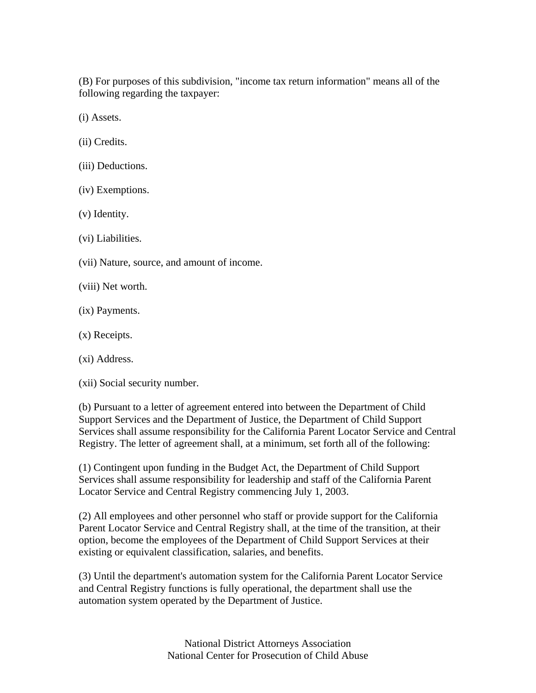(B) For purposes of this subdivision, "income tax return information" means all of the following regarding the taxpayer:

(i) Assets.

- (ii) Credits.
- (iii) Deductions.
- (iv) Exemptions.
- (v) Identity.
- (vi) Liabilities.
- (vii) Nature, source, and amount of income.
- (viii) Net worth.
- (ix) Payments.
- (x) Receipts.
- (xi) Address.
- (xii) Social security number.

(b) Pursuant to a letter of agreement entered into between the Department of Child Support Services and the Department of Justice, the Department of Child Support Services shall assume responsibility for the California Parent Locator Service and Central Registry. The letter of agreement shall, at a minimum, set forth all of the following:

(1) Contingent upon funding in the Budget Act, the Department of Child Support Services shall assume responsibility for leadership and staff of the California Parent Locator Service and Central Registry commencing July 1, 2003.

(2) All employees and other personnel who staff or provide support for the California Parent Locator Service and Central Registry shall, at the time of the transition, at their option, become the employees of the Department of Child Support Services at their existing or equivalent classification, salaries, and benefits.

(3) Until the department's automation system for the California Parent Locator Service and Central Registry functions is fully operational, the department shall use the automation system operated by the Department of Justice.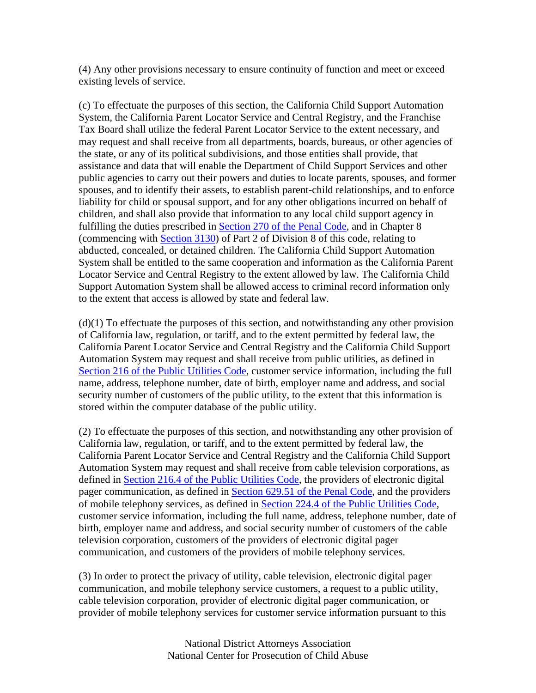(4) Any other provisions necessary to ensure continuity of function and meet or exceed existing levels of service.

(c) To effectuate the purposes of this section, the California Child Support Automation System, the California Parent Locator Service and Central Registry, and the Franchise Tax Board shall utilize the federal Parent Locator Service to the extent necessary, and may request and shall receive from all departments, boards, bureaus, or other agencies of the state, or any of its political subdivisions, and those entities shall provide, that assistance and data that will enable the Department of Child Support Services and other public agencies to carry out their powers and duties to locate parents, spouses, and former spouses, and to identify their assets, to establish parent-child relationships, and to enforce liability for child or spousal support, and for any other obligations incurred on behalf of children, and shall also provide that information to any local child support agency in fulfilling the duties prescribed in Section 270 of the Penal Code, and in Chapter 8 (commencing with Section 3130) of Part 2 of Division 8 of this code, relating to abducted, concealed, or detained children. The California Child Support Automation System shall be entitled to the same cooperation and information as the California Parent Locator Service and Central Registry to the extent allowed by law. The California Child Support Automation System shall be allowed access to criminal record information only to the extent that access is allowed by state and federal law.

(d)(1) To effectuate the purposes of this section, and notwithstanding any other provision of California law, regulation, or tariff, and to the extent permitted by federal law, the California Parent Locator Service and Central Registry and the California Child Support Automation System may request and shall receive from public utilities, as defined in Section 216 of the Public Utilities Code, customer service information, including the full name, address, telephone number, date of birth, employer name and address, and social security number of customers of the public utility, to the extent that this information is stored within the computer database of the public utility.

(2) To effectuate the purposes of this section, and notwithstanding any other provision of California law, regulation, or tariff, and to the extent permitted by federal law, the California Parent Locator Service and Central Registry and the California Child Support Automation System may request and shall receive from cable television corporations, as defined in **Section 216.4 of the Public Utilities Code**, the providers of electronic digital pager communication, as defined in Section 629.51 of the Penal Code, and the providers of mobile telephony services, as defined in Section 224.4 of the Public Utilities Code, customer service information, including the full name, address, telephone number, date of birth, employer name and address, and social security number of customers of the cable television corporation, customers of the providers of electronic digital pager communication, and customers of the providers of mobile telephony services.

(3) In order to protect the privacy of utility, cable television, electronic digital pager communication, and mobile telephony service customers, a request to a public utility, cable television corporation, provider of electronic digital pager communication, or provider of mobile telephony services for customer service information pursuant to this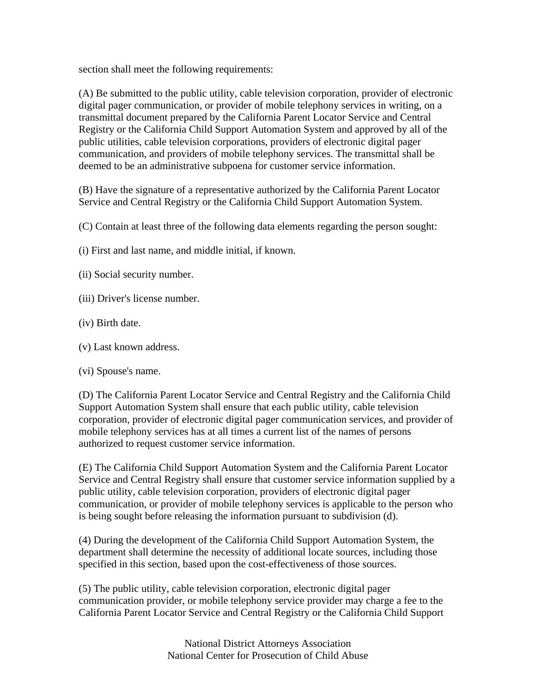section shall meet the following requirements:

(A) Be submitted to the public utility, cable television corporation, provider of electronic digital pager communication, or provider of mobile telephony services in writing, on a transmittal document prepared by the California Parent Locator Service and Central Registry or the California Child Support Automation System and approved by all of the public utilities, cable television corporations, providers of electronic digital pager communication, and providers of mobile telephony services. The transmittal shall be deemed to be an administrative subpoena for customer service information.

(B) Have the signature of a representative authorized by the California Parent Locator Service and Central Registry or the California Child Support Automation System.

(C) Contain at least three of the following data elements regarding the person sought:

(i) First and last name, and middle initial, if known.

- (ii) Social security number.
- (iii) Driver's license number.
- (iv) Birth date.
- (v) Last known address.
- (vi) Spouse's name.

(D) The California Parent Locator Service and Central Registry and the California Child Support Automation System shall ensure that each public utility, cable television corporation, provider of electronic digital pager communication services, and provider of mobile telephony services has at all times a current list of the names of persons authorized to request customer service information.

(E) The California Child Support Automation System and the California Parent Locator Service and Central Registry shall ensure that customer service information supplied by a public utility, cable television corporation, providers of electronic digital pager communication, or provider of mobile telephony services is applicable to the person who is being sought before releasing the information pursuant to subdivision (d).

(4) During the development of the California Child Support Automation System, the department shall determine the necessity of additional locate sources, including those specified in this section, based upon the cost-effectiveness of those sources.

(5) The public utility, cable television corporation, electronic digital pager communication provider, or mobile telephony service provider may charge a fee to the California Parent Locator Service and Central Registry or the California Child Support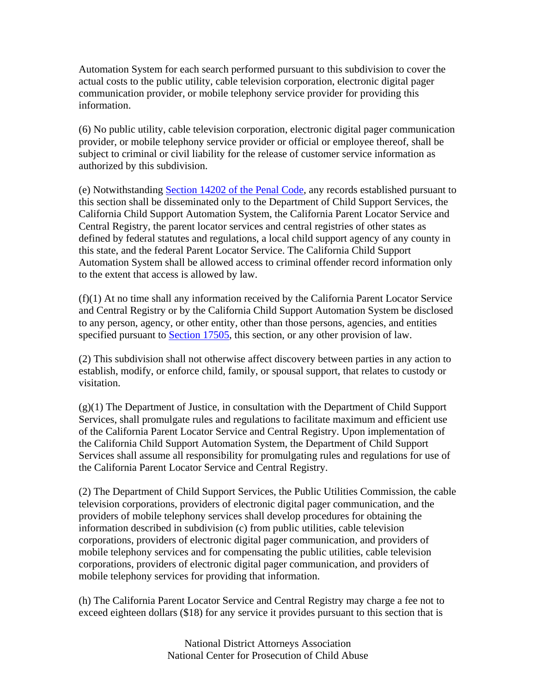Automation System for each search performed pursuant to this subdivision to cover the actual costs to the public utility, cable television corporation, electronic digital pager communication provider, or mobile telephony service provider for providing this information.

(6) No public utility, cable television corporation, electronic digital pager communication provider, or mobile telephony service provider or official or employee thereof, shall be subject to criminal or civil liability for the release of customer service information as authorized by this subdivision.

(e) Notwithstanding Section 14202 of the Penal Code, any records established pursuant to this section shall be disseminated only to the Department of Child Support Services, the California Child Support Automation System, the California Parent Locator Service and Central Registry, the parent locator services and central registries of other states as defined by federal statutes and regulations, a local child support agency of any county in this state, and the federal Parent Locator Service. The California Child Support Automation System shall be allowed access to criminal offender record information only to the extent that access is allowed by law.

(f)(1) At no time shall any information received by the California Parent Locator Service and Central Registry or by the California Child Support Automation System be disclosed to any person, agency, or other entity, other than those persons, agencies, and entities specified pursuant to Section 17505, this section, or any other provision of law.

(2) This subdivision shall not otherwise affect discovery between parties in any action to establish, modify, or enforce child, family, or spousal support, that relates to custody or visitation.

(g)(1) The Department of Justice, in consultation with the Department of Child Support Services, shall promulgate rules and regulations to facilitate maximum and efficient use of the California Parent Locator Service and Central Registry. Upon implementation of the California Child Support Automation System, the Department of Child Support Services shall assume all responsibility for promulgating rules and regulations for use of the California Parent Locator Service and Central Registry.

(2) The Department of Child Support Services, the Public Utilities Commission, the cable television corporations, providers of electronic digital pager communication, and the providers of mobile telephony services shall develop procedures for obtaining the information described in subdivision (c) from public utilities, cable television corporations, providers of electronic digital pager communication, and providers of mobile telephony services and for compensating the public utilities, cable television corporations, providers of electronic digital pager communication, and providers of mobile telephony services for providing that information.

(h) The California Parent Locator Service and Central Registry may charge a fee not to exceed eighteen dollars (\$18) for any service it provides pursuant to this section that is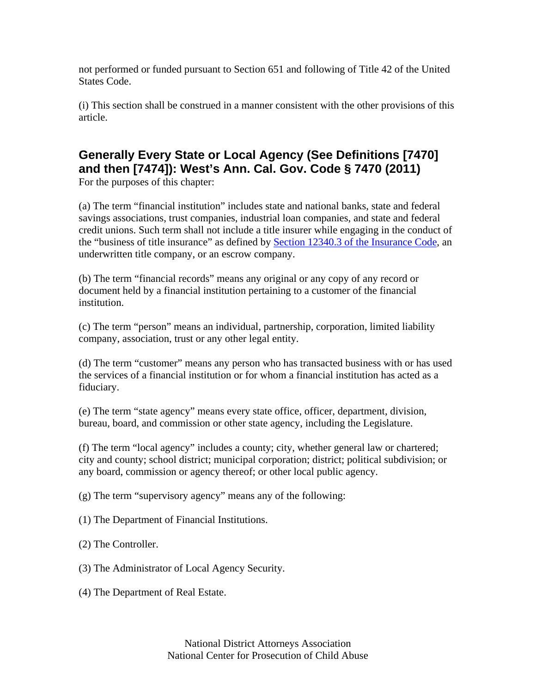not performed or funded pursuant to Section 651 and following of Title 42 of the United States Code.

(i) This section shall be construed in a manner consistent with the other provisions of this article.

#### **Generally Every State or Local Agency (See Definitions [7470] and then [7474]): West's Ann. Cal. Gov. Code § 7470 (2011)**  For the purposes of this chapter:

(a) The term "financial institution" includes state and national banks, state and federal savings associations, trust companies, industrial loan companies, and state and federal credit unions. Such term shall not include a title insurer while engaging in the conduct of the "business of title insurance" as defined by Section 12340.3 of the Insurance Code, an underwritten title company, or an escrow company.

(b) The term "financial records" means any original or any copy of any record or document held by a financial institution pertaining to a customer of the financial institution.

(c) The term "person" means an individual, partnership, corporation, limited liability company, association, trust or any other legal entity.

(d) The term "customer" means any person who has transacted business with or has used the services of a financial institution or for whom a financial institution has acted as a fiduciary.

(e) The term "state agency" means every state office, officer, department, division, bureau, board, and commission or other state agency, including the Legislature.

(f) The term "local agency" includes a county; city, whether general law or chartered; city and county; school district; municipal corporation; district; political subdivision; or any board, commission or agency thereof; or other local public agency.

(g) The term "supervisory agency" means any of the following:

(1) The Department of Financial Institutions.

(2) The Controller.

(3) The Administrator of Local Agency Security.

(4) The Department of Real Estate.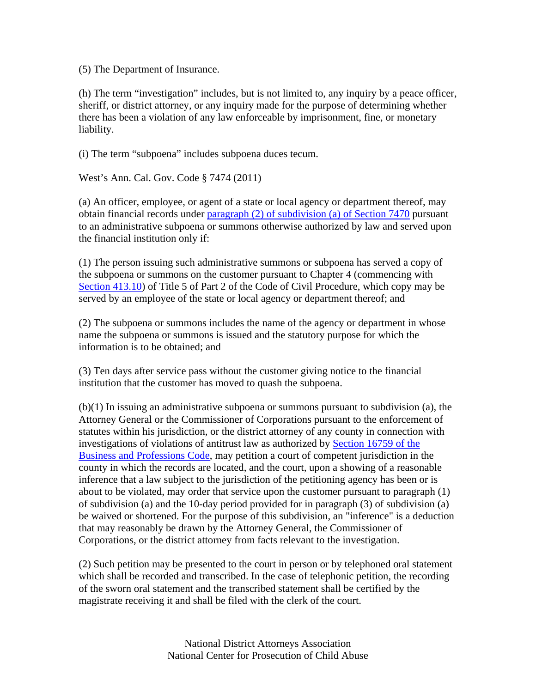(5) The Department of Insurance.

(h) The term "investigation" includes, but is not limited to, any inquiry by a peace officer, sheriff, or district attorney, or any inquiry made for the purpose of determining whether there has been a violation of any law enforceable by imprisonment, fine, or monetary liability.

(i) The term "subpoena" includes subpoena duces tecum.

West's Ann. Cal. Gov. Code § 7474 (2011)

(a) An officer, employee, or agent of a state or local agency or department thereof, may obtain financial records under paragraph (2) of subdivision (a) of Section 7470 pursuant to an administrative subpoena or summons otherwise authorized by law and served upon the financial institution only if:

(1) The person issuing such administrative summons or subpoena has served a copy of the subpoena or summons on the customer pursuant to Chapter 4 (commencing with Section 413.10) of Title 5 of Part 2 of the Code of Civil Procedure, which copy may be served by an employee of the state or local agency or department thereof; and

(2) The subpoena or summons includes the name of the agency or department in whose name the subpoena or summons is issued and the statutory purpose for which the information is to be obtained; and

(3) Ten days after service pass without the customer giving notice to the financial institution that the customer has moved to quash the subpoena.

(b)(1) In issuing an administrative subpoena or summons pursuant to subdivision (a), the Attorney General or the Commissioner of Corporations pursuant to the enforcement of statutes within his jurisdiction, or the district attorney of any county in connection with investigations of violations of antitrust law as authorized by Section 16759 of the Business and Professions Code, may petition a court of competent jurisdiction in the county in which the records are located, and the court, upon a showing of a reasonable inference that a law subject to the jurisdiction of the petitioning agency has been or is about to be violated, may order that service upon the customer pursuant to paragraph (1) of subdivision (a) and the 10-day period provided for in paragraph (3) of subdivision (a) be waived or shortened. For the purpose of this subdivision, an "inference" is a deduction that may reasonably be drawn by the Attorney General, the Commissioner of Corporations, or the district attorney from facts relevant to the investigation.

(2) Such petition may be presented to the court in person or by telephoned oral statement which shall be recorded and transcribed. In the case of telephonic petition, the recording of the sworn oral statement and the transcribed statement shall be certified by the magistrate receiving it and shall be filed with the clerk of the court.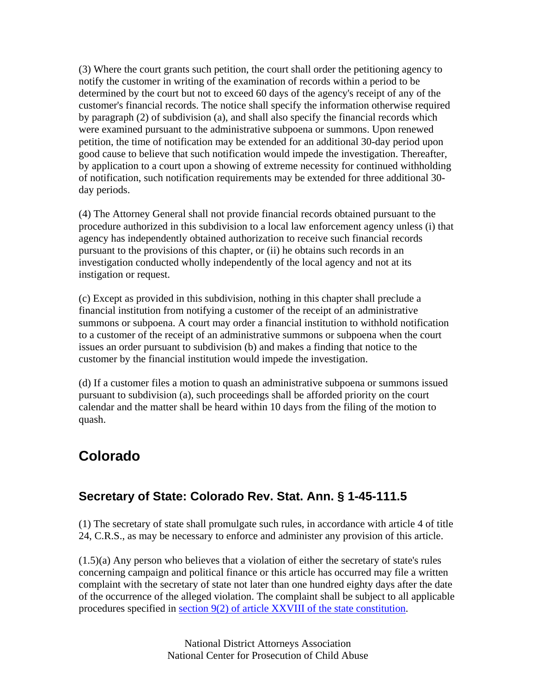(3) Where the court grants such petition, the court shall order the petitioning agency to notify the customer in writing of the examination of records within a period to be determined by the court but not to exceed 60 days of the agency's receipt of any of the customer's financial records. The notice shall specify the information otherwise required by paragraph (2) of subdivision (a), and shall also specify the financial records which were examined pursuant to the administrative subpoena or summons. Upon renewed petition, the time of notification may be extended for an additional 30-day period upon good cause to believe that such notification would impede the investigation. Thereafter, by application to a court upon a showing of extreme necessity for continued withholding of notification, such notification requirements may be extended for three additional 30 day periods.

(4) The Attorney General shall not provide financial records obtained pursuant to the procedure authorized in this subdivision to a local law enforcement agency unless (i) that agency has independently obtained authorization to receive such financial records pursuant to the provisions of this chapter, or (ii) he obtains such records in an investigation conducted wholly independently of the local agency and not at its instigation or request.

(c) Except as provided in this subdivision, nothing in this chapter shall preclude a financial institution from notifying a customer of the receipt of an administrative summons or subpoena. A court may order a financial institution to withhold notification to a customer of the receipt of an administrative summons or subpoena when the court issues an order pursuant to subdivision (b) and makes a finding that notice to the customer by the financial institution would impede the investigation.

(d) If a customer files a motion to quash an administrative subpoena or summons issued pursuant to subdivision (a), such proceedings shall be afforded priority on the court calendar and the matter shall be heard within 10 days from the filing of the motion to quash.

### **Colorado**

### **Secretary of State: Colorado Rev. Stat. Ann. § 1-45-111.5**

(1) The secretary of state shall promulgate such rules, in accordance with article 4 of title 24, C.R.S., as may be necessary to enforce and administer any provision of this article.

(1.5)(a) Any person who believes that a violation of either the secretary of state's rules concerning campaign and political finance or this article has occurred may file a written complaint with the secretary of state not later than one hundred eighty days after the date of the occurrence of the alleged violation. The complaint shall be subject to all applicable procedures specified in section 9(2) of article XXVIII of the state constitution.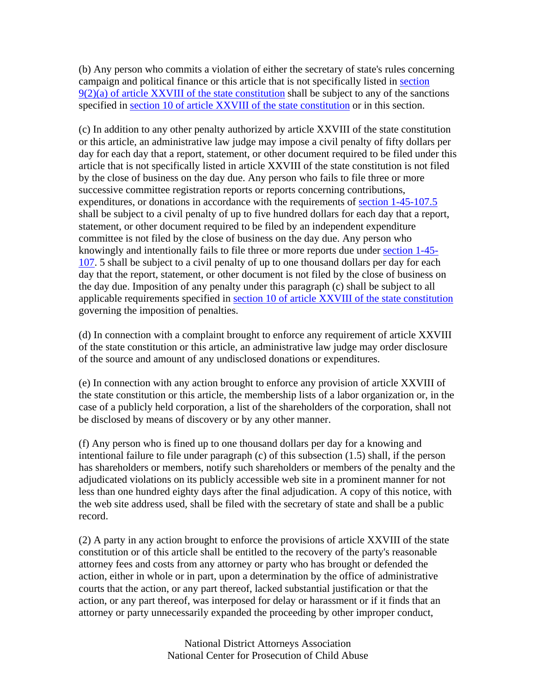(b) Any person who commits a violation of either the secretary of state's rules concerning campaign and political finance or this article that is not specifically listed in section 9(2)(a) of article XXVIII of the state constitution shall be subject to any of the sanctions specified in section 10 of article XXVIII of the state constitution or in this section.

(c) In addition to any other penalty authorized by article XXVIII of the state constitution or this article, an administrative law judge may impose a civil penalty of fifty dollars per day for each day that a report, statement, or other document required to be filed under this article that is not specifically listed in article XXVIII of the state constitution is not filed by the close of business on the day due. Any person who fails to file three or more successive committee registration reports or reports concerning contributions, expenditures, or donations in accordance with the requirements of section 1-45-107.5 shall be subject to a civil penalty of up to five hundred dollars for each day that a report, statement, or other document required to be filed by an independent expenditure committee is not filed by the close of business on the day due. Any person who knowingly and intentionally fails to file three or more reports due under section 1-45- 107. 5 shall be subject to a civil penalty of up to one thousand dollars per day for each day that the report, statement, or other document is not filed by the close of business on the day due. Imposition of any penalty under this paragraph (c) shall be subject to all applicable requirements specified in section 10 of article XXVIII of the state constitution governing the imposition of penalties.

(d) In connection with a complaint brought to enforce any requirement of article XXVIII of the state constitution or this article, an administrative law judge may order disclosure of the source and amount of any undisclosed donations or expenditures.

(e) In connection with any action brought to enforce any provision of article XXVIII of the state constitution or this article, the membership lists of a labor organization or, in the case of a publicly held corporation, a list of the shareholders of the corporation, shall not be disclosed by means of discovery or by any other manner.

(f) Any person who is fined up to one thousand dollars per day for a knowing and intentional failure to file under paragraph (c) of this subsection (1.5) shall, if the person has shareholders or members, notify such shareholders or members of the penalty and the adjudicated violations on its publicly accessible web site in a prominent manner for not less than one hundred eighty days after the final adjudication. A copy of this notice, with the web site address used, shall be filed with the secretary of state and shall be a public record.

(2) A party in any action brought to enforce the provisions of article XXVIII of the state constitution or of this article shall be entitled to the recovery of the party's reasonable attorney fees and costs from any attorney or party who has brought or defended the action, either in whole or in part, upon a determination by the office of administrative courts that the action, or any part thereof, lacked substantial justification or that the action, or any part thereof, was interposed for delay or harassment or if it finds that an attorney or party unnecessarily expanded the proceeding by other improper conduct,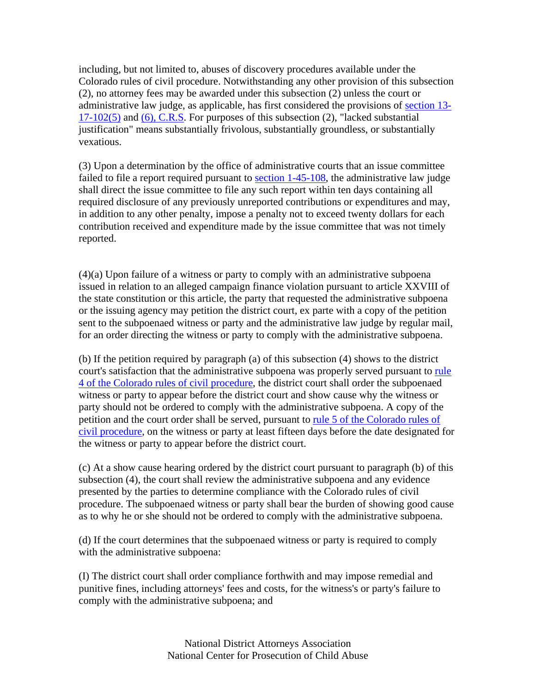including, but not limited to, abuses of discovery procedures available under the Colorado rules of civil procedure. Notwithstanding any other provision of this subsection (2), no attorney fees may be awarded under this subsection (2) unless the court or administrative law judge, as applicable, has first considered the provisions of section 13- 17-102(5) and (6), C.R.S. For purposes of this subsection (2), "lacked substantial justification" means substantially frivolous, substantially groundless, or substantially vexatious.

(3) Upon a determination by the office of administrative courts that an issue committee failed to file a report required pursuant to **section 1-45-108**, the administrative law judge shall direct the issue committee to file any such report within ten days containing all required disclosure of any previously unreported contributions or expenditures and may, in addition to any other penalty, impose a penalty not to exceed twenty dollars for each contribution received and expenditure made by the issue committee that was not timely reported.

(4)(a) Upon failure of a witness or party to comply with an administrative subpoena issued in relation to an alleged campaign finance violation pursuant to article XXVIII of the state constitution or this article, the party that requested the administrative subpoena or the issuing agency may petition the district court, ex parte with a copy of the petition sent to the subpoenaed witness or party and the administrative law judge by regular mail, for an order directing the witness or party to comply with the administrative subpoena.

(b) If the petition required by paragraph (a) of this subsection (4) shows to the district court's satisfaction that the administrative subpoena was properly served pursuant to rule 4 of the Colorado rules of civil procedure, the district court shall order the subpoenaed witness or party to appear before the district court and show cause why the witness or party should not be ordered to comply with the administrative subpoena. A copy of the petition and the court order shall be served, pursuant to rule 5 of the Colorado rules of civil procedure, on the witness or party at least fifteen days before the date designated for the witness or party to appear before the district court.

(c) At a show cause hearing ordered by the district court pursuant to paragraph (b) of this subsection (4), the court shall review the administrative subpoena and any evidence presented by the parties to determine compliance with the Colorado rules of civil procedure. The subpoenaed witness or party shall bear the burden of showing good cause as to why he or she should not be ordered to comply with the administrative subpoena.

(d) If the court determines that the subpoenaed witness or party is required to comply with the administrative subpoena:

(I) The district court shall order compliance forthwith and may impose remedial and punitive fines, including attorneys' fees and costs, for the witness's or party's failure to comply with the administrative subpoena; and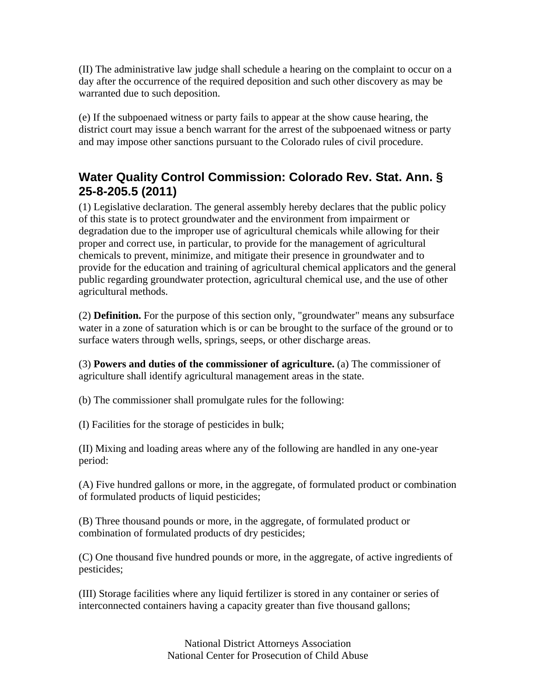(II) The administrative law judge shall schedule a hearing on the complaint to occur on a day after the occurrence of the required deposition and such other discovery as may be warranted due to such deposition.

(e) If the subpoenaed witness or party fails to appear at the show cause hearing, the district court may issue a bench warrant for the arrest of the subpoenaed witness or party and may impose other sanctions pursuant to the Colorado rules of civil procedure.

#### **Water Quality Control Commission: Colorado Rev. Stat. Ann. § 25-8-205.5 (2011)**

(1) Legislative declaration. The general assembly hereby declares that the public policy of this state is to protect groundwater and the environment from impairment or degradation due to the improper use of agricultural chemicals while allowing for their proper and correct use, in particular, to provide for the management of agricultural chemicals to prevent, minimize, and mitigate their presence in groundwater and to provide for the education and training of agricultural chemical applicators and the general public regarding groundwater protection, agricultural chemical use, and the use of other agricultural methods.

(2) **Definition.** For the purpose of this section only, "groundwater" means any subsurface water in a zone of saturation which is or can be brought to the surface of the ground or to surface waters through wells, springs, seeps, or other discharge areas.

(3) **Powers and duties of the commissioner of agriculture.** (a) The commissioner of agriculture shall identify agricultural management areas in the state.

(b) The commissioner shall promulgate rules for the following:

(I) Facilities for the storage of pesticides in bulk;

(II) Mixing and loading areas where any of the following are handled in any one-year period:

(A) Five hundred gallons or more, in the aggregate, of formulated product or combination of formulated products of liquid pesticides;

(B) Three thousand pounds or more, in the aggregate, of formulated product or combination of formulated products of dry pesticides;

(C) One thousand five hundred pounds or more, in the aggregate, of active ingredients of pesticides;

(III) Storage facilities where any liquid fertilizer is stored in any container or series of interconnected containers having a capacity greater than five thousand gallons;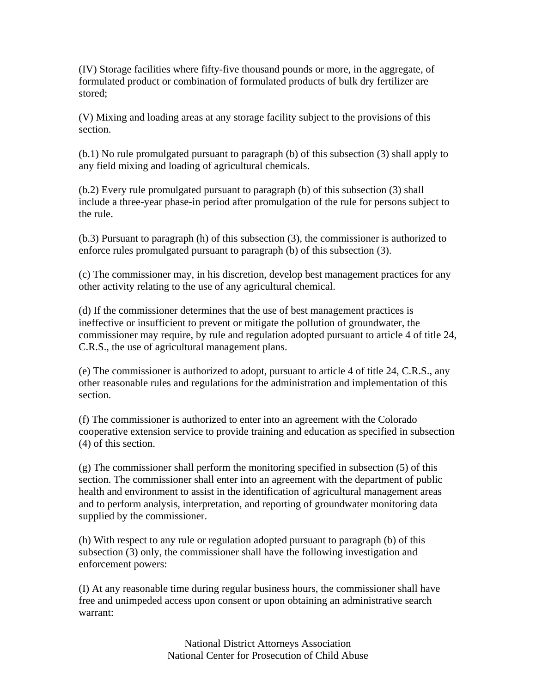(IV) Storage facilities where fifty-five thousand pounds or more, in the aggregate, of formulated product or combination of formulated products of bulk dry fertilizer are stored;

(V) Mixing and loading areas at any storage facility subject to the provisions of this section.

(b.1) No rule promulgated pursuant to paragraph (b) of this subsection (3) shall apply to any field mixing and loading of agricultural chemicals.

(b.2) Every rule promulgated pursuant to paragraph (b) of this subsection (3) shall include a three-year phase-in period after promulgation of the rule for persons subject to the rule.

(b.3) Pursuant to paragraph (h) of this subsection (3), the commissioner is authorized to enforce rules promulgated pursuant to paragraph (b) of this subsection (3).

(c) The commissioner may, in his discretion, develop best management practices for any other activity relating to the use of any agricultural chemical.

(d) If the commissioner determines that the use of best management practices is ineffective or insufficient to prevent or mitigate the pollution of groundwater, the commissioner may require, by rule and regulation adopted pursuant to article 4 of title 24, C.R.S., the use of agricultural management plans.

(e) The commissioner is authorized to adopt, pursuant to article 4 of title 24, C.R.S., any other reasonable rules and regulations for the administration and implementation of this section.

(f) The commissioner is authorized to enter into an agreement with the Colorado cooperative extension service to provide training and education as specified in subsection (4) of this section.

(g) The commissioner shall perform the monitoring specified in subsection (5) of this section. The commissioner shall enter into an agreement with the department of public health and environment to assist in the identification of agricultural management areas and to perform analysis, interpretation, and reporting of groundwater monitoring data supplied by the commissioner.

(h) With respect to any rule or regulation adopted pursuant to paragraph (b) of this subsection (3) only, the commissioner shall have the following investigation and enforcement powers:

(I) At any reasonable time during regular business hours, the commissioner shall have free and unimpeded access upon consent or upon obtaining an administrative search warrant: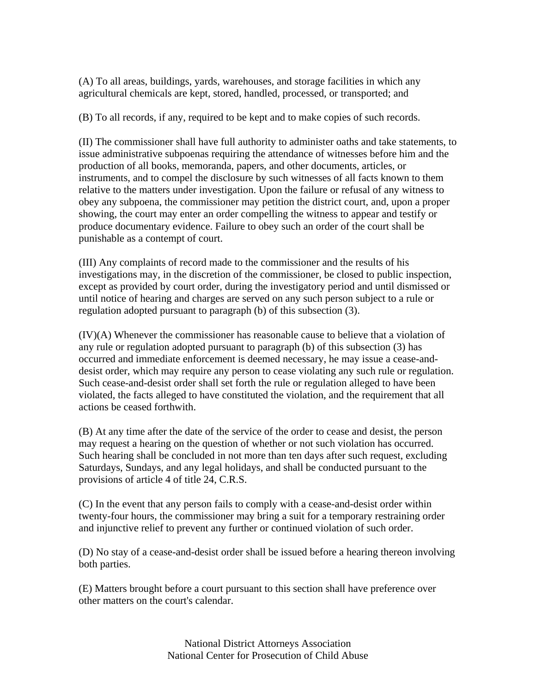(A) To all areas, buildings, yards, warehouses, and storage facilities in which any agricultural chemicals are kept, stored, handled, processed, or transported; and

(B) To all records, if any, required to be kept and to make copies of such records.

(II) The commissioner shall have full authority to administer oaths and take statements, to issue administrative subpoenas requiring the attendance of witnesses before him and the production of all books, memoranda, papers, and other documents, articles, or instruments, and to compel the disclosure by such witnesses of all facts known to them relative to the matters under investigation. Upon the failure or refusal of any witness to obey any subpoena, the commissioner may petition the district court, and, upon a proper showing, the court may enter an order compelling the witness to appear and testify or produce documentary evidence. Failure to obey such an order of the court shall be punishable as a contempt of court.

(III) Any complaints of record made to the commissioner and the results of his investigations may, in the discretion of the commissioner, be closed to public inspection, except as provided by court order, during the investigatory period and until dismissed or until notice of hearing and charges are served on any such person subject to a rule or regulation adopted pursuant to paragraph (b) of this subsection (3).

(IV)(A) Whenever the commissioner has reasonable cause to believe that a violation of any rule or regulation adopted pursuant to paragraph (b) of this subsection (3) has occurred and immediate enforcement is deemed necessary, he may issue a cease-anddesist order, which may require any person to cease violating any such rule or regulation. Such cease-and-desist order shall set forth the rule or regulation alleged to have been violated, the facts alleged to have constituted the violation, and the requirement that all actions be ceased forthwith.

(B) At any time after the date of the service of the order to cease and desist, the person may request a hearing on the question of whether or not such violation has occurred. Such hearing shall be concluded in not more than ten days after such request, excluding Saturdays, Sundays, and any legal holidays, and shall be conducted pursuant to the provisions of article 4 of title 24, C.R.S.

(C) In the event that any person fails to comply with a cease-and-desist order within twenty-four hours, the commissioner may bring a suit for a temporary restraining order and injunctive relief to prevent any further or continued violation of such order.

(D) No stay of a cease-and-desist order shall be issued before a hearing thereon involving both parties.

(E) Matters brought before a court pursuant to this section shall have preference over other matters on the court's calendar.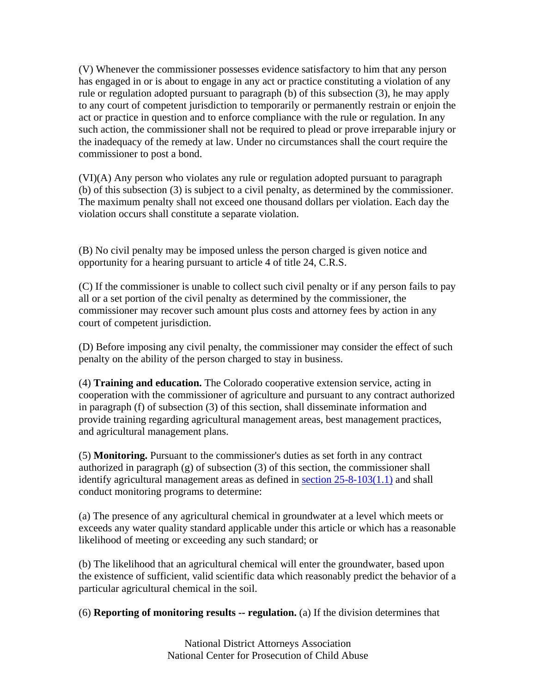(V) Whenever the commissioner possesses evidence satisfactory to him that any person has engaged in or is about to engage in any act or practice constituting a violation of any rule or regulation adopted pursuant to paragraph (b) of this subsection (3), he may apply to any court of competent jurisdiction to temporarily or permanently restrain or enjoin the act or practice in question and to enforce compliance with the rule or regulation. In any such action, the commissioner shall not be required to plead or prove irreparable injury or the inadequacy of the remedy at law. Under no circumstances shall the court require the commissioner to post a bond.

(VI)(A) Any person who violates any rule or regulation adopted pursuant to paragraph (b) of this subsection (3) is subject to a civil penalty, as determined by the commissioner. The maximum penalty shall not exceed one thousand dollars per violation. Each day the violation occurs shall constitute a separate violation.

(B) No civil penalty may be imposed unless the person charged is given notice and opportunity for a hearing pursuant to article 4 of title 24, C.R.S.

(C) If the commissioner is unable to collect such civil penalty or if any person fails to pay all or a set portion of the civil penalty as determined by the commissioner, the commissioner may recover such amount plus costs and attorney fees by action in any court of competent jurisdiction.

(D) Before imposing any civil penalty, the commissioner may consider the effect of such penalty on the ability of the person charged to stay in business.

(4) **Training and education.** The Colorado cooperative extension service, acting in cooperation with the commissioner of agriculture and pursuant to any contract authorized in paragraph (f) of subsection (3) of this section, shall disseminate information and provide training regarding agricultural management areas, best management practices, and agricultural management plans.

(5) **Monitoring.** Pursuant to the commissioner's duties as set forth in any contract authorized in paragraph  $(g)$  of subsection  $(3)$  of this section, the commissioner shall identify agricultural management areas as defined in section 25-8-103(1.1) and shall conduct monitoring programs to determine:

(a) The presence of any agricultural chemical in groundwater at a level which meets or exceeds any water quality standard applicable under this article or which has a reasonable likelihood of meeting or exceeding any such standard; or

(b) The likelihood that an agricultural chemical will enter the groundwater, based upon the existence of sufficient, valid scientific data which reasonably predict the behavior of a particular agricultural chemical in the soil.

(6) **Reporting of monitoring results -- regulation.** (a) If the division determines that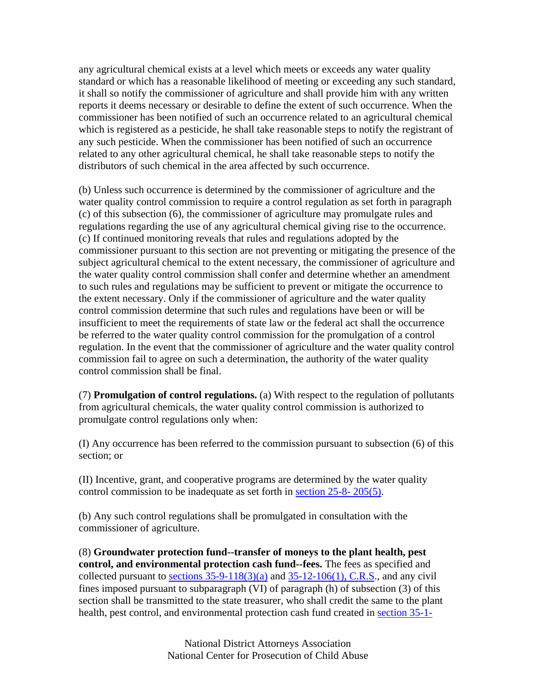any agricultural chemical exists at a level which meets or exceeds any water quality standard or which has a reasonable likelihood of meeting or exceeding any such standard, it shall so notify the commissioner of agriculture and shall provide him with any written reports it deems necessary or desirable to define the extent of such occurrence. When the commissioner has been notified of such an occurrence related to an agricultural chemical which is registered as a pesticide, he shall take reasonable steps to notify the registrant of any such pesticide. When the commissioner has been notified of such an occurrence related to any other agricultural chemical, he shall take reasonable steps to notify the distributors of such chemical in the area affected by such occurrence.

(b) Unless such occurrence is determined by the commissioner of agriculture and the water quality control commission to require a control regulation as set forth in paragraph (c) of this subsection (6), the commissioner of agriculture may promulgate rules and regulations regarding the use of any agricultural chemical giving rise to the occurrence. (c) If continued monitoring reveals that rules and regulations adopted by the commissioner pursuant to this section are not preventing or mitigating the presence of the subject agricultural chemical to the extent necessary, the commissioner of agriculture and the water quality control commission shall confer and determine whether an amendment to such rules and regulations may be sufficient to prevent or mitigate the occurrence to the extent necessary. Only if the commissioner of agriculture and the water quality control commission determine that such rules and regulations have been or will be insufficient to meet the requirements of state law or the federal act shall the occurrence be referred to the water quality control commission for the promulgation of a control regulation. In the event that the commissioner of agriculture and the water quality control commission fail to agree on such a determination, the authority of the water quality control commission shall be final.

(7) **Promulgation of control regulations.** (a) With respect to the regulation of pollutants from agricultural chemicals, the water quality control commission is authorized to promulgate control regulations only when:

(I) Any occurrence has been referred to the commission pursuant to subsection (6) of this section; or

(II) Incentive, grant, and cooperative programs are determined by the water quality control commission to be inadequate as set forth in section 25-8- 205(5).

(b) Any such control regulations shall be promulgated in consultation with the commissioner of agriculture.

(8) **Groundwater protection fund--transfer of moneys to the plant health, pest control, and environmental protection cash fund--fees.** The fees as specified and collected pursuant to sections  $35-9-118(3)(a)$  and  $35-12-106(1)$ , C.R.S., and any civil fines imposed pursuant to subparagraph (VI) of paragraph (h) of subsection (3) of this section shall be transmitted to the state treasurer, who shall credit the same to the plant health, pest control, and environmental protection cash fund created in section 35-1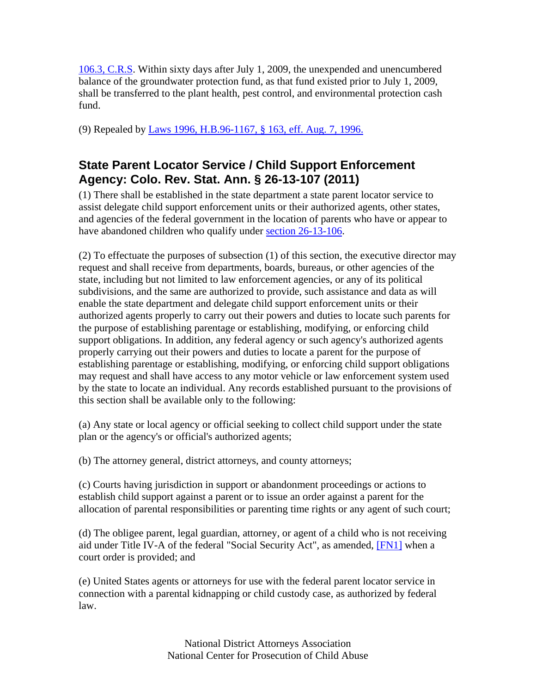106.3, C.R.S. Within sixty days after July 1, 2009, the unexpended and unencumbered balance of the groundwater protection fund, as that fund existed prior to July 1, 2009, shall be transferred to the plant health, pest control, and environmental protection cash fund.

(9) Repealed by Laws 1996, H.B.96-1167, § 163, eff. Aug. 7, 1996.

### **State Parent Locator Service / Child Support Enforcement Agency: Colo. Rev. Stat. Ann. § 26-13-107 (2011)**

(1) There shall be established in the state department a state parent locator service to assist delegate child support enforcement units or their authorized agents, other states, and agencies of the federal government in the location of parents who have or appear to have abandoned children who qualify under section 26-13-106.

(2) To effectuate the purposes of subsection (1) of this section, the executive director may request and shall receive from departments, boards, bureaus, or other agencies of the state, including but not limited to law enforcement agencies, or any of its political subdivisions, and the same are authorized to provide, such assistance and data as will enable the state department and delegate child support enforcement units or their authorized agents properly to carry out their powers and duties to locate such parents for the purpose of establishing parentage or establishing, modifying, or enforcing child support obligations. In addition, any federal agency or such agency's authorized agents properly carrying out their powers and duties to locate a parent for the purpose of establishing parentage or establishing, modifying, or enforcing child support obligations may request and shall have access to any motor vehicle or law enforcement system used by the state to locate an individual. Any records established pursuant to the provisions of this section shall be available only to the following:

(a) Any state or local agency or official seeking to collect child support under the state plan or the agency's or official's authorized agents;

(b) The attorney general, district attorneys, and county attorneys;

(c) Courts having jurisdiction in support or abandonment proceedings or actions to establish child support against a parent or to issue an order against a parent for the allocation of parental responsibilities or parenting time rights or any agent of such court;

(d) The obligee parent, legal guardian, attorney, or agent of a child who is not receiving aid under Title IV-A of the federal "Social Security Act", as amended, [FN1] when a court order is provided; and

(e) United States agents or attorneys for use with the federal parent locator service in connection with a parental kidnapping or child custody case, as authorized by federal law.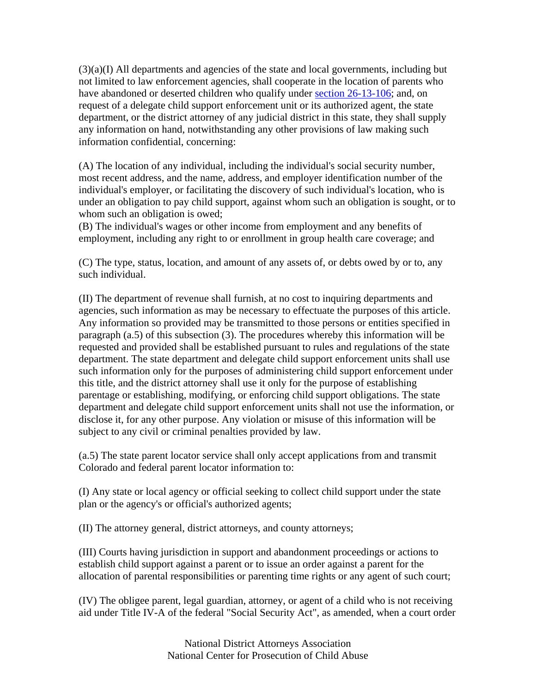(3)(a)(I) All departments and agencies of the state and local governments, including but not limited to law enforcement agencies, shall cooperate in the location of parents who have abandoned or deserted children who qualify under section 26-13-106; and, on request of a delegate child support enforcement unit or its authorized agent, the state department, or the district attorney of any judicial district in this state, they shall supply any information on hand, notwithstanding any other provisions of law making such information confidential, concerning:

(A) The location of any individual, including the individual's social security number, most recent address, and the name, address, and employer identification number of the individual's employer, or facilitating the discovery of such individual's location, who is under an obligation to pay child support, against whom such an obligation is sought, or to whom such an obligation is owed;

(B) The individual's wages or other income from employment and any benefits of employment, including any right to or enrollment in group health care coverage; and

(C) The type, status, location, and amount of any assets of, or debts owed by or to, any such individual.

(II) The department of revenue shall furnish, at no cost to inquiring departments and agencies, such information as may be necessary to effectuate the purposes of this article. Any information so provided may be transmitted to those persons or entities specified in paragraph (a.5) of this subsection (3). The procedures whereby this information will be requested and provided shall be established pursuant to rules and regulations of the state department. The state department and delegate child support enforcement units shall use such information only for the purposes of administering child support enforcement under this title, and the district attorney shall use it only for the purpose of establishing parentage or establishing, modifying, or enforcing child support obligations. The state department and delegate child support enforcement units shall not use the information, or disclose it, for any other purpose. Any violation or misuse of this information will be subject to any civil or criminal penalties provided by law.

(a.5) The state parent locator service shall only accept applications from and transmit Colorado and federal parent locator information to:

(I) Any state or local agency or official seeking to collect child support under the state plan or the agency's or official's authorized agents;

(II) The attorney general, district attorneys, and county attorneys;

(III) Courts having jurisdiction in support and abandonment proceedings or actions to establish child support against a parent or to issue an order against a parent for the allocation of parental responsibilities or parenting time rights or any agent of such court;

(IV) The obligee parent, legal guardian, attorney, or agent of a child who is not receiving aid under Title IV-A of the federal "Social Security Act", as amended, when a court order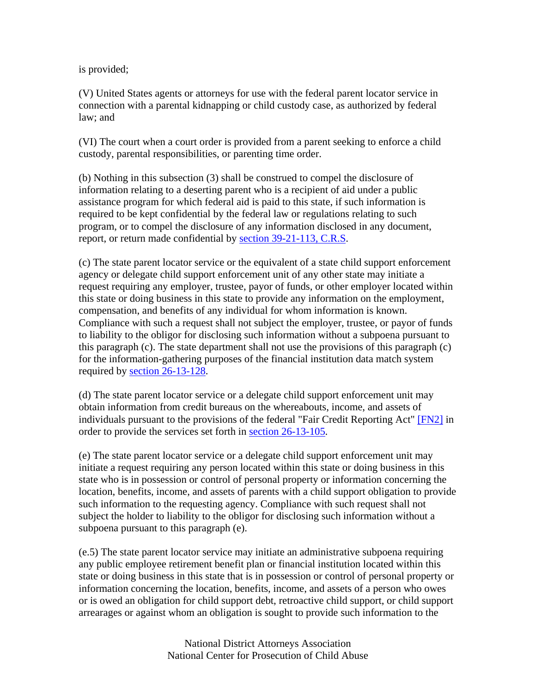is provided;

(V) United States agents or attorneys for use with the federal parent locator service in connection with a parental kidnapping or child custody case, as authorized by federal law; and

(VI) The court when a court order is provided from a parent seeking to enforce a child custody, parental responsibilities, or parenting time order.

(b) Nothing in this subsection (3) shall be construed to compel the disclosure of information relating to a deserting parent who is a recipient of aid under a public assistance program for which federal aid is paid to this state, if such information is required to be kept confidential by the federal law or regulations relating to such program, or to compel the disclosure of any information disclosed in any document, report, or return made confidential by section 39-21-113, C.R.S.

(c) The state parent locator service or the equivalent of a state child support enforcement agency or delegate child support enforcement unit of any other state may initiate a request requiring any employer, trustee, payor of funds, or other employer located within this state or doing business in this state to provide any information on the employment, compensation, and benefits of any individual for whom information is known. Compliance with such a request shall not subject the employer, trustee, or payor of funds to liability to the obligor for disclosing such information without a subpoena pursuant to this paragraph (c). The state department shall not use the provisions of this paragraph (c) for the information-gathering purposes of the financial institution data match system required by section 26-13-128.

(d) The state parent locator service or a delegate child support enforcement unit may obtain information from credit bureaus on the whereabouts, income, and assets of individuals pursuant to the provisions of the federal "Fair Credit Reporting Act" [FN2] in order to provide the services set forth in section 26-13-105.

(e) The state parent locator service or a delegate child support enforcement unit may initiate a request requiring any person located within this state or doing business in this state who is in possession or control of personal property or information concerning the location, benefits, income, and assets of parents with a child support obligation to provide such information to the requesting agency. Compliance with such request shall not subject the holder to liability to the obligor for disclosing such information without a subpoena pursuant to this paragraph (e).

(e.5) The state parent locator service may initiate an administrative subpoena requiring any public employee retirement benefit plan or financial institution located within this state or doing business in this state that is in possession or control of personal property or information concerning the location, benefits, income, and assets of a person who owes or is owed an obligation for child support debt, retroactive child support, or child support arrearages or against whom an obligation is sought to provide such information to the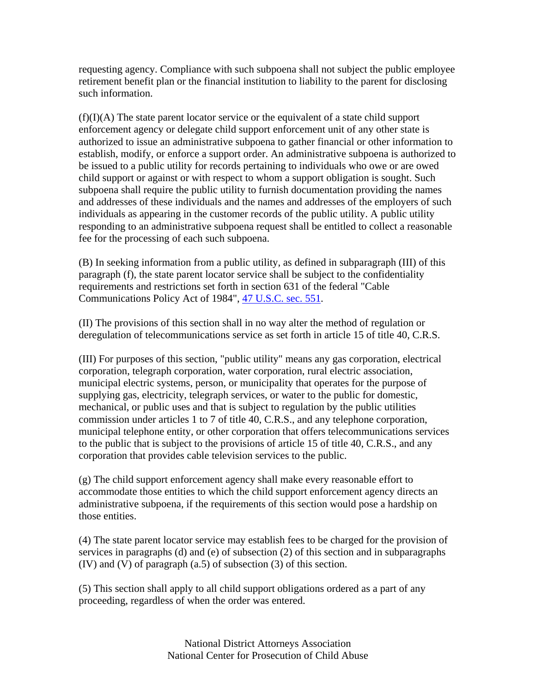requesting agency. Compliance with such subpoena shall not subject the public employee retirement benefit plan or the financial institution to liability to the parent for disclosing such information.

 $(f)(I)(A)$  The state parent locator service or the equivalent of a state child support enforcement agency or delegate child support enforcement unit of any other state is authorized to issue an administrative subpoena to gather financial or other information to establish, modify, or enforce a support order. An administrative subpoena is authorized to be issued to a public utility for records pertaining to individuals who owe or are owed child support or against or with respect to whom a support obligation is sought. Such subpoena shall require the public utility to furnish documentation providing the names and addresses of these individuals and the names and addresses of the employers of such individuals as appearing in the customer records of the public utility. A public utility responding to an administrative subpoena request shall be entitled to collect a reasonable fee for the processing of each such subpoena.

(B) In seeking information from a public utility, as defined in subparagraph (III) of this paragraph (f), the state parent locator service shall be subject to the confidentiality requirements and restrictions set forth in section 631 of the federal "Cable Communications Policy Act of 1984", 47 U.S.C. sec. 551.

(II) The provisions of this section shall in no way alter the method of regulation or deregulation of telecommunications service as set forth in article 15 of title 40, C.R.S.

(III) For purposes of this section, "public utility" means any gas corporation, electrical corporation, telegraph corporation, water corporation, rural electric association, municipal electric systems, person, or municipality that operates for the purpose of supplying gas, electricity, telegraph services, or water to the public for domestic, mechanical, or public uses and that is subject to regulation by the public utilities commission under articles 1 to 7 of title 40, C.R.S., and any telephone corporation, municipal telephone entity, or other corporation that offers telecommunications services to the public that is subject to the provisions of article 15 of title 40, C.R.S., and any corporation that provides cable television services to the public.

(g) The child support enforcement agency shall make every reasonable effort to accommodate those entities to which the child support enforcement agency directs an administrative subpoena, if the requirements of this section would pose a hardship on those entities.

(4) The state parent locator service may establish fees to be charged for the provision of services in paragraphs (d) and (e) of subsection (2) of this section and in subparagraphs (IV) and (V) of paragraph (a.5) of subsection (3) of this section.

(5) This section shall apply to all child support obligations ordered as a part of any proceeding, regardless of when the order was entered.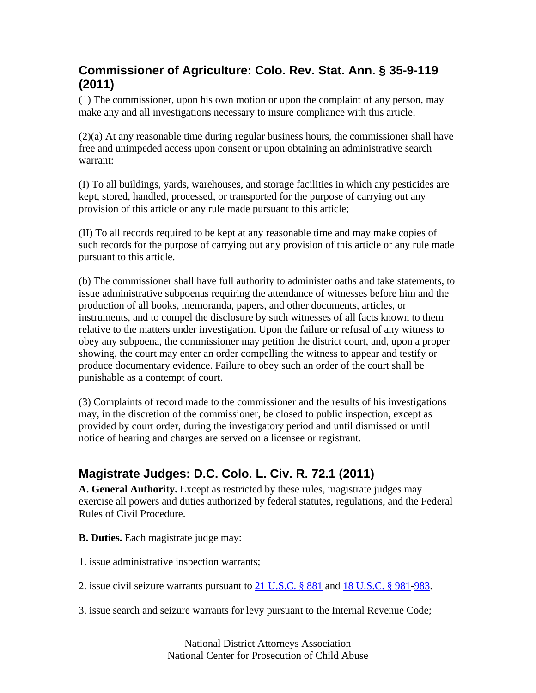### **Commissioner of Agriculture: Colo. Rev. Stat. Ann. § 35-9-119 (2011)**

(1) The commissioner, upon his own motion or upon the complaint of any person, may make any and all investigations necessary to insure compliance with this article.

(2)(a) At any reasonable time during regular business hours, the commissioner shall have free and unimpeded access upon consent or upon obtaining an administrative search warrant:

(I) To all buildings, yards, warehouses, and storage facilities in which any pesticides are kept, stored, handled, processed, or transported for the purpose of carrying out any provision of this article or any rule made pursuant to this article;

(II) To all records required to be kept at any reasonable time and may make copies of such records for the purpose of carrying out any provision of this article or any rule made pursuant to this article.

(b) The commissioner shall have full authority to administer oaths and take statements, to issue administrative subpoenas requiring the attendance of witnesses before him and the production of all books, memoranda, papers, and other documents, articles, or instruments, and to compel the disclosure by such witnesses of all facts known to them relative to the matters under investigation. Upon the failure or refusal of any witness to obey any subpoena, the commissioner may petition the district court, and, upon a proper showing, the court may enter an order compelling the witness to appear and testify or produce documentary evidence. Failure to obey such an order of the court shall be punishable as a contempt of court.

(3) Complaints of record made to the commissioner and the results of his investigations may, in the discretion of the commissioner, be closed to public inspection, except as provided by court order, during the investigatory period and until dismissed or until notice of hearing and charges are served on a licensee or registrant.

### **Magistrate Judges: D.C. Colo. L. Civ. R. 72.1 (2011)**

**A. General Authority.** Except as restricted by these rules, magistrate judges may exercise all powers and duties authorized by federal statutes, regulations, and the Federal Rules of Civil Procedure.

- **B. Duties.** Each magistrate judge may:
- 1. issue administrative inspection warrants;
- 2. issue civil seizure warrants pursuant to 21 U.S.C. § 881 and 18 U.S.C. § 981-983.
- 3. issue search and seizure warrants for levy pursuant to the Internal Revenue Code;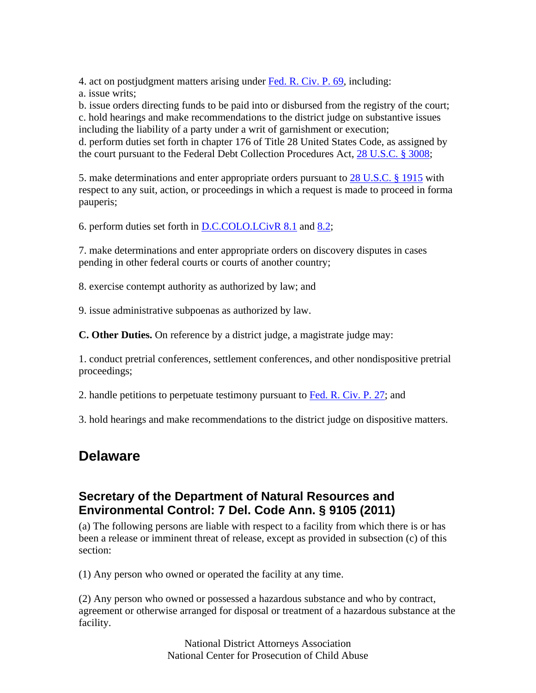4. act on postjudgment matters arising under Fed. R. Civ. P. 69, including:

a. issue writs;

b. issue orders directing funds to be paid into or disbursed from the registry of the court; c. hold hearings and make recommendations to the district judge on substantive issues including the liability of a party under a writ of garnishment or execution; d. perform duties set forth in chapter 176 of Title 28 United States Code, as assigned by the court pursuant to the Federal Debt Collection Procedures Act, 28 U.S.C. § 3008;

5. make determinations and enter appropriate orders pursuant to 28 U.S.C. § 1915 with respect to any suit, action, or proceedings in which a request is made to proceed in forma pauperis;

6. perform duties set forth in D.C.COLO.LCivR 8.1 and 8.2;

7. make determinations and enter appropriate orders on discovery disputes in cases pending in other federal courts or courts of another country;

8. exercise contempt authority as authorized by law; and

9. issue administrative subpoenas as authorized by law.

**C. Other Duties.** On reference by a district judge, a magistrate judge may:

1. conduct pretrial conferences, settlement conferences, and other nondispositive pretrial proceedings;

2. handle petitions to perpetuate testimony pursuant to Fed. R. Civ. P. 27; and

3. hold hearings and make recommendations to the district judge on dispositive matters.

## **Delaware**

### **Secretary of the Department of Natural Resources and Environmental Control: 7 Del. Code Ann. § 9105 (2011)**

(a) The following persons are liable with respect to a facility from which there is or has been a release or imminent threat of release, except as provided in subsection (c) of this section:

(1) Any person who owned or operated the facility at any time.

(2) Any person who owned or possessed a hazardous substance and who by contract, agreement or otherwise arranged for disposal or treatment of a hazardous substance at the facility.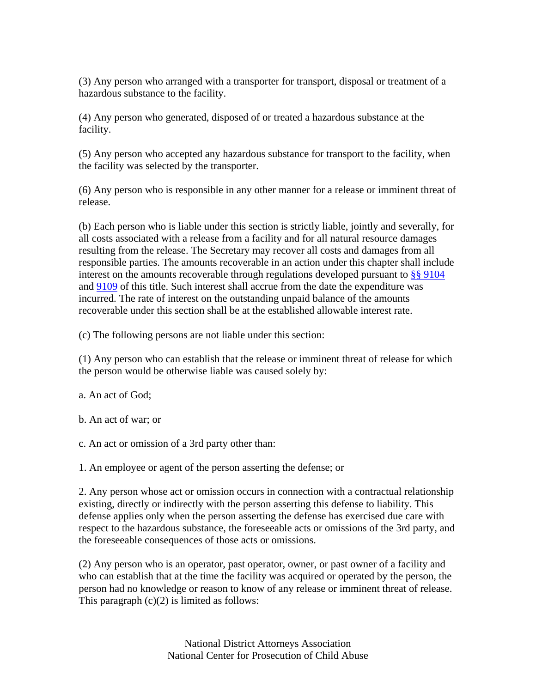(3) Any person who arranged with a transporter for transport, disposal or treatment of a hazardous substance to the facility.

(4) Any person who generated, disposed of or treated a hazardous substance at the facility.

(5) Any person who accepted any hazardous substance for transport to the facility, when the facility was selected by the transporter.

(6) Any person who is responsible in any other manner for a release or imminent threat of release.

(b) Each person who is liable under this section is strictly liable, jointly and severally, for all costs associated with a release from a facility and for all natural resource damages resulting from the release. The Secretary may recover all costs and damages from all responsible parties. The amounts recoverable in an action under this chapter shall include interest on the amounts recoverable through regulations developed pursuant to §§ 9104 and 9109 of this title. Such interest shall accrue from the date the expenditure was incurred. The rate of interest on the outstanding unpaid balance of the amounts recoverable under this section shall be at the established allowable interest rate.

(c) The following persons are not liable under this section:

(1) Any person who can establish that the release or imminent threat of release for which the person would be otherwise liable was caused solely by:

a. An act of God;

b. An act of war; or

c. An act or omission of a 3rd party other than:

1. An employee or agent of the person asserting the defense; or

2. Any person whose act or omission occurs in connection with a contractual relationship existing, directly or indirectly with the person asserting this defense to liability. This defense applies only when the person asserting the defense has exercised due care with respect to the hazardous substance, the foreseeable acts or omissions of the 3rd party, and the foreseeable consequences of those acts or omissions.

(2) Any person who is an operator, past operator, owner, or past owner of a facility and who can establish that at the time the facility was acquired or operated by the person, the person had no knowledge or reason to know of any release or imminent threat of release. This paragraph  $(c)(2)$  is limited as follows: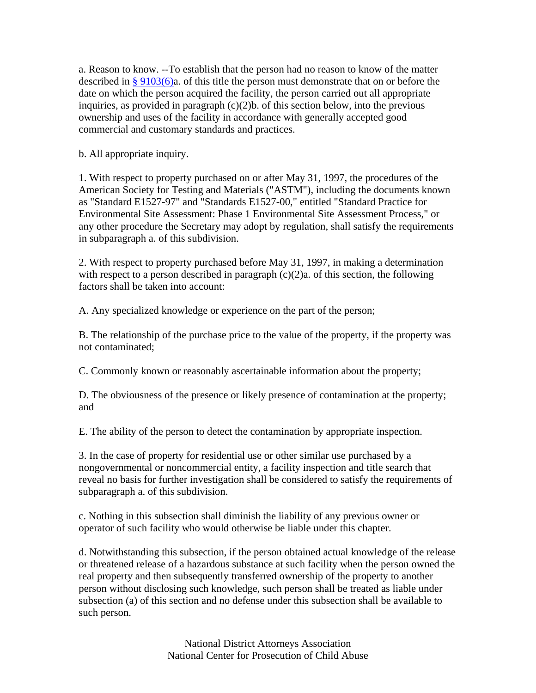a. Reason to know. --To establish that the person had no reason to know of the matter described in  $\S 9103(6)$ a. of this title the person must demonstrate that on or before the date on which the person acquired the facility, the person carried out all appropriate inquiries, as provided in paragraph  $(c)(2)b$ . of this section below, into the previous ownership and uses of the facility in accordance with generally accepted good commercial and customary standards and practices.

b. All appropriate inquiry.

1. With respect to property purchased on or after May 31, 1997, the procedures of the American Society for Testing and Materials ("ASTM"), including the documents known as "Standard E1527-97" and "Standards E1527-00," entitled "Standard Practice for Environmental Site Assessment: Phase 1 Environmental Site Assessment Process," or any other procedure the Secretary may adopt by regulation, shall satisfy the requirements in subparagraph a. of this subdivision.

2. With respect to property purchased before May 31, 1997, in making a determination with respect to a person described in paragraph  $(c)(2)a$ . of this section, the following factors shall be taken into account:

A. Any specialized knowledge or experience on the part of the person;

B. The relationship of the purchase price to the value of the property, if the property was not contaminated;

C. Commonly known or reasonably ascertainable information about the property;

D. The obviousness of the presence or likely presence of contamination at the property; and

E. The ability of the person to detect the contamination by appropriate inspection.

3. In the case of property for residential use or other similar use purchased by a nongovernmental or noncommercial entity, a facility inspection and title search that reveal no basis for further investigation shall be considered to satisfy the requirements of subparagraph a. of this subdivision.

c. Nothing in this subsection shall diminish the liability of any previous owner or operator of such facility who would otherwise be liable under this chapter.

d. Notwithstanding this subsection, if the person obtained actual knowledge of the release or threatened release of a hazardous substance at such facility when the person owned the real property and then subsequently transferred ownership of the property to another person without disclosing such knowledge, such person shall be treated as liable under subsection (a) of this section and no defense under this subsection shall be available to such person.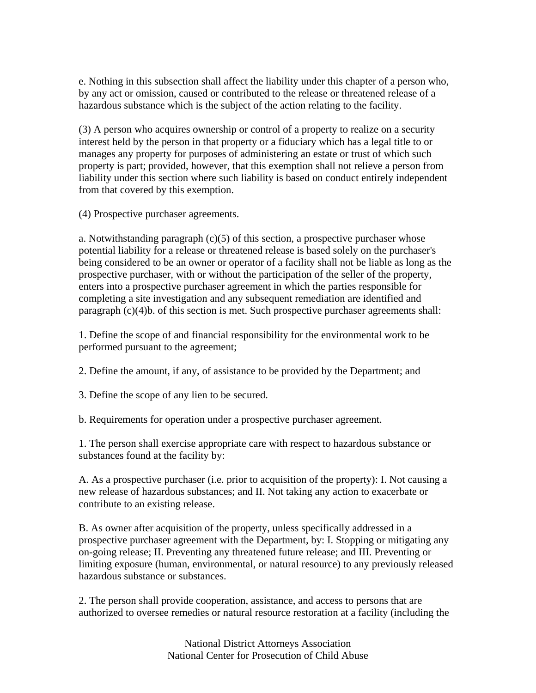e. Nothing in this subsection shall affect the liability under this chapter of a person who, by any act or omission, caused or contributed to the release or threatened release of a hazardous substance which is the subject of the action relating to the facility.

(3) A person who acquires ownership or control of a property to realize on a security interest held by the person in that property or a fiduciary which has a legal title to or manages any property for purposes of administering an estate or trust of which such property is part; provided, however, that this exemption shall not relieve a person from liability under this section where such liability is based on conduct entirely independent from that covered by this exemption.

(4) Prospective purchaser agreements.

a. Notwithstanding paragraph  $(c)(5)$  of this section, a prospective purchaser whose potential liability for a release or threatened release is based solely on the purchaser's being considered to be an owner or operator of a facility shall not be liable as long as the prospective purchaser, with or without the participation of the seller of the property, enters into a prospective purchaser agreement in which the parties responsible for completing a site investigation and any subsequent remediation are identified and paragraph (c)(4)b. of this section is met. Such prospective purchaser agreements shall:

1. Define the scope of and financial responsibility for the environmental work to be performed pursuant to the agreement;

2. Define the amount, if any, of assistance to be provided by the Department; and

3. Define the scope of any lien to be secured.

b. Requirements for operation under a prospective purchaser agreement.

1. The person shall exercise appropriate care with respect to hazardous substance or substances found at the facility by:

A. As a prospective purchaser (i.e. prior to acquisition of the property): I. Not causing a new release of hazardous substances; and II. Not taking any action to exacerbate or contribute to an existing release.

B. As owner after acquisition of the property, unless specifically addressed in a prospective purchaser agreement with the Department, by: I. Stopping or mitigating any on-going release; II. Preventing any threatened future release; and III. Preventing or limiting exposure (human, environmental, or natural resource) to any previously released hazardous substance or substances.

2. The person shall provide cooperation, assistance, and access to persons that are authorized to oversee remedies or natural resource restoration at a facility (including the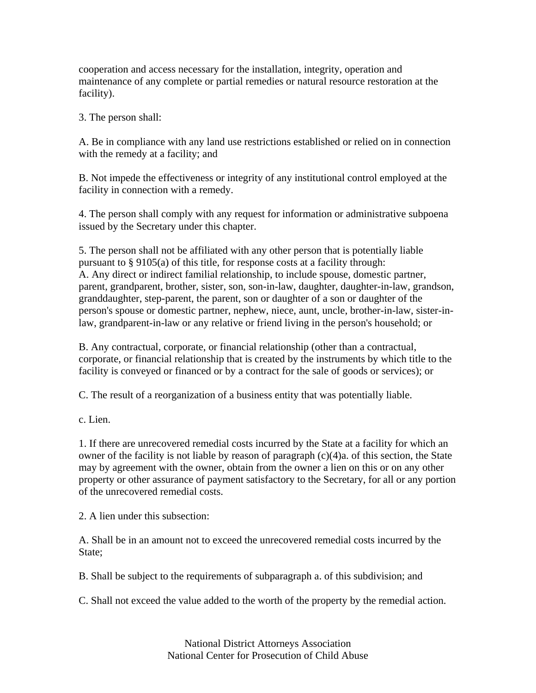cooperation and access necessary for the installation, integrity, operation and maintenance of any complete or partial remedies or natural resource restoration at the facility).

3. The person shall:

A. Be in compliance with any land use restrictions established or relied on in connection with the remedy at a facility; and

B. Not impede the effectiveness or integrity of any institutional control employed at the facility in connection with a remedy.

4. The person shall comply with any request for information or administrative subpoena issued by the Secretary under this chapter.

5. The person shall not be affiliated with any other person that is potentially liable pursuant to § 9105(a) of this title, for response costs at a facility through: A. Any direct or indirect familial relationship, to include spouse, domestic partner, parent, grandparent, brother, sister, son, son-in-law, daughter, daughter-in-law, grandson, granddaughter, step-parent, the parent, son or daughter of a son or daughter of the person's spouse or domestic partner, nephew, niece, aunt, uncle, brother-in-law, sister-inlaw, grandparent-in-law or any relative or friend living in the person's household; or

B. Any contractual, corporate, or financial relationship (other than a contractual, corporate, or financial relationship that is created by the instruments by which title to the facility is conveyed or financed or by a contract for the sale of goods or services); or

C. The result of a reorganization of a business entity that was potentially liable.

c. Lien.

1. If there are unrecovered remedial costs incurred by the State at a facility for which an owner of the facility is not liable by reason of paragraph (c)(4)a. of this section, the State may by agreement with the owner, obtain from the owner a lien on this or on any other property or other assurance of payment satisfactory to the Secretary, for all or any portion of the unrecovered remedial costs.

2. A lien under this subsection:

A. Shall be in an amount not to exceed the unrecovered remedial costs incurred by the State;

B. Shall be subject to the requirements of subparagraph a. of this subdivision; and

C. Shall not exceed the value added to the worth of the property by the remedial action.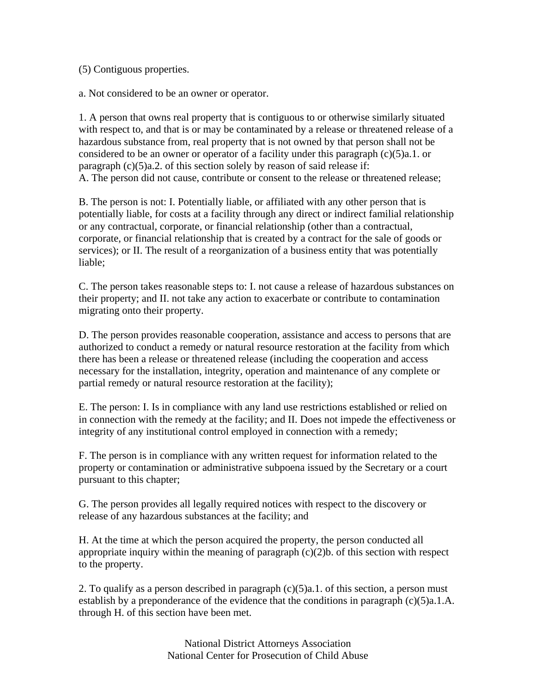(5) Contiguous properties.

a. Not considered to be an owner or operator.

1. A person that owns real property that is contiguous to or otherwise similarly situated with respect to, and that is or may be contaminated by a release or threatened release of a hazardous substance from, real property that is not owned by that person shall not be considered to be an owner or operator of a facility under this paragraph (c)(5)a.1. or paragraph (c)(5)a.2. of this section solely by reason of said release if: A. The person did not cause, contribute or consent to the release or threatened release;

B. The person is not: I. Potentially liable, or affiliated with any other person that is potentially liable, for costs at a facility through any direct or indirect familial relationship or any contractual, corporate, or financial relationship (other than a contractual, corporate, or financial relationship that is created by a contract for the sale of goods or services); or II. The result of a reorganization of a business entity that was potentially liable;

C. The person takes reasonable steps to: I. not cause a release of hazardous substances on their property; and II. not take any action to exacerbate or contribute to contamination migrating onto their property.

D. The person provides reasonable cooperation, assistance and access to persons that are authorized to conduct a remedy or natural resource restoration at the facility from which there has been a release or threatened release (including the cooperation and access necessary for the installation, integrity, operation and maintenance of any complete or partial remedy or natural resource restoration at the facility);

E. The person: I. Is in compliance with any land use restrictions established or relied on in connection with the remedy at the facility; and II. Does not impede the effectiveness or integrity of any institutional control employed in connection with a remedy;

F. The person is in compliance with any written request for information related to the property or contamination or administrative subpoena issued by the Secretary or a court pursuant to this chapter;

G. The person provides all legally required notices with respect to the discovery or release of any hazardous substances at the facility; and

H. At the time at which the person acquired the property, the person conducted all appropriate inquiry within the meaning of paragraph  $(c)(2)b$ . of this section with respect to the property.

2. To qualify as a person described in paragraph  $(c)(5)a.1$ . of this section, a person must establish by a preponderance of the evidence that the conditions in paragraph (c)(5)a.1.A. through H. of this section have been met.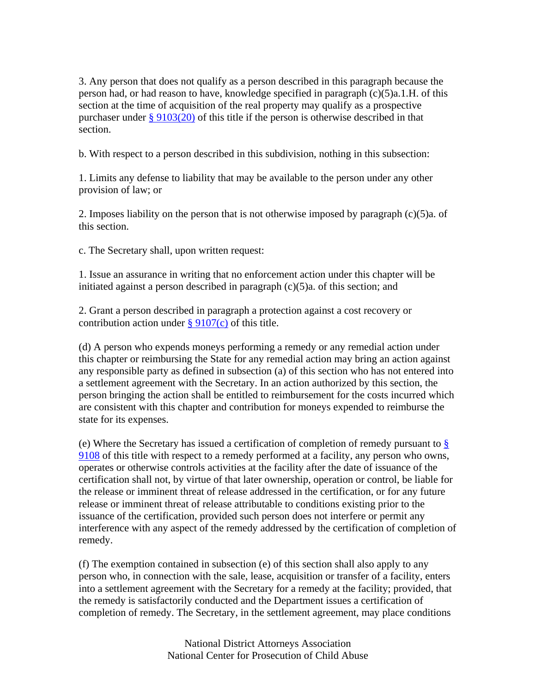3. Any person that does not qualify as a person described in this paragraph because the person had, or had reason to have, knowledge specified in paragraph (c)(5)a.1.H. of this section at the time of acquisition of the real property may qualify as a prospective purchaser under § 9103(20) of this title if the person is otherwise described in that section.

b. With respect to a person described in this subdivision, nothing in this subsection:

1. Limits any defense to liability that may be available to the person under any other provision of law; or

2. Imposes liability on the person that is not otherwise imposed by paragraph (c)(5)a. of this section.

c. The Secretary shall, upon written request:

1. Issue an assurance in writing that no enforcement action under this chapter will be initiated against a person described in paragraph (c)(5)a. of this section; and

2. Grant a person described in paragraph a protection against a cost recovery or contribution action under  $\S 9107(c)$  of this title.

(d) A person who expends moneys performing a remedy or any remedial action under this chapter or reimbursing the State for any remedial action may bring an action against any responsible party as defined in subsection (a) of this section who has not entered into a settlement agreement with the Secretary. In an action authorized by this section, the person bringing the action shall be entitled to reimbursement for the costs incurred which are consistent with this chapter and contribution for moneys expended to reimburse the state for its expenses.

(e) Where the Secretary has issued a certification of completion of remedy pursuant to § 9108 of this title with respect to a remedy performed at a facility, any person who owns, operates or otherwise controls activities at the facility after the date of issuance of the certification shall not, by virtue of that later ownership, operation or control, be liable for the release or imminent threat of release addressed in the certification, or for any future release or imminent threat of release attributable to conditions existing prior to the issuance of the certification, provided such person does not interfere or permit any interference with any aspect of the remedy addressed by the certification of completion of remedy.

(f) The exemption contained in subsection (e) of this section shall also apply to any person who, in connection with the sale, lease, acquisition or transfer of a facility, enters into a settlement agreement with the Secretary for a remedy at the facility; provided, that the remedy is satisfactorily conducted and the Department issues a certification of completion of remedy. The Secretary, in the settlement agreement, may place conditions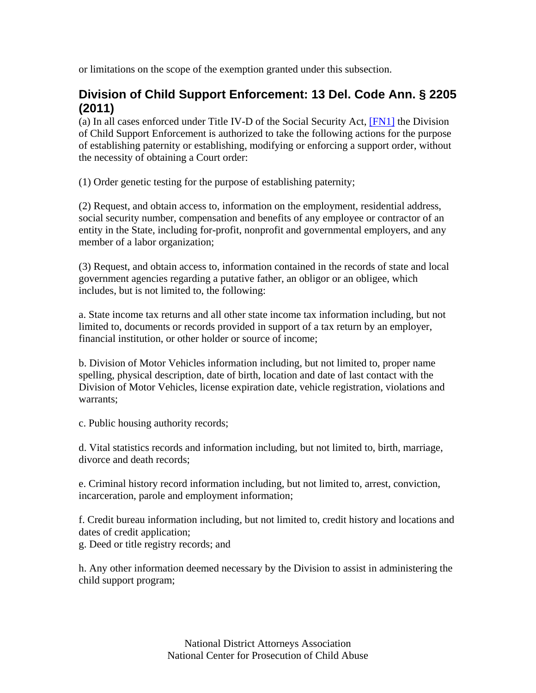or limitations on the scope of the exemption granted under this subsection.

#### **Division of Child Support Enforcement: 13 Del. Code Ann. § 2205 (2011)**

(a) In all cases enforced under Title IV-D of the Social Security Act, [FN1] the Division of Child Support Enforcement is authorized to take the following actions for the purpose of establishing paternity or establishing, modifying or enforcing a support order, without the necessity of obtaining a Court order:

(1) Order genetic testing for the purpose of establishing paternity;

(2) Request, and obtain access to, information on the employment, residential address, social security number, compensation and benefits of any employee or contractor of an entity in the State, including for-profit, nonprofit and governmental employers, and any member of a labor organization;

(3) Request, and obtain access to, information contained in the records of state and local government agencies regarding a putative father, an obligor or an obligee, which includes, but is not limited to, the following:

a. State income tax returns and all other state income tax information including, but not limited to, documents or records provided in support of a tax return by an employer, financial institution, or other holder or source of income;

b. Division of Motor Vehicles information including, but not limited to, proper name spelling, physical description, date of birth, location and date of last contact with the Division of Motor Vehicles, license expiration date, vehicle registration, violations and warrants;

c. Public housing authority records;

d. Vital statistics records and information including, but not limited to, birth, marriage, divorce and death records;

e. Criminal history record information including, but not limited to, arrest, conviction, incarceration, parole and employment information;

f. Credit bureau information including, but not limited to, credit history and locations and dates of credit application; g. Deed or title registry records; and

h. Any other information deemed necessary by the Division to assist in administering the child support program;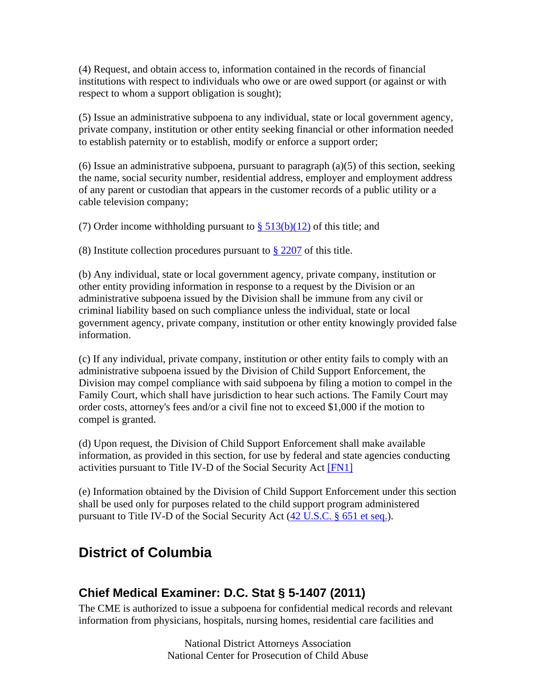(4) Request, and obtain access to, information contained in the records of financial institutions with respect to individuals who owe or are owed support (or against or with respect to whom a support obligation is sought);

(5) Issue an administrative subpoena to any individual, state or local government agency, private company, institution or other entity seeking financial or other information needed to establish paternity or to establish, modify or enforce a support order;

 $(6)$  Issue an administrative subpoena, pursuant to paragraph  $(a)(5)$  of this section, seeking the name, social security number, residential address, employer and employment address of any parent or custodian that appears in the customer records of a public utility or a cable television company;

(7) Order income withholding pursuant to  $\S$  513(b)(12) of this title; and

(8) Institute collection procedures pursuant to  $\S 2207$  of this title.

(b) Any individual, state or local government agency, private company, institution or other entity providing information in response to a request by the Division or an administrative subpoena issued by the Division shall be immune from any civil or criminal liability based on such compliance unless the individual, state or local government agency, private company, institution or other entity knowingly provided false information.

(c) If any individual, private company, institution or other entity fails to comply with an administrative subpoena issued by the Division of Child Support Enforcement, the Division may compel compliance with said subpoena by filing a motion to compel in the Family Court, which shall have jurisdiction to hear such actions. The Family Court may order costs, attorney's fees and/or a civil fine not to exceed \$1,000 if the motion to compel is granted.

(d) Upon request, the Division of Child Support Enforcement shall make available information, as provided in this section, for use by federal and state agencies conducting activities pursuant to Title IV-D of the Social Security Act [FN1]

(e) Information obtained by the Division of Child Support Enforcement under this section shall be used only for purposes related to the child support program administered pursuant to Title IV-D of the Social Security Act (42 U.S.C. § 651 et seq.).

# **District of Columbia**

## **Chief Medical Examiner: D.C. Stat § 5-1407 (2011)**

The CME is authorized to issue a subpoena for confidential medical records and relevant information from physicians, hospitals, nursing homes, residential care facilities and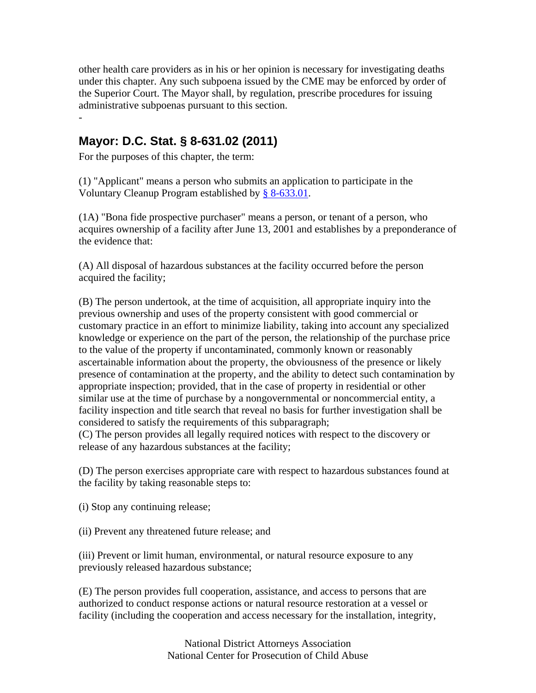other health care providers as in his or her opinion is necessary for investigating deaths under this chapter. Any such subpoena issued by the CME may be enforced by order of the Superior Court. The Mayor shall, by regulation, prescribe procedures for issuing administrative subpoenas pursuant to this section. -

## **Mayor: D.C. Stat. § 8-631.02 (2011)**

For the purposes of this chapter, the term:

(1) "Applicant" means a person who submits an application to participate in the Voluntary Cleanup Program established by § 8-633.01.

(1A) "Bona fide prospective purchaser" means a person, or tenant of a person, who acquires ownership of a facility after June 13, 2001 and establishes by a preponderance of the evidence that:

(A) All disposal of hazardous substances at the facility occurred before the person acquired the facility;

(B) The person undertook, at the time of acquisition, all appropriate inquiry into the previous ownership and uses of the property consistent with good commercial or customary practice in an effort to minimize liability, taking into account any specialized knowledge or experience on the part of the person, the relationship of the purchase price to the value of the property if uncontaminated, commonly known or reasonably ascertainable information about the property, the obviousness of the presence or likely presence of contamination at the property, and the ability to detect such contamination by appropriate inspection; provided, that in the case of property in residential or other similar use at the time of purchase by a nongovernmental or noncommercial entity, a facility inspection and title search that reveal no basis for further investigation shall be considered to satisfy the requirements of this subparagraph;

(C) The person provides all legally required notices with respect to the discovery or release of any hazardous substances at the facility;

(D) The person exercises appropriate care with respect to hazardous substances found at the facility by taking reasonable steps to:

(i) Stop any continuing release;

(ii) Prevent any threatened future release; and

(iii) Prevent or limit human, environmental, or natural resource exposure to any previously released hazardous substance;

(E) The person provides full cooperation, assistance, and access to persons that are authorized to conduct response actions or natural resource restoration at a vessel or facility (including the cooperation and access necessary for the installation, integrity,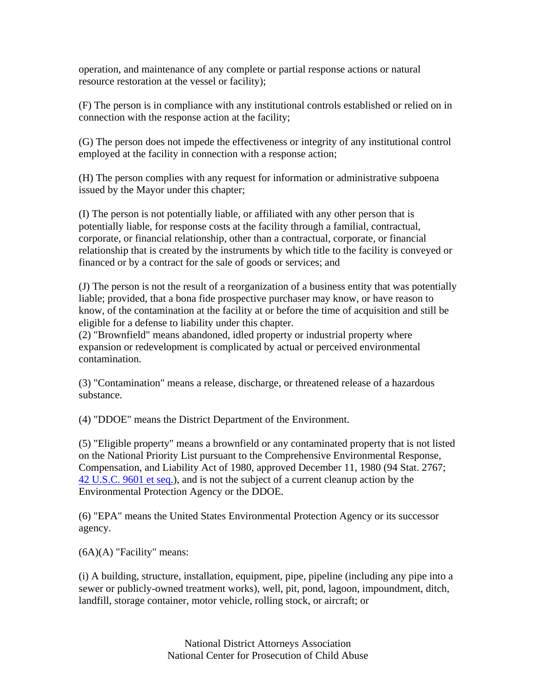operation, and maintenance of any complete or partial response actions or natural resource restoration at the vessel or facility);

(F) The person is in compliance with any institutional controls established or relied on in connection with the response action at the facility;

(G) The person does not impede the effectiveness or integrity of any institutional control employed at the facility in connection with a response action;

(H) The person complies with any request for information or administrative subpoena issued by the Mayor under this chapter;

(I) The person is not potentially liable, or affiliated with any other person that is potentially liable, for response costs at the facility through a familial, contractual, corporate, or financial relationship, other than a contractual, corporate, or financial relationship that is created by the instruments by which title to the facility is conveyed or financed or by a contract for the sale of goods or services; and

(J) The person is not the result of a reorganization of a business entity that was potentially liable; provided, that a bona fide prospective purchaser may know, or have reason to know, of the contamination at the facility at or before the time of acquisition and still be eligible for a defense to liability under this chapter.

(2) "Brownfield" means abandoned, idled property or industrial property where expansion or redevelopment is complicated by actual or perceived environmental contamination.

(3) "Contamination" means a release, discharge, or threatened release of a hazardous substance.

(4) "DDOE" means the District Department of the Environment.

(5) "Eligible property" means a brownfield or any contaminated property that is not listed on the National Priority List pursuant to the Comprehensive Environmental Response, Compensation, and Liability Act of 1980, approved December 11, 1980 (94 Stat. 2767; 42 U.S.C. 9601 et seq.), and is not the subject of a current cleanup action by the Environmental Protection Agency or the DDOE.

(6) "EPA" means the United States Environmental Protection Agency or its successor agency.

 $(6A)(A)$  "Facility" means:

(i) A building, structure, installation, equipment, pipe, pipeline (including any pipe into a sewer or publicly-owned treatment works), well, pit, pond, lagoon, impoundment, ditch, landfill, storage container, motor vehicle, rolling stock, or aircraft; or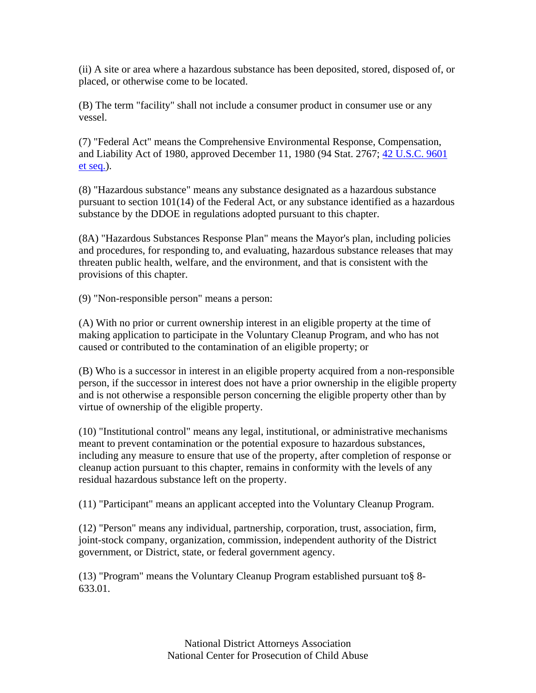(ii) A site or area where a hazardous substance has been deposited, stored, disposed of, or placed, or otherwise come to be located.

(B) The term "facility" shall not include a consumer product in consumer use or any vessel.

(7) "Federal Act" means the Comprehensive Environmental Response, Compensation, and Liability Act of 1980, approved December 11, 1980 (94 Stat. 2767; 42 U.S.C. 9601 et seq.).

(8) "Hazardous substance" means any substance designated as a hazardous substance pursuant to section 101(14) of the Federal Act, or any substance identified as a hazardous substance by the DDOE in regulations adopted pursuant to this chapter.

(8A) "Hazardous Substances Response Plan" means the Mayor's plan, including policies and procedures, for responding to, and evaluating, hazardous substance releases that may threaten public health, welfare, and the environment, and that is consistent with the provisions of this chapter.

(9) "Non-responsible person" means a person:

(A) With no prior or current ownership interest in an eligible property at the time of making application to participate in the Voluntary Cleanup Program, and who has not caused or contributed to the contamination of an eligible property; or

(B) Who is a successor in interest in an eligible property acquired from a non-responsible person, if the successor in interest does not have a prior ownership in the eligible property and is not otherwise a responsible person concerning the eligible property other than by virtue of ownership of the eligible property.

(10) "Institutional control" means any legal, institutional, or administrative mechanisms meant to prevent contamination or the potential exposure to hazardous substances, including any measure to ensure that use of the property, after completion of response or cleanup action pursuant to this chapter, remains in conformity with the levels of any residual hazardous substance left on the property.

(11) "Participant" means an applicant accepted into the Voluntary Cleanup Program.

(12) "Person" means any individual, partnership, corporation, trust, association, firm, joint-stock company, organization, commission, independent authority of the District government, or District, state, or federal government agency.

(13) "Program" means the Voluntary Cleanup Program established pursuant to§ 8- 633.01.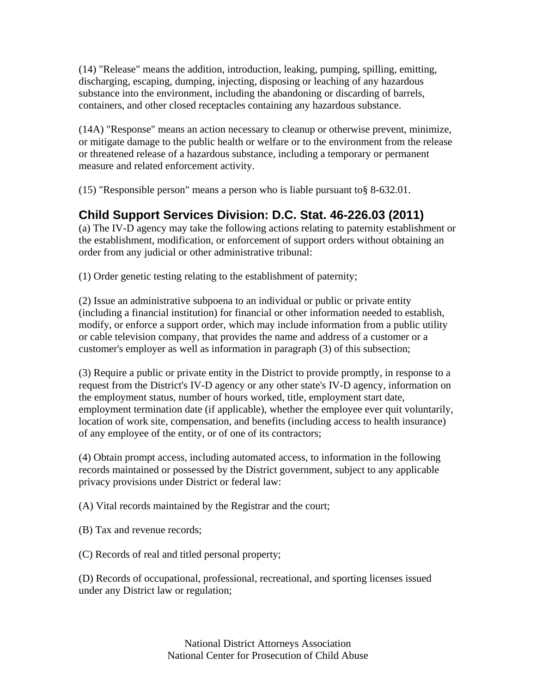(14) "Release" means the addition, introduction, leaking, pumping, spilling, emitting, discharging, escaping, dumping, injecting, disposing or leaching of any hazardous substance into the environment, including the abandoning or discarding of barrels, containers, and other closed receptacles containing any hazardous substance.

(14A) "Response" means an action necessary to cleanup or otherwise prevent, minimize, or mitigate damage to the public health or welfare or to the environment from the release or threatened release of a hazardous substance, including a temporary or permanent measure and related enforcement activity.

(15) "Responsible person" means a person who is liable pursuant to§ 8-632.01.

## **Child Support Services Division: D.C. Stat. 46-226.03 (2011)**

(a) The IV-D agency may take the following actions relating to paternity establishment or the establishment, modification, or enforcement of support orders without obtaining an order from any judicial or other administrative tribunal:

(1) Order genetic testing relating to the establishment of paternity;

(2) Issue an administrative subpoena to an individual or public or private entity (including a financial institution) for financial or other information needed to establish, modify, or enforce a support order, which may include information from a public utility or cable television company, that provides the name and address of a customer or a customer's employer as well as information in paragraph (3) of this subsection;

(3) Require a public or private entity in the District to provide promptly, in response to a request from the District's IV-D agency or any other state's IV-D agency, information on the employment status, number of hours worked, title, employment start date, employment termination date (if applicable), whether the employee ever quit voluntarily, location of work site, compensation, and benefits (including access to health insurance) of any employee of the entity, or of one of its contractors;

(4) Obtain prompt access, including automated access, to information in the following records maintained or possessed by the District government, subject to any applicable privacy provisions under District or federal law:

(A) Vital records maintained by the Registrar and the court;

- (B) Tax and revenue records;
- (C) Records of real and titled personal property;

(D) Records of occupational, professional, recreational, and sporting licenses issued under any District law or regulation;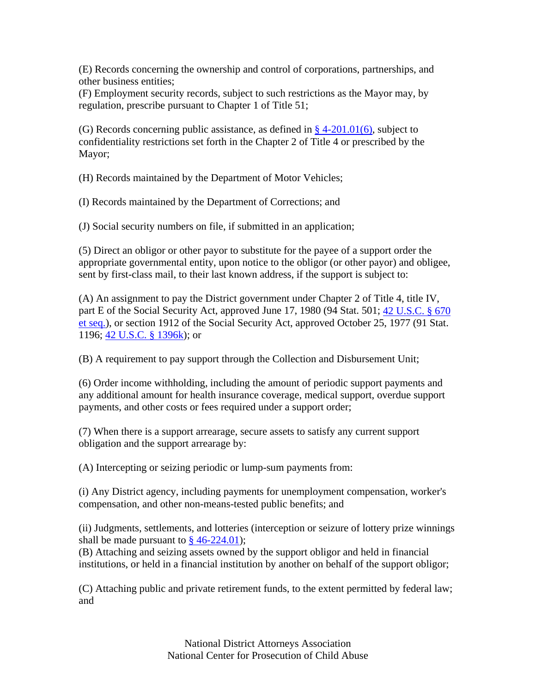(E) Records concerning the ownership and control of corporations, partnerships, and other business entities;

(F) Employment security records, subject to such restrictions as the Mayor may, by regulation, prescribe pursuant to Chapter 1 of Title 51;

(G) Records concerning public assistance, as defined in  $\S$  4-201.01(6), subject to confidentiality restrictions set forth in the Chapter 2 of Title 4 or prescribed by the Mayor;

(H) Records maintained by the Department of Motor Vehicles;

(I) Records maintained by the Department of Corrections; and

(J) Social security numbers on file, if submitted in an application;

(5) Direct an obligor or other payor to substitute for the payee of a support order the appropriate governmental entity, upon notice to the obligor (or other payor) and obligee, sent by first-class mail, to their last known address, if the support is subject to:

(A) An assignment to pay the District government under Chapter 2 of Title 4, title IV, part E of the Social Security Act, approved June 17, 1980 (94 Stat. 501; 42 U.S.C. § 670 et seq.), or section 1912 of the Social Security Act, approved October 25, 1977 (91 Stat. 1196; 42 U.S.C. § 1396k); or

(B) A requirement to pay support through the Collection and Disbursement Unit;

(6) Order income withholding, including the amount of periodic support payments and any additional amount for health insurance coverage, medical support, overdue support payments, and other costs or fees required under a support order;

(7) When there is a support arrearage, secure assets to satisfy any current support obligation and the support arrearage by:

(A) Intercepting or seizing periodic or lump-sum payments from:

(i) Any District agency, including payments for unemployment compensation, worker's compensation, and other non-means-tested public benefits; and

(ii) Judgments, settlements, and lotteries (interception or seizure of lottery prize winnings shall be made pursuant to  $\frac{8}{9}$  46-224.01);

(B) Attaching and seizing assets owned by the support obligor and held in financial institutions, or held in a financial institution by another on behalf of the support obligor;

(C) Attaching public and private retirement funds, to the extent permitted by federal law; and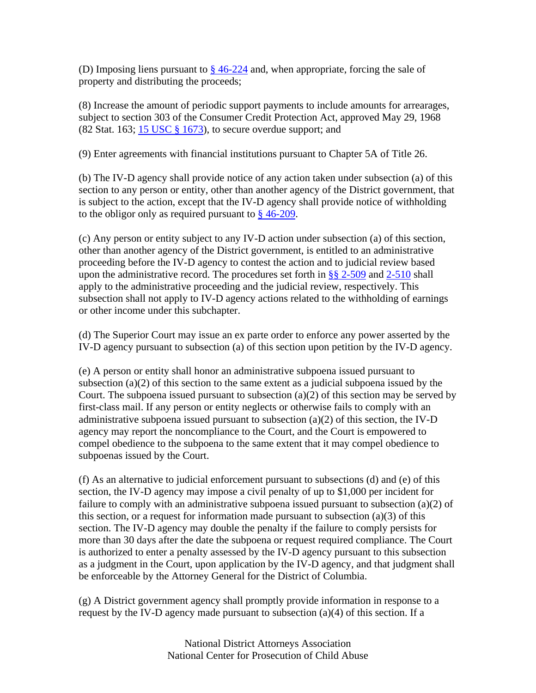(D) Imposing liens pursuant to  $\frac{8}{9}$  46-224 and, when appropriate, forcing the sale of property and distributing the proceeds;

(8) Increase the amount of periodic support payments to include amounts for arrearages, subject to section 303 of the Consumer Credit Protection Act, approved May 29, 1968 (82 Stat. 163;  $\frac{15 \text{ USC} \text{ } \$ \text{ } 1673}$ ), to secure overdue support; and

(9) Enter agreements with financial institutions pursuant to Chapter 5A of Title 26.

(b) The IV-D agency shall provide notice of any action taken under subsection (a) of this section to any person or entity, other than another agency of the District government, that is subject to the action, except that the IV-D agency shall provide notice of withholding to the obligor only as required pursuant to § 46-209.

(c) Any person or entity subject to any IV-D action under subsection (a) of this section, other than another agency of the District government, is entitled to an administrative proceeding before the IV-D agency to contest the action and to judicial review based upon the administrative record. The procedures set forth in  $\S$ § 2-509 and 2-510 shall apply to the administrative proceeding and the judicial review, respectively. This subsection shall not apply to IV-D agency actions related to the withholding of earnings or other income under this subchapter.

(d) The Superior Court may issue an ex parte order to enforce any power asserted by the IV-D agency pursuant to subsection (a) of this section upon petition by the IV-D agency.

(e) A person or entity shall honor an administrative subpoena issued pursuant to subsection  $(a)(2)$  of this section to the same extent as a judicial subpoena issued by the Court. The subpoena issued pursuant to subsection (a)(2) of this section may be served by first-class mail. If any person or entity neglects or otherwise fails to comply with an administrative subpoena issued pursuant to subsection (a)(2) of this section, the IV-D agency may report the noncompliance to the Court, and the Court is empowered to compel obedience to the subpoena to the same extent that it may compel obedience to subpoenas issued by the Court.

(f) As an alternative to judicial enforcement pursuant to subsections (d) and (e) of this section, the IV-D agency may impose a civil penalty of up to \$1,000 per incident for failure to comply with an administrative subpoena issued pursuant to subsection  $(a)(2)$  of this section, or a request for information made pursuant to subsection (a)(3) of this section. The IV-D agency may double the penalty if the failure to comply persists for more than 30 days after the date the subpoena or request required compliance. The Court is authorized to enter a penalty assessed by the IV-D agency pursuant to this subsection as a judgment in the Court, upon application by the IV-D agency, and that judgment shall be enforceable by the Attorney General for the District of Columbia.

(g) A District government agency shall promptly provide information in response to a request by the IV-D agency made pursuant to subsection  $(a)(4)$  of this section. If a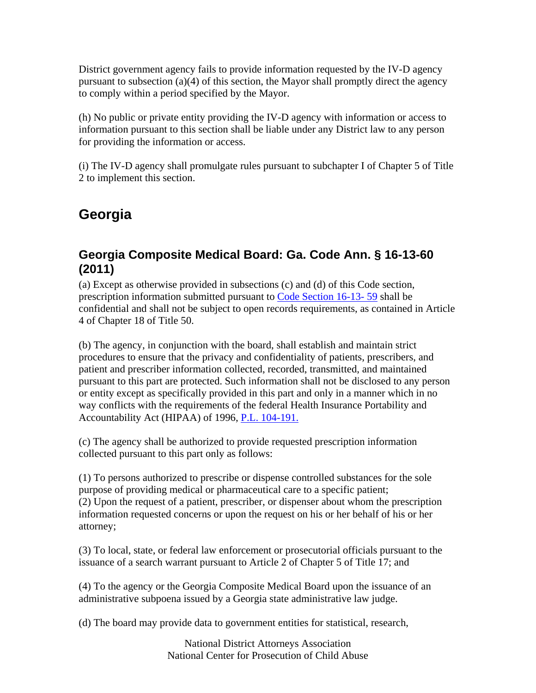District government agency fails to provide information requested by the IV-D agency pursuant to subsection (a)(4) of this section, the Mayor shall promptly direct the agency to comply within a period specified by the Mayor.

(h) No public or private entity providing the IV-D agency with information or access to information pursuant to this section shall be liable under any District law to any person for providing the information or access.

(i) The IV-D agency shall promulgate rules pursuant to subchapter I of Chapter 5 of Title 2 to implement this section.

# **Georgia**

#### **Georgia Composite Medical Board: Ga. Code Ann. § 16-13-60 (2011)**

(a) Except as otherwise provided in subsections (c) and (d) of this Code section, prescription information submitted pursuant to Code Section 16-13- 59 shall be confidential and shall not be subject to open records requirements, as contained in Article 4 of Chapter 18 of Title 50.

(b) The agency, in conjunction with the board, shall establish and maintain strict procedures to ensure that the privacy and confidentiality of patients, prescribers, and patient and prescriber information collected, recorded, transmitted, and maintained pursuant to this part are protected. Such information shall not be disclosed to any person or entity except as specifically provided in this part and only in a manner which in no way conflicts with the requirements of the federal Health Insurance Portability and Accountability Act (HIPAA) of 1996, P.L. 104-191.

(c) The agency shall be authorized to provide requested prescription information collected pursuant to this part only as follows:

(1) To persons authorized to prescribe or dispense controlled substances for the sole purpose of providing medical or pharmaceutical care to a specific patient; (2) Upon the request of a patient, prescriber, or dispenser about whom the prescription information requested concerns or upon the request on his or her behalf of his or her attorney;

(3) To local, state, or federal law enforcement or prosecutorial officials pursuant to the issuance of a search warrant pursuant to Article 2 of Chapter 5 of Title 17; and

(4) To the agency or the Georgia Composite Medical Board upon the issuance of an administrative subpoena issued by a Georgia state administrative law judge.

(d) The board may provide data to government entities for statistical, research,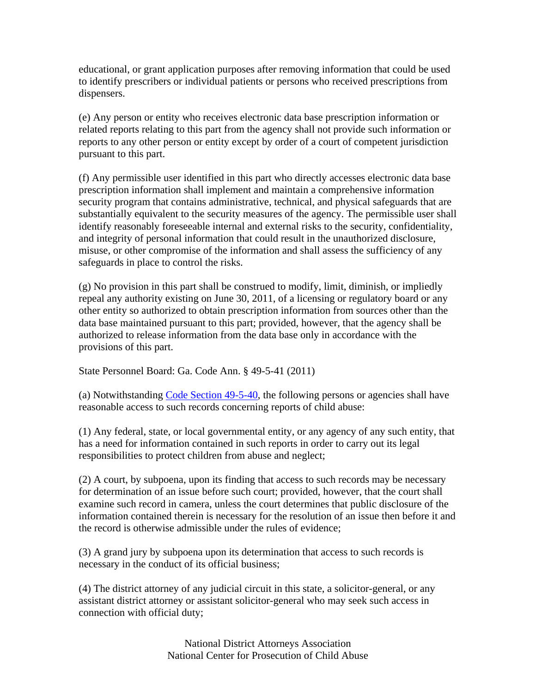educational, or grant application purposes after removing information that could be used to identify prescribers or individual patients or persons who received prescriptions from dispensers.

(e) Any person or entity who receives electronic data base prescription information or related reports relating to this part from the agency shall not provide such information or reports to any other person or entity except by order of a court of competent jurisdiction pursuant to this part.

(f) Any permissible user identified in this part who directly accesses electronic data base prescription information shall implement and maintain a comprehensive information security program that contains administrative, technical, and physical safeguards that are substantially equivalent to the security measures of the agency. The permissible user shall identify reasonably foreseeable internal and external risks to the security, confidentiality, and integrity of personal information that could result in the unauthorized disclosure, misuse, or other compromise of the information and shall assess the sufficiency of any safeguards in place to control the risks.

(g) No provision in this part shall be construed to modify, limit, diminish, or impliedly repeal any authority existing on June 30, 2011, of a licensing or regulatory board or any other entity so authorized to obtain prescription information from sources other than the data base maintained pursuant to this part; provided, however, that the agency shall be authorized to release information from the data base only in accordance with the provisions of this part.

State Personnel Board: Ga. Code Ann. § 49-5-41 (2011)

(a) Notwithstanding Code Section 49-5-40, the following persons or agencies shall have reasonable access to such records concerning reports of child abuse:

(1) Any federal, state, or local governmental entity, or any agency of any such entity, that has a need for information contained in such reports in order to carry out its legal responsibilities to protect children from abuse and neglect;

(2) A court, by subpoena, upon its finding that access to such records may be necessary for determination of an issue before such court; provided, however, that the court shall examine such record in camera, unless the court determines that public disclosure of the information contained therein is necessary for the resolution of an issue then before it and the record is otherwise admissible under the rules of evidence;

(3) A grand jury by subpoena upon its determination that access to such records is necessary in the conduct of its official business;

(4) The district attorney of any judicial circuit in this state, a solicitor-general, or any assistant district attorney or assistant solicitor-general who may seek such access in connection with official duty;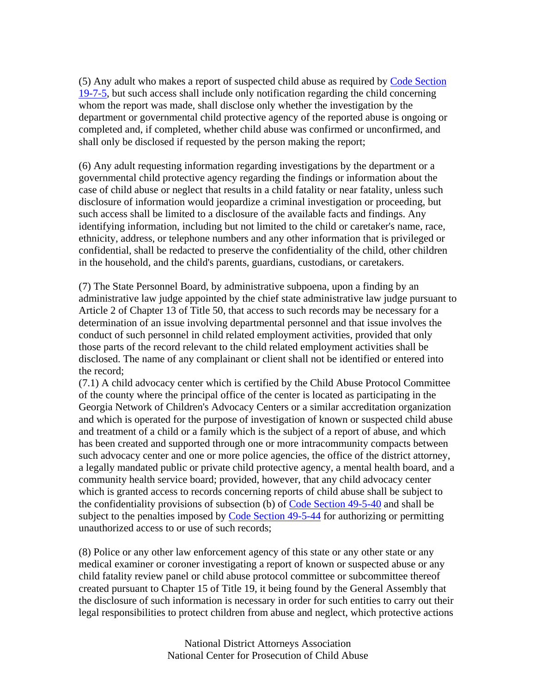(5) Any adult who makes a report of suspected child abuse as required by Code Section 19-7-5, but such access shall include only notification regarding the child concerning whom the report was made, shall disclose only whether the investigation by the department or governmental child protective agency of the reported abuse is ongoing or completed and, if completed, whether child abuse was confirmed or unconfirmed, and shall only be disclosed if requested by the person making the report;

(6) Any adult requesting information regarding investigations by the department or a governmental child protective agency regarding the findings or information about the case of child abuse or neglect that results in a child fatality or near fatality, unless such disclosure of information would jeopardize a criminal investigation or proceeding, but such access shall be limited to a disclosure of the available facts and findings. Any identifying information, including but not limited to the child or caretaker's name, race, ethnicity, address, or telephone numbers and any other information that is privileged or confidential, shall be redacted to preserve the confidentiality of the child, other children in the household, and the child's parents, guardians, custodians, or caretakers.

(7) The State Personnel Board, by administrative subpoena, upon a finding by an administrative law judge appointed by the chief state administrative law judge pursuant to Article 2 of Chapter 13 of Title 50, that access to such records may be necessary for a determination of an issue involving departmental personnel and that issue involves the conduct of such personnel in child related employment activities, provided that only those parts of the record relevant to the child related employment activities shall be disclosed. The name of any complainant or client shall not be identified or entered into the record;

(7.1) A child advocacy center which is certified by the Child Abuse Protocol Committee of the county where the principal office of the center is located as participating in the Georgia Network of Children's Advocacy Centers or a similar accreditation organization and which is operated for the purpose of investigation of known or suspected child abuse and treatment of a child or a family which is the subject of a report of abuse, and which has been created and supported through one or more intracommunity compacts between such advocacy center and one or more police agencies, the office of the district attorney, a legally mandated public or private child protective agency, a mental health board, and a community health service board; provided, however, that any child advocacy center which is granted access to records concerning reports of child abuse shall be subject to the confidentiality provisions of subsection (b) of Code Section 49-5-40 and shall be subject to the penalties imposed by Code Section 49-5-44 for authorizing or permitting unauthorized access to or use of such records;

(8) Police or any other law enforcement agency of this state or any other state or any medical examiner or coroner investigating a report of known or suspected abuse or any child fatality review panel or child abuse protocol committee or subcommittee thereof created pursuant to Chapter 15 of Title 19, it being found by the General Assembly that the disclosure of such information is necessary in order for such entities to carry out their legal responsibilities to protect children from abuse and neglect, which protective actions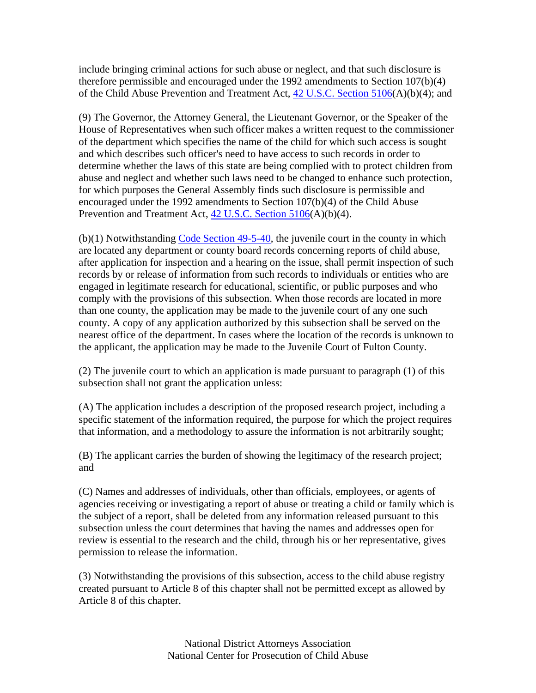include bringing criminal actions for such abuse or neglect, and that such disclosure is therefore permissible and encouraged under the 1992 amendments to Section 107(b)(4) of the Child Abuse Prevention and Treatment Act, 42 U.S.C. Section 5106(A)(b)(4); and

(9) The Governor, the Attorney General, the Lieutenant Governor, or the Speaker of the House of Representatives when such officer makes a written request to the commissioner of the department which specifies the name of the child for which such access is sought and which describes such officer's need to have access to such records in order to determine whether the laws of this state are being complied with to protect children from abuse and neglect and whether such laws need to be changed to enhance such protection, for which purposes the General Assembly finds such disclosure is permissible and encouraged under the 1992 amendments to Section 107(b)(4) of the Child Abuse Prevention and Treatment Act, 42 U.S.C. Section 5106(A)(b)(4).

(b)(1) Notwithstanding Code Section 49-5-40, the juvenile court in the county in which are located any department or county board records concerning reports of child abuse, after application for inspection and a hearing on the issue, shall permit inspection of such records by or release of information from such records to individuals or entities who are engaged in legitimate research for educational, scientific, or public purposes and who comply with the provisions of this subsection. When those records are located in more than one county, the application may be made to the juvenile court of any one such county. A copy of any application authorized by this subsection shall be served on the nearest office of the department. In cases where the location of the records is unknown to the applicant, the application may be made to the Juvenile Court of Fulton County.

(2) The juvenile court to which an application is made pursuant to paragraph (1) of this subsection shall not grant the application unless:

(A) The application includes a description of the proposed research project, including a specific statement of the information required, the purpose for which the project requires that information, and a methodology to assure the information is not arbitrarily sought;

(B) The applicant carries the burden of showing the legitimacy of the research project; and

(C) Names and addresses of individuals, other than officials, employees, or agents of agencies receiving or investigating a report of abuse or treating a child or family which is the subject of a report, shall be deleted from any information released pursuant to this subsection unless the court determines that having the names and addresses open for review is essential to the research and the child, through his or her representative, gives permission to release the information.

(3) Notwithstanding the provisions of this subsection, access to the child abuse registry created pursuant to Article 8 of this chapter shall not be permitted except as allowed by Article 8 of this chapter.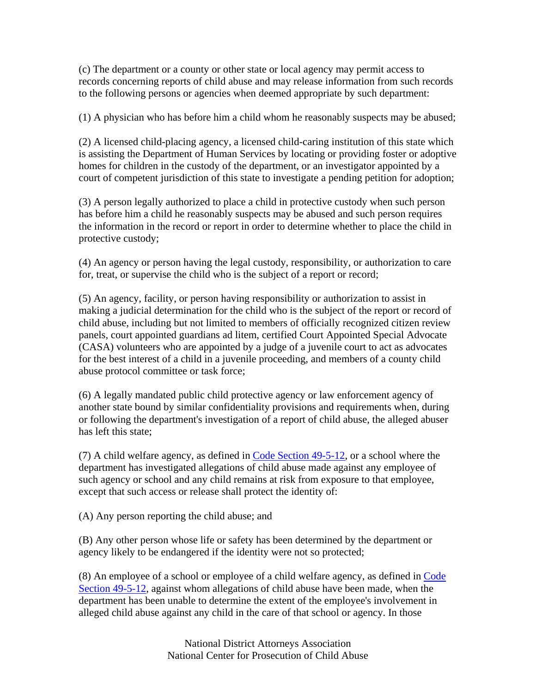(c) The department or a county or other state or local agency may permit access to records concerning reports of child abuse and may release information from such records to the following persons or agencies when deemed appropriate by such department:

(1) A physician who has before him a child whom he reasonably suspects may be abused;

(2) A licensed child-placing agency, a licensed child-caring institution of this state which is assisting the Department of Human Services by locating or providing foster or adoptive homes for children in the custody of the department, or an investigator appointed by a court of competent jurisdiction of this state to investigate a pending petition for adoption;

(3) A person legally authorized to place a child in protective custody when such person has before him a child he reasonably suspects may be abused and such person requires the information in the record or report in order to determine whether to place the child in protective custody;

(4) An agency or person having the legal custody, responsibility, or authorization to care for, treat, or supervise the child who is the subject of a report or record;

(5) An agency, facility, or person having responsibility or authorization to assist in making a judicial determination for the child who is the subject of the report or record of child abuse, including but not limited to members of officially recognized citizen review panels, court appointed guardians ad litem, certified Court Appointed Special Advocate (CASA) volunteers who are appointed by a judge of a juvenile court to act as advocates for the best interest of a child in a juvenile proceeding, and members of a county child abuse protocol committee or task force;

(6) A legally mandated public child protective agency or law enforcement agency of another state bound by similar confidentiality provisions and requirements when, during or following the department's investigation of a report of child abuse, the alleged abuser has left this state;

(7) A child welfare agency, as defined in Code Section 49-5-12, or a school where the department has investigated allegations of child abuse made against any employee of such agency or school and any child remains at risk from exposure to that employee, except that such access or release shall protect the identity of:

(A) Any person reporting the child abuse; and

(B) Any other person whose life or safety has been determined by the department or agency likely to be endangered if the identity were not so protected;

(8) An employee of a school or employee of a child welfare agency, as defined in Code Section 49-5-12, against whom allegations of child abuse have been made, when the department has been unable to determine the extent of the employee's involvement in alleged child abuse against any child in the care of that school or agency. In those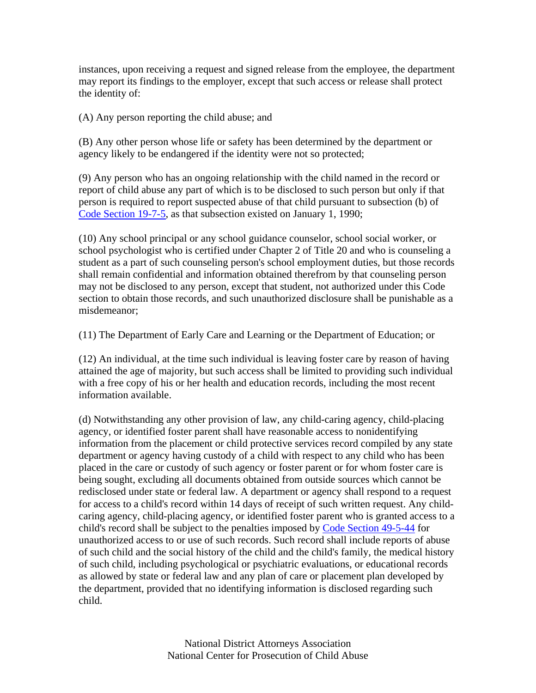instances, upon receiving a request and signed release from the employee, the department may report its findings to the employer, except that such access or release shall protect the identity of:

(A) Any person reporting the child abuse; and

(B) Any other person whose life or safety has been determined by the department or agency likely to be endangered if the identity were not so protected;

(9) Any person who has an ongoing relationship with the child named in the record or report of child abuse any part of which is to be disclosed to such person but only if that person is required to report suspected abuse of that child pursuant to subsection (b) of Code Section 19-7-5, as that subsection existed on January 1, 1990;

(10) Any school principal or any school guidance counselor, school social worker, or school psychologist who is certified under Chapter 2 of Title 20 and who is counseling a student as a part of such counseling person's school employment duties, but those records shall remain confidential and information obtained therefrom by that counseling person may not be disclosed to any person, except that student, not authorized under this Code section to obtain those records, and such unauthorized disclosure shall be punishable as a misdemeanor;

(11) The Department of Early Care and Learning or the Department of Education; or

(12) An individual, at the time such individual is leaving foster care by reason of having attained the age of majority, but such access shall be limited to providing such individual with a free copy of his or her health and education records, including the most recent information available.

(d) Notwithstanding any other provision of law, any child-caring agency, child-placing agency, or identified foster parent shall have reasonable access to nonidentifying information from the placement or child protective services record compiled by any state department or agency having custody of a child with respect to any child who has been placed in the care or custody of such agency or foster parent or for whom foster care is being sought, excluding all documents obtained from outside sources which cannot be redisclosed under state or federal law. A department or agency shall respond to a request for access to a child's record within 14 days of receipt of such written request. Any childcaring agency, child-placing agency, or identified foster parent who is granted access to a child's record shall be subject to the penalties imposed by Code Section 49-5-44 for unauthorized access to or use of such records. Such record shall include reports of abuse of such child and the social history of the child and the child's family, the medical history of such child, including psychological or psychiatric evaluations, or educational records as allowed by state or federal law and any plan of care or placement plan developed by the department, provided that no identifying information is disclosed regarding such child.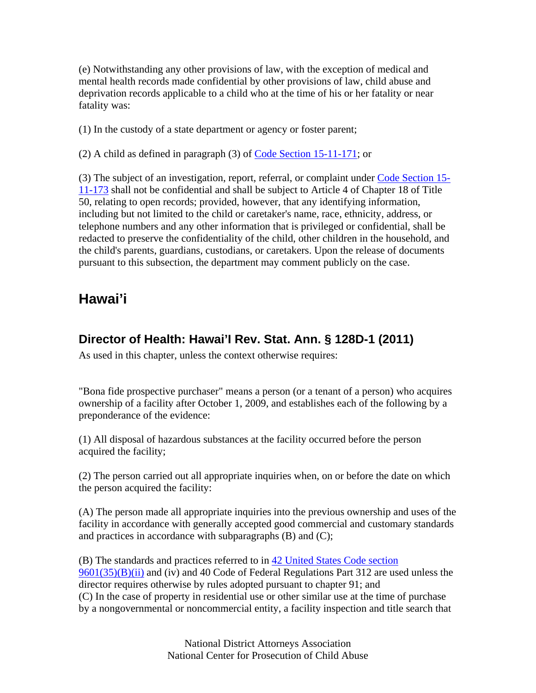(e) Notwithstanding any other provisions of law, with the exception of medical and mental health records made confidential by other provisions of law, child abuse and deprivation records applicable to a child who at the time of his or her fatality or near fatality was:

(1) In the custody of a state department or agency or foster parent;

(2) A child as defined in paragraph (3) of  $\overline{\text{Code Section 15-11-171}}$ ; or

(3) The subject of an investigation, report, referral, or complaint under Code Section 15- 11-173 shall not be confidential and shall be subject to Article 4 of Chapter 18 of Title 50, relating to open records; provided, however, that any identifying information, including but not limited to the child or caretaker's name, race, ethnicity, address, or telephone numbers and any other information that is privileged or confidential, shall be redacted to preserve the confidentiality of the child, other children in the household, and the child's parents, guardians, custodians, or caretakers. Upon the release of documents pursuant to this subsection, the department may comment publicly on the case.

## **Hawai'i**

#### **Director of Health: Hawai'I Rev. Stat. Ann. § 128D-1 (2011)**

As used in this chapter, unless the context otherwise requires:

"Bona fide prospective purchaser" means a person (or a tenant of a person) who acquires ownership of a facility after October 1, 2009, and establishes each of the following by a preponderance of the evidence:

(1) All disposal of hazardous substances at the facility occurred before the person acquired the facility;

(2) The person carried out all appropriate inquiries when, on or before the date on which the person acquired the facility:

(A) The person made all appropriate inquiries into the previous ownership and uses of the facility in accordance with generally accepted good commercial and customary standards and practices in accordance with subparagraphs (B) and (C);

(B) The standards and practices referred to in 42 United States Code section  $9601(35)(B)(ii)$  and (iv) and 40 Code of Federal Regulations Part 312 are used unless the director requires otherwise by rules adopted pursuant to chapter 91; and (C) In the case of property in residential use or other similar use at the time of purchase by a nongovernmental or noncommercial entity, a facility inspection and title search that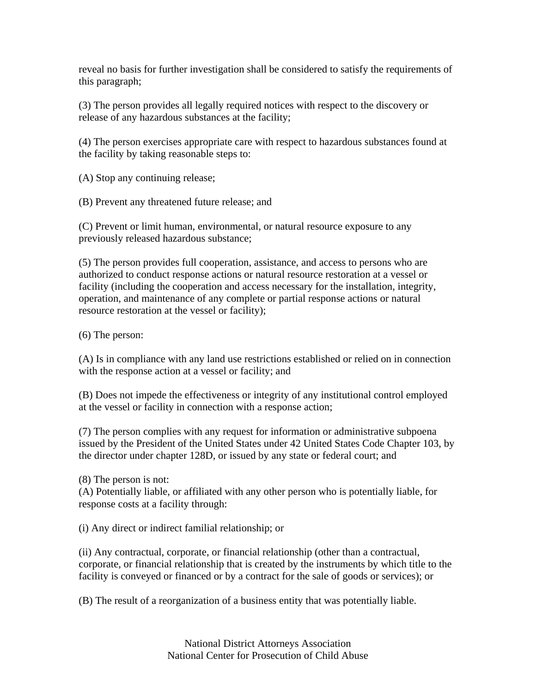reveal no basis for further investigation shall be considered to satisfy the requirements of this paragraph;

(3) The person provides all legally required notices with respect to the discovery or release of any hazardous substances at the facility;

(4) The person exercises appropriate care with respect to hazardous substances found at the facility by taking reasonable steps to:

(A) Stop any continuing release;

(B) Prevent any threatened future release; and

(C) Prevent or limit human, environmental, or natural resource exposure to any previously released hazardous substance;

(5) The person provides full cooperation, assistance, and access to persons who are authorized to conduct response actions or natural resource restoration at a vessel or facility (including the cooperation and access necessary for the installation, integrity, operation, and maintenance of any complete or partial response actions or natural resource restoration at the vessel or facility);

(6) The person:

(A) Is in compliance with any land use restrictions established or relied on in connection with the response action at a vessel or facility; and

(B) Does not impede the effectiveness or integrity of any institutional control employed at the vessel or facility in connection with a response action;

(7) The person complies with any request for information or administrative subpoena issued by the President of the United States under 42 United States Code Chapter 103, by the director under chapter 128D, or issued by any state or federal court; and

(8) The person is not:

(A) Potentially liable, or affiliated with any other person who is potentially liable, for response costs at a facility through:

(i) Any direct or indirect familial relationship; or

(ii) Any contractual, corporate, or financial relationship (other than a contractual, corporate, or financial relationship that is created by the instruments by which title to the facility is conveyed or financed or by a contract for the sale of goods or services); or

(B) The result of a reorganization of a business entity that was potentially liable.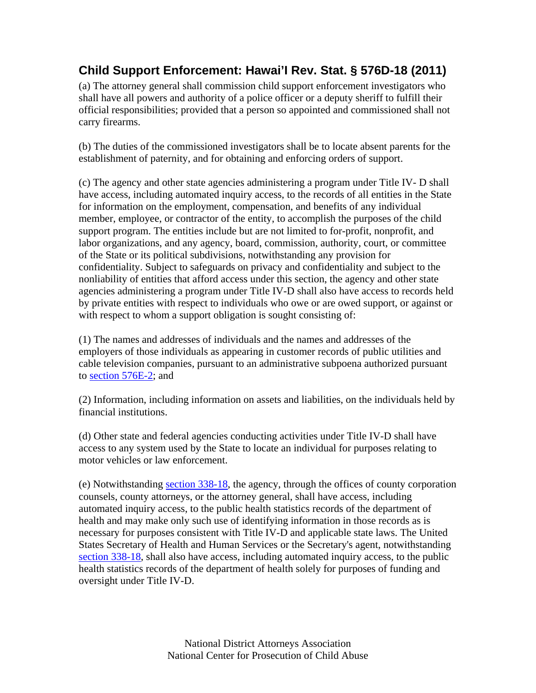# **Child Support Enforcement: Hawai'I Rev. Stat. § 576D-18 (2011)**

(a) The attorney general shall commission child support enforcement investigators who shall have all powers and authority of a police officer or a deputy sheriff to fulfill their official responsibilities; provided that a person so appointed and commissioned shall not carry firearms.

(b) The duties of the commissioned investigators shall be to locate absent parents for the establishment of paternity, and for obtaining and enforcing orders of support.

(c) The agency and other state agencies administering a program under Title IV- D shall have access, including automated inquiry access, to the records of all entities in the State for information on the employment, compensation, and benefits of any individual member, employee, or contractor of the entity, to accomplish the purposes of the child support program. The entities include but are not limited to for-profit, nonprofit, and labor organizations, and any agency, board, commission, authority, court, or committee of the State or its political subdivisions, notwithstanding any provision for confidentiality. Subject to safeguards on privacy and confidentiality and subject to the nonliability of entities that afford access under this section, the agency and other state agencies administering a program under Title IV-D shall also have access to records held by private entities with respect to individuals who owe or are owed support, or against or with respect to whom a support obligation is sought consisting of:

(1) The names and addresses of individuals and the names and addresses of the employers of those individuals as appearing in customer records of public utilities and cable television companies, pursuant to an administrative subpoena authorized pursuant to section 576E-2; and

(2) Information, including information on assets and liabilities, on the individuals held by financial institutions.

(d) Other state and federal agencies conducting activities under Title IV-D shall have access to any system used by the State to locate an individual for purposes relating to motor vehicles or law enforcement.

(e) Notwithstanding section 338-18, the agency, through the offices of county corporation counsels, county attorneys, or the attorney general, shall have access, including automated inquiry access, to the public health statistics records of the department of health and may make only such use of identifying information in those records as is necessary for purposes consistent with Title IV-D and applicable state laws. The United States Secretary of Health and Human Services or the Secretary's agent, notwithstanding section 338-18, shall also have access, including automated inquiry access, to the public health statistics records of the department of health solely for purposes of funding and oversight under Title IV-D.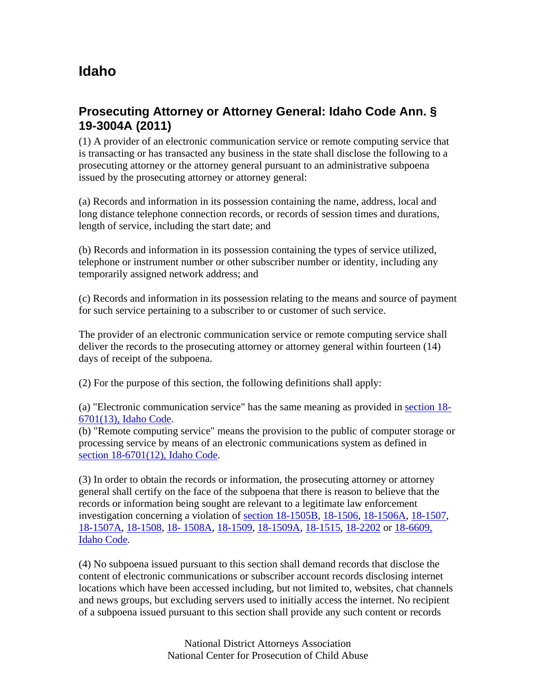# **Idaho**

### **Prosecuting Attorney or Attorney General: Idaho Code Ann. § 19-3004A (2011)**

(1) A provider of an electronic communication service or remote computing service that is transacting or has transacted any business in the state shall disclose the following to a prosecuting attorney or the attorney general pursuant to an administrative subpoena issued by the prosecuting attorney or attorney general:

(a) Records and information in its possession containing the name, address, local and long distance telephone connection records, or records of session times and durations, length of service, including the start date; and

(b) Records and information in its possession containing the types of service utilized, telephone or instrument number or other subscriber number or identity, including any temporarily assigned network address; and

(c) Records and information in its possession relating to the means and source of payment for such service pertaining to a subscriber to or customer of such service.

The provider of an electronic communication service or remote computing service shall deliver the records to the prosecuting attorney or attorney general within fourteen (14) days of receipt of the subpoena.

(2) For the purpose of this section, the following definitions shall apply:

(a) "Electronic communication service" has the same meaning as provided in section 18- 6701(13), Idaho Code.

(b) "Remote computing service" means the provision to the public of computer storage or processing service by means of an electronic communications system as defined in section 18-6701(12), Idaho Code.

(3) In order to obtain the records or information, the prosecuting attorney or attorney general shall certify on the face of the subpoena that there is reason to believe that the records or information being sought are relevant to a legitimate law enforcement investigation concerning a violation of section 18-1505B, 18-1506, 18-1506A, 18-1507, 18-1507A, 18-1508, 18- 1508A, 18-1509, 18-1509A, 18-1515, 18-2202 or 18-6609, Idaho Code.

(4) No subpoena issued pursuant to this section shall demand records that disclose the content of electronic communications or subscriber account records disclosing internet locations which have been accessed including, but not limited to, websites, chat channels and news groups, but excluding servers used to initially access the internet. No recipient of a subpoena issued pursuant to this section shall provide any such content or records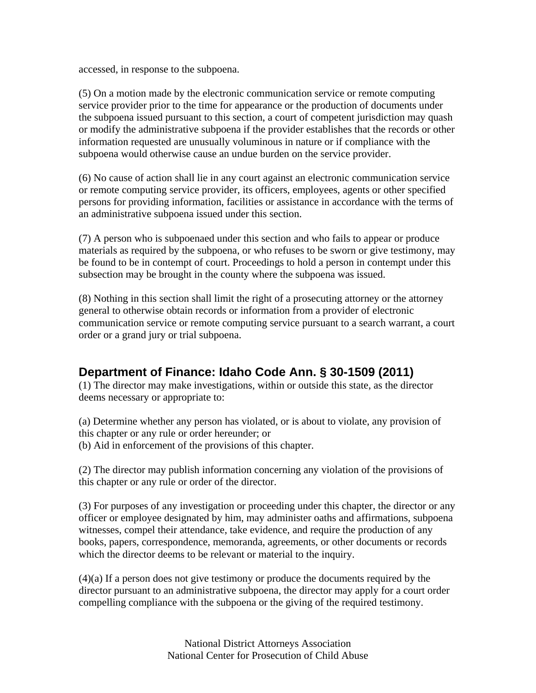accessed, in response to the subpoena.

(5) On a motion made by the electronic communication service or remote computing service provider prior to the time for appearance or the production of documents under the subpoena issued pursuant to this section, a court of competent jurisdiction may quash or modify the administrative subpoena if the provider establishes that the records or other information requested are unusually voluminous in nature or if compliance with the subpoena would otherwise cause an undue burden on the service provider.

(6) No cause of action shall lie in any court against an electronic communication service or remote computing service provider, its officers, employees, agents or other specified persons for providing information, facilities or assistance in accordance with the terms of an administrative subpoena issued under this section.

(7) A person who is subpoenaed under this section and who fails to appear or produce materials as required by the subpoena, or who refuses to be sworn or give testimony, may be found to be in contempt of court. Proceedings to hold a person in contempt under this subsection may be brought in the county where the subpoena was issued.

(8) Nothing in this section shall limit the right of a prosecuting attorney or the attorney general to otherwise obtain records or information from a provider of electronic communication service or remote computing service pursuant to a search warrant, a court order or a grand jury or trial subpoena.

#### **Department of Finance: Idaho Code Ann. § 30-1509 (2011)**

(1) The director may make investigations, within or outside this state, as the director deems necessary or appropriate to:

(a) Determine whether any person has violated, or is about to violate, any provision of this chapter or any rule or order hereunder; or (b) Aid in enforcement of the provisions of this chapter.

(2) The director may publish information concerning any violation of the provisions of this chapter or any rule or order of the director.

(3) For purposes of any investigation or proceeding under this chapter, the director or any officer or employee designated by him, may administer oaths and affirmations, subpoena witnesses, compel their attendance, take evidence, and require the production of any books, papers, correspondence, memoranda, agreements, or other documents or records which the director deems to be relevant or material to the inquiry.

(4)(a) If a person does not give testimony or produce the documents required by the director pursuant to an administrative subpoena, the director may apply for a court order compelling compliance with the subpoena or the giving of the required testimony.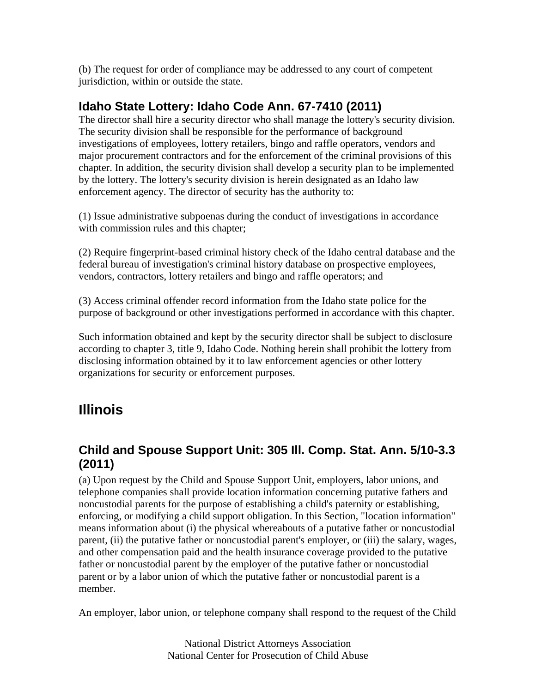(b) The request for order of compliance may be addressed to any court of competent jurisdiction, within or outside the state.

## **Idaho State Lottery: Idaho Code Ann. 67-7410 (2011)**

The director shall hire a security director who shall manage the lottery's security division. The security division shall be responsible for the performance of background investigations of employees, lottery retailers, bingo and raffle operators, vendors and major procurement contractors and for the enforcement of the criminal provisions of this chapter. In addition, the security division shall develop a security plan to be implemented by the lottery. The lottery's security division is herein designated as an Idaho law enforcement agency. The director of security has the authority to:

(1) Issue administrative subpoenas during the conduct of investigations in accordance with commission rules and this chapter;

(2) Require fingerprint-based criminal history check of the Idaho central database and the federal bureau of investigation's criminal history database on prospective employees, vendors, contractors, lottery retailers and bingo and raffle operators; and

(3) Access criminal offender record information from the Idaho state police for the purpose of background or other investigations performed in accordance with this chapter.

Such information obtained and kept by the security director shall be subject to disclosure according to chapter 3, title 9, Idaho Code. Nothing herein shall prohibit the lottery from disclosing information obtained by it to law enforcement agencies or other lottery organizations for security or enforcement purposes.

# **Illinois**

## **Child and Spouse Support Unit: 305 Ill. Comp. Stat. Ann. 5/10-3.3 (2011)**

(a) Upon request by the Child and Spouse Support Unit, employers, labor unions, and telephone companies shall provide location information concerning putative fathers and noncustodial parents for the purpose of establishing a child's paternity or establishing, enforcing, or modifying a child support obligation. In this Section, "location information" means information about (i) the physical whereabouts of a putative father or noncustodial parent, (ii) the putative father or noncustodial parent's employer, or (iii) the salary, wages, and other compensation paid and the health insurance coverage provided to the putative father or noncustodial parent by the employer of the putative father or noncustodial parent or by a labor union of which the putative father or noncustodial parent is a member.

An employer, labor union, or telephone company shall respond to the request of the Child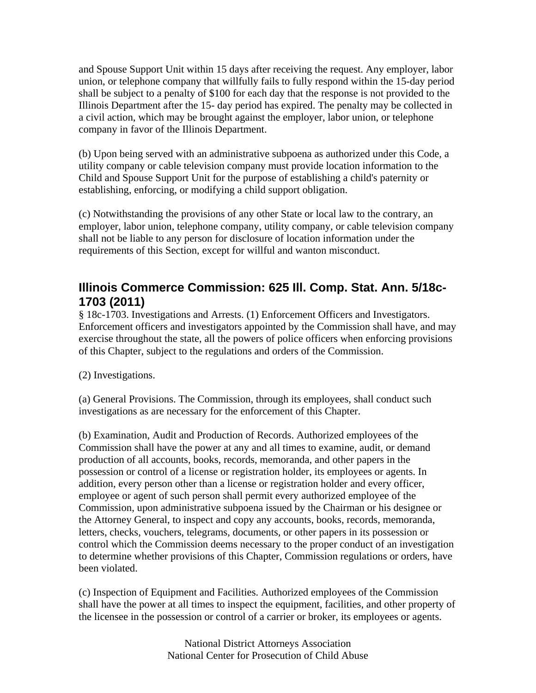and Spouse Support Unit within 15 days after receiving the request. Any employer, labor union, or telephone company that willfully fails to fully respond within the 15-day period shall be subject to a penalty of \$100 for each day that the response is not provided to the Illinois Department after the 15- day period has expired. The penalty may be collected in a civil action, which may be brought against the employer, labor union, or telephone company in favor of the Illinois Department.

(b) Upon being served with an administrative subpoena as authorized under this Code, a utility company or cable television company must provide location information to the Child and Spouse Support Unit for the purpose of establishing a child's paternity or establishing, enforcing, or modifying a child support obligation.

(c) Notwithstanding the provisions of any other State or local law to the contrary, an employer, labor union, telephone company, utility company, or cable television company shall not be liable to any person for disclosure of location information under the requirements of this Section, except for willful and wanton misconduct.

#### **Illinois Commerce Commission: 625 Ill. Comp. Stat. Ann. 5/18c-1703 (2011)**

§ 18c-1703. Investigations and Arrests. (1) Enforcement Officers and Investigators. Enforcement officers and investigators appointed by the Commission shall have, and may exercise throughout the state, all the powers of police officers when enforcing provisions of this Chapter, subject to the regulations and orders of the Commission.

(2) Investigations.

(a) General Provisions. The Commission, through its employees, shall conduct such investigations as are necessary for the enforcement of this Chapter.

(b) Examination, Audit and Production of Records. Authorized employees of the Commission shall have the power at any and all times to examine, audit, or demand production of all accounts, books, records, memoranda, and other papers in the possession or control of a license or registration holder, its employees or agents. In addition, every person other than a license or registration holder and every officer, employee or agent of such person shall permit every authorized employee of the Commission, upon administrative subpoena issued by the Chairman or his designee or the Attorney General, to inspect and copy any accounts, books, records, memoranda, letters, checks, vouchers, telegrams, documents, or other papers in its possession or control which the Commission deems necessary to the proper conduct of an investigation to determine whether provisions of this Chapter, Commission regulations or orders, have been violated.

(c) Inspection of Equipment and Facilities. Authorized employees of the Commission shall have the power at all times to inspect the equipment, facilities, and other property of the licensee in the possession or control of a carrier or broker, its employees or agents.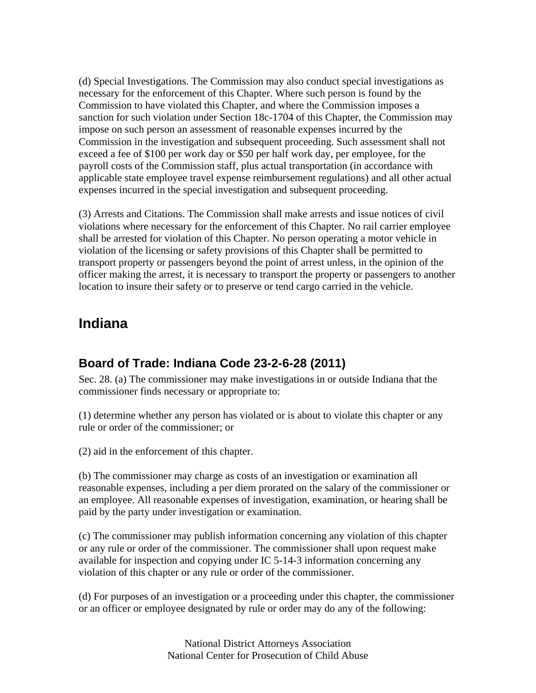(d) Special Investigations. The Commission may also conduct special investigations as necessary for the enforcement of this Chapter. Where such person is found by the Commission to have violated this Chapter, and where the Commission imposes a sanction for such violation under Section 18c-1704 of this Chapter, the Commission may impose on such person an assessment of reasonable expenses incurred by the Commission in the investigation and subsequent proceeding. Such assessment shall not exceed a fee of \$100 per work day or \$50 per half work day, per employee, for the payroll costs of the Commission staff, plus actual transportation (in accordance with applicable state employee travel expense reimbursement regulations) and all other actual expenses incurred in the special investigation and subsequent proceeding.

(3) Arrests and Citations. The Commission shall make arrests and issue notices of civil violations where necessary for the enforcement of this Chapter. No rail carrier employee shall be arrested for violation of this Chapter. No person operating a motor vehicle in violation of the licensing or safety provisions of this Chapter shall be permitted to transport property or passengers beyond the point of arrest unless, in the opinion of the officer making the arrest, it is necessary to transport the property or passengers to another location to insure their safety or to preserve or tend cargo carried in the vehicle.

## **Indiana**

### **Board of Trade: Indiana Code 23-2-6-28 (2011)**

Sec. 28. (a) The commissioner may make investigations in or outside Indiana that the commissioner finds necessary or appropriate to:

(1) determine whether any person has violated or is about to violate this chapter or any rule or order of the commissioner; or

(2) aid in the enforcement of this chapter.

(b) The commissioner may charge as costs of an investigation or examination all reasonable expenses, including a per diem prorated on the salary of the commissioner or an employee. All reasonable expenses of investigation, examination, or hearing shall be paid by the party under investigation or examination.

(c) The commissioner may publish information concerning any violation of this chapter or any rule or order of the commissioner. The commissioner shall upon request make available for inspection and copying under IC 5-14-3 information concerning any violation of this chapter or any rule or order of the commissioner.

(d) For purposes of an investigation or a proceeding under this chapter, the commissioner or an officer or employee designated by rule or order may do any of the following: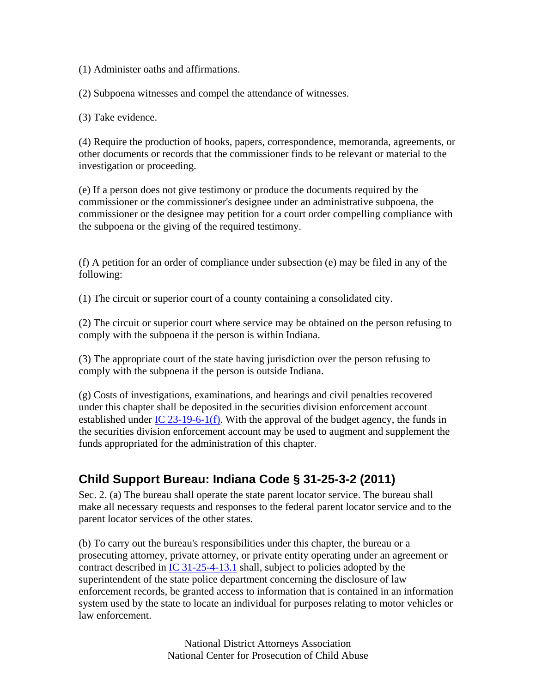(1) Administer oaths and affirmations.

(2) Subpoena witnesses and compel the attendance of witnesses.

(3) Take evidence.

(4) Require the production of books, papers, correspondence, memoranda, agreements, or other documents or records that the commissioner finds to be relevant or material to the investigation or proceeding.

(e) If a person does not give testimony or produce the documents required by the commissioner or the commissioner's designee under an administrative subpoena, the commissioner or the designee may petition for a court order compelling compliance with the subpoena or the giving of the required testimony.

(f) A petition for an order of compliance under subsection (e) may be filed in any of the following:

(1) The circuit or superior court of a county containing a consolidated city.

(2) The circuit or superior court where service may be obtained on the person refusing to comply with the subpoena if the person is within Indiana.

(3) The appropriate court of the state having jurisdiction over the person refusing to comply with the subpoena if the person is outside Indiana.

(g) Costs of investigations, examinations, and hearings and civil penalties recovered under this chapter shall be deposited in the securities division enforcement account established under IC 23-19-6-1(f). With the approval of the budget agency, the funds in the securities division enforcement account may be used to augment and supplement the funds appropriated for the administration of this chapter.

### **Child Support Bureau: Indiana Code § 31-25-3-2 (2011)**

Sec. 2. (a) The bureau shall operate the state parent locator service. The bureau shall make all necessary requests and responses to the federal parent locator service and to the parent locator services of the other states.

(b) To carry out the bureau's responsibilities under this chapter, the bureau or a prosecuting attorney, private attorney, or private entity operating under an agreement or contract described in IC 31-25-4-13.1 shall, subject to policies adopted by the superintendent of the state police department concerning the disclosure of law enforcement records, be granted access to information that is contained in an information system used by the state to locate an individual for purposes relating to motor vehicles or law enforcement.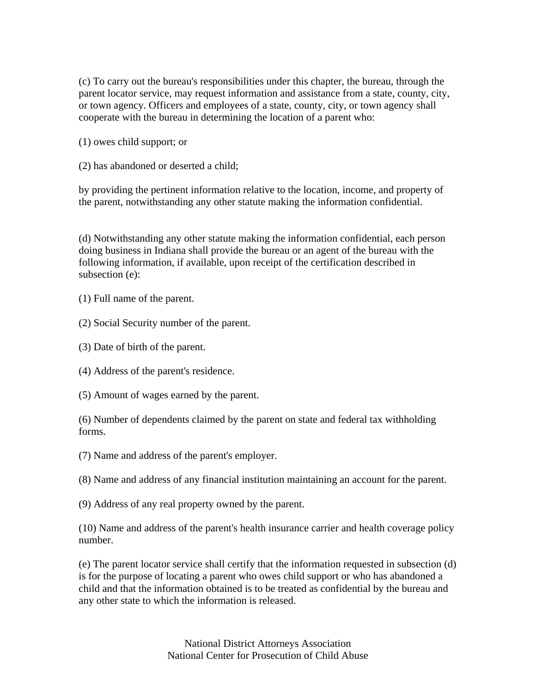(c) To carry out the bureau's responsibilities under this chapter, the bureau, through the parent locator service, may request information and assistance from a state, county, city, or town agency. Officers and employees of a state, county, city, or town agency shall cooperate with the bureau in determining the location of a parent who:

(1) owes child support; or

(2) has abandoned or deserted a child;

by providing the pertinent information relative to the location, income, and property of the parent, notwithstanding any other statute making the information confidential.

(d) Notwithstanding any other statute making the information confidential, each person doing business in Indiana shall provide the bureau or an agent of the bureau with the following information, if available, upon receipt of the certification described in subsection (e):

(1) Full name of the parent.

(2) Social Security number of the parent.

(3) Date of birth of the parent.

(4) Address of the parent's residence.

(5) Amount of wages earned by the parent.

(6) Number of dependents claimed by the parent on state and federal tax withholding forms.

(7) Name and address of the parent's employer.

(8) Name and address of any financial institution maintaining an account for the parent.

(9) Address of any real property owned by the parent.

(10) Name and address of the parent's health insurance carrier and health coverage policy number.

(e) The parent locator service shall certify that the information requested in subsection (d) is for the purpose of locating a parent who owes child support or who has abandoned a child and that the information obtained is to be treated as confidential by the bureau and any other state to which the information is released.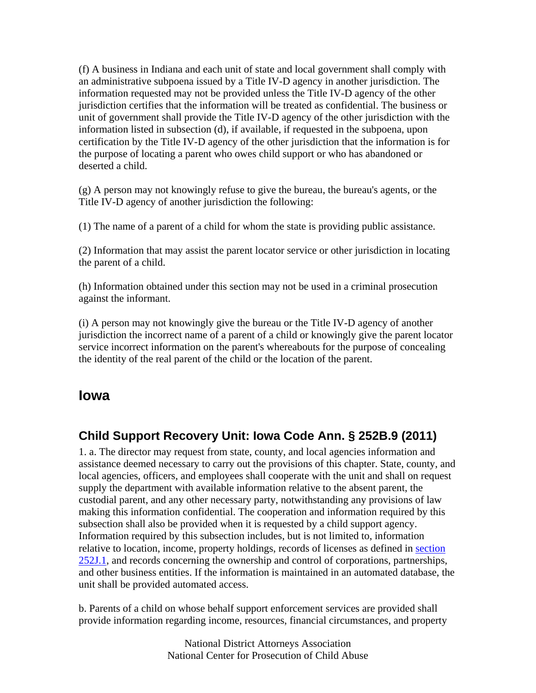(f) A business in Indiana and each unit of state and local government shall comply with an administrative subpoena issued by a Title IV-D agency in another jurisdiction. The information requested may not be provided unless the Title IV-D agency of the other jurisdiction certifies that the information will be treated as confidential. The business or unit of government shall provide the Title IV-D agency of the other jurisdiction with the information listed in subsection (d), if available, if requested in the subpoena, upon certification by the Title IV-D agency of the other jurisdiction that the information is for the purpose of locating a parent who owes child support or who has abandoned or deserted a child.

(g) A person may not knowingly refuse to give the bureau, the bureau's agents, or the Title IV-D agency of another jurisdiction the following:

(1) The name of a parent of a child for whom the state is providing public assistance.

(2) Information that may assist the parent locator service or other jurisdiction in locating the parent of a child.

(h) Information obtained under this section may not be used in a criminal prosecution against the informant.

(i) A person may not knowingly give the bureau or the Title IV-D agency of another jurisdiction the incorrect name of a parent of a child or knowingly give the parent locator service incorrect information on the parent's whereabouts for the purpose of concealing the identity of the real parent of the child or the location of the parent.

#### **Iowa**

#### **Child Support Recovery Unit: Iowa Code Ann. § 252B.9 (2011)**

1. a. The director may request from state, county, and local agencies information and assistance deemed necessary to carry out the provisions of this chapter. State, county, and local agencies, officers, and employees shall cooperate with the unit and shall on request supply the department with available information relative to the absent parent, the custodial parent, and any other necessary party, notwithstanding any provisions of law making this information confidential. The cooperation and information required by this subsection shall also be provided when it is requested by a child support agency. Information required by this subsection includes, but is not limited to, information relative to location, income, property holdings, records of licenses as defined in section 252J.1, and records concerning the ownership and control of corporations, partnerships, and other business entities. If the information is maintained in an automated database, the unit shall be provided automated access.

b. Parents of a child on whose behalf support enforcement services are provided shall provide information regarding income, resources, financial circumstances, and property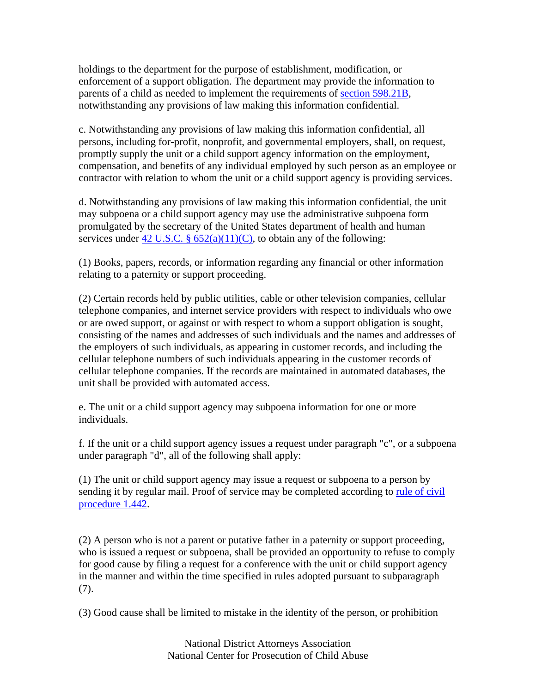holdings to the department for the purpose of establishment, modification, or enforcement of a support obligation. The department may provide the information to parents of a child as needed to implement the requirements of section 598.21B, notwithstanding any provisions of law making this information confidential.

c. Notwithstanding any provisions of law making this information confidential, all persons, including for-profit, nonprofit, and governmental employers, shall, on request, promptly supply the unit or a child support agency information on the employment, compensation, and benefits of any individual employed by such person as an employee or contractor with relation to whom the unit or a child support agency is providing services.

d. Notwithstanding any provisions of law making this information confidential, the unit may subpoena or a child support agency may use the administrative subpoena form promulgated by the secretary of the United States department of health and human services under 42 U.S.C. §  $652(a)(11)(C)$ , to obtain any of the following:

(1) Books, papers, records, or information regarding any financial or other information relating to a paternity or support proceeding.

(2) Certain records held by public utilities, cable or other television companies, cellular telephone companies, and internet service providers with respect to individuals who owe or are owed support, or against or with respect to whom a support obligation is sought, consisting of the names and addresses of such individuals and the names and addresses of the employers of such individuals, as appearing in customer records, and including the cellular telephone numbers of such individuals appearing in the customer records of cellular telephone companies. If the records are maintained in automated databases, the unit shall be provided with automated access.

e. The unit or a child support agency may subpoena information for one or more individuals.

f. If the unit or a child support agency issues a request under paragraph "c", or a subpoena under paragraph "d", all of the following shall apply:

(1) The unit or child support agency may issue a request or subpoena to a person by sending it by regular mail. Proof of service may be completed according to rule of civil procedure 1.442.

(2) A person who is not a parent or putative father in a paternity or support proceeding, who is issued a request or subpoena, shall be provided an opportunity to refuse to comply for good cause by filing a request for a conference with the unit or child support agency in the manner and within the time specified in rules adopted pursuant to subparagraph (7).

(3) Good cause shall be limited to mistake in the identity of the person, or prohibition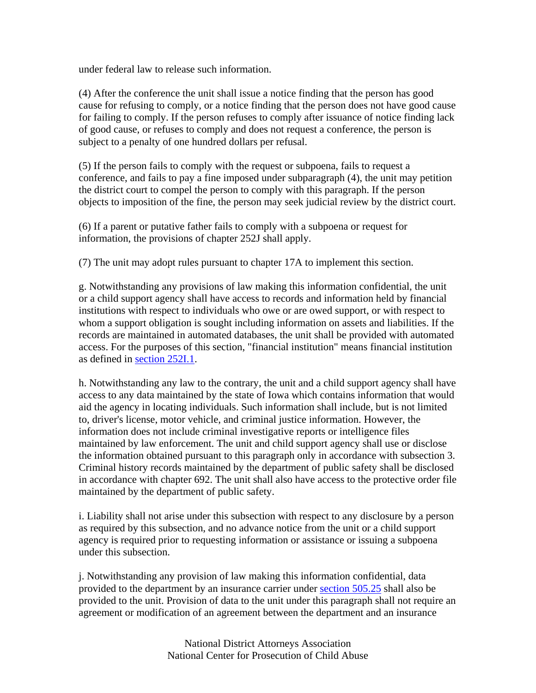under federal law to release such information.

(4) After the conference the unit shall issue a notice finding that the person has good cause for refusing to comply, or a notice finding that the person does not have good cause for failing to comply. If the person refuses to comply after issuance of notice finding lack of good cause, or refuses to comply and does not request a conference, the person is subject to a penalty of one hundred dollars per refusal.

(5) If the person fails to comply with the request or subpoena, fails to request a conference, and fails to pay a fine imposed under subparagraph (4), the unit may petition the district court to compel the person to comply with this paragraph. If the person objects to imposition of the fine, the person may seek judicial review by the district court.

(6) If a parent or putative father fails to comply with a subpoena or request for information, the provisions of chapter 252J shall apply.

(7) The unit may adopt rules pursuant to chapter 17A to implement this section.

g. Notwithstanding any provisions of law making this information confidential, the unit or a child support agency shall have access to records and information held by financial institutions with respect to individuals who owe or are owed support, or with respect to whom a support obligation is sought including information on assets and liabilities. If the records are maintained in automated databases, the unit shall be provided with automated access. For the purposes of this section, "financial institution" means financial institution as defined in section 252I.1.

h. Notwithstanding any law to the contrary, the unit and a child support agency shall have access to any data maintained by the state of Iowa which contains information that would aid the agency in locating individuals. Such information shall include, but is not limited to, driver's license, motor vehicle, and criminal justice information. However, the information does not include criminal investigative reports or intelligence files maintained by law enforcement. The unit and child support agency shall use or disclose the information obtained pursuant to this paragraph only in accordance with subsection 3. Criminal history records maintained by the department of public safety shall be disclosed in accordance with chapter 692. The unit shall also have access to the protective order file maintained by the department of public safety.

i. Liability shall not arise under this subsection with respect to any disclosure by a person as required by this subsection, and no advance notice from the unit or a child support agency is required prior to requesting information or assistance or issuing a subpoena under this subsection.

j. Notwithstanding any provision of law making this information confidential, data provided to the department by an insurance carrier under section 505.25 shall also be provided to the unit. Provision of data to the unit under this paragraph shall not require an agreement or modification of an agreement between the department and an insurance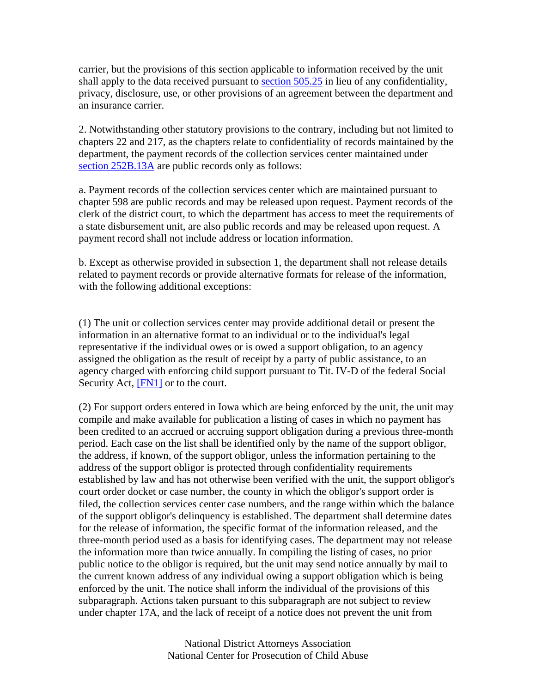carrier, but the provisions of this section applicable to information received by the unit shall apply to the data received pursuant to section 505.25 in lieu of any confidentiality, privacy, disclosure, use, or other provisions of an agreement between the department and an insurance carrier.

2. Notwithstanding other statutory provisions to the contrary, including but not limited to chapters 22 and 217, as the chapters relate to confidentiality of records maintained by the department, the payment records of the collection services center maintained under section 252B.13A are public records only as follows:

a. Payment records of the collection services center which are maintained pursuant to chapter 598 are public records and may be released upon request. Payment records of the clerk of the district court, to which the department has access to meet the requirements of a state disbursement unit, are also public records and may be released upon request. A payment record shall not include address or location information.

b. Except as otherwise provided in subsection 1, the department shall not release details related to payment records or provide alternative formats for release of the information, with the following additional exceptions:

(1) The unit or collection services center may provide additional detail or present the information in an alternative format to an individual or to the individual's legal representative if the individual owes or is owed a support obligation, to an agency assigned the obligation as the result of receipt by a party of public assistance, to an agency charged with enforcing child support pursuant to Tit. IV-D of the federal Social Security Act, [FN1] or to the court.

(2) For support orders entered in Iowa which are being enforced by the unit, the unit may compile and make available for publication a listing of cases in which no payment has been credited to an accrued or accruing support obligation during a previous three-month period. Each case on the list shall be identified only by the name of the support obligor, the address, if known, of the support obligor, unless the information pertaining to the address of the support obligor is protected through confidentiality requirements established by law and has not otherwise been verified with the unit, the support obligor's court order docket or case number, the county in which the obligor's support order is filed, the collection services center case numbers, and the range within which the balance of the support obligor's delinquency is established. The department shall determine dates for the release of information, the specific format of the information released, and the three-month period used as a basis for identifying cases. The department may not release the information more than twice annually. In compiling the listing of cases, no prior public notice to the obligor is required, but the unit may send notice annually by mail to the current known address of any individual owing a support obligation which is being enforced by the unit. The notice shall inform the individual of the provisions of this subparagraph. Actions taken pursuant to this subparagraph are not subject to review under chapter 17A, and the lack of receipt of a notice does not prevent the unit from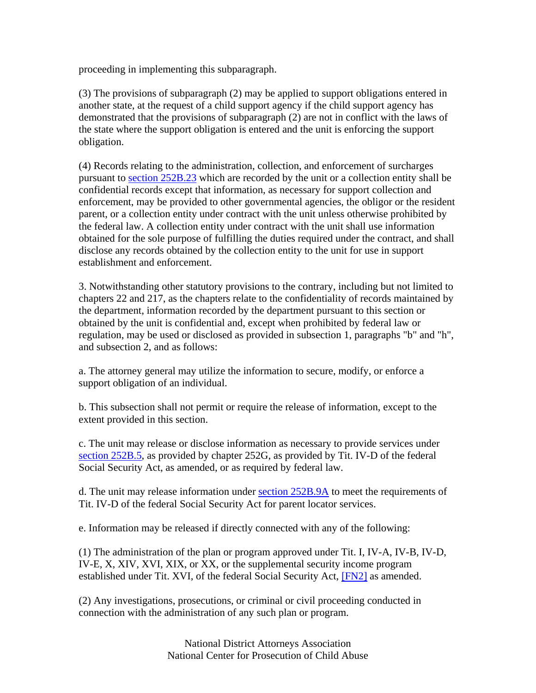proceeding in implementing this subparagraph.

(3) The provisions of subparagraph (2) may be applied to support obligations entered in another state, at the request of a child support agency if the child support agency has demonstrated that the provisions of subparagraph (2) are not in conflict with the laws of the state where the support obligation is entered and the unit is enforcing the support obligation.

(4) Records relating to the administration, collection, and enforcement of surcharges pursuant to section 252B.23 which are recorded by the unit or a collection entity shall be confidential records except that information, as necessary for support collection and enforcement, may be provided to other governmental agencies, the obligor or the resident parent, or a collection entity under contract with the unit unless otherwise prohibited by the federal law. A collection entity under contract with the unit shall use information obtained for the sole purpose of fulfilling the duties required under the contract, and shall disclose any records obtained by the collection entity to the unit for use in support establishment and enforcement.

3. Notwithstanding other statutory provisions to the contrary, including but not limited to chapters 22 and 217, as the chapters relate to the confidentiality of records maintained by the department, information recorded by the department pursuant to this section or obtained by the unit is confidential and, except when prohibited by federal law or regulation, may be used or disclosed as provided in subsection 1, paragraphs "b" and "h", and subsection 2, and as follows:

a. The attorney general may utilize the information to secure, modify, or enforce a support obligation of an individual.

b. This subsection shall not permit or require the release of information, except to the extent provided in this section.

c. The unit may release or disclose information as necessary to provide services under section 252B.5, as provided by chapter 252G, as provided by Tit. IV-D of the federal Social Security Act, as amended, or as required by federal law.

d. The unit may release information under section 252B.9A to meet the requirements of Tit. IV-D of the federal Social Security Act for parent locator services.

e. Information may be released if directly connected with any of the following:

(1) The administration of the plan or program approved under Tit. I, IV-A, IV-B, IV-D, IV-E, X, XIV, XVI, XIX, or XX, or the supplemental security income program established under Tit. XVI, of the federal Social Security Act, [FN2] as amended.

(2) Any investigations, prosecutions, or criminal or civil proceeding conducted in connection with the administration of any such plan or program.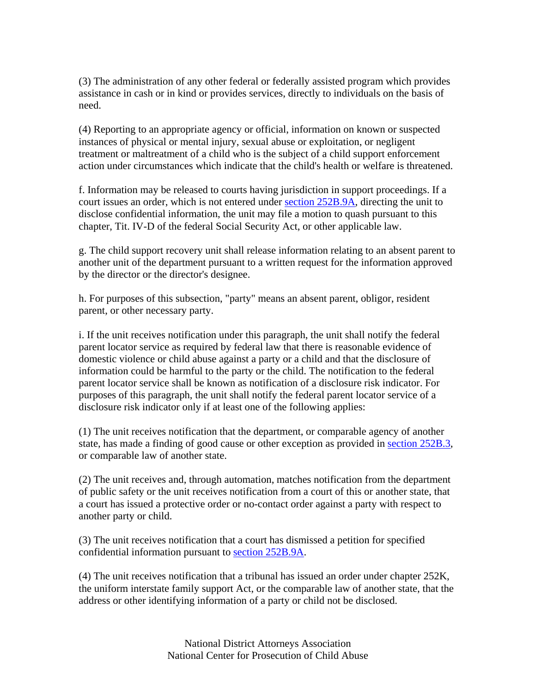(3) The administration of any other federal or federally assisted program which provides assistance in cash or in kind or provides services, directly to individuals on the basis of need.

(4) Reporting to an appropriate agency or official, information on known or suspected instances of physical or mental injury, sexual abuse or exploitation, or negligent treatment or maltreatment of a child who is the subject of a child support enforcement action under circumstances which indicate that the child's health or welfare is threatened.

f. Information may be released to courts having jurisdiction in support proceedings. If a court issues an order, which is not entered under section 252B.9A, directing the unit to disclose confidential information, the unit may file a motion to quash pursuant to this chapter, Tit. IV-D of the federal Social Security Act, or other applicable law.

g. The child support recovery unit shall release information relating to an absent parent to another unit of the department pursuant to a written request for the information approved by the director or the director's designee.

h. For purposes of this subsection, "party" means an absent parent, obligor, resident parent, or other necessary party.

i. If the unit receives notification under this paragraph, the unit shall notify the federal parent locator service as required by federal law that there is reasonable evidence of domestic violence or child abuse against a party or a child and that the disclosure of information could be harmful to the party or the child. The notification to the federal parent locator service shall be known as notification of a disclosure risk indicator. For purposes of this paragraph, the unit shall notify the federal parent locator service of a disclosure risk indicator only if at least one of the following applies:

(1) The unit receives notification that the department, or comparable agency of another state, has made a finding of good cause or other exception as provided in section 252B.3, or comparable law of another state.

(2) The unit receives and, through automation, matches notification from the department of public safety or the unit receives notification from a court of this or another state, that a court has issued a protective order or no-contact order against a party with respect to another party or child.

(3) The unit receives notification that a court has dismissed a petition for specified confidential information pursuant to section 252B.9A.

(4) The unit receives notification that a tribunal has issued an order under chapter 252K, the uniform interstate family support Act, or the comparable law of another state, that the address or other identifying information of a party or child not be disclosed.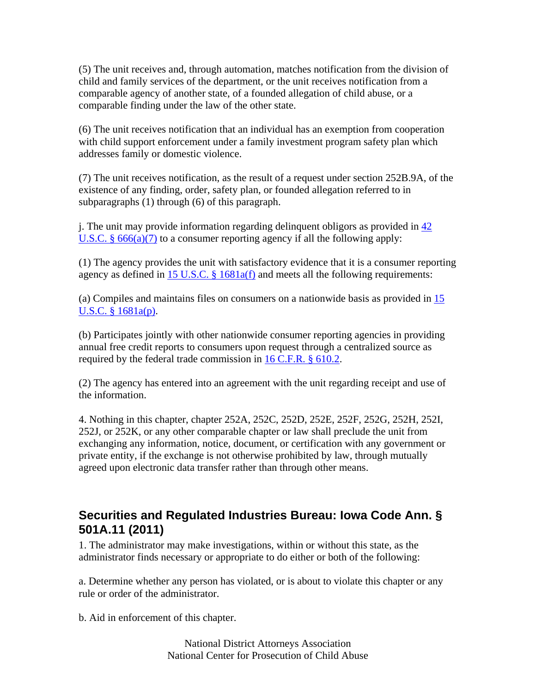(5) The unit receives and, through automation, matches notification from the division of child and family services of the department, or the unit receives notification from a comparable agency of another state, of a founded allegation of child abuse, or a comparable finding under the law of the other state.

(6) The unit receives notification that an individual has an exemption from cooperation with child support enforcement under a family investment program safety plan which addresses family or domestic violence.

(7) The unit receives notification, as the result of a request under section 252B.9A, of the existence of any finding, order, safety plan, or founded allegation referred to in subparagraphs (1) through (6) of this paragraph.

j. The unit may provide information regarding delinquent obligors as provided in  $\frac{42}{3}$ U.S.C.  $\S 666(a)(7)$  to a consumer reporting agency if all the following apply:

(1) The agency provides the unit with satisfactory evidence that it is a consumer reporting agency as defined in 15 U.S.C.  $\S$  1681a(f) and meets all the following requirements:

(a) Compiles and maintains files on consumers on a nationwide basis as provided in 15 U.S.C. § 1681a(p).

(b) Participates jointly with other nationwide consumer reporting agencies in providing annual free credit reports to consumers upon request through a centralized source as required by the federal trade commission in 16 C.F.R. § 610.2.

(2) The agency has entered into an agreement with the unit regarding receipt and use of the information.

4. Nothing in this chapter, chapter 252A, 252C, 252D, 252E, 252F, 252G, 252H, 252I, 252J, or 252K, or any other comparable chapter or law shall preclude the unit from exchanging any information, notice, document, or certification with any government or private entity, if the exchange is not otherwise prohibited by law, through mutually agreed upon electronic data transfer rather than through other means.

#### **Securities and Regulated Industries Bureau: Iowa Code Ann. § 501A.11 (2011)**

1. The administrator may make investigations, within or without this state, as the administrator finds necessary or appropriate to do either or both of the following:

a. Determine whether any person has violated, or is about to violate this chapter or any rule or order of the administrator.

b. Aid in enforcement of this chapter.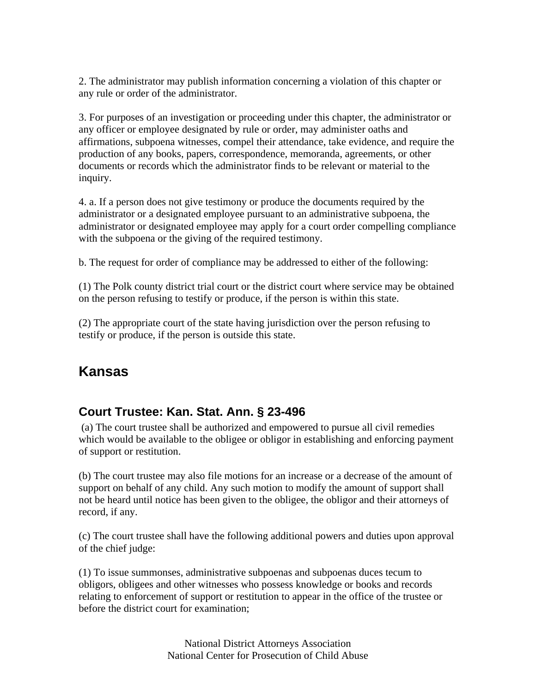2. The administrator may publish information concerning a violation of this chapter or any rule or order of the administrator.

3. For purposes of an investigation or proceeding under this chapter, the administrator or any officer or employee designated by rule or order, may administer oaths and affirmations, subpoena witnesses, compel their attendance, take evidence, and require the production of any books, papers, correspondence, memoranda, agreements, or other documents or records which the administrator finds to be relevant or material to the inquiry.

4. a. If a person does not give testimony or produce the documents required by the administrator or a designated employee pursuant to an administrative subpoena, the administrator or designated employee may apply for a court order compelling compliance with the subpoena or the giving of the required testimony.

b. The request for order of compliance may be addressed to either of the following:

(1) The Polk county district trial court or the district court where service may be obtained on the person refusing to testify or produce, if the person is within this state.

(2) The appropriate court of the state having jurisdiction over the person refusing to testify or produce, if the person is outside this state.

# **Kansas**

## **Court Trustee: Kan. Stat. Ann. § 23-496**

 (a) The court trustee shall be authorized and empowered to pursue all civil remedies which would be available to the obligee or obligor in establishing and enforcing payment of support or restitution.

(b) The court trustee may also file motions for an increase or a decrease of the amount of support on behalf of any child. Any such motion to modify the amount of support shall not be heard until notice has been given to the obligee, the obligor and their attorneys of record, if any.

(c) The court trustee shall have the following additional powers and duties upon approval of the chief judge:

(1) To issue summonses, administrative subpoenas and subpoenas duces tecum to obligors, obligees and other witnesses who possess knowledge or books and records relating to enforcement of support or restitution to appear in the office of the trustee or before the district court for examination;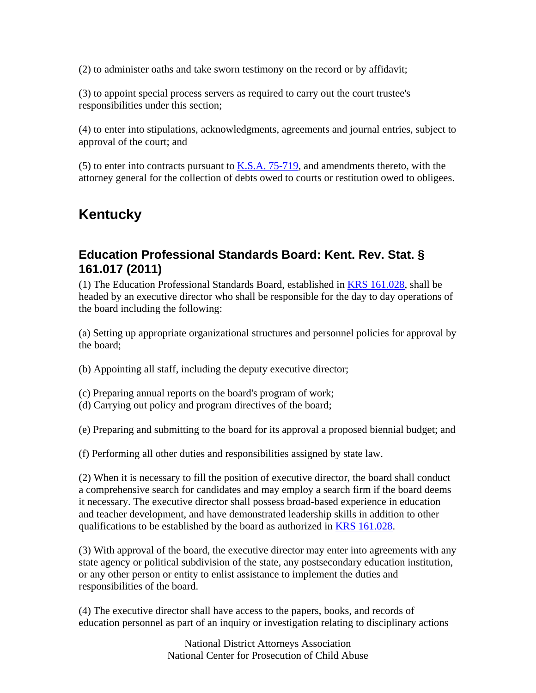(2) to administer oaths and take sworn testimony on the record or by affidavit;

(3) to appoint special process servers as required to carry out the court trustee's responsibilities under this section;

(4) to enter into stipulations, acknowledgments, agreements and journal entries, subject to approval of the court; and

(5) to enter into contracts pursuant to  $K.S.A. 75-719$ , and amendments thereto, with the attorney general for the collection of debts owed to courts or restitution owed to obligees.

# **Kentucky**

## **Education Professional Standards Board: Kent. Rev. Stat. § 161.017 (2011)**

(1) The Education Professional Standards Board, established in KRS 161.028, shall be headed by an executive director who shall be responsible for the day to day operations of the board including the following:

(a) Setting up appropriate organizational structures and personnel policies for approval by the board;

(b) Appointing all staff, including the deputy executive director;

- (c) Preparing annual reports on the board's program of work;
- (d) Carrying out policy and program directives of the board;

(e) Preparing and submitting to the board for its approval a proposed biennial budget; and

(f) Performing all other duties and responsibilities assigned by state law.

(2) When it is necessary to fill the position of executive director, the board shall conduct a comprehensive search for candidates and may employ a search firm if the board deems it necessary. The executive director shall possess broad-based experience in education and teacher development, and have demonstrated leadership skills in addition to other qualifications to be established by the board as authorized in KRS 161.028.

(3) With approval of the board, the executive director may enter into agreements with any state agency or political subdivision of the state, any postsecondary education institution, or any other person or entity to enlist assistance to implement the duties and responsibilities of the board.

(4) The executive director shall have access to the papers, books, and records of education personnel as part of an inquiry or investigation relating to disciplinary actions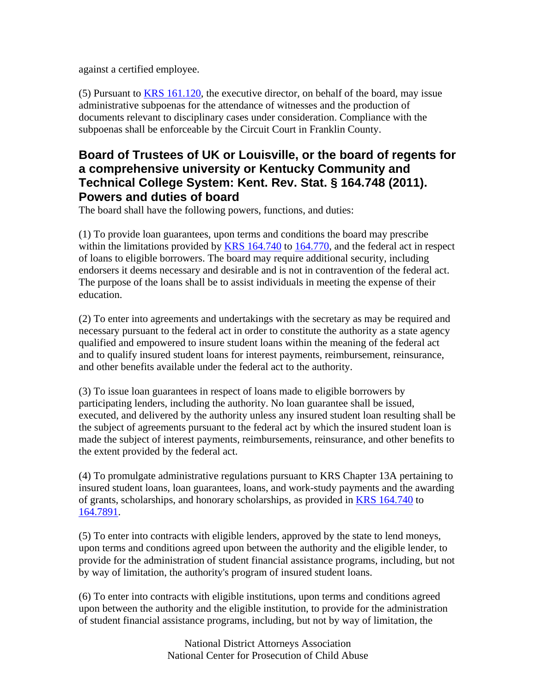against a certified employee.

(5) Pursuant to KRS 161.120, the executive director, on behalf of the board, may issue administrative subpoenas for the attendance of witnesses and the production of documents relevant to disciplinary cases under consideration. Compliance with the subpoenas shall be enforceable by the Circuit Court in Franklin County.

## **Board of Trustees of UK or Louisville, or the board of regents for a comprehensive university or Kentucky Community and Technical College System: Kent. Rev. Stat. § 164.748 (2011). Powers and duties of board**

The board shall have the following powers, functions, and duties:

(1) To provide loan guarantees, upon terms and conditions the board may prescribe within the limitations provided by KRS 164.740 to 164.770, and the federal act in respect of loans to eligible borrowers. The board may require additional security, including endorsers it deems necessary and desirable and is not in contravention of the federal act. The purpose of the loans shall be to assist individuals in meeting the expense of their education.

(2) To enter into agreements and undertakings with the secretary as may be required and necessary pursuant to the federal act in order to constitute the authority as a state agency qualified and empowered to insure student loans within the meaning of the federal act and to qualify insured student loans for interest payments, reimbursement, reinsurance, and other benefits available under the federal act to the authority.

(3) To issue loan guarantees in respect of loans made to eligible borrowers by participating lenders, including the authority. No loan guarantee shall be issued, executed, and delivered by the authority unless any insured student loan resulting shall be the subject of agreements pursuant to the federal act by which the insured student loan is made the subject of interest payments, reimbursements, reinsurance, and other benefits to the extent provided by the federal act.

(4) To promulgate administrative regulations pursuant to KRS Chapter 13A pertaining to insured student loans, loan guarantees, loans, and work-study payments and the awarding of grants, scholarships, and honorary scholarships, as provided in **KRS** 164.740 to 164.7891.

(5) To enter into contracts with eligible lenders, approved by the state to lend moneys, upon terms and conditions agreed upon between the authority and the eligible lender, to provide for the administration of student financial assistance programs, including, but not by way of limitation, the authority's program of insured student loans.

(6) To enter into contracts with eligible institutions, upon terms and conditions agreed upon between the authority and the eligible institution, to provide for the administration of student financial assistance programs, including, but not by way of limitation, the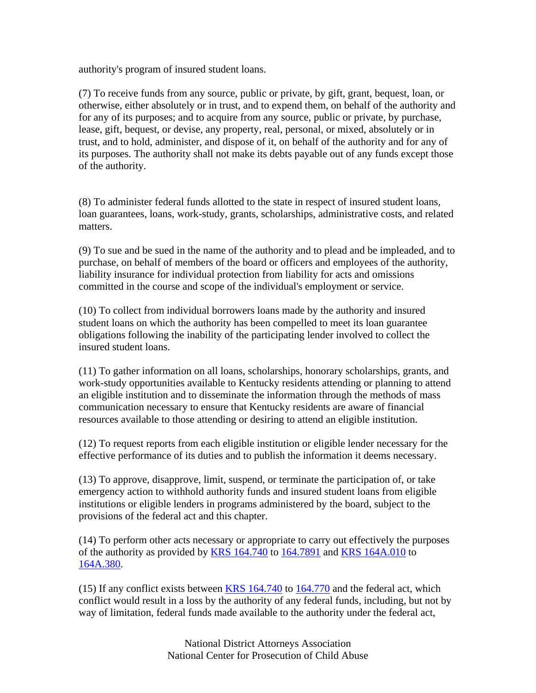authority's program of insured student loans.

(7) To receive funds from any source, public or private, by gift, grant, bequest, loan, or otherwise, either absolutely or in trust, and to expend them, on behalf of the authority and for any of its purposes; and to acquire from any source, public or private, by purchase, lease, gift, bequest, or devise, any property, real, personal, or mixed, absolutely or in trust, and to hold, administer, and dispose of it, on behalf of the authority and for any of its purposes. The authority shall not make its debts payable out of any funds except those of the authority.

(8) To administer federal funds allotted to the state in respect of insured student loans, loan guarantees, loans, work-study, grants, scholarships, administrative costs, and related matters.

(9) To sue and be sued in the name of the authority and to plead and be impleaded, and to purchase, on behalf of members of the board or officers and employees of the authority, liability insurance for individual protection from liability for acts and omissions committed in the course and scope of the individual's employment or service.

(10) To collect from individual borrowers loans made by the authority and insured student loans on which the authority has been compelled to meet its loan guarantee obligations following the inability of the participating lender involved to collect the insured student loans.

(11) To gather information on all loans, scholarships, honorary scholarships, grants, and work-study opportunities available to Kentucky residents attending or planning to attend an eligible institution and to disseminate the information through the methods of mass communication necessary to ensure that Kentucky residents are aware of financial resources available to those attending or desiring to attend an eligible institution.

(12) To request reports from each eligible institution or eligible lender necessary for the effective performance of its duties and to publish the information it deems necessary.

(13) To approve, disapprove, limit, suspend, or terminate the participation of, or take emergency action to withhold authority funds and insured student loans from eligible institutions or eligible lenders in programs administered by the board, subject to the provisions of the federal act and this chapter.

(14) To perform other acts necessary or appropriate to carry out effectively the purposes of the authority as provided by KRS 164.740 to 164.7891 and KRS 164A.010 to 164A.380.

(15) If any conflict exists between KRS 164.740 to 164.770 and the federal act, which conflict would result in a loss by the authority of any federal funds, including, but not by way of limitation, federal funds made available to the authority under the federal act,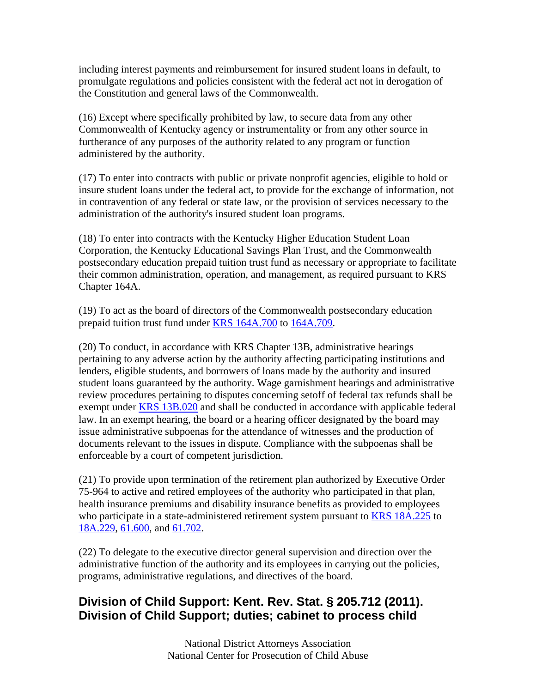including interest payments and reimbursement for insured student loans in default, to promulgate regulations and policies consistent with the federal act not in derogation of the Constitution and general laws of the Commonwealth.

(16) Except where specifically prohibited by law, to secure data from any other Commonwealth of Kentucky agency or instrumentality or from any other source in furtherance of any purposes of the authority related to any program or function administered by the authority.

(17) To enter into contracts with public or private nonprofit agencies, eligible to hold or insure student loans under the federal act, to provide for the exchange of information, not in contravention of any federal or state law, or the provision of services necessary to the administration of the authority's insured student loan programs.

(18) To enter into contracts with the Kentucky Higher Education Student Loan Corporation, the Kentucky Educational Savings Plan Trust, and the Commonwealth postsecondary education prepaid tuition trust fund as necessary or appropriate to facilitate their common administration, operation, and management, as required pursuant to KRS Chapter 164A.

(19) To act as the board of directors of the Commonwealth postsecondary education prepaid tuition trust fund under KRS 164A.700 to 164A.709.

(20) To conduct, in accordance with KRS Chapter 13B, administrative hearings pertaining to any adverse action by the authority affecting participating institutions and lenders, eligible students, and borrowers of loans made by the authority and insured student loans guaranteed by the authority. Wage garnishment hearings and administrative review procedures pertaining to disputes concerning setoff of federal tax refunds shall be exempt under KRS 13B.020 and shall be conducted in accordance with applicable federal law. In an exempt hearing, the board or a hearing officer designated by the board may issue administrative subpoenas for the attendance of witnesses and the production of documents relevant to the issues in dispute. Compliance with the subpoenas shall be enforceable by a court of competent jurisdiction.

(21) To provide upon termination of the retirement plan authorized by Executive Order 75-964 to active and retired employees of the authority who participated in that plan, health insurance premiums and disability insurance benefits as provided to employees who participate in a state-administered retirement system pursuant to KRS 18A.225 to 18A.229, 61.600, and 61.702.

(22) To delegate to the executive director general supervision and direction over the administrative function of the authority and its employees in carrying out the policies, programs, administrative regulations, and directives of the board.

## **Division of Child Support: Kent. Rev. Stat. § 205.712 (2011). Division of Child Support; duties; cabinet to process child**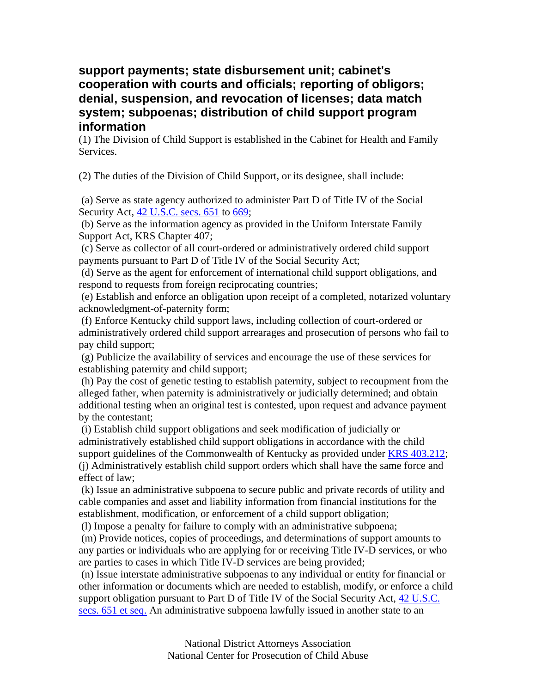## **support payments; state disbursement unit; cabinet's cooperation with courts and officials; reporting of obligors; denial, suspension, and revocation of licenses; data match system; subpoenas; distribution of child support program information**

(1) The Division of Child Support is established in the Cabinet for Health and Family Services.

(2) The duties of the Division of Child Support, or its designee, shall include:

 (a) Serve as state agency authorized to administer Part D of Title IV of the Social Security Act, 42 U.S.C. secs. 651 to 669;

 (b) Serve as the information agency as provided in the Uniform Interstate Family Support Act, KRS Chapter 407;

 (c) Serve as collector of all court-ordered or administratively ordered child support payments pursuant to Part D of Title IV of the Social Security Act;

 (d) Serve as the agent for enforcement of international child support obligations, and respond to requests from foreign reciprocating countries;

 (e) Establish and enforce an obligation upon receipt of a completed, notarized voluntary acknowledgment-of-paternity form;

 (f) Enforce Kentucky child support laws, including collection of court-ordered or administratively ordered child support arrearages and prosecution of persons who fail to pay child support;

 (g) Publicize the availability of services and encourage the use of these services for establishing paternity and child support;

 (h) Pay the cost of genetic testing to establish paternity, subject to recoupment from the alleged father, when paternity is administratively or judicially determined; and obtain additional testing when an original test is contested, upon request and advance payment by the contestant;

 (i) Establish child support obligations and seek modification of judicially or administratively established child support obligations in accordance with the child support guidelines of the Commonwealth of Kentucky as provided under KRS 403.212; (j) Administratively establish child support orders which shall have the same force and effect of law;

 (k) Issue an administrative subpoena to secure public and private records of utility and cable companies and asset and liability information from financial institutions for the establishment, modification, or enforcement of a child support obligation;

(l) Impose a penalty for failure to comply with an administrative subpoena;

 (m) Provide notices, copies of proceedings, and determinations of support amounts to any parties or individuals who are applying for or receiving Title IV-D services, or who are parties to cases in which Title IV-D services are being provided;

 (n) Issue interstate administrative subpoenas to any individual or entity for financial or other information or documents which are needed to establish, modify, or enforce a child support obligation pursuant to Part D of Title IV of the Social Security Act, 42 U.S.C. secs. 651 et seq. An administrative subpoena lawfully issued in another state to an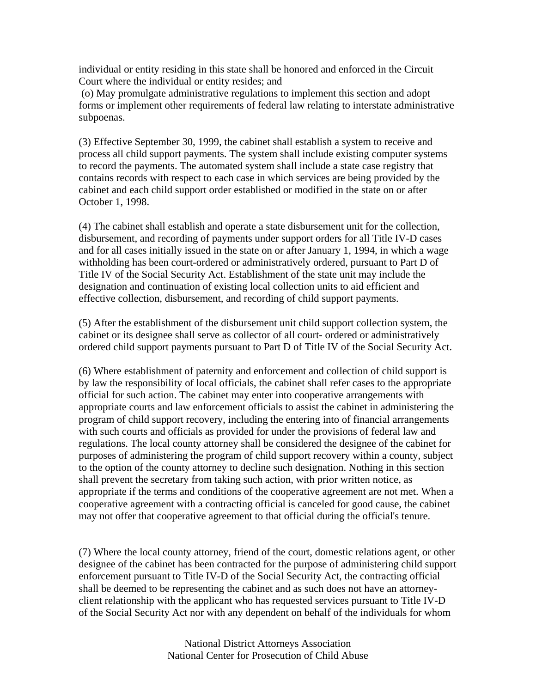individual or entity residing in this state shall be honored and enforced in the Circuit Court where the individual or entity resides; and

 (o) May promulgate administrative regulations to implement this section and adopt forms or implement other requirements of federal law relating to interstate administrative subpoenas.

(3) Effective September 30, 1999, the cabinet shall establish a system to receive and process all child support payments. The system shall include existing computer systems to record the payments. The automated system shall include a state case registry that contains records with respect to each case in which services are being provided by the cabinet and each child support order established or modified in the state on or after October 1, 1998.

(4) The cabinet shall establish and operate a state disbursement unit for the collection, disbursement, and recording of payments under support orders for all Title IV-D cases and for all cases initially issued in the state on or after January 1, 1994, in which a wage withholding has been court-ordered or administratively ordered, pursuant to Part D of Title IV of the Social Security Act. Establishment of the state unit may include the designation and continuation of existing local collection units to aid efficient and effective collection, disbursement, and recording of child support payments.

(5) After the establishment of the disbursement unit child support collection system, the cabinet or its designee shall serve as collector of all court- ordered or administratively ordered child support payments pursuant to Part D of Title IV of the Social Security Act.

(6) Where establishment of paternity and enforcement and collection of child support is by law the responsibility of local officials, the cabinet shall refer cases to the appropriate official for such action. The cabinet may enter into cooperative arrangements with appropriate courts and law enforcement officials to assist the cabinet in administering the program of child support recovery, including the entering into of financial arrangements with such courts and officials as provided for under the provisions of federal law and regulations. The local county attorney shall be considered the designee of the cabinet for purposes of administering the program of child support recovery within a county, subject to the option of the county attorney to decline such designation. Nothing in this section shall prevent the secretary from taking such action, with prior written notice, as appropriate if the terms and conditions of the cooperative agreement are not met. When a cooperative agreement with a contracting official is canceled for good cause, the cabinet may not offer that cooperative agreement to that official during the official's tenure.

(7) Where the local county attorney, friend of the court, domestic relations agent, or other designee of the cabinet has been contracted for the purpose of administering child support enforcement pursuant to Title IV-D of the Social Security Act, the contracting official shall be deemed to be representing the cabinet and as such does not have an attorneyclient relationship with the applicant who has requested services pursuant to Title IV-D of the Social Security Act nor with any dependent on behalf of the individuals for whom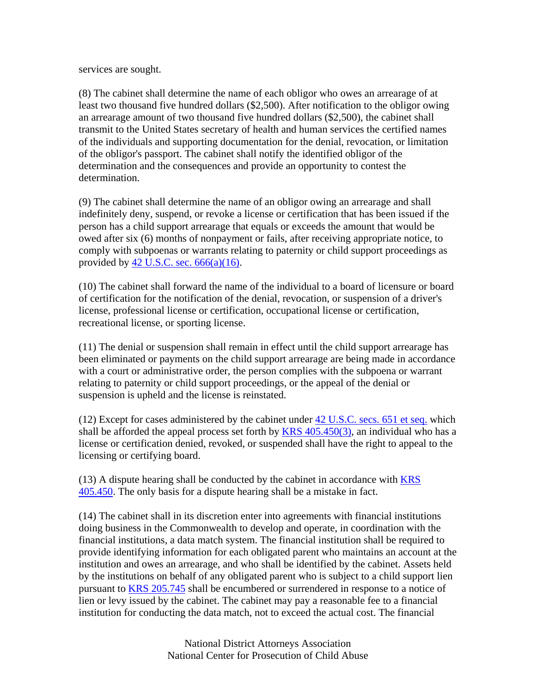services are sought.

(8) The cabinet shall determine the name of each obligor who owes an arrearage of at least two thousand five hundred dollars (\$2,500). After notification to the obligor owing an arrearage amount of two thousand five hundred dollars (\$2,500), the cabinet shall transmit to the United States secretary of health and human services the certified names of the individuals and supporting documentation for the denial, revocation, or limitation of the obligor's passport. The cabinet shall notify the identified obligor of the determination and the consequences and provide an opportunity to contest the determination.

(9) The cabinet shall determine the name of an obligor owing an arrearage and shall indefinitely deny, suspend, or revoke a license or certification that has been issued if the person has a child support arrearage that equals or exceeds the amount that would be owed after six (6) months of nonpayment or fails, after receiving appropriate notice, to comply with subpoenas or warrants relating to paternity or child support proceedings as provided by  $42$  U.S.C. sec.  $666(a)(16)$ .

(10) The cabinet shall forward the name of the individual to a board of licensure or board of certification for the notification of the denial, revocation, or suspension of a driver's license, professional license or certification, occupational license or certification, recreational license, or sporting license.

(11) The denial or suspension shall remain in effect until the child support arrearage has been eliminated or payments on the child support arrearage are being made in accordance with a court or administrative order, the person complies with the subpoena or warrant relating to paternity or child support proceedings, or the appeal of the denial or suspension is upheld and the license is reinstated.

(12) Except for cases administered by the cabinet under 42 U.S.C. secs. 651 et seq. which shall be afforded the appeal process set forth by  $KRS$  405.450(3), an individual who has a license or certification denied, revoked, or suspended shall have the right to appeal to the licensing or certifying board.

(13) A dispute hearing shall be conducted by the cabinet in accordance with KRS 405.450. The only basis for a dispute hearing shall be a mistake in fact.

(14) The cabinet shall in its discretion enter into agreements with financial institutions doing business in the Commonwealth to develop and operate, in coordination with the financial institutions, a data match system. The financial institution shall be required to provide identifying information for each obligated parent who maintains an account at the institution and owes an arrearage, and who shall be identified by the cabinet. Assets held by the institutions on behalf of any obligated parent who is subject to a child support lien pursuant to KRS 205.745 shall be encumbered or surrendered in response to a notice of lien or levy issued by the cabinet. The cabinet may pay a reasonable fee to a financial institution for conducting the data match, not to exceed the actual cost. The financial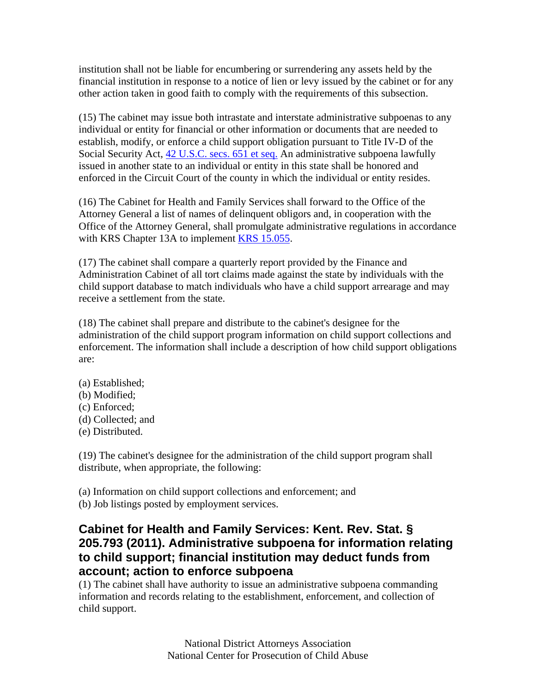institution shall not be liable for encumbering or surrendering any assets held by the financial institution in response to a notice of lien or levy issued by the cabinet or for any other action taken in good faith to comply with the requirements of this subsection.

(15) The cabinet may issue both intrastate and interstate administrative subpoenas to any individual or entity for financial or other information or documents that are needed to establish, modify, or enforce a child support obligation pursuant to Title IV-D of the Social Security Act, 42 U.S.C. secs. 651 et seq. An administrative subpoena lawfully issued in another state to an individual or entity in this state shall be honored and enforced in the Circuit Court of the county in which the individual or entity resides.

(16) The Cabinet for Health and Family Services shall forward to the Office of the Attorney General a list of names of delinquent obligors and, in cooperation with the Office of the Attorney General, shall promulgate administrative regulations in accordance with KRS Chapter 13A to implement KRS 15.055.

(17) The cabinet shall compare a quarterly report provided by the Finance and Administration Cabinet of all tort claims made against the state by individuals with the child support database to match individuals who have a child support arrearage and may receive a settlement from the state.

(18) The cabinet shall prepare and distribute to the cabinet's designee for the administration of the child support program information on child support collections and enforcement. The information shall include a description of how child support obligations are:

- (a) Established; (b) Modified;
- (c) Enforced;
- (d) Collected; and
- (e) Distributed.

(19) The cabinet's designee for the administration of the child support program shall distribute, when appropriate, the following:

(a) Information on child support collections and enforcement; and (b) Job listings posted by employment services.

## **Cabinet for Health and Family Services: Kent. Rev. Stat. § 205.793 (2011). Administrative subpoena for information relating to child support; financial institution may deduct funds from account; action to enforce subpoena**

(1) The cabinet shall have authority to issue an administrative subpoena commanding information and records relating to the establishment, enforcement, and collection of child support.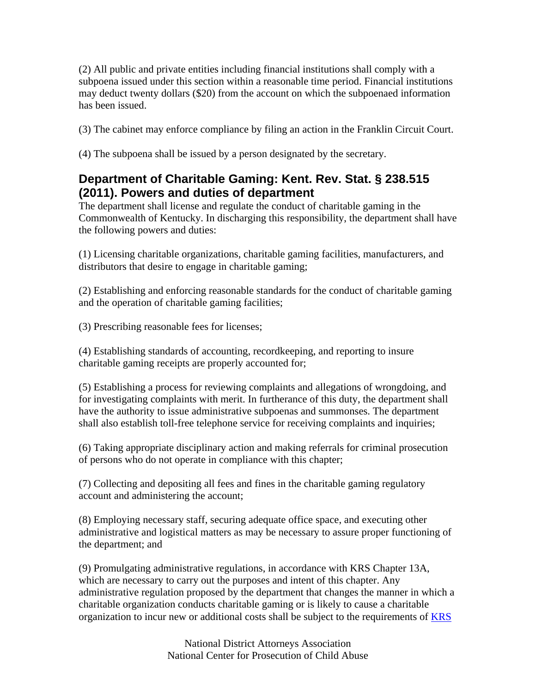(2) All public and private entities including financial institutions shall comply with a subpoena issued under this section within a reasonable time period. Financial institutions may deduct twenty dollars (\$20) from the account on which the subpoenaed information has been issued.

(3) The cabinet may enforce compliance by filing an action in the Franklin Circuit Court.

(4) The subpoena shall be issued by a person designated by the secretary.

## **Department of Charitable Gaming: Kent. Rev. Stat. § 238.515 (2011). Powers and duties of department**

The department shall license and regulate the conduct of charitable gaming in the Commonwealth of Kentucky. In discharging this responsibility, the department shall have the following powers and duties:

(1) Licensing charitable organizations, charitable gaming facilities, manufacturers, and distributors that desire to engage in charitable gaming;

(2) Establishing and enforcing reasonable standards for the conduct of charitable gaming and the operation of charitable gaming facilities;

(3) Prescribing reasonable fees for licenses;

(4) Establishing standards of accounting, recordkeeping, and reporting to insure charitable gaming receipts are properly accounted for;

(5) Establishing a process for reviewing complaints and allegations of wrongdoing, and for investigating complaints with merit. In furtherance of this duty, the department shall have the authority to issue administrative subpoenas and summonses. The department shall also establish toll-free telephone service for receiving complaints and inquiries;

(6) Taking appropriate disciplinary action and making referrals for criminal prosecution of persons who do not operate in compliance with this chapter;

(7) Collecting and depositing all fees and fines in the charitable gaming regulatory account and administering the account;

(8) Employing necessary staff, securing adequate office space, and executing other administrative and logistical matters as may be necessary to assure proper functioning of the department; and

(9) Promulgating administrative regulations, in accordance with KRS Chapter 13A, which are necessary to carry out the purposes and intent of this chapter. Any administrative regulation proposed by the department that changes the manner in which a charitable organization conducts charitable gaming or is likely to cause a charitable organization to incur new or additional costs shall be subject to the requirements of KRS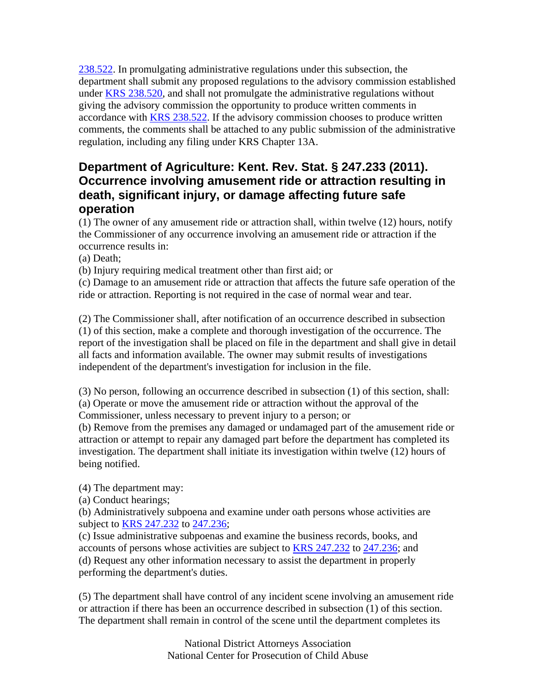238.522. In promulgating administrative regulations under this subsection, the department shall submit any proposed regulations to the advisory commission established under KRS 238.520, and shall not promulgate the administrative regulations without giving the advisory commission the opportunity to produce written comments in accordance with KRS 238.522. If the advisory commission chooses to produce written comments, the comments shall be attached to any public submission of the administrative regulation, including any filing under KRS Chapter 13A.

## **Department of Agriculture: Kent. Rev. Stat. § 247.233 (2011). Occurrence involving amusement ride or attraction resulting in death, significant injury, or damage affecting future safe operation**

(1) The owner of any amusement ride or attraction shall, within twelve (12) hours, notify the Commissioner of any occurrence involving an amusement ride or attraction if the occurrence results in:

(a) Death;

(b) Injury requiring medical treatment other than first aid; or

(c) Damage to an amusement ride or attraction that affects the future safe operation of the ride or attraction. Reporting is not required in the case of normal wear and tear.

(2) The Commissioner shall, after notification of an occurrence described in subsection (1) of this section, make a complete and thorough investigation of the occurrence. The report of the investigation shall be placed on file in the department and shall give in detail all facts and information available. The owner may submit results of investigations independent of the department's investigation for inclusion in the file.

(3) No person, following an occurrence described in subsection (1) of this section, shall: (a) Operate or move the amusement ride or attraction without the approval of the Commissioner, unless necessary to prevent injury to a person; or

(b) Remove from the premises any damaged or undamaged part of the amusement ride or attraction or attempt to repair any damaged part before the department has completed its investigation. The department shall initiate its investigation within twelve (12) hours of being notified.

(4) The department may:

(a) Conduct hearings;

(b) Administratively subpoena and examine under oath persons whose activities are subject to KRS 247.232 to 247.236;

(c) Issue administrative subpoenas and examine the business records, books, and accounts of persons whose activities are subject to **KRS 247.232** to 247.236; and (d) Request any other information necessary to assist the department in properly performing the department's duties.

(5) The department shall have control of any incident scene involving an amusement ride or attraction if there has been an occurrence described in subsection (1) of this section. The department shall remain in control of the scene until the department completes its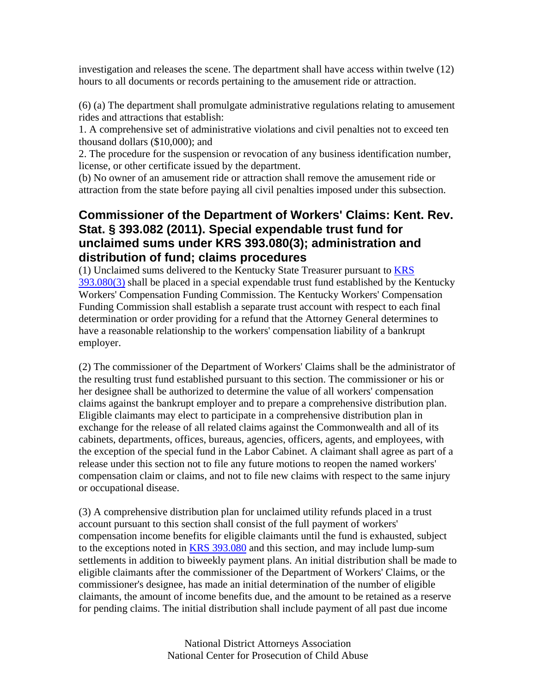investigation and releases the scene. The department shall have access within twelve (12) hours to all documents or records pertaining to the amusement ride or attraction.

(6) (a) The department shall promulgate administrative regulations relating to amusement rides and attractions that establish:

1. A comprehensive set of administrative violations and civil penalties not to exceed ten thousand dollars (\$10,000); and

2. The procedure for the suspension or revocation of any business identification number, license, or other certificate issued by the department.

(b) No owner of an amusement ride or attraction shall remove the amusement ride or attraction from the state before paying all civil penalties imposed under this subsection.

## **Commissioner of the Department of Workers' Claims: Kent. Rev. Stat. § 393.082 (2011). Special expendable trust fund for unclaimed sums under KRS 393.080(3); administration and distribution of fund; claims procedures**

(1) Unclaimed sums delivered to the Kentucky State Treasurer pursuant to KRS  $393.080(3)$  shall be placed in a special expendable trust fund established by the Kentucky Workers' Compensation Funding Commission. The Kentucky Workers' Compensation Funding Commission shall establish a separate trust account with respect to each final determination or order providing for a refund that the Attorney General determines to have a reasonable relationship to the workers' compensation liability of a bankrupt employer.

(2) The commissioner of the Department of Workers' Claims shall be the administrator of the resulting trust fund established pursuant to this section. The commissioner or his or her designee shall be authorized to determine the value of all workers' compensation claims against the bankrupt employer and to prepare a comprehensive distribution plan. Eligible claimants may elect to participate in a comprehensive distribution plan in exchange for the release of all related claims against the Commonwealth and all of its cabinets, departments, offices, bureaus, agencies, officers, agents, and employees, with the exception of the special fund in the Labor Cabinet. A claimant shall agree as part of a release under this section not to file any future motions to reopen the named workers' compensation claim or claims, and not to file new claims with respect to the same injury or occupational disease.

(3) A comprehensive distribution plan for unclaimed utility refunds placed in a trust account pursuant to this section shall consist of the full payment of workers' compensation income benefits for eligible claimants until the fund is exhausted, subject to the exceptions noted in KRS 393.080 and this section, and may include lump-sum settlements in addition to biweekly payment plans. An initial distribution shall be made to eligible claimants after the commissioner of the Department of Workers' Claims, or the commissioner's designee, has made an initial determination of the number of eligible claimants, the amount of income benefits due, and the amount to be retained as a reserve for pending claims. The initial distribution shall include payment of all past due income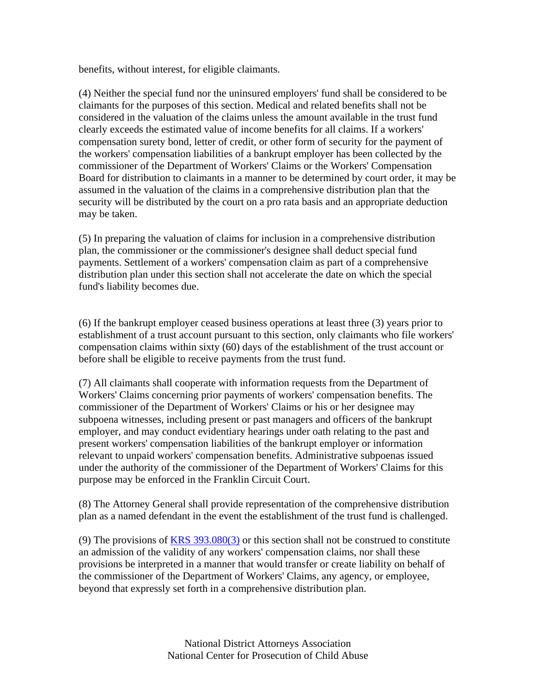benefits, without interest, for eligible claimants.

(4) Neither the special fund nor the uninsured employers' fund shall be considered to be claimants for the purposes of this section. Medical and related benefits shall not be considered in the valuation of the claims unless the amount available in the trust fund clearly exceeds the estimated value of income benefits for all claims. If a workers' compensation surety bond, letter of credit, or other form of security for the payment of the workers' compensation liabilities of a bankrupt employer has been collected by the commissioner of the Department of Workers' Claims or the Workers' Compensation Board for distribution to claimants in a manner to be determined by court order, it may be assumed in the valuation of the claims in a comprehensive distribution plan that the security will be distributed by the court on a pro rata basis and an appropriate deduction may be taken.

(5) In preparing the valuation of claims for inclusion in a comprehensive distribution plan, the commissioner or the commissioner's designee shall deduct special fund payments. Settlement of a workers' compensation claim as part of a comprehensive distribution plan under this section shall not accelerate the date on which the special fund's liability becomes due.

(6) If the bankrupt employer ceased business operations at least three (3) years prior to establishment of a trust account pursuant to this section, only claimants who file workers' compensation claims within sixty (60) days of the establishment of the trust account or before shall be eligible to receive payments from the trust fund.

(7) All claimants shall cooperate with information requests from the Department of Workers' Claims concerning prior payments of workers' compensation benefits. The commissioner of the Department of Workers' Claims or his or her designee may subpoena witnesses, including present or past managers and officers of the bankrupt employer, and may conduct evidentiary hearings under oath relating to the past and present workers' compensation liabilities of the bankrupt employer or information relevant to unpaid workers' compensation benefits. Administrative subpoenas issued under the authority of the commissioner of the Department of Workers' Claims for this purpose may be enforced in the Franklin Circuit Court.

(8) The Attorney General shall provide representation of the comprehensive distribution plan as a named defendant in the event the establishment of the trust fund is challenged.

(9) The provisions of KRS 393.080(3) or this section shall not be construed to constitute an admission of the validity of any workers' compensation claims, nor shall these provisions be interpreted in a manner that would transfer or create liability on behalf of the commissioner of the Department of Workers' Claims, any agency, or employee, beyond that expressly set forth in a comprehensive distribution plan.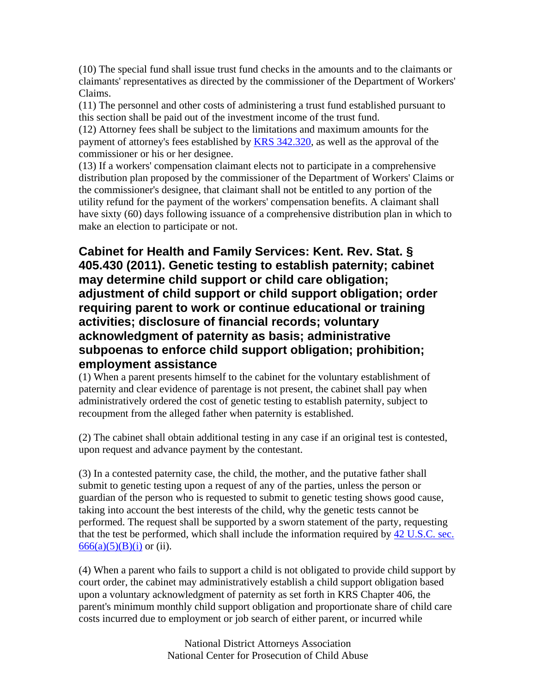(10) The special fund shall issue trust fund checks in the amounts and to the claimants or claimants' representatives as directed by the commissioner of the Department of Workers' Claims.

(11) The personnel and other costs of administering a trust fund established pursuant to this section shall be paid out of the investment income of the trust fund.

(12) Attorney fees shall be subject to the limitations and maximum amounts for the payment of attorney's fees established by KRS 342.320, as well as the approval of the commissioner or his or her designee.

(13) If a workers' compensation claimant elects not to participate in a comprehensive distribution plan proposed by the commissioner of the Department of Workers' Claims or the commissioner's designee, that claimant shall not be entitled to any portion of the utility refund for the payment of the workers' compensation benefits. A claimant shall have sixty (60) days following issuance of a comprehensive distribution plan in which to make an election to participate or not.

**Cabinet for Health and Family Services: Kent. Rev. Stat. § 405.430 (2011). Genetic testing to establish paternity; cabinet may determine child support or child care obligation; adjustment of child support or child support obligation; order requiring parent to work or continue educational or training activities; disclosure of financial records; voluntary acknowledgment of paternity as basis; administrative subpoenas to enforce child support obligation; prohibition; employment assistance**

(1) When a parent presents himself to the cabinet for the voluntary establishment of paternity and clear evidence of parentage is not present, the cabinet shall pay when administratively ordered the cost of genetic testing to establish paternity, subject to recoupment from the alleged father when paternity is established.

(2) The cabinet shall obtain additional testing in any case if an original test is contested, upon request and advance payment by the contestant.

(3) In a contested paternity case, the child, the mother, and the putative father shall submit to genetic testing upon a request of any of the parties, unless the person or guardian of the person who is requested to submit to genetic testing shows good cause, taking into account the best interests of the child, why the genetic tests cannot be performed. The request shall be supported by a sworn statement of the party, requesting that the test be performed, which shall include the information required by 42 U.S.C. sec.  $666(a)(5)(B)(i)$  or (ii).

(4) When a parent who fails to support a child is not obligated to provide child support by court order, the cabinet may administratively establish a child support obligation based upon a voluntary acknowledgment of paternity as set forth in KRS Chapter 406, the parent's minimum monthly child support obligation and proportionate share of child care costs incurred due to employment or job search of either parent, or incurred while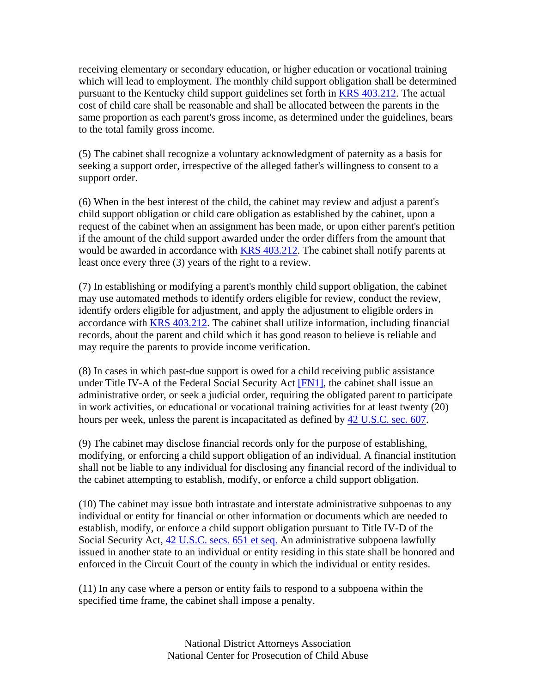receiving elementary or secondary education, or higher education or vocational training which will lead to employment. The monthly child support obligation shall be determined pursuant to the Kentucky child support guidelines set forth in KRS 403.212. The actual cost of child care shall be reasonable and shall be allocated between the parents in the same proportion as each parent's gross income, as determined under the guidelines, bears to the total family gross income.

(5) The cabinet shall recognize a voluntary acknowledgment of paternity as a basis for seeking a support order, irrespective of the alleged father's willingness to consent to a support order.

(6) When in the best interest of the child, the cabinet may review and adjust a parent's child support obligation or child care obligation as established by the cabinet, upon a request of the cabinet when an assignment has been made, or upon either parent's petition if the amount of the child support awarded under the order differs from the amount that would be awarded in accordance with KRS 403.212. The cabinet shall notify parents at least once every three (3) years of the right to a review.

(7) In establishing or modifying a parent's monthly child support obligation, the cabinet may use automated methods to identify orders eligible for review, conduct the review, identify orders eligible for adjustment, and apply the adjustment to eligible orders in accordance with KRS 403.212. The cabinet shall utilize information, including financial records, about the parent and child which it has good reason to believe is reliable and may require the parents to provide income verification.

(8) In cases in which past-due support is owed for a child receiving public assistance under Title IV-A of the Federal Social Security Act [FN1], the cabinet shall issue an administrative order, or seek a judicial order, requiring the obligated parent to participate in work activities, or educational or vocational training activities for at least twenty (20) hours per week, unless the parent is incapacitated as defined by 42 U.S.C. sec. 607.

(9) The cabinet may disclose financial records only for the purpose of establishing, modifying, or enforcing a child support obligation of an individual. A financial institution shall not be liable to any individual for disclosing any financial record of the individual to the cabinet attempting to establish, modify, or enforce a child support obligation.

(10) The cabinet may issue both intrastate and interstate administrative subpoenas to any individual or entity for financial or other information or documents which are needed to establish, modify, or enforce a child support obligation pursuant to Title IV-D of the Social Security Act, 42 U.S.C. secs. 651 et seq. An administrative subpoena lawfully issued in another state to an individual or entity residing in this state shall be honored and enforced in the Circuit Court of the county in which the individual or entity resides.

(11) In any case where a person or entity fails to respond to a subpoena within the specified time frame, the cabinet shall impose a penalty.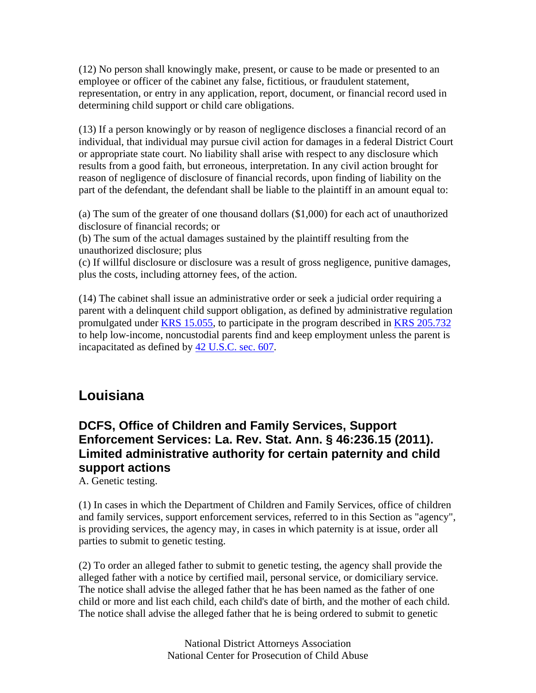(12) No person shall knowingly make, present, or cause to be made or presented to an employee or officer of the cabinet any false, fictitious, or fraudulent statement, representation, or entry in any application, report, document, or financial record used in determining child support or child care obligations.

(13) If a person knowingly or by reason of negligence discloses a financial record of an individual, that individual may pursue civil action for damages in a federal District Court or appropriate state court. No liability shall arise with respect to any disclosure which results from a good faith, but erroneous, interpretation. In any civil action brought for reason of negligence of disclosure of financial records, upon finding of liability on the part of the defendant, the defendant shall be liable to the plaintiff in an amount equal to:

(a) The sum of the greater of one thousand dollars (\$1,000) for each act of unauthorized disclosure of financial records; or

(b) The sum of the actual damages sustained by the plaintiff resulting from the unauthorized disclosure; plus

(c) If willful disclosure or disclosure was a result of gross negligence, punitive damages, plus the costs, including attorney fees, of the action.

(14) The cabinet shall issue an administrative order or seek a judicial order requiring a parent with a delinquent child support obligation, as defined by administrative regulation promulgated under KRS 15.055, to participate in the program described in KRS 205.732 to help low-income, noncustodial parents find and keep employment unless the parent is incapacitated as defined by 42 U.S.C. sec. 607.

# **Louisiana**

## **DCFS, Office of Children and Family Services, Support Enforcement Services: La. Rev. Stat. Ann. § 46:236.15 (2011). Limited administrative authority for certain paternity and child support actions**

A. Genetic testing.

(1) In cases in which the Department of Children and Family Services, office of children and family services, support enforcement services, referred to in this Section as "agency", is providing services, the agency may, in cases in which paternity is at issue, order all parties to submit to genetic testing.

(2) To order an alleged father to submit to genetic testing, the agency shall provide the alleged father with a notice by certified mail, personal service, or domiciliary service. The notice shall advise the alleged father that he has been named as the father of one child or more and list each child, each child's date of birth, and the mother of each child. The notice shall advise the alleged father that he is being ordered to submit to genetic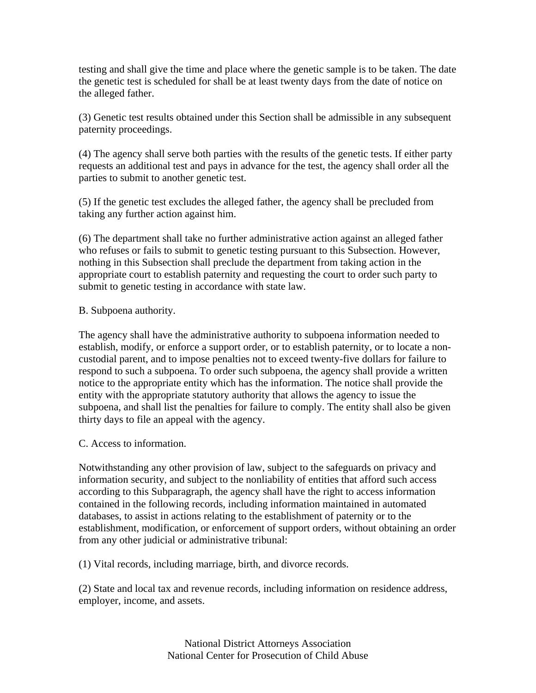testing and shall give the time and place where the genetic sample is to be taken. The date the genetic test is scheduled for shall be at least twenty days from the date of notice on the alleged father.

(3) Genetic test results obtained under this Section shall be admissible in any subsequent paternity proceedings.

(4) The agency shall serve both parties with the results of the genetic tests. If either party requests an additional test and pays in advance for the test, the agency shall order all the parties to submit to another genetic test.

(5) If the genetic test excludes the alleged father, the agency shall be precluded from taking any further action against him.

(6) The department shall take no further administrative action against an alleged father who refuses or fails to submit to genetic testing pursuant to this Subsection. However, nothing in this Subsection shall preclude the department from taking action in the appropriate court to establish paternity and requesting the court to order such party to submit to genetic testing in accordance with state law.

#### B. Subpoena authority.

The agency shall have the administrative authority to subpoena information needed to establish, modify, or enforce a support order, or to establish paternity, or to locate a noncustodial parent, and to impose penalties not to exceed twenty-five dollars for failure to respond to such a subpoena. To order such subpoena, the agency shall provide a written notice to the appropriate entity which has the information. The notice shall provide the entity with the appropriate statutory authority that allows the agency to issue the subpoena, and shall list the penalties for failure to comply. The entity shall also be given thirty days to file an appeal with the agency.

#### C. Access to information.

Notwithstanding any other provision of law, subject to the safeguards on privacy and information security, and subject to the nonliability of entities that afford such access according to this Subparagraph, the agency shall have the right to access information contained in the following records, including information maintained in automated databases, to assist in actions relating to the establishment of paternity or to the establishment, modification, or enforcement of support orders, without obtaining an order from any other judicial or administrative tribunal:

(1) Vital records, including marriage, birth, and divorce records.

(2) State and local tax and revenue records, including information on residence address, employer, income, and assets.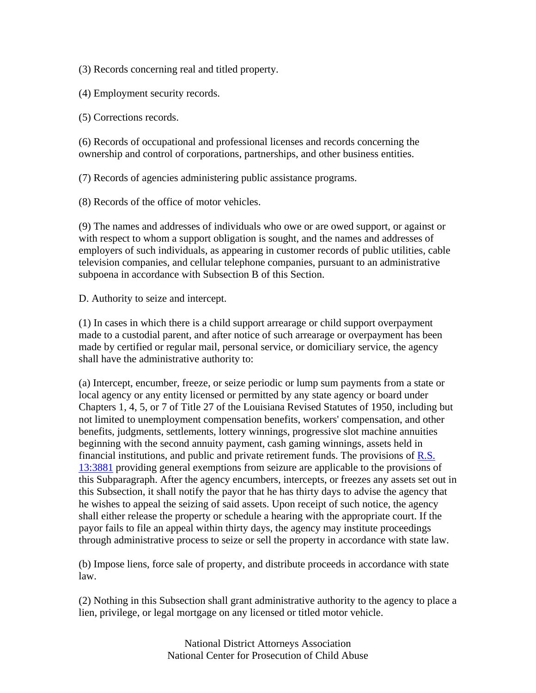(3) Records concerning real and titled property.

(4) Employment security records.

(5) Corrections records.

(6) Records of occupational and professional licenses and records concerning the ownership and control of corporations, partnerships, and other business entities.

(7) Records of agencies administering public assistance programs.

(8) Records of the office of motor vehicles.

(9) The names and addresses of individuals who owe or are owed support, or against or with respect to whom a support obligation is sought, and the names and addresses of employers of such individuals, as appearing in customer records of public utilities, cable television companies, and cellular telephone companies, pursuant to an administrative subpoena in accordance with Subsection B of this Section.

D. Authority to seize and intercept.

(1) In cases in which there is a child support arrearage or child support overpayment made to a custodial parent, and after notice of such arrearage or overpayment has been made by certified or regular mail, personal service, or domiciliary service, the agency shall have the administrative authority to:

(a) Intercept, encumber, freeze, or seize periodic or lump sum payments from a state or local agency or any entity licensed or permitted by any state agency or board under Chapters 1, 4, 5, or 7 of Title 27 of the Louisiana Revised Statutes of 1950, including but not limited to unemployment compensation benefits, workers' compensation, and other benefits, judgments, settlements, lottery winnings, progressive slot machine annuities beginning with the second annuity payment, cash gaming winnings, assets held in financial institutions, and public and private retirement funds. The provisions of  $R.S.$ 13:3881 providing general exemptions from seizure are applicable to the provisions of this Subparagraph. After the agency encumbers, intercepts, or freezes any assets set out in this Subsection, it shall notify the payor that he has thirty days to advise the agency that he wishes to appeal the seizing of said assets. Upon receipt of such notice, the agency shall either release the property or schedule a hearing with the appropriate court. If the payor fails to file an appeal within thirty days, the agency may institute proceedings through administrative process to seize or sell the property in accordance with state law.

(b) Impose liens, force sale of property, and distribute proceeds in accordance with state law.

(2) Nothing in this Subsection shall grant administrative authority to the agency to place a lien, privilege, or legal mortgage on any licensed or titled motor vehicle.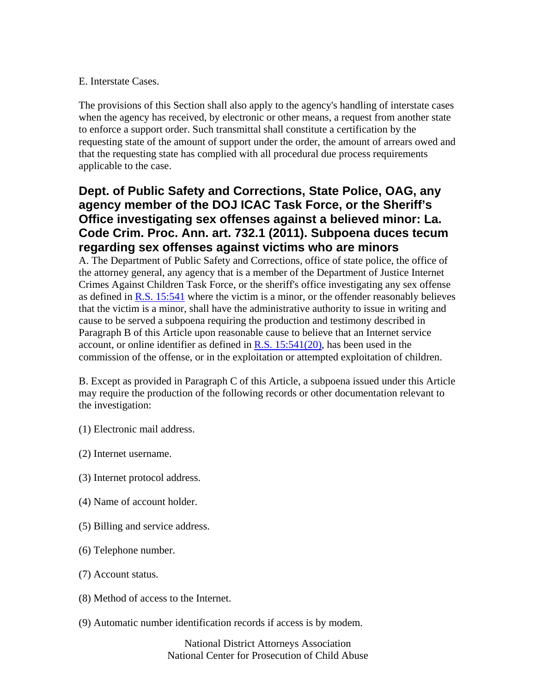#### E. Interstate Cases.

The provisions of this Section shall also apply to the agency's handling of interstate cases when the agency has received, by electronic or other means, a request from another state to enforce a support order. Such transmittal shall constitute a certification by the requesting state of the amount of support under the order, the amount of arrears owed and that the requesting state has complied with all procedural due process requirements applicable to the case.

## **Dept. of Public Safety and Corrections, State Police, OAG, any agency member of the DOJ ICAC Task Force, or the Sheriff's Office investigating sex offenses against a believed minor: La. Code Crim. Proc. Ann. art. 732.1 (2011). Subpoena duces tecum regarding sex offenses against victims who are minors**

A. The Department of Public Safety and Corrections, office of state police, the office of the attorney general, any agency that is a member of the Department of Justice Internet Crimes Against Children Task Force, or the sheriff's office investigating any sex offense as defined in  $R.S.$  15:541 where the victim is a minor, or the offender reasonably believes that the victim is a minor, shall have the administrative authority to issue in writing and cause to be served a subpoena requiring the production and testimony described in Paragraph B of this Article upon reasonable cause to believe that an Internet service account, or online identifier as defined in R.S.  $15:541(20)$ , has been used in the commission of the offense, or in the exploitation or attempted exploitation of children.

B. Except as provided in Paragraph C of this Article, a subpoena issued under this Article may require the production of the following records or other documentation relevant to the investigation:

- (1) Electronic mail address.
- (2) Internet username.
- (3) Internet protocol address.
- (4) Name of account holder.
- (5) Billing and service address.
- (6) Telephone number.
- (7) Account status.
- (8) Method of access to the Internet.
- (9) Automatic number identification records if access is by modem.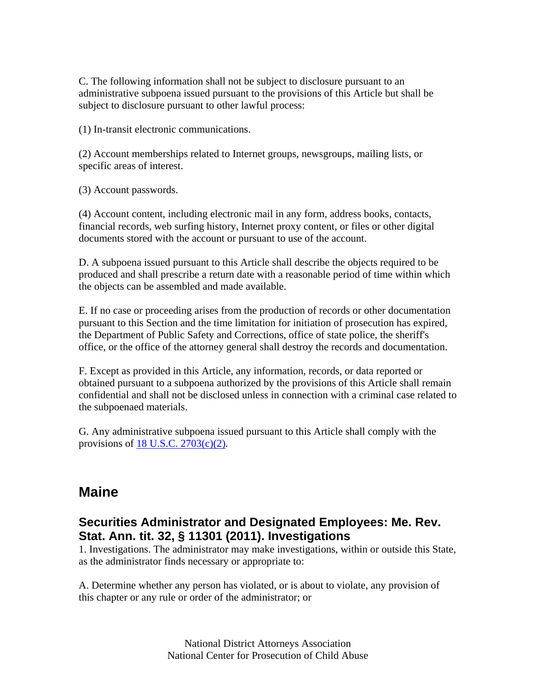C. The following information shall not be subject to disclosure pursuant to an administrative subpoena issued pursuant to the provisions of this Article but shall be subject to disclosure pursuant to other lawful process:

(1) In-transit electronic communications.

(2) Account memberships related to Internet groups, newsgroups, mailing lists, or specific areas of interest.

(3) Account passwords.

(4) Account content, including electronic mail in any form, address books, contacts, financial records, web surfing history, Internet proxy content, or files or other digital documents stored with the account or pursuant to use of the account.

D. A subpoena issued pursuant to this Article shall describe the objects required to be produced and shall prescribe a return date with a reasonable period of time within which the objects can be assembled and made available.

E. If no case or proceeding arises from the production of records or other documentation pursuant to this Section and the time limitation for initiation of prosecution has expired, the Department of Public Safety and Corrections, office of state police, the sheriff's office, or the office of the attorney general shall destroy the records and documentation.

F. Except as provided in this Article, any information, records, or data reported or obtained pursuant to a subpoena authorized by the provisions of this Article shall remain confidential and shall not be disclosed unless in connection with a criminal case related to the subpoenaed materials.

G. Any administrative subpoena issued pursuant to this Article shall comply with the provisions of  $18$  U.S.C.  $2703(c)(2)$ .

## **Maine**

### **Securities Administrator and Designated Employees: Me. Rev. Stat. Ann. tit. 32, § 11301 (2011). Investigations**

1. Investigations. The administrator may make investigations, within or outside this State, as the administrator finds necessary or appropriate to:

A. Determine whether any person has violated, or is about to violate, any provision of this chapter or any rule or order of the administrator; or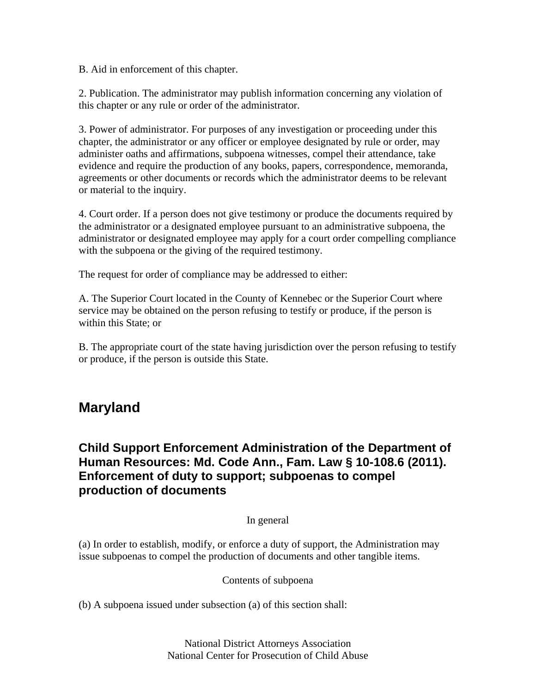B. Aid in enforcement of this chapter.

2. Publication. The administrator may publish information concerning any violation of this chapter or any rule or order of the administrator.

3. Power of administrator. For purposes of any investigation or proceeding under this chapter, the administrator or any officer or employee designated by rule or order, may administer oaths and affirmations, subpoena witnesses, compel their attendance, take evidence and require the production of any books, papers, correspondence, memoranda, agreements or other documents or records which the administrator deems to be relevant or material to the inquiry.

4. Court order. If a person does not give testimony or produce the documents required by the administrator or a designated employee pursuant to an administrative subpoena, the administrator or designated employee may apply for a court order compelling compliance with the subpoena or the giving of the required testimony.

The request for order of compliance may be addressed to either:

A. The Superior Court located in the County of Kennebec or the Superior Court where service may be obtained on the person refusing to testify or produce, if the person is within this State; or

B. The appropriate court of the state having jurisdiction over the person refusing to testify or produce, if the person is outside this State.

## **Maryland**

## **Child Support Enforcement Administration of the Department of Human Resources: Md. Code Ann., Fam. Law § 10-108.6 (2011). Enforcement of duty to support; subpoenas to compel production of documents**

#### In general

(a) In order to establish, modify, or enforce a duty of support, the Administration may issue subpoenas to compel the production of documents and other tangible items.

#### Contents of subpoena

(b) A subpoena issued under subsection (a) of this section shall: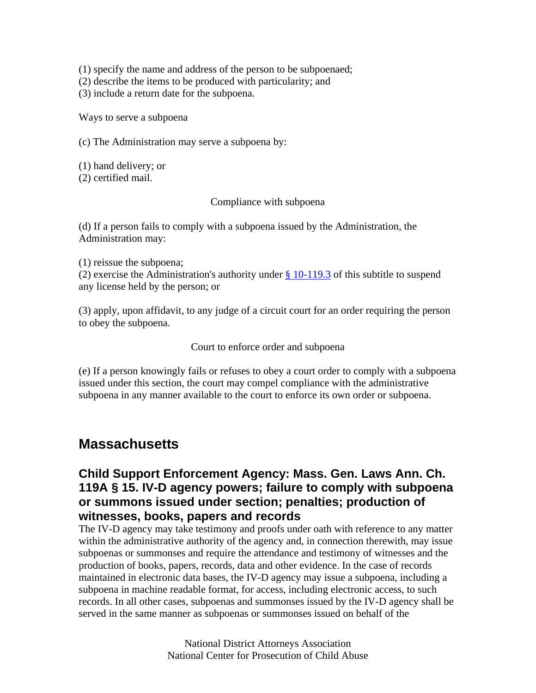(1) specify the name and address of the person to be subpoenaed;

(2) describe the items to be produced with particularity; and

(3) include a return date for the subpoena.

Ways to serve a subpoena

(c) The Administration may serve a subpoena by:

(1) hand delivery; or (2) certified mail.

#### Compliance with subpoena

(d) If a person fails to comply with a subpoena issued by the Administration, the Administration may:

(1) reissue the subpoena;

(2) exercise the Administration's authority under  $§$  10-119.3 of this subtitle to suspend any license held by the person; or

(3) apply, upon affidavit, to any judge of a circuit court for an order requiring the person to obey the subpoena.

Court to enforce order and subpoena

(e) If a person knowingly fails or refuses to obey a court order to comply with a subpoena issued under this section, the court may compel compliance with the administrative subpoena in any manner available to the court to enforce its own order or subpoena.

## **Massachusetts**

## **Child Support Enforcement Agency: Mass. Gen. Laws Ann. Ch. 119A § 15. IV-D agency powers; failure to comply with subpoena or summons issued under section; penalties; production of witnesses, books, papers and records**

The IV-D agency may take testimony and proofs under oath with reference to any matter within the administrative authority of the agency and, in connection therewith, may issue subpoenas or summonses and require the attendance and testimony of witnesses and the production of books, papers, records, data and other evidence. In the case of records maintained in electronic data bases, the IV-D agency may issue a subpoena, including a subpoena in machine readable format, for access, including electronic access, to such records. In all other cases, subpoenas and summonses issued by the IV-D agency shall be served in the same manner as subpoenas or summonses issued on behalf of the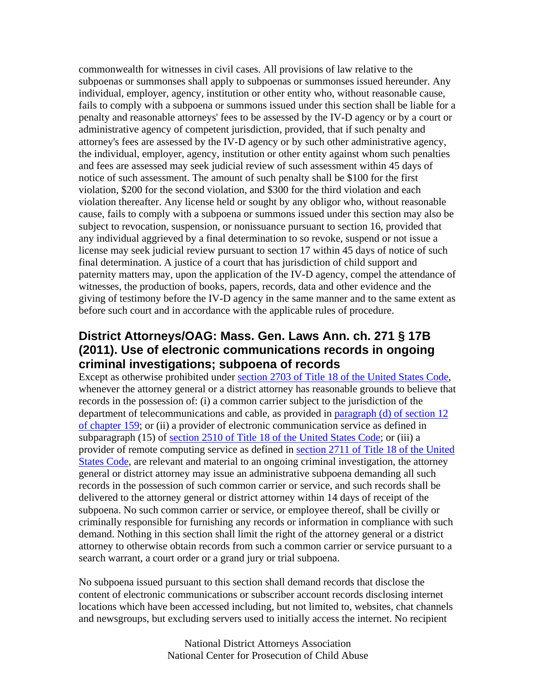commonwealth for witnesses in civil cases. All provisions of law relative to the subpoenas or summonses shall apply to subpoenas or summonses issued hereunder. Any individual, employer, agency, institution or other entity who, without reasonable cause, fails to comply with a subpoena or summons issued under this section shall be liable for a penalty and reasonable attorneys' fees to be assessed by the IV-D agency or by a court or administrative agency of competent jurisdiction, provided, that if such penalty and attorney's fees are assessed by the IV-D agency or by such other administrative agency, the individual, employer, agency, institution or other entity against whom such penalties and fees are assessed may seek judicial review of such assessment within 45 days of notice of such assessment. The amount of such penalty shall be \$100 for the first violation, \$200 for the second violation, and \$300 for the third violation and each violation thereafter. Any license held or sought by any obligor who, without reasonable cause, fails to comply with a subpoena or summons issued under this section may also be subject to revocation, suspension, or nonissuance pursuant to section 16, provided that any individual aggrieved by a final determination to so revoke, suspend or not issue a license may seek judicial review pursuant to section 17 within 45 days of notice of such final determination. A justice of a court that has jurisdiction of child support and paternity matters may, upon the application of the IV-D agency, compel the attendance of witnesses, the production of books, papers, records, data and other evidence and the giving of testimony before the IV-D agency in the same manner and to the same extent as before such court and in accordance with the applicable rules of procedure.

## **District Attorneys/OAG: Mass. Gen. Laws Ann. ch. 271 § 17B (2011). Use of electronic communications records in ongoing criminal investigations; subpoena of records**

Except as otherwise prohibited under section 2703 of Title 18 of the United States Code, whenever the attorney general or a district attorney has reasonable grounds to believe that records in the possession of: (i) a common carrier subject to the jurisdiction of the department of telecommunications and cable, as provided in paragraph (d) of section 12 of chapter 159; or (ii) a provider of electronic communication service as defined in subparagraph (15) of section 2510 of Title 18 of the United States Code; or (iii) a provider of remote computing service as defined in section 2711 of Title 18 of the United States Code, are relevant and material to an ongoing criminal investigation, the attorney general or district attorney may issue an administrative subpoena demanding all such records in the possession of such common carrier or service, and such records shall be delivered to the attorney general or district attorney within 14 days of receipt of the subpoena. No such common carrier or service, or employee thereof, shall be civilly or criminally responsible for furnishing any records or information in compliance with such demand. Nothing in this section shall limit the right of the attorney general or a district attorney to otherwise obtain records from such a common carrier or service pursuant to a search warrant, a court order or a grand jury or trial subpoena.

No subpoena issued pursuant to this section shall demand records that disclose the content of electronic communications or subscriber account records disclosing internet locations which have been accessed including, but not limited to, websites, chat channels and newsgroups, but excluding servers used to initially access the internet. No recipient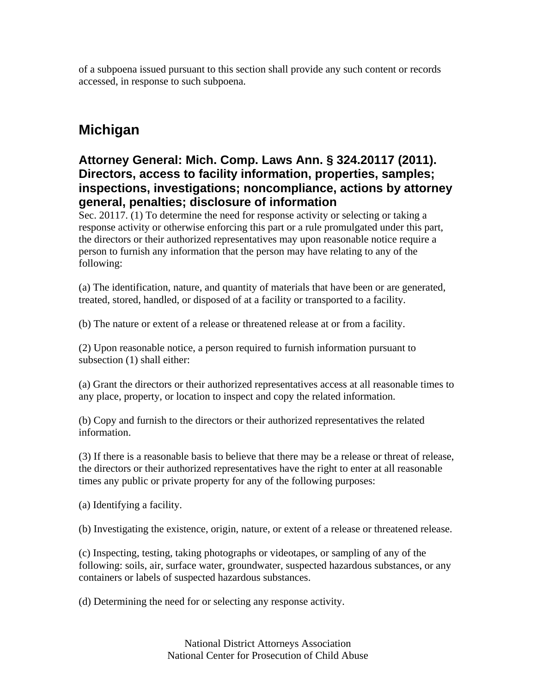of a subpoena issued pursuant to this section shall provide any such content or records accessed, in response to such subpoena.

# **Michigan**

## **Attorney General: Mich. Comp. Laws Ann. § 324.20117 (2011). Directors, access to facility information, properties, samples; inspections, investigations; noncompliance, actions by attorney general, penalties; disclosure of information**

Sec. 20117. (1) To determine the need for response activity or selecting or taking a response activity or otherwise enforcing this part or a rule promulgated under this part, the directors or their authorized representatives may upon reasonable notice require a person to furnish any information that the person may have relating to any of the following:

(a) The identification, nature, and quantity of materials that have been or are generated, treated, stored, handled, or disposed of at a facility or transported to a facility.

(b) The nature or extent of a release or threatened release at or from a facility.

(2) Upon reasonable notice, a person required to furnish information pursuant to subsection (1) shall either:

(a) Grant the directors or their authorized representatives access at all reasonable times to any place, property, or location to inspect and copy the related information.

(b) Copy and furnish to the directors or their authorized representatives the related information.

(3) If there is a reasonable basis to believe that there may be a release or threat of release, the directors or their authorized representatives have the right to enter at all reasonable times any public or private property for any of the following purposes:

(a) Identifying a facility.

(b) Investigating the existence, origin, nature, or extent of a release or threatened release.

(c) Inspecting, testing, taking photographs or videotapes, or sampling of any of the following: soils, air, surface water, groundwater, suspected hazardous substances, or any containers or labels of suspected hazardous substances.

(d) Determining the need for or selecting any response activity.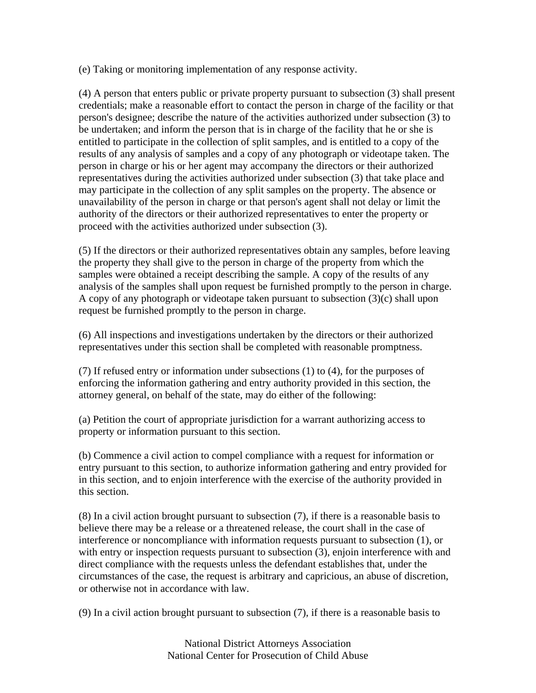(e) Taking or monitoring implementation of any response activity.

(4) A person that enters public or private property pursuant to subsection (3) shall present credentials; make a reasonable effort to contact the person in charge of the facility or that person's designee; describe the nature of the activities authorized under subsection (3) to be undertaken; and inform the person that is in charge of the facility that he or she is entitled to participate in the collection of split samples, and is entitled to a copy of the results of any analysis of samples and a copy of any photograph or videotape taken. The person in charge or his or her agent may accompany the directors or their authorized representatives during the activities authorized under subsection (3) that take place and may participate in the collection of any split samples on the property. The absence or unavailability of the person in charge or that person's agent shall not delay or limit the authority of the directors or their authorized representatives to enter the property or proceed with the activities authorized under subsection (3).

(5) If the directors or their authorized representatives obtain any samples, before leaving the property they shall give to the person in charge of the property from which the samples were obtained a receipt describing the sample. A copy of the results of any analysis of the samples shall upon request be furnished promptly to the person in charge. A copy of any photograph or videotape taken pursuant to subsection (3)(c) shall upon request be furnished promptly to the person in charge.

(6) All inspections and investigations undertaken by the directors or their authorized representatives under this section shall be completed with reasonable promptness.

(7) If refused entry or information under subsections (1) to (4), for the purposes of enforcing the information gathering and entry authority provided in this section, the attorney general, on behalf of the state, may do either of the following:

(a) Petition the court of appropriate jurisdiction for a warrant authorizing access to property or information pursuant to this section.

(b) Commence a civil action to compel compliance with a request for information or entry pursuant to this section, to authorize information gathering and entry provided for in this section, and to enjoin interference with the exercise of the authority provided in this section.

(8) In a civil action brought pursuant to subsection (7), if there is a reasonable basis to believe there may be a release or a threatened release, the court shall in the case of interference or noncompliance with information requests pursuant to subsection (1), or with entry or inspection requests pursuant to subsection (3), enjoin interference with and direct compliance with the requests unless the defendant establishes that, under the circumstances of the case, the request is arbitrary and capricious, an abuse of discretion, or otherwise not in accordance with law.

(9) In a civil action brought pursuant to subsection (7), if there is a reasonable basis to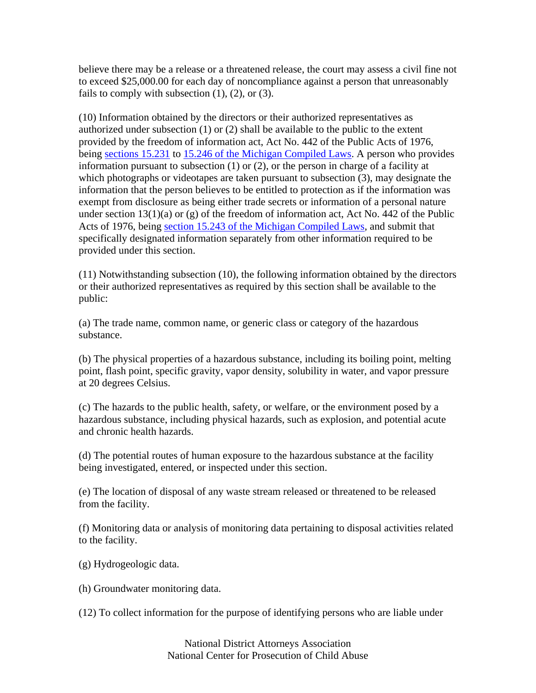believe there may be a release or a threatened release, the court may assess a civil fine not to exceed \$25,000.00 for each day of noncompliance against a person that unreasonably fails to comply with subsection  $(1)$ ,  $(2)$ , or  $(3)$ .

(10) Information obtained by the directors or their authorized representatives as authorized under subsection (1) or (2) shall be available to the public to the extent provided by the freedom of information act, Act No. 442 of the Public Acts of 1976, being sections 15.231 to 15.246 of the Michigan Compiled Laws. A person who provides information pursuant to subsection (1) or (2), or the person in charge of a facility at which photographs or videotapes are taken pursuant to subsection (3), may designate the information that the person believes to be entitled to protection as if the information was exempt from disclosure as being either trade secrets or information of a personal nature under section  $13(1)(a)$  or (g) of the freedom of information act, Act No. 442 of the Public Acts of 1976, being section 15.243 of the Michigan Compiled Laws, and submit that specifically designated information separately from other information required to be provided under this section.

(11) Notwithstanding subsection (10), the following information obtained by the directors or their authorized representatives as required by this section shall be available to the public:

(a) The trade name, common name, or generic class or category of the hazardous substance.

(b) The physical properties of a hazardous substance, including its boiling point, melting point, flash point, specific gravity, vapor density, solubility in water, and vapor pressure at 20 degrees Celsius.

(c) The hazards to the public health, safety, or welfare, or the environment posed by a hazardous substance, including physical hazards, such as explosion, and potential acute and chronic health hazards.

(d) The potential routes of human exposure to the hazardous substance at the facility being investigated, entered, or inspected under this section.

(e) The location of disposal of any waste stream released or threatened to be released from the facility.

(f) Monitoring data or analysis of monitoring data pertaining to disposal activities related to the facility.

(g) Hydrogeologic data.

(h) Groundwater monitoring data.

(12) To collect information for the purpose of identifying persons who are liable under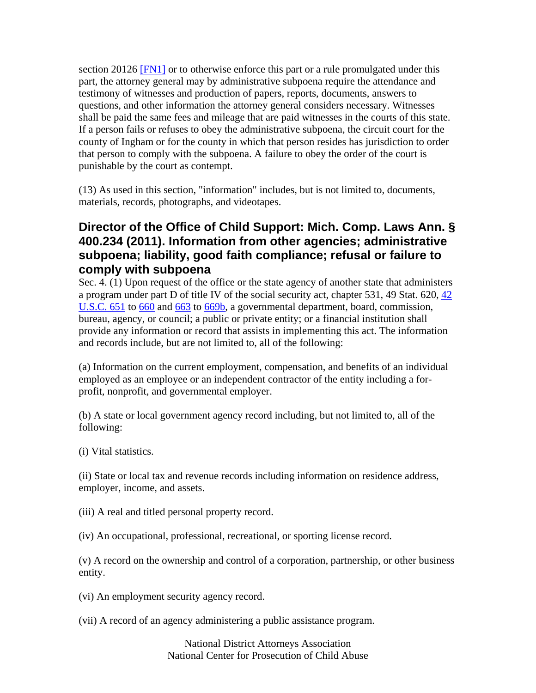section 20126 [FN1] or to otherwise enforce this part or a rule promulgated under this part, the attorney general may by administrative subpoena require the attendance and testimony of witnesses and production of papers, reports, documents, answers to questions, and other information the attorney general considers necessary. Witnesses shall be paid the same fees and mileage that are paid witnesses in the courts of this state. If a person fails or refuses to obey the administrative subpoena, the circuit court for the county of Ingham or for the county in which that person resides has jurisdiction to order that person to comply with the subpoena. A failure to obey the order of the court is punishable by the court as contempt.

(13) As used in this section, "information" includes, but is not limited to, documents, materials, records, photographs, and videotapes.

## **Director of the Office of Child Support: Mich. Comp. Laws Ann. § 400.234 (2011). Information from other agencies; administrative subpoena; liability, good faith compliance; refusal or failure to comply with subpoena**

Sec. 4. (1) Upon request of the office or the state agency of another state that administers a program under part D of title IV of the social security act, chapter 531, 49 Stat. 620, 42 U.S.C. 651 to 660 and 663 to 669b, a governmental department, board, commission, bureau, agency, or council; a public or private entity; or a financial institution shall provide any information or record that assists in implementing this act. The information and records include, but are not limited to, all of the following:

(a) Information on the current employment, compensation, and benefits of an individual employed as an employee or an independent contractor of the entity including a forprofit, nonprofit, and governmental employer.

(b) A state or local government agency record including, but not limited to, all of the following:

(i) Vital statistics.

(ii) State or local tax and revenue records including information on residence address, employer, income, and assets.

(iii) A real and titled personal property record.

(iv) An occupational, professional, recreational, or sporting license record.

(v) A record on the ownership and control of a corporation, partnership, or other business entity.

(vi) An employment security agency record.

(vii) A record of an agency administering a public assistance program.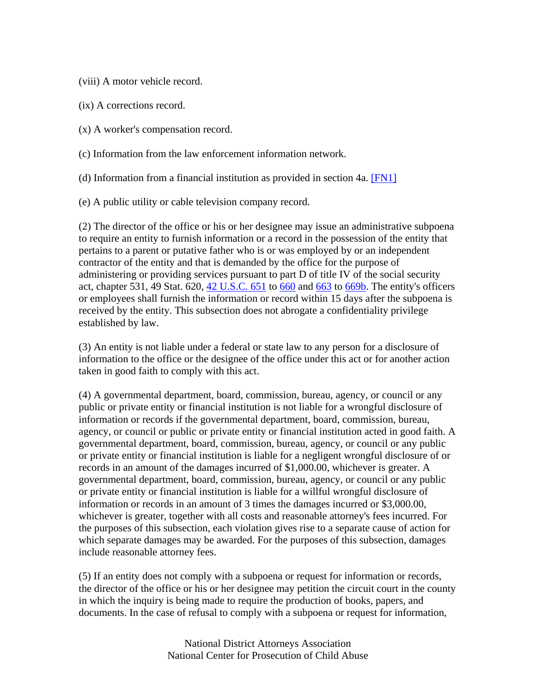(viii) A motor vehicle record.

(ix) A corrections record.

(x) A worker's compensation record.

(c) Information from the law enforcement information network.

(d) Information from a financial institution as provided in section 4a. [FN1]

(e) A public utility or cable television company record.

(2) The director of the office or his or her designee may issue an administrative subpoena to require an entity to furnish information or a record in the possession of the entity that pertains to a parent or putative father who is or was employed by or an independent contractor of the entity and that is demanded by the office for the purpose of administering or providing services pursuant to part D of title IV of the social security act, chapter 531, 49 Stat. 620, 42 U.S.C. 651 to 660 and 663 to 669b. The entity's officers or employees shall furnish the information or record within 15 days after the subpoena is received by the entity. This subsection does not abrogate a confidentiality privilege established by law.

(3) An entity is not liable under a federal or state law to any person for a disclosure of information to the office or the designee of the office under this act or for another action taken in good faith to comply with this act.

(4) A governmental department, board, commission, bureau, agency, or council or any public or private entity or financial institution is not liable for a wrongful disclosure of information or records if the governmental department, board, commission, bureau, agency, or council or public or private entity or financial institution acted in good faith. A governmental department, board, commission, bureau, agency, or council or any public or private entity or financial institution is liable for a negligent wrongful disclosure of or records in an amount of the damages incurred of \$1,000.00, whichever is greater. A governmental department, board, commission, bureau, agency, or council or any public or private entity or financial institution is liable for a willful wrongful disclosure of information or records in an amount of 3 times the damages incurred or \$3,000.00, whichever is greater, together with all costs and reasonable attorney's fees incurred. For the purposes of this subsection, each violation gives rise to a separate cause of action for which separate damages may be awarded. For the purposes of this subsection, damages include reasonable attorney fees.

(5) If an entity does not comply with a subpoena or request for information or records, the director of the office or his or her designee may petition the circuit court in the county in which the inquiry is being made to require the production of books, papers, and documents. In the case of refusal to comply with a subpoena or request for information,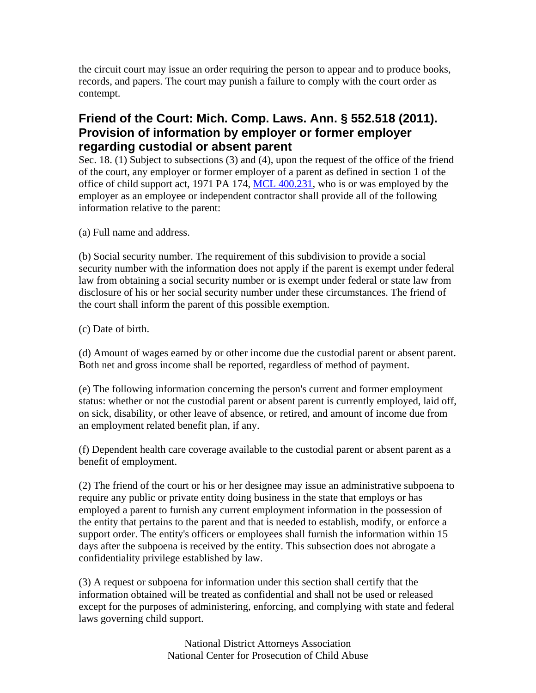the circuit court may issue an order requiring the person to appear and to produce books, records, and papers. The court may punish a failure to comply with the court order as contempt.

## **Friend of the Court: Mich. Comp. Laws. Ann. § 552.518 (2011). Provision of information by employer or former employer regarding custodial or absent parent**

Sec. 18. (1) Subject to subsections (3) and (4), upon the request of the office of the friend of the court, any employer or former employer of a parent as defined in section 1 of the office of child support act, 1971 PA 174, MCL 400.231, who is or was employed by the employer as an employee or independent contractor shall provide all of the following information relative to the parent:

(a) Full name and address.

(b) Social security number. The requirement of this subdivision to provide a social security number with the information does not apply if the parent is exempt under federal law from obtaining a social security number or is exempt under federal or state law from disclosure of his or her social security number under these circumstances. The friend of the court shall inform the parent of this possible exemption.

(c) Date of birth.

(d) Amount of wages earned by or other income due the custodial parent or absent parent. Both net and gross income shall be reported, regardless of method of payment.

(e) The following information concerning the person's current and former employment status: whether or not the custodial parent or absent parent is currently employed, laid off, on sick, disability, or other leave of absence, or retired, and amount of income due from an employment related benefit plan, if any.

(f) Dependent health care coverage available to the custodial parent or absent parent as a benefit of employment.

(2) The friend of the court or his or her designee may issue an administrative subpoena to require any public or private entity doing business in the state that employs or has employed a parent to furnish any current employment information in the possession of the entity that pertains to the parent and that is needed to establish, modify, or enforce a support order. The entity's officers or employees shall furnish the information within 15 days after the subpoena is received by the entity. This subsection does not abrogate a confidentiality privilege established by law.

(3) A request or subpoena for information under this section shall certify that the information obtained will be treated as confidential and shall not be used or released except for the purposes of administering, enforcing, and complying with state and federal laws governing child support.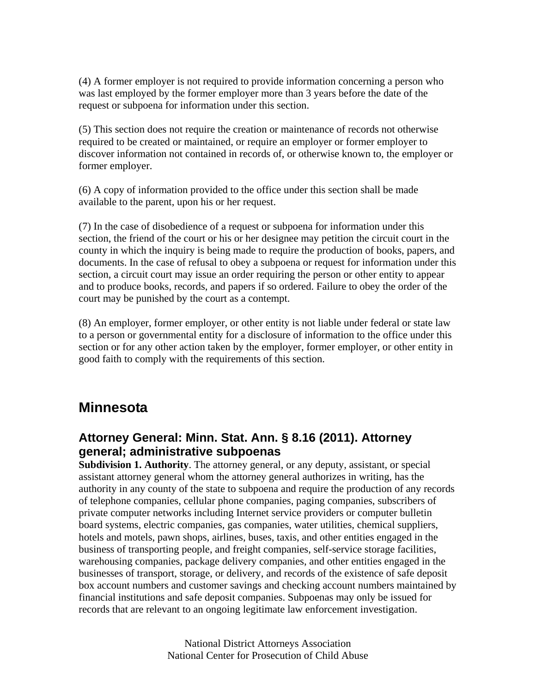(4) A former employer is not required to provide information concerning a person who was last employed by the former employer more than 3 years before the date of the request or subpoena for information under this section.

(5) This section does not require the creation or maintenance of records not otherwise required to be created or maintained, or require an employer or former employer to discover information not contained in records of, or otherwise known to, the employer or former employer.

(6) A copy of information provided to the office under this section shall be made available to the parent, upon his or her request.

(7) In the case of disobedience of a request or subpoena for information under this section, the friend of the court or his or her designee may petition the circuit court in the county in which the inquiry is being made to require the production of books, papers, and documents. In the case of refusal to obey a subpoena or request for information under this section, a circuit court may issue an order requiring the person or other entity to appear and to produce books, records, and papers if so ordered. Failure to obey the order of the court may be punished by the court as a contempt.

(8) An employer, former employer, or other entity is not liable under federal or state law to a person or governmental entity for a disclosure of information to the office under this section or for any other action taken by the employer, former employer, or other entity in good faith to comply with the requirements of this section.

## **Minnesota**

## **Attorney General: Minn. Stat. Ann. § 8.16 (2011). Attorney general; administrative subpoenas**

**Subdivision 1. Authority**. The attorney general, or any deputy, assistant, or special assistant attorney general whom the attorney general authorizes in writing, has the authority in any county of the state to subpoena and require the production of any records of telephone companies, cellular phone companies, paging companies, subscribers of private computer networks including Internet service providers or computer bulletin board systems, electric companies, gas companies, water utilities, chemical suppliers, hotels and motels, pawn shops, airlines, buses, taxis, and other entities engaged in the business of transporting people, and freight companies, self-service storage facilities, warehousing companies, package delivery companies, and other entities engaged in the businesses of transport, storage, or delivery, and records of the existence of safe deposit box account numbers and customer savings and checking account numbers maintained by financial institutions and safe deposit companies. Subpoenas may only be issued for records that are relevant to an ongoing legitimate law enforcement investigation.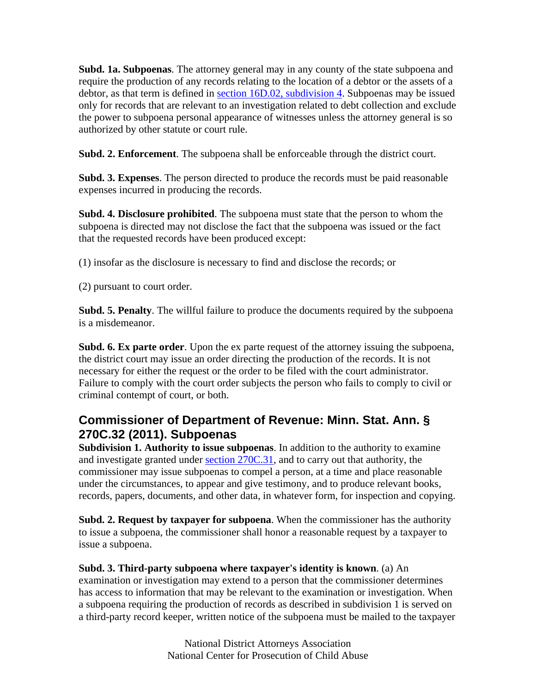**Subd. 1a. Subpoenas**. The attorney general may in any county of the state subpoena and require the production of any records relating to the location of a debtor or the assets of a debtor, as that term is defined in section 16D.02, subdivision 4. Subpoenas may be issued only for records that are relevant to an investigation related to debt collection and exclude the power to subpoena personal appearance of witnesses unless the attorney general is so authorized by other statute or court rule.

**Subd. 2. Enforcement**. The subpoena shall be enforceable through the district court.

**Subd. 3. Expenses**. The person directed to produce the records must be paid reasonable expenses incurred in producing the records.

**Subd. 4. Disclosure prohibited**. The subpoena must state that the person to whom the subpoena is directed may not disclose the fact that the subpoena was issued or the fact that the requested records have been produced except:

(1) insofar as the disclosure is necessary to find and disclose the records; or

(2) pursuant to court order.

**Subd. 5. Penalty**. The willful failure to produce the documents required by the subpoena is a misdemeanor.

**Subd. 6. Ex parte order**. Upon the ex parte request of the attorney issuing the subpoena, the district court may issue an order directing the production of the records. It is not necessary for either the request or the order to be filed with the court administrator. Failure to comply with the court order subjects the person who fails to comply to civil or criminal contempt of court, or both.

## **Commissioner of Department of Revenue: Minn. Stat. Ann. § 270C.32 (2011). Subpoenas**

**Subdivision 1. Authority to issue subpoenas**. In addition to the authority to examine and investigate granted under section 270C.31, and to carry out that authority, the commissioner may issue subpoenas to compel a person, at a time and place reasonable under the circumstances, to appear and give testimony, and to produce relevant books, records, papers, documents, and other data, in whatever form, for inspection and copying.

**Subd. 2. Request by taxpayer for subpoena**. When the commissioner has the authority to issue a subpoena, the commissioner shall honor a reasonable request by a taxpayer to issue a subpoena.

#### **Subd. 3. Third-party subpoena where taxpayer's identity is known**. (a) An

examination or investigation may extend to a person that the commissioner determines has access to information that may be relevant to the examination or investigation. When a subpoena requiring the production of records as described in subdivision 1 is served on a third-party record keeper, written notice of the subpoena must be mailed to the taxpayer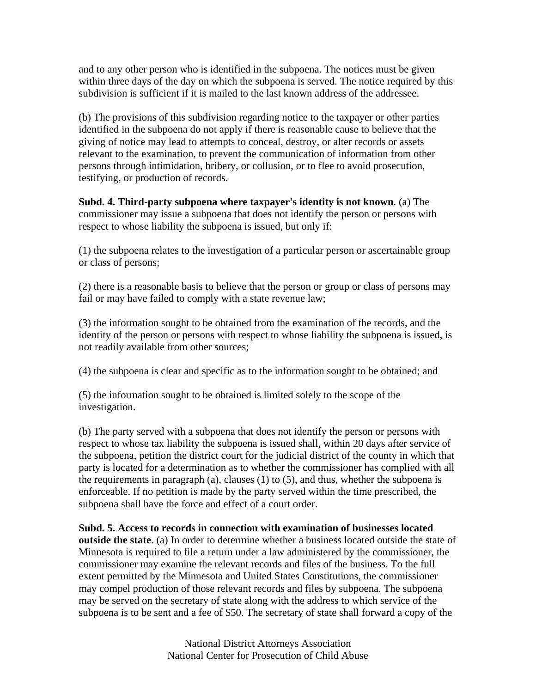and to any other person who is identified in the subpoena. The notices must be given within three days of the day on which the subpoena is served. The notice required by this subdivision is sufficient if it is mailed to the last known address of the addressee.

(b) The provisions of this subdivision regarding notice to the taxpayer or other parties identified in the subpoena do not apply if there is reasonable cause to believe that the giving of notice may lead to attempts to conceal, destroy, or alter records or assets relevant to the examination, to prevent the communication of information from other persons through intimidation, bribery, or collusion, or to flee to avoid prosecution, testifying, or production of records.

**Subd. 4. Third-party subpoena where taxpayer's identity is not known**. (a) The commissioner may issue a subpoena that does not identify the person or persons with respect to whose liability the subpoena is issued, but only if:

(1) the subpoena relates to the investigation of a particular person or ascertainable group or class of persons;

(2) there is a reasonable basis to believe that the person or group or class of persons may fail or may have failed to comply with a state revenue law;

(3) the information sought to be obtained from the examination of the records, and the identity of the person or persons with respect to whose liability the subpoena is issued, is not readily available from other sources;

(4) the subpoena is clear and specific as to the information sought to be obtained; and

(5) the information sought to be obtained is limited solely to the scope of the investigation.

(b) The party served with a subpoena that does not identify the person or persons with respect to whose tax liability the subpoena is issued shall, within 20 days after service of the subpoena, petition the district court for the judicial district of the county in which that party is located for a determination as to whether the commissioner has complied with all the requirements in paragraph (a), clauses (1) to (5), and thus, whether the subpoena is enforceable. If no petition is made by the party served within the time prescribed, the subpoena shall have the force and effect of a court order.

#### **Subd. 5. Access to records in connection with examination of businesses located outside the state**. (a) In order to determine whether a business located outside the state of Minnesota is required to file a return under a law administered by the commissioner, the commissioner may examine the relevant records and files of the business. To the full extent permitted by the Minnesota and United States Constitutions, the commissioner may compel production of those relevant records and files by subpoena. The subpoena may be served on the secretary of state along with the address to which service of the subpoena is to be sent and a fee of \$50. The secretary of state shall forward a copy of the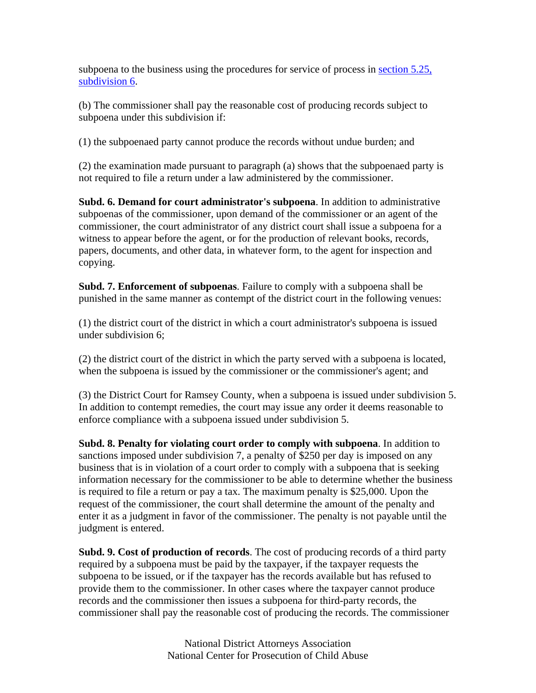subpoena to the business using the procedures for service of process in section 5.25, subdivision 6.

(b) The commissioner shall pay the reasonable cost of producing records subject to subpoena under this subdivision if:

(1) the subpoenaed party cannot produce the records without undue burden; and

(2) the examination made pursuant to paragraph (a) shows that the subpoenaed party is not required to file a return under a law administered by the commissioner.

**Subd. 6. Demand for court administrator's subpoena**. In addition to administrative subpoenas of the commissioner, upon demand of the commissioner or an agent of the commissioner, the court administrator of any district court shall issue a subpoena for a witness to appear before the agent, or for the production of relevant books, records, papers, documents, and other data, in whatever form, to the agent for inspection and copying.

**Subd. 7. Enforcement of subpoenas**. Failure to comply with a subpoena shall be punished in the same manner as contempt of the district court in the following venues:

(1) the district court of the district in which a court administrator's subpoena is issued under subdivision 6;

(2) the district court of the district in which the party served with a subpoena is located, when the subpoena is issued by the commissioner or the commissioner's agent; and

(3) the District Court for Ramsey County, when a subpoena is issued under subdivision 5. In addition to contempt remedies, the court may issue any order it deems reasonable to enforce compliance with a subpoena issued under subdivision 5.

**Subd. 8. Penalty for violating court order to comply with subpoena**. In addition to sanctions imposed under subdivision 7, a penalty of \$250 per day is imposed on any business that is in violation of a court order to comply with a subpoena that is seeking information necessary for the commissioner to be able to determine whether the business is required to file a return or pay a tax. The maximum penalty is \$25,000. Upon the request of the commissioner, the court shall determine the amount of the penalty and enter it as a judgment in favor of the commissioner. The penalty is not payable until the judgment is entered.

**Subd. 9. Cost of production of records**. The cost of producing records of a third party required by a subpoena must be paid by the taxpayer, if the taxpayer requests the subpoena to be issued, or if the taxpayer has the records available but has refused to provide them to the commissioner. In other cases where the taxpayer cannot produce records and the commissioner then issues a subpoena for third-party records, the commissioner shall pay the reasonable cost of producing the records. The commissioner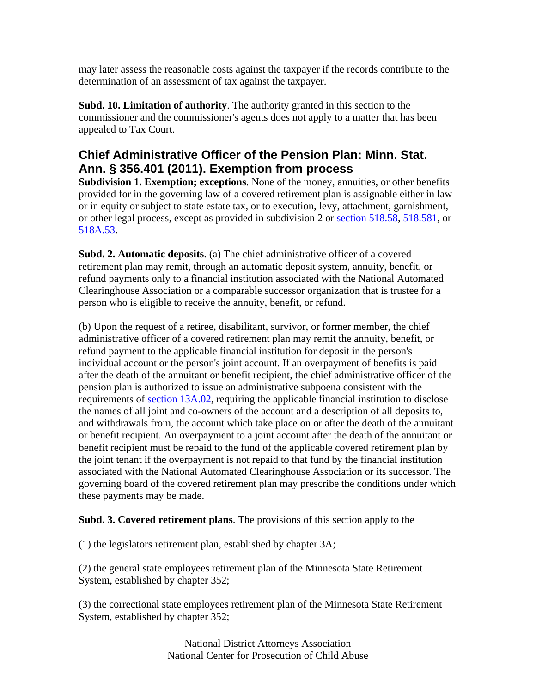may later assess the reasonable costs against the taxpayer if the records contribute to the determination of an assessment of tax against the taxpayer.

**Subd. 10. Limitation of authority**. The authority granted in this section to the commissioner and the commissioner's agents does not apply to a matter that has been appealed to Tax Court.

## **Chief Administrative Officer of the Pension Plan: Minn. Stat. Ann. § 356.401 (2011). Exemption from process**

**Subdivision 1. Exemption; exceptions**. None of the money, annuities, or other benefits provided for in the governing law of a covered retirement plan is assignable either in law or in equity or subject to state estate tax, or to execution, levy, attachment, garnishment, or other legal process, except as provided in subdivision 2 or section 518.58, 518.581, or 518A.53.

**Subd. 2. Automatic deposits**. (a) The chief administrative officer of a covered retirement plan may remit, through an automatic deposit system, annuity, benefit, or refund payments only to a financial institution associated with the National Automated Clearinghouse Association or a comparable successor organization that is trustee for a person who is eligible to receive the annuity, benefit, or refund.

(b) Upon the request of a retiree, disabilitant, survivor, or former member, the chief administrative officer of a covered retirement plan may remit the annuity, benefit, or refund payment to the applicable financial institution for deposit in the person's individual account or the person's joint account. If an overpayment of benefits is paid after the death of the annuitant or benefit recipient, the chief administrative officer of the pension plan is authorized to issue an administrative subpoena consistent with the requirements of section 13A.02, requiring the applicable financial institution to disclose the names of all joint and co-owners of the account and a description of all deposits to, and withdrawals from, the account which take place on or after the death of the annuitant or benefit recipient. An overpayment to a joint account after the death of the annuitant or benefit recipient must be repaid to the fund of the applicable covered retirement plan by the joint tenant if the overpayment is not repaid to that fund by the financial institution associated with the National Automated Clearinghouse Association or its successor. The governing board of the covered retirement plan may prescribe the conditions under which these payments may be made.

#### **Subd. 3. Covered retirement plans**. The provisions of this section apply to the

(1) the legislators retirement plan, established by chapter 3A;

(2) the general state employees retirement plan of the Minnesota State Retirement System, established by chapter 352;

(3) the correctional state employees retirement plan of the Minnesota State Retirement System, established by chapter 352;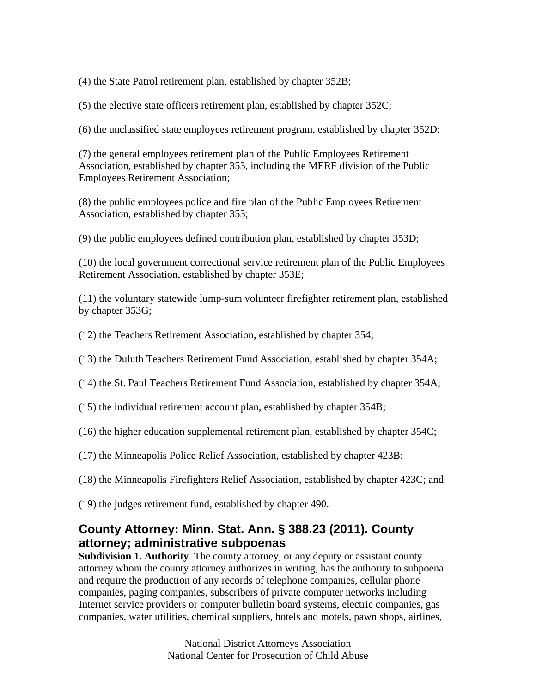(4) the State Patrol retirement plan, established by chapter 352B;

(5) the elective state officers retirement plan, established by chapter 352C;

(6) the unclassified state employees retirement program, established by chapter 352D;

(7) the general employees retirement plan of the Public Employees Retirement Association, established by chapter 353, including the MERF division of the Public Employees Retirement Association;

(8) the public employees police and fire plan of the Public Employees Retirement Association, established by chapter 353;

(9) the public employees defined contribution plan, established by chapter 353D;

(10) the local government correctional service retirement plan of the Public Employees Retirement Association, established by chapter 353E;

(11) the voluntary statewide lump-sum volunteer firefighter retirement plan, established by chapter 353G;

- (12) the Teachers Retirement Association, established by chapter 354;
- (13) the Duluth Teachers Retirement Fund Association, established by chapter 354A;
- (14) the St. Paul Teachers Retirement Fund Association, established by chapter 354A;
- (15) the individual retirement account plan, established by chapter 354B;
- (16) the higher education supplemental retirement plan, established by chapter 354C;
- (17) the Minneapolis Police Relief Association, established by chapter 423B;
- (18) the Minneapolis Firefighters Relief Association, established by chapter 423C; and
- (19) the judges retirement fund, established by chapter 490.

## **County Attorney: Minn. Stat. Ann. § 388.23 (2011). County attorney; administrative subpoenas**

**Subdivision 1. Authority**. The county attorney, or any deputy or assistant county attorney whom the county attorney authorizes in writing, has the authority to subpoena and require the production of any records of telephone companies, cellular phone companies, paging companies, subscribers of private computer networks including Internet service providers or computer bulletin board systems, electric companies, gas companies, water utilities, chemical suppliers, hotels and motels, pawn shops, airlines,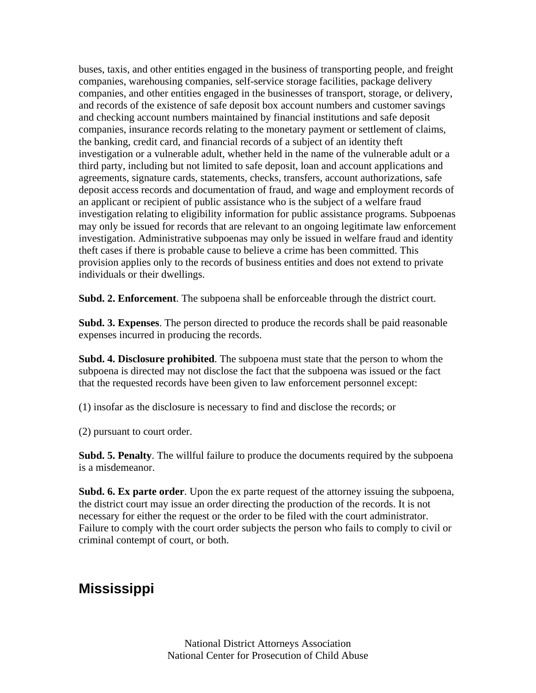buses, taxis, and other entities engaged in the business of transporting people, and freight companies, warehousing companies, self-service storage facilities, package delivery companies, and other entities engaged in the businesses of transport, storage, or delivery, and records of the existence of safe deposit box account numbers and customer savings and checking account numbers maintained by financial institutions and safe deposit companies, insurance records relating to the monetary payment or settlement of claims, the banking, credit card, and financial records of a subject of an identity theft investigation or a vulnerable adult, whether held in the name of the vulnerable adult or a third party, including but not limited to safe deposit, loan and account applications and agreements, signature cards, statements, checks, transfers, account authorizations, safe deposit access records and documentation of fraud, and wage and employment records of an applicant or recipient of public assistance who is the subject of a welfare fraud investigation relating to eligibility information for public assistance programs. Subpoenas may only be issued for records that are relevant to an ongoing legitimate law enforcement investigation. Administrative subpoenas may only be issued in welfare fraud and identity theft cases if there is probable cause to believe a crime has been committed. This provision applies only to the records of business entities and does not extend to private individuals or their dwellings.

**Subd. 2. Enforcement**. The subpoena shall be enforceable through the district court.

**Subd. 3. Expenses**. The person directed to produce the records shall be paid reasonable expenses incurred in producing the records.

**Subd. 4. Disclosure prohibited**. The subpoena must state that the person to whom the subpoena is directed may not disclose the fact that the subpoena was issued or the fact that the requested records have been given to law enforcement personnel except:

(1) insofar as the disclosure is necessary to find and disclose the records; or

(2) pursuant to court order.

**Subd. 5. Penalty**. The willful failure to produce the documents required by the subpoena is a misdemeanor.

**Subd. 6. Ex parte order**. Upon the ex parte request of the attorney issuing the subpoena, the district court may issue an order directing the production of the records. It is not necessary for either the request or the order to be filed with the court administrator. Failure to comply with the court order subjects the person who fails to comply to civil or criminal contempt of court, or both.

# **Mississippi**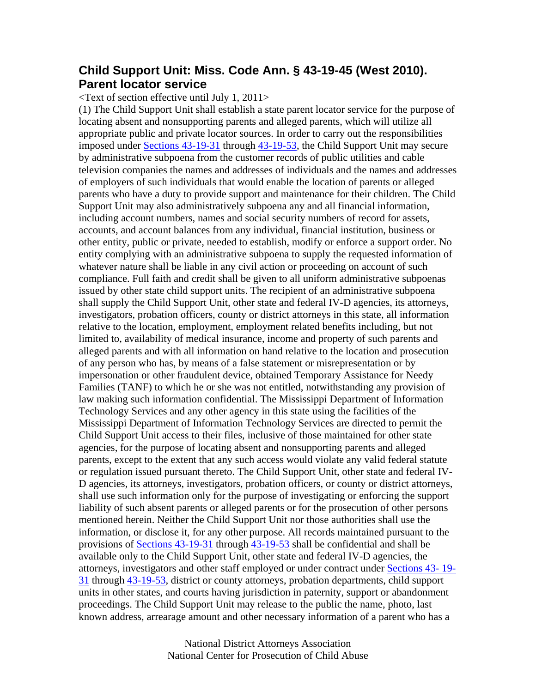### **Child Support Unit: Miss. Code Ann. § 43-19-45 (West 2010). Parent locator service**

<Text of section effective until July 1, 2011>

(1) The Child Support Unit shall establish a state parent locator service for the purpose of locating absent and nonsupporting parents and alleged parents, which will utilize all appropriate public and private locator sources. In order to carry out the responsibilities imposed under Sections 43-19-31 through 43-19-53, the Child Support Unit may secure by administrative subpoena from the customer records of public utilities and cable television companies the names and addresses of individuals and the names and addresses of employers of such individuals that would enable the location of parents or alleged parents who have a duty to provide support and maintenance for their children. The Child Support Unit may also administratively subpoena any and all financial information, including account numbers, names and social security numbers of record for assets, accounts, and account balances from any individual, financial institution, business or other entity, public or private, needed to establish, modify or enforce a support order. No entity complying with an administrative subpoena to supply the requested information of whatever nature shall be liable in any civil action or proceeding on account of such compliance. Full faith and credit shall be given to all uniform administrative subpoenas issued by other state child support units. The recipient of an administrative subpoena shall supply the Child Support Unit, other state and federal IV-D agencies, its attorneys, investigators, probation officers, county or district attorneys in this state, all information relative to the location, employment, employment related benefits including, but not limited to, availability of medical insurance, income and property of such parents and alleged parents and with all information on hand relative to the location and prosecution of any person who has, by means of a false statement or misrepresentation or by impersonation or other fraudulent device, obtained Temporary Assistance for Needy Families (TANF) to which he or she was not entitled, notwithstanding any provision of law making such information confidential. The Mississippi Department of Information Technology Services and any other agency in this state using the facilities of the Mississippi Department of Information Technology Services are directed to permit the Child Support Unit access to their files, inclusive of those maintained for other state agencies, for the purpose of locating absent and nonsupporting parents and alleged parents, except to the extent that any such access would violate any valid federal statute or regulation issued pursuant thereto. The Child Support Unit, other state and federal IV-D agencies, its attorneys, investigators, probation officers, or county or district attorneys, shall use such information only for the purpose of investigating or enforcing the support liability of such absent parents or alleged parents or for the prosecution of other persons mentioned herein. Neither the Child Support Unit nor those authorities shall use the information, or disclose it, for any other purpose. All records maintained pursuant to the provisions of Sections 43-19-31 through 43-19-53 shall be confidential and shall be available only to the Child Support Unit, other state and federal IV-D agencies, the attorneys, investigators and other staff employed or under contract under Sections 43- 19- 31 through 43-19-53, district or county attorneys, probation departments, child support units in other states, and courts having jurisdiction in paternity, support or abandonment proceedings. The Child Support Unit may release to the public the name, photo, last known address, arrearage amount and other necessary information of a parent who has a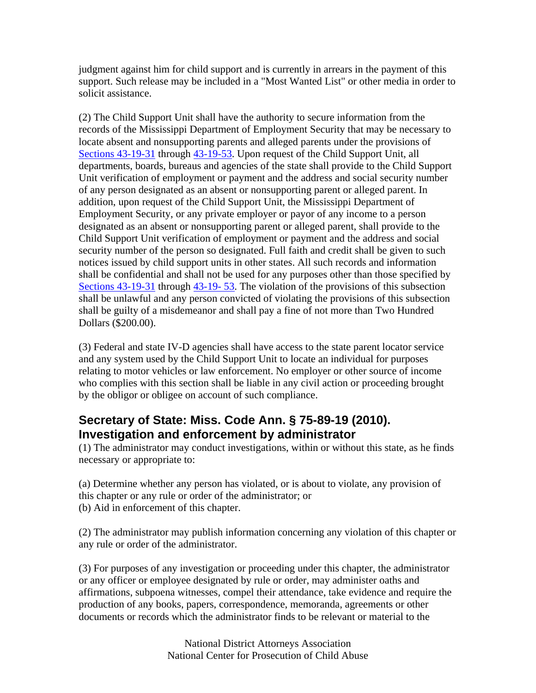judgment against him for child support and is currently in arrears in the payment of this support. Such release may be included in a "Most Wanted List" or other media in order to solicit assistance.

(2) The Child Support Unit shall have the authority to secure information from the records of the Mississippi Department of Employment Security that may be necessary to locate absent and nonsupporting parents and alleged parents under the provisions of Sections 43-19-31 through  $43$ -19-53. Upon request of the Child Support Unit, all departments, boards, bureaus and agencies of the state shall provide to the Child Support Unit verification of employment or payment and the address and social security number of any person designated as an absent or nonsupporting parent or alleged parent. In addition, upon request of the Child Support Unit, the Mississippi Department of Employment Security, or any private employer or payor of any income to a person designated as an absent or nonsupporting parent or alleged parent, shall provide to the Child Support Unit verification of employment or payment and the address and social security number of the person so designated. Full faith and credit shall be given to such notices issued by child support units in other states. All such records and information shall be confidential and shall not be used for any purposes other than those specified by Sections 43-19-31 through  $43$ -19-53. The violation of the provisions of this subsection shall be unlawful and any person convicted of violating the provisions of this subsection shall be guilty of a misdemeanor and shall pay a fine of not more than Two Hundred Dollars (\$200.00).

(3) Federal and state IV-D agencies shall have access to the state parent locator service and any system used by the Child Support Unit to locate an individual for purposes relating to motor vehicles or law enforcement. No employer or other source of income who complies with this section shall be liable in any civil action or proceeding brought by the obligor or obligee on account of such compliance.

### **Secretary of State: Miss. Code Ann. § 75-89-19 (2010). Investigation and enforcement by administrator**

(1) The administrator may conduct investigations, within or without this state, as he finds necessary or appropriate to:

(a) Determine whether any person has violated, or is about to violate, any provision of this chapter or any rule or order of the administrator; or (b) Aid in enforcement of this chapter.

(2) The administrator may publish information concerning any violation of this chapter or any rule or order of the administrator.

(3) For purposes of any investigation or proceeding under this chapter, the administrator or any officer or employee designated by rule or order, may administer oaths and affirmations, subpoena witnesses, compel their attendance, take evidence and require the production of any books, papers, correspondence, memoranda, agreements or other documents or records which the administrator finds to be relevant or material to the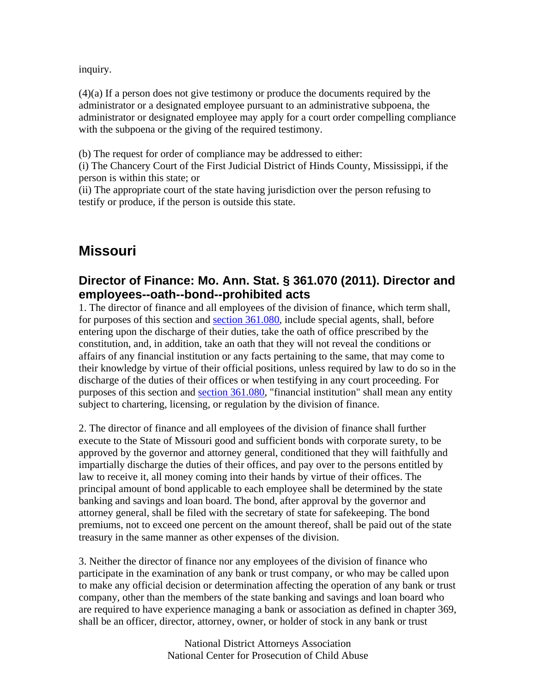inquiry.

(4)(a) If a person does not give testimony or produce the documents required by the administrator or a designated employee pursuant to an administrative subpoena, the administrator or designated employee may apply for a court order compelling compliance with the subpoena or the giving of the required testimony.

(b) The request for order of compliance may be addressed to either:

(i) The Chancery Court of the First Judicial District of Hinds County, Mississippi, if the person is within this state; or

(ii) The appropriate court of the state having jurisdiction over the person refusing to testify or produce, if the person is outside this state.

# **Missouri**

### **Director of Finance: Mo. Ann. Stat. § 361.070 (2011). Director and employees--oath--bond--prohibited acts**

1. The director of finance and all employees of the division of finance, which term shall, for purposes of this section and section 361.080, include special agents, shall, before entering upon the discharge of their duties, take the oath of office prescribed by the constitution, and, in addition, take an oath that they will not reveal the conditions or affairs of any financial institution or any facts pertaining to the same, that may come to their knowledge by virtue of their official positions, unless required by law to do so in the discharge of the duties of their offices or when testifying in any court proceeding. For purposes of this section and section 361.080, "financial institution" shall mean any entity subject to chartering, licensing, or regulation by the division of finance.

2. The director of finance and all employees of the division of finance shall further execute to the State of Missouri good and sufficient bonds with corporate surety, to be approved by the governor and attorney general, conditioned that they will faithfully and impartially discharge the duties of their offices, and pay over to the persons entitled by law to receive it, all money coming into their hands by virtue of their offices. The principal amount of bond applicable to each employee shall be determined by the state banking and savings and loan board. The bond, after approval by the governor and attorney general, shall be filed with the secretary of state for safekeeping. The bond premiums, not to exceed one percent on the amount thereof, shall be paid out of the state treasury in the same manner as other expenses of the division.

3. Neither the director of finance nor any employees of the division of finance who participate in the examination of any bank or trust company, or who may be called upon to make any official decision or determination affecting the operation of any bank or trust company, other than the members of the state banking and savings and loan board who are required to have experience managing a bank or association as defined in chapter 369, shall be an officer, director, attorney, owner, or holder of stock in any bank or trust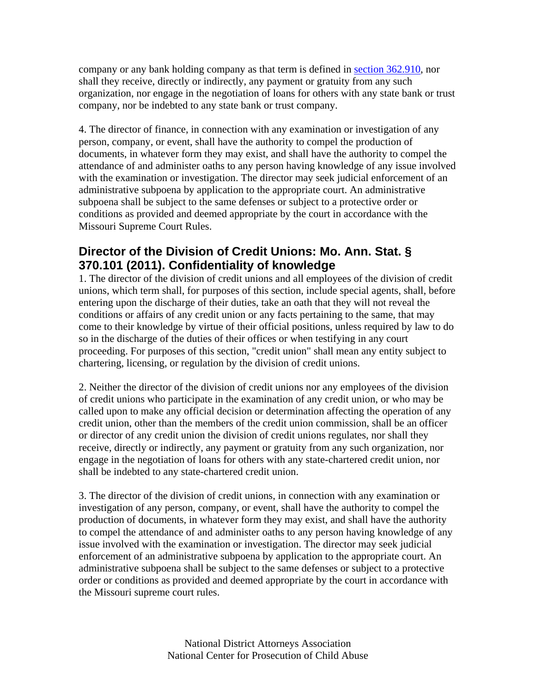company or any bank holding company as that term is defined in section 362.910, nor shall they receive, directly or indirectly, any payment or gratuity from any such organization, nor engage in the negotiation of loans for others with any state bank or trust company, nor be indebted to any state bank or trust company.

4. The director of finance, in connection with any examination or investigation of any person, company, or event, shall have the authority to compel the production of documents, in whatever form they may exist, and shall have the authority to compel the attendance of and administer oaths to any person having knowledge of any issue involved with the examination or investigation. The director may seek judicial enforcement of an administrative subpoena by application to the appropriate court. An administrative subpoena shall be subject to the same defenses or subject to a protective order or conditions as provided and deemed appropriate by the court in accordance with the Missouri Supreme Court Rules.

# **Director of the Division of Credit Unions: Mo. Ann. Stat. § 370.101 (2011). Confidentiality of knowledge**

1. The director of the division of credit unions and all employees of the division of credit unions, which term shall, for purposes of this section, include special agents, shall, before entering upon the discharge of their duties, take an oath that they will not reveal the conditions or affairs of any credit union or any facts pertaining to the same, that may come to their knowledge by virtue of their official positions, unless required by law to do so in the discharge of the duties of their offices or when testifying in any court proceeding. For purposes of this section, "credit union" shall mean any entity subject to chartering, licensing, or regulation by the division of credit unions.

2. Neither the director of the division of credit unions nor any employees of the division of credit unions who participate in the examination of any credit union, or who may be called upon to make any official decision or determination affecting the operation of any credit union, other than the members of the credit union commission, shall be an officer or director of any credit union the division of credit unions regulates, nor shall they receive, directly or indirectly, any payment or gratuity from any such organization, nor engage in the negotiation of loans for others with any state-chartered credit union, nor shall be indebted to any state-chartered credit union.

3. The director of the division of credit unions, in connection with any examination or investigation of any person, company, or event, shall have the authority to compel the production of documents, in whatever form they may exist, and shall have the authority to compel the attendance of and administer oaths to any person having knowledge of any issue involved with the examination or investigation. The director may seek judicial enforcement of an administrative subpoena by application to the appropriate court. An administrative subpoena shall be subject to the same defenses or subject to a protective order or conditions as provided and deemed appropriate by the court in accordance with the Missouri supreme court rules.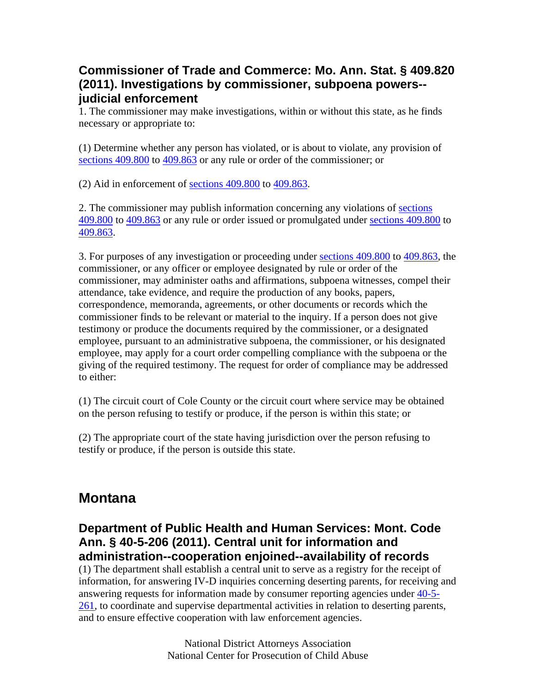### **Commissioner of Trade and Commerce: Mo. Ann. Stat. § 409.820 (2011). Investigations by commissioner, subpoena powers- judicial enforcement**

1. The commissioner may make investigations, within or without this state, as he finds necessary or appropriate to:

(1) Determine whether any person has violated, or is about to violate, any provision of sections 409.800 to 409.863 or any rule or order of the commissioner; or

(2) Aid in enforcement of sections 409.800 to 409.863.

2. The commissioner may publish information concerning any violations of sections 409.800 to 409.863 or any rule or order issued or promulgated under sections 409.800 to 409.863.

3. For purposes of any investigation or proceeding under sections 409.800 to 409.863, the commissioner, or any officer or employee designated by rule or order of the commissioner, may administer oaths and affirmations, subpoena witnesses, compel their attendance, take evidence, and require the production of any books, papers, correspondence, memoranda, agreements, or other documents or records which the commissioner finds to be relevant or material to the inquiry. If a person does not give testimony or produce the documents required by the commissioner, or a designated employee, pursuant to an administrative subpoena, the commissioner, or his designated employee, may apply for a court order compelling compliance with the subpoena or the giving of the required testimony. The request for order of compliance may be addressed to either:

(1) The circuit court of Cole County or the circuit court where service may be obtained on the person refusing to testify or produce, if the person is within this state; or

(2) The appropriate court of the state having jurisdiction over the person refusing to testify or produce, if the person is outside this state.

# **Montana**

#### **Department of Public Health and Human Services: Mont. Code Ann. § 40-5-206 (2011). Central unit for information and administration--cooperation enjoined--availability of records**

(1) The department shall establish a central unit to serve as a registry for the receipt of information, for answering IV-D inquiries concerning deserting parents, for receiving and answering requests for information made by consumer reporting agencies under 40-5-  $261$ , to coordinate and supervise departmental activities in relation to deserting parents, and to ensure effective cooperation with law enforcement agencies.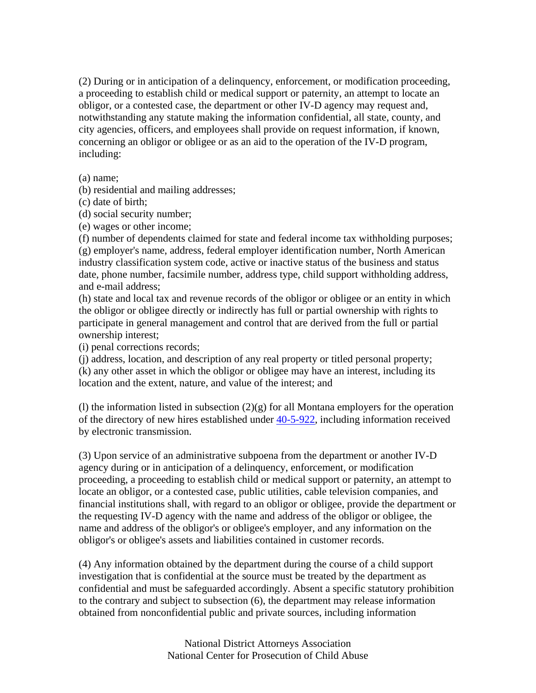(2) During or in anticipation of a delinquency, enforcement, or modification proceeding, a proceeding to establish child or medical support or paternity, an attempt to locate an obligor, or a contested case, the department or other IV-D agency may request and, notwithstanding any statute making the information confidential, all state, county, and city agencies, officers, and employees shall provide on request information, if known, concerning an obligor or obligee or as an aid to the operation of the IV-D program, including:

(a) name;

(b) residential and mailing addresses;

- (c) date of birth;
- (d) social security number;
- (e) wages or other income;

(f) number of dependents claimed for state and federal income tax withholding purposes; (g) employer's name, address, federal employer identification number, North American industry classification system code, active or inactive status of the business and status date, phone number, facsimile number, address type, child support withholding address, and e-mail address;

(h) state and local tax and revenue records of the obligor or obligee or an entity in which the obligor or obligee directly or indirectly has full or partial ownership with rights to participate in general management and control that are derived from the full or partial ownership interest;

(i) penal corrections records;

(j) address, location, and description of any real property or titled personal property; (k) any other asset in which the obligor or obligee may have an interest, including its location and the extent, nature, and value of the interest; and

(l) the information listed in subsection  $(2)(g)$  for all Montana employers for the operation of the directory of new hires established under 40-5-922, including information received by electronic transmission.

(3) Upon service of an administrative subpoena from the department or another IV-D agency during or in anticipation of a delinquency, enforcement, or modification proceeding, a proceeding to establish child or medical support or paternity, an attempt to locate an obligor, or a contested case, public utilities, cable television companies, and financial institutions shall, with regard to an obligor or obligee, provide the department or the requesting IV-D agency with the name and address of the obligor or obligee, the name and address of the obligor's or obligee's employer, and any information on the obligor's or obligee's assets and liabilities contained in customer records.

(4) Any information obtained by the department during the course of a child support investigation that is confidential at the source must be treated by the department as confidential and must be safeguarded accordingly. Absent a specific statutory prohibition to the contrary and subject to subsection (6), the department may release information obtained from nonconfidential public and private sources, including information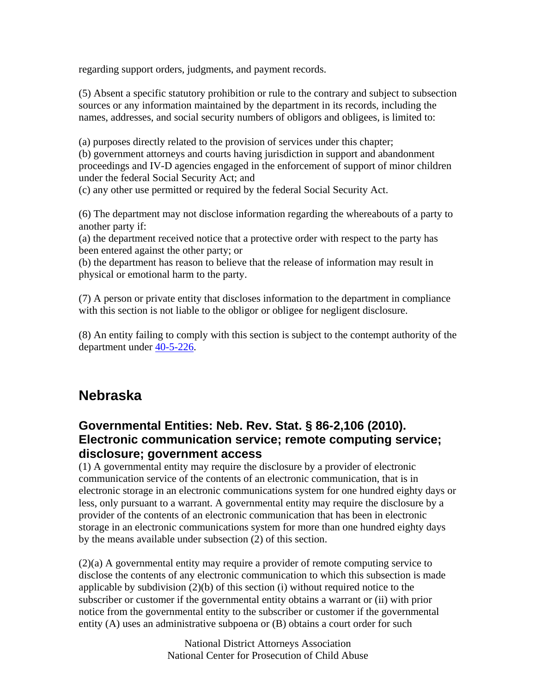regarding support orders, judgments, and payment records.

(5) Absent a specific statutory prohibition or rule to the contrary and subject to subsection sources or any information maintained by the department in its records, including the names, addresses, and social security numbers of obligors and obligees, is limited to:

(a) purposes directly related to the provision of services under this chapter;

(b) government attorneys and courts having jurisdiction in support and abandonment proceedings and IV-D agencies engaged in the enforcement of support of minor children under the federal Social Security Act; and

(c) any other use permitted or required by the federal Social Security Act.

(6) The department may not disclose information regarding the whereabouts of a party to another party if:

(a) the department received notice that a protective order with respect to the party has been entered against the other party; or

(b) the department has reason to believe that the release of information may result in physical or emotional harm to the party.

(7) A person or private entity that discloses information to the department in compliance with this section is not liable to the obligor or obligee for negligent disclosure.

(8) An entity failing to comply with this section is subject to the contempt authority of the department under 40-5-226.

# **Nebraska**

### **Governmental Entities: Neb. Rev. Stat. § 86-2,106 (2010). Electronic communication service; remote computing service; disclosure; government access**

(1) A governmental entity may require the disclosure by a provider of electronic communication service of the contents of an electronic communication, that is in electronic storage in an electronic communications system for one hundred eighty days or less, only pursuant to a warrant. A governmental entity may require the disclosure by a provider of the contents of an electronic communication that has been in electronic storage in an electronic communications system for more than one hundred eighty days by the means available under subsection (2) of this section.

(2)(a) A governmental entity may require a provider of remote computing service to disclose the contents of any electronic communication to which this subsection is made applicable by subdivision (2)(b) of this section (i) without required notice to the subscriber or customer if the governmental entity obtains a warrant or (ii) with prior notice from the governmental entity to the subscriber or customer if the governmental entity (A) uses an administrative subpoena or (B) obtains a court order for such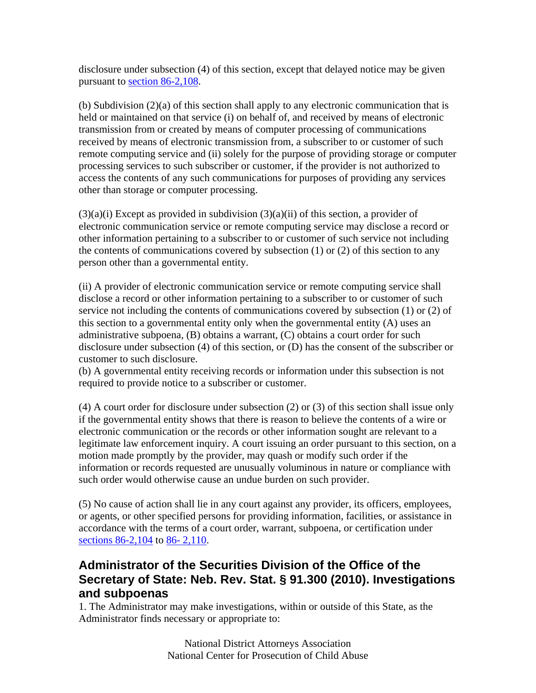disclosure under subsection (4) of this section, except that delayed notice may be given pursuant to section 86-2,108.

(b) Subdivision (2)(a) of this section shall apply to any electronic communication that is held or maintained on that service (i) on behalf of, and received by means of electronic transmission from or created by means of computer processing of communications received by means of electronic transmission from, a subscriber to or customer of such remote computing service and (ii) solely for the purpose of providing storage or computer processing services to such subscriber or customer, if the provider is not authorized to access the contents of any such communications for purposes of providing any services other than storage or computer processing.

 $(3)(a)(i)$  Except as provided in subdivision  $(3)(a)(ii)$  of this section, a provider of electronic communication service or remote computing service may disclose a record or other information pertaining to a subscriber to or customer of such service not including the contents of communications covered by subsection (1) or (2) of this section to any person other than a governmental entity.

(ii) A provider of electronic communication service or remote computing service shall disclose a record or other information pertaining to a subscriber to or customer of such service not including the contents of communications covered by subsection (1) or (2) of this section to a governmental entity only when the governmental entity (A) uses an administrative subpoena, (B) obtains a warrant, (C) obtains a court order for such disclosure under subsection (4) of this section, or (D) has the consent of the subscriber or customer to such disclosure.

(b) A governmental entity receiving records or information under this subsection is not required to provide notice to a subscriber or customer.

(4) A court order for disclosure under subsection (2) or (3) of this section shall issue only if the governmental entity shows that there is reason to believe the contents of a wire or electronic communication or the records or other information sought are relevant to a legitimate law enforcement inquiry. A court issuing an order pursuant to this section, on a motion made promptly by the provider, may quash or modify such order if the information or records requested are unusually voluminous in nature or compliance with such order would otherwise cause an undue burden on such provider.

(5) No cause of action shall lie in any court against any provider, its officers, employees, or agents, or other specified persons for providing information, facilities, or assistance in accordance with the terms of a court order, warrant, subpoena, or certification under sections 86-2,104 to 86- 2,110.

# **Administrator of the Securities Division of the Office of the Secretary of State: Neb. Rev. Stat. § 91.300 (2010). Investigations and subpoenas**

1. The Administrator may make investigations, within or outside of this State, as the Administrator finds necessary or appropriate to: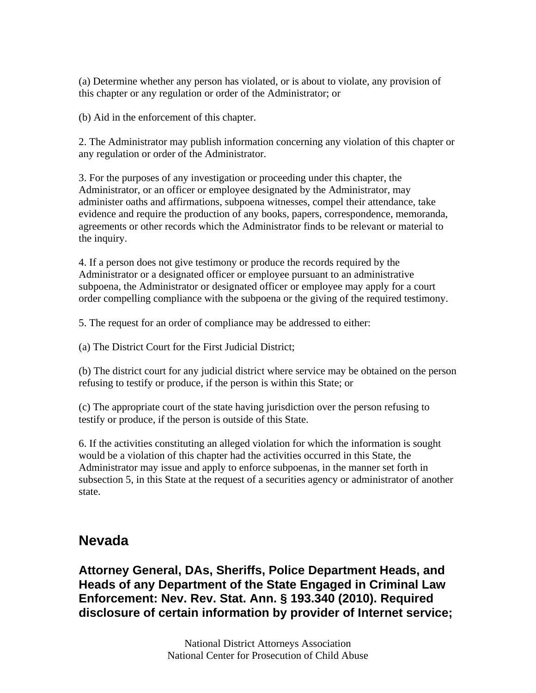(a) Determine whether any person has violated, or is about to violate, any provision of this chapter or any regulation or order of the Administrator; or

(b) Aid in the enforcement of this chapter.

2. The Administrator may publish information concerning any violation of this chapter or any regulation or order of the Administrator.

3. For the purposes of any investigation or proceeding under this chapter, the Administrator, or an officer or employee designated by the Administrator, may administer oaths and affirmations, subpoena witnesses, compel their attendance, take evidence and require the production of any books, papers, correspondence, memoranda, agreements or other records which the Administrator finds to be relevant or material to the inquiry.

4. If a person does not give testimony or produce the records required by the Administrator or a designated officer or employee pursuant to an administrative subpoena, the Administrator or designated officer or employee may apply for a court order compelling compliance with the subpoena or the giving of the required testimony.

5. The request for an order of compliance may be addressed to either:

(a) The District Court for the First Judicial District;

(b) The district court for any judicial district where service may be obtained on the person refusing to testify or produce, if the person is within this State; or

(c) The appropriate court of the state having jurisdiction over the person refusing to testify or produce, if the person is outside of this State.

6. If the activities constituting an alleged violation for which the information is sought would be a violation of this chapter had the activities occurred in this State, the Administrator may issue and apply to enforce subpoenas, in the manner set forth in subsection 5, in this State at the request of a securities agency or administrator of another state.

# **Nevada**

**Attorney General, DAs, Sheriffs, Police Department Heads, and Heads of any Department of the State Engaged in Criminal Law Enforcement: Nev. Rev. Stat. Ann. § 193.340 (2010). Required disclosure of certain information by provider of Internet service;**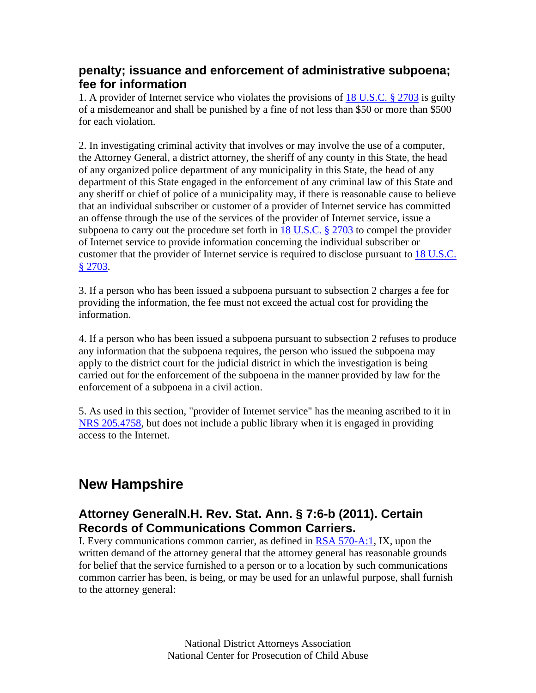### **penalty; issuance and enforcement of administrative subpoena; fee for information**

1. A provider of Internet service who violates the provisions of 18 U.S.C. § 2703 is guilty of a misdemeanor and shall be punished by a fine of not less than \$50 or more than \$500 for each violation.

2. In investigating criminal activity that involves or may involve the use of a computer, the Attorney General, a district attorney, the sheriff of any county in this State, the head of any organized police department of any municipality in this State, the head of any department of this State engaged in the enforcement of any criminal law of this State and any sheriff or chief of police of a municipality may, if there is reasonable cause to believe that an individual subscriber or customer of a provider of Internet service has committed an offense through the use of the services of the provider of Internet service, issue a subpoena to carry out the procedure set forth in  $18$  U.S.C.  $\S$  2703 to compel the provider of Internet service to provide information concerning the individual subscriber or customer that the provider of Internet service is required to disclose pursuant to 18 U.S.C. § 2703.

3. If a person who has been issued a subpoena pursuant to subsection 2 charges a fee for providing the information, the fee must not exceed the actual cost for providing the information.

4. If a person who has been issued a subpoena pursuant to subsection 2 refuses to produce any information that the subpoena requires, the person who issued the subpoena may apply to the district court for the judicial district in which the investigation is being carried out for the enforcement of the subpoena in the manner provided by law for the enforcement of a subpoena in a civil action.

5. As used in this section, "provider of Internet service" has the meaning ascribed to it in NRS 205.4758, but does not include a public library when it is engaged in providing access to the Internet.

# **New Hampshire**

# **Attorney GeneralN.H. Rev. Stat. Ann. § 7:6-b (2011). Certain Records of Communications Common Carriers.**

I. Every communications common carrier, as defined in RSA 570-A:1, IX, upon the written demand of the attorney general that the attorney general has reasonable grounds for belief that the service furnished to a person or to a location by such communications common carrier has been, is being, or may be used for an unlawful purpose, shall furnish to the attorney general: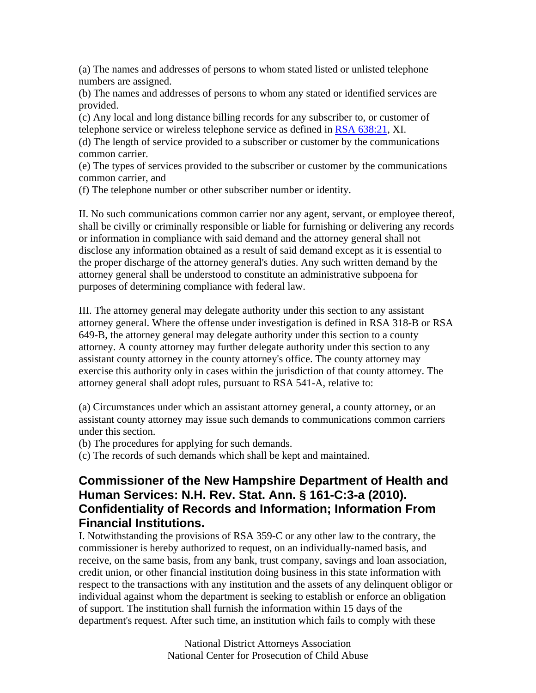(a) The names and addresses of persons to whom stated listed or unlisted telephone numbers are assigned.

(b) The names and addresses of persons to whom any stated or identified services are provided.

(c) Any local and long distance billing records for any subscriber to, or customer of telephone service or wireless telephone service as defined in RSA 638:21, XI.

(d) The length of service provided to a subscriber or customer by the communications common carrier.

(e) The types of services provided to the subscriber or customer by the communications common carrier, and

(f) The telephone number or other subscriber number or identity.

II. No such communications common carrier nor any agent, servant, or employee thereof, shall be civilly or criminally responsible or liable for furnishing or delivering any records or information in compliance with said demand and the attorney general shall not disclose any information obtained as a result of said demand except as it is essential to the proper discharge of the attorney general's duties. Any such written demand by the attorney general shall be understood to constitute an administrative subpoena for purposes of determining compliance with federal law.

III. The attorney general may delegate authority under this section to any assistant attorney general. Where the offense under investigation is defined in RSA 318-B or RSA 649-B, the attorney general may delegate authority under this section to a county attorney. A county attorney may further delegate authority under this section to any assistant county attorney in the county attorney's office. The county attorney may exercise this authority only in cases within the jurisdiction of that county attorney. The attorney general shall adopt rules, pursuant to RSA 541-A, relative to:

(a) Circumstances under which an assistant attorney general, a county attorney, or an assistant county attorney may issue such demands to communications common carriers under this section.

(b) The procedures for applying for such demands.

(c) The records of such demands which shall be kept and maintained.

### **Commissioner of the New Hampshire Department of Health and Human Services: N.H. Rev. Stat. Ann. § 161-C:3-a (2010). Confidentiality of Records and Information; Information From Financial Institutions.**

I. Notwithstanding the provisions of RSA 359-C or any other law to the contrary, the commissioner is hereby authorized to request, on an individually-named basis, and receive, on the same basis, from any bank, trust company, savings and loan association, credit union, or other financial institution doing business in this state information with respect to the transactions with any institution and the assets of any delinquent obligor or individual against whom the department is seeking to establish or enforce an obligation of support. The institution shall furnish the information within 15 days of the department's request. After such time, an institution which fails to comply with these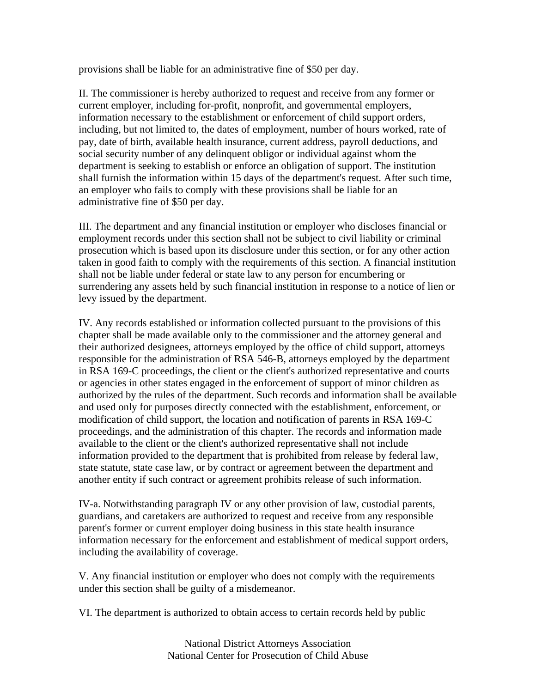provisions shall be liable for an administrative fine of \$50 per day.

II. The commissioner is hereby authorized to request and receive from any former or current employer, including for-profit, nonprofit, and governmental employers, information necessary to the establishment or enforcement of child support orders, including, but not limited to, the dates of employment, number of hours worked, rate of pay, date of birth, available health insurance, current address, payroll deductions, and social security number of any delinquent obligor or individual against whom the department is seeking to establish or enforce an obligation of support. The institution shall furnish the information within 15 days of the department's request. After such time, an employer who fails to comply with these provisions shall be liable for an administrative fine of \$50 per day.

III. The department and any financial institution or employer who discloses financial or employment records under this section shall not be subject to civil liability or criminal prosecution which is based upon its disclosure under this section, or for any other action taken in good faith to comply with the requirements of this section. A financial institution shall not be liable under federal or state law to any person for encumbering or surrendering any assets held by such financial institution in response to a notice of lien or levy issued by the department.

IV. Any records established or information collected pursuant to the provisions of this chapter shall be made available only to the commissioner and the attorney general and their authorized designees, attorneys employed by the office of child support, attorneys responsible for the administration of RSA 546-B, attorneys employed by the department in RSA 169-C proceedings, the client or the client's authorized representative and courts or agencies in other states engaged in the enforcement of support of minor children as authorized by the rules of the department. Such records and information shall be available and used only for purposes directly connected with the establishment, enforcement, or modification of child support, the location and notification of parents in RSA 169-C proceedings, and the administration of this chapter. The records and information made available to the client or the client's authorized representative shall not include information provided to the department that is prohibited from release by federal law, state statute, state case law, or by contract or agreement between the department and another entity if such contract or agreement prohibits release of such information.

IV-a. Notwithstanding paragraph IV or any other provision of law, custodial parents, guardians, and caretakers are authorized to request and receive from any responsible parent's former or current employer doing business in this state health insurance information necessary for the enforcement and establishment of medical support orders, including the availability of coverage.

V. Any financial institution or employer who does not comply with the requirements under this section shall be guilty of a misdemeanor.

VI. The department is authorized to obtain access to certain records held by public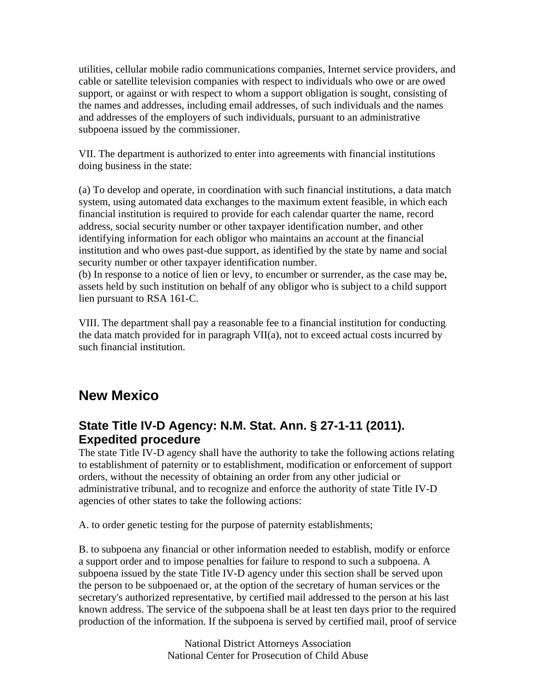utilities, cellular mobile radio communications companies, Internet service providers, and cable or satellite television companies with respect to individuals who owe or are owed support, or against or with respect to whom a support obligation is sought, consisting of the names and addresses, including email addresses, of such individuals and the names and addresses of the employers of such individuals, pursuant to an administrative subpoena issued by the commissioner.

VII. The department is authorized to enter into agreements with financial institutions doing business in the state:

(a) To develop and operate, in coordination with such financial institutions, a data match system, using automated data exchanges to the maximum extent feasible, in which each financial institution is required to provide for each calendar quarter the name, record address, social security number or other taxpayer identification number, and other identifying information for each obligor who maintains an account at the financial institution and who owes past-due support, as identified by the state by name and social security number or other taxpayer identification number.

(b) In response to a notice of lien or levy, to encumber or surrender, as the case may be, assets held by such institution on behalf of any obligor who is subject to a child support lien pursuant to RSA 161-C.

VIII. The department shall pay a reasonable fee to a financial institution for conducting the data match provided for in paragraph VII(a), not to exceed actual costs incurred by such financial institution.

# **New Mexico**

# **State Title IV-D Agency: N.M. Stat. Ann. § 27-1-11 (2011). Expedited procedure**

The state Title IV-D agency shall have the authority to take the following actions relating to establishment of paternity or to establishment, modification or enforcement of support orders, without the necessity of obtaining an order from any other judicial or administrative tribunal, and to recognize and enforce the authority of state Title IV-D agencies of other states to take the following actions:

A. to order genetic testing for the purpose of paternity establishments;

B. to subpoena any financial or other information needed to establish, modify or enforce a support order and to impose penalties for failure to respond to such a subpoena. A subpoena issued by the state Title IV-D agency under this section shall be served upon the person to be subpoenaed or, at the option of the secretary of human services or the secretary's authorized representative, by certified mail addressed to the person at his last known address. The service of the subpoena shall be at least ten days prior to the required production of the information. If the subpoena is served by certified mail, proof of service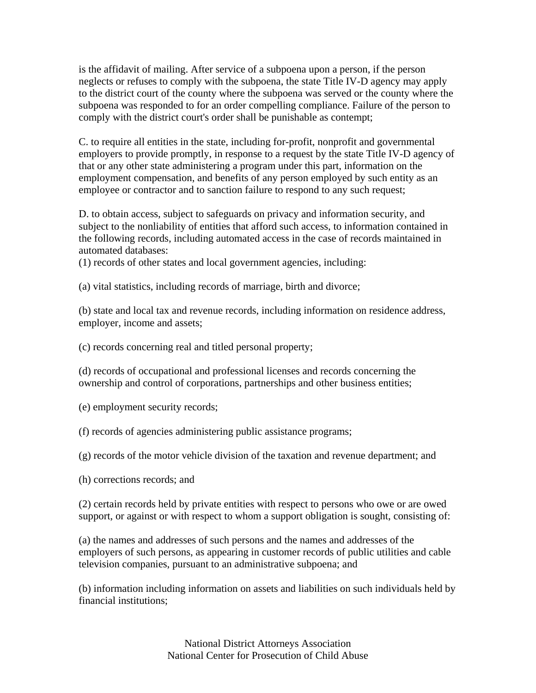is the affidavit of mailing. After service of a subpoena upon a person, if the person neglects or refuses to comply with the subpoena, the state Title IV-D agency may apply to the district court of the county where the subpoena was served or the county where the subpoena was responded to for an order compelling compliance. Failure of the person to comply with the district court's order shall be punishable as contempt;

C. to require all entities in the state, including for-profit, nonprofit and governmental employers to provide promptly, in response to a request by the state Title IV-D agency of that or any other state administering a program under this part, information on the employment compensation, and benefits of any person employed by such entity as an employee or contractor and to sanction failure to respond to any such request;

D. to obtain access, subject to safeguards on privacy and information security, and subject to the nonliability of entities that afford such access, to information contained in the following records, including automated access in the case of records maintained in automated databases:

(1) records of other states and local government agencies, including:

(a) vital statistics, including records of marriage, birth and divorce;

(b) state and local tax and revenue records, including information on residence address, employer, income and assets;

(c) records concerning real and titled personal property;

(d) records of occupational and professional licenses and records concerning the ownership and control of corporations, partnerships and other business entities;

(e) employment security records;

(f) records of agencies administering public assistance programs;

(g) records of the motor vehicle division of the taxation and revenue department; and

(h) corrections records; and

(2) certain records held by private entities with respect to persons who owe or are owed support, or against or with respect to whom a support obligation is sought, consisting of:

(a) the names and addresses of such persons and the names and addresses of the employers of such persons, as appearing in customer records of public utilities and cable television companies, pursuant to an administrative subpoena; and

(b) information including information on assets and liabilities on such individuals held by financial institutions;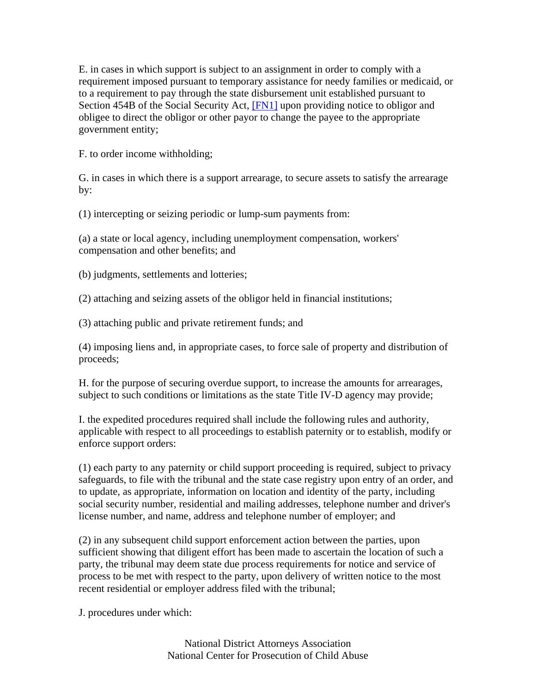E. in cases in which support is subject to an assignment in order to comply with a requirement imposed pursuant to temporary assistance for needy families or medicaid, or to a requirement to pay through the state disbursement unit established pursuant to Section 454B of the Social Security Act, [FN1] upon providing notice to obligor and obligee to direct the obligor or other payor to change the payee to the appropriate government entity;

F. to order income withholding;

G. in cases in which there is a support arrearage, to secure assets to satisfy the arrearage by:

(1) intercepting or seizing periodic or lump-sum payments from:

(a) a state or local agency, including unemployment compensation, workers' compensation and other benefits; and

(b) judgments, settlements and lotteries;

(2) attaching and seizing assets of the obligor held in financial institutions;

(3) attaching public and private retirement funds; and

(4) imposing liens and, in appropriate cases, to force sale of property and distribution of proceeds;

H. for the purpose of securing overdue support, to increase the amounts for arrearages, subject to such conditions or limitations as the state Title IV-D agency may provide;

I. the expedited procedures required shall include the following rules and authority, applicable with respect to all proceedings to establish paternity or to establish, modify or enforce support orders:

(1) each party to any paternity or child support proceeding is required, subject to privacy safeguards, to file with the tribunal and the state case registry upon entry of an order, and to update, as appropriate, information on location and identity of the party, including social security number, residential and mailing addresses, telephone number and driver's license number, and name, address and telephone number of employer; and

(2) in any subsequent child support enforcement action between the parties, upon sufficient showing that diligent effort has been made to ascertain the location of such a party, the tribunal may deem state due process requirements for notice and service of process to be met with respect to the party, upon delivery of written notice to the most recent residential or employer address filed with the tribunal;

J. procedures under which: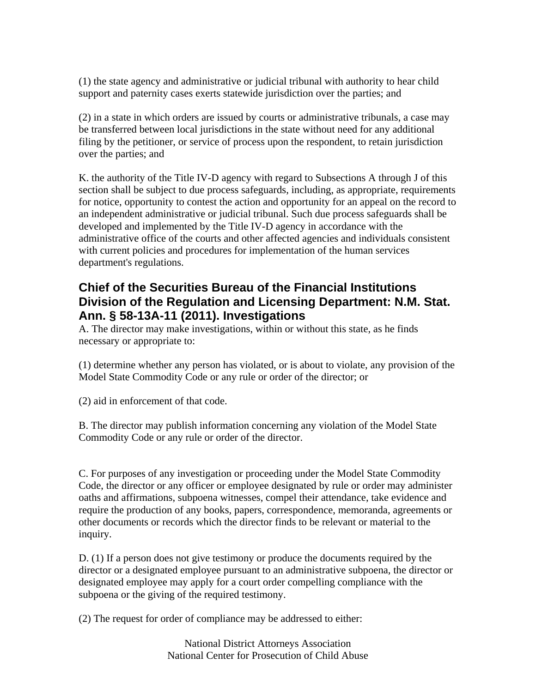(1) the state agency and administrative or judicial tribunal with authority to hear child support and paternity cases exerts statewide jurisdiction over the parties; and

(2) in a state in which orders are issued by courts or administrative tribunals, a case may be transferred between local jurisdictions in the state without need for any additional filing by the petitioner, or service of process upon the respondent, to retain jurisdiction over the parties; and

K. the authority of the Title IV-D agency with regard to Subsections A through J of this section shall be subject to due process safeguards, including, as appropriate, requirements for notice, opportunity to contest the action and opportunity for an appeal on the record to an independent administrative or judicial tribunal. Such due process safeguards shall be developed and implemented by the Title IV-D agency in accordance with the administrative office of the courts and other affected agencies and individuals consistent with current policies and procedures for implementation of the human services department's regulations.

# **Chief of the Securities Bureau of the Financial Institutions Division of the Regulation and Licensing Department: N.M. Stat. Ann. § 58-13A-11 (2011). Investigations**

A. The director may make investigations, within or without this state, as he finds necessary or appropriate to:

(1) determine whether any person has violated, or is about to violate, any provision of the Model State Commodity Code or any rule or order of the director; or

(2) aid in enforcement of that code.

B. The director may publish information concerning any violation of the Model State Commodity Code or any rule or order of the director.

C. For purposes of any investigation or proceeding under the Model State Commodity Code, the director or any officer or employee designated by rule or order may administer oaths and affirmations, subpoena witnesses, compel their attendance, take evidence and require the production of any books, papers, correspondence, memoranda, agreements or other documents or records which the director finds to be relevant or material to the inquiry.

D. (1) If a person does not give testimony or produce the documents required by the director or a designated employee pursuant to an administrative subpoena, the director or designated employee may apply for a court order compelling compliance with the subpoena or the giving of the required testimony.

(2) The request for order of compliance may be addressed to either: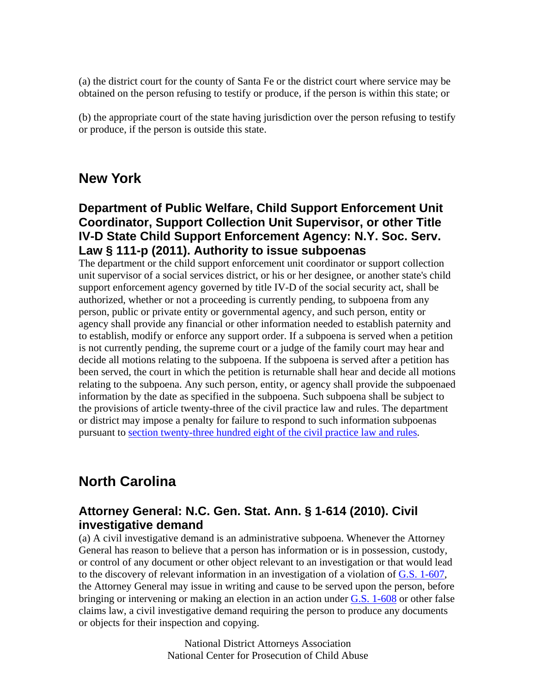(a) the district court for the county of Santa Fe or the district court where service may be obtained on the person refusing to testify or produce, if the person is within this state; or

(b) the appropriate court of the state having jurisdiction over the person refusing to testify or produce, if the person is outside this state.

# **New York**

### **Department of Public Welfare, Child Support Enforcement Unit Coordinator, Support Collection Unit Supervisor, or other Title IV-D State Child Support Enforcement Agency: N.Y. Soc. Serv. Law § 111-p (2011). Authority to issue subpoenas**

The department or the child support enforcement unit coordinator or support collection unit supervisor of a social services district, or his or her designee, or another state's child support enforcement agency governed by title IV-D of the social security act, shall be authorized, whether or not a proceeding is currently pending, to subpoena from any person, public or private entity or governmental agency, and such person, entity or agency shall provide any financial or other information needed to establish paternity and to establish, modify or enforce any support order. If a subpoena is served when a petition is not currently pending, the supreme court or a judge of the family court may hear and decide all motions relating to the subpoena. If the subpoena is served after a petition has been served, the court in which the petition is returnable shall hear and decide all motions relating to the subpoena. Any such person, entity, or agency shall provide the subpoenaed information by the date as specified in the subpoena. Such subpoena shall be subject to the provisions of article twenty-three of the civil practice law and rules. The department or district may impose a penalty for failure to respond to such information subpoenas pursuant to section twenty-three hundred eight of the civil practice law and rules.

# **North Carolina**

### **Attorney General: N.C. Gen. Stat. Ann. § 1-614 (2010). Civil investigative demand**

(a) A civil investigative demand is an administrative subpoena. Whenever the Attorney General has reason to believe that a person has information or is in possession, custody, or control of any document or other object relevant to an investigation or that would lead to the discovery of relevant information in an investigation of a violation of G.S. 1-607, the Attorney General may issue in writing and cause to be served upon the person, before bringing or intervening or making an election in an action under G.S. 1-608 or other false claims law, a civil investigative demand requiring the person to produce any documents or objects for their inspection and copying.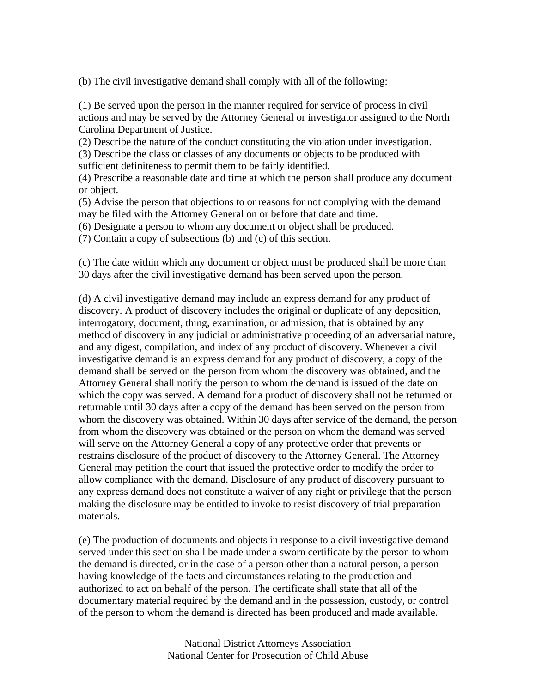(b) The civil investigative demand shall comply with all of the following:

(1) Be served upon the person in the manner required for service of process in civil actions and may be served by the Attorney General or investigator assigned to the North Carolina Department of Justice.

(2) Describe the nature of the conduct constituting the violation under investigation.

(3) Describe the class or classes of any documents or objects to be produced with sufficient definiteness to permit them to be fairly identified.

(4) Prescribe a reasonable date and time at which the person shall produce any document or object.

(5) Advise the person that objections to or reasons for not complying with the demand may be filed with the Attorney General on or before that date and time.

(6) Designate a person to whom any document or object shall be produced.

(7) Contain a copy of subsections (b) and (c) of this section.

(c) The date within which any document or object must be produced shall be more than 30 days after the civil investigative demand has been served upon the person.

(d) A civil investigative demand may include an express demand for any product of discovery. A product of discovery includes the original or duplicate of any deposition, interrogatory, document, thing, examination, or admission, that is obtained by any method of discovery in any judicial or administrative proceeding of an adversarial nature, and any digest, compilation, and index of any product of discovery. Whenever a civil investigative demand is an express demand for any product of discovery, a copy of the demand shall be served on the person from whom the discovery was obtained, and the Attorney General shall notify the person to whom the demand is issued of the date on which the copy was served. A demand for a product of discovery shall not be returned or returnable until 30 days after a copy of the demand has been served on the person from whom the discovery was obtained. Within 30 days after service of the demand, the person from whom the discovery was obtained or the person on whom the demand was served will serve on the Attorney General a copy of any protective order that prevents or restrains disclosure of the product of discovery to the Attorney General. The Attorney General may petition the court that issued the protective order to modify the order to allow compliance with the demand. Disclosure of any product of discovery pursuant to any express demand does not constitute a waiver of any right or privilege that the person making the disclosure may be entitled to invoke to resist discovery of trial preparation materials.

(e) The production of documents and objects in response to a civil investigative demand served under this section shall be made under a sworn certificate by the person to whom the demand is directed, or in the case of a person other than a natural person, a person having knowledge of the facts and circumstances relating to the production and authorized to act on behalf of the person. The certificate shall state that all of the documentary material required by the demand and in the possession, custody, or control of the person to whom the demand is directed has been produced and made available.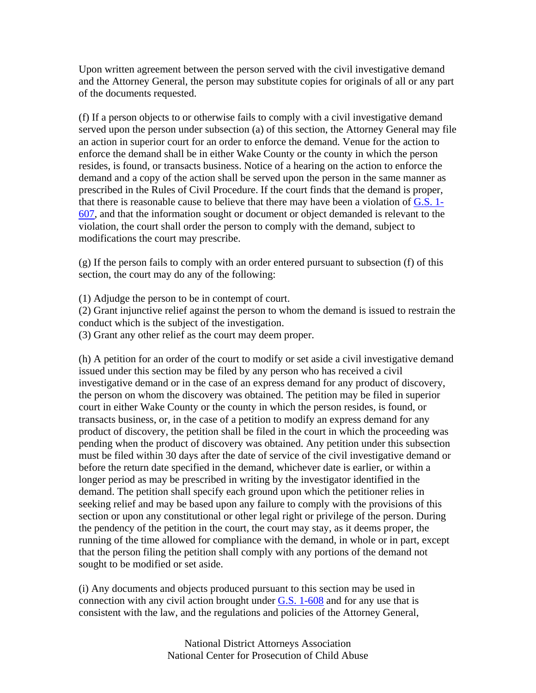Upon written agreement between the person served with the civil investigative demand and the Attorney General, the person may substitute copies for originals of all or any part of the documents requested.

(f) If a person objects to or otherwise fails to comply with a civil investigative demand served upon the person under subsection (a) of this section, the Attorney General may file an action in superior court for an order to enforce the demand. Venue for the action to enforce the demand shall be in either Wake County or the county in which the person resides, is found, or transacts business. Notice of a hearing on the action to enforce the demand and a copy of the action shall be served upon the person in the same manner as prescribed in the Rules of Civil Procedure. If the court finds that the demand is proper, that there is reasonable cause to believe that there may have been a violation of G.S. 1- 607, and that the information sought or document or object demanded is relevant to the violation, the court shall order the person to comply with the demand, subject to modifications the court may prescribe.

(g) If the person fails to comply with an order entered pursuant to subsection (f) of this section, the court may do any of the following:

(1) Adjudge the person to be in contempt of court.

(2) Grant injunctive relief against the person to whom the demand is issued to restrain the conduct which is the subject of the investigation.

(3) Grant any other relief as the court may deem proper.

(h) A petition for an order of the court to modify or set aside a civil investigative demand issued under this section may be filed by any person who has received a civil investigative demand or in the case of an express demand for any product of discovery, the person on whom the discovery was obtained. The petition may be filed in superior court in either Wake County or the county in which the person resides, is found, or transacts business, or, in the case of a petition to modify an express demand for any product of discovery, the petition shall be filed in the court in which the proceeding was pending when the product of discovery was obtained. Any petition under this subsection must be filed within 30 days after the date of service of the civil investigative demand or before the return date specified in the demand, whichever date is earlier, or within a longer period as may be prescribed in writing by the investigator identified in the demand. The petition shall specify each ground upon which the petitioner relies in seeking relief and may be based upon any failure to comply with the provisions of this section or upon any constitutional or other legal right or privilege of the person. During the pendency of the petition in the court, the court may stay, as it deems proper, the running of the time allowed for compliance with the demand, in whole or in part, except that the person filing the petition shall comply with any portions of the demand not sought to be modified or set aside.

(i) Any documents and objects produced pursuant to this section may be used in connection with any civil action brought under  $G.S.$  1-608 and for any use that is consistent with the law, and the regulations and policies of the Attorney General,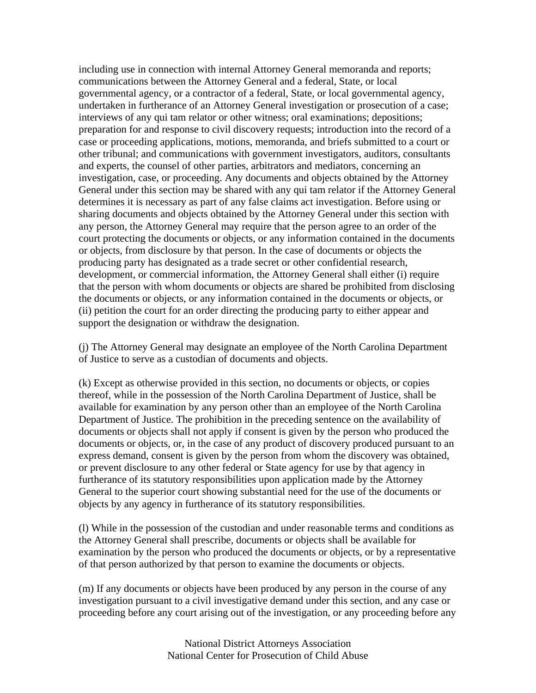including use in connection with internal Attorney General memoranda and reports; communications between the Attorney General and a federal, State, or local governmental agency, or a contractor of a federal, State, or local governmental agency, undertaken in furtherance of an Attorney General investigation or prosecution of a case; interviews of any qui tam relator or other witness; oral examinations; depositions; preparation for and response to civil discovery requests; introduction into the record of a case or proceeding applications, motions, memoranda, and briefs submitted to a court or other tribunal; and communications with government investigators, auditors, consultants and experts, the counsel of other parties, arbitrators and mediators, concerning an investigation, case, or proceeding. Any documents and objects obtained by the Attorney General under this section may be shared with any qui tam relator if the Attorney General determines it is necessary as part of any false claims act investigation. Before using or sharing documents and objects obtained by the Attorney General under this section with any person, the Attorney General may require that the person agree to an order of the court protecting the documents or objects, or any information contained in the documents or objects, from disclosure by that person. In the case of documents or objects the producing party has designated as a trade secret or other confidential research, development, or commercial information, the Attorney General shall either (i) require that the person with whom documents or objects are shared be prohibited from disclosing the documents or objects, or any information contained in the documents or objects, or (ii) petition the court for an order directing the producing party to either appear and support the designation or withdraw the designation.

(j) The Attorney General may designate an employee of the North Carolina Department of Justice to serve as a custodian of documents and objects.

(k) Except as otherwise provided in this section, no documents or objects, or copies thereof, while in the possession of the North Carolina Department of Justice, shall be available for examination by any person other than an employee of the North Carolina Department of Justice. The prohibition in the preceding sentence on the availability of documents or objects shall not apply if consent is given by the person who produced the documents or objects, or, in the case of any product of discovery produced pursuant to an express demand, consent is given by the person from whom the discovery was obtained, or prevent disclosure to any other federal or State agency for use by that agency in furtherance of its statutory responsibilities upon application made by the Attorney General to the superior court showing substantial need for the use of the documents or objects by any agency in furtherance of its statutory responsibilities.

(l) While in the possession of the custodian and under reasonable terms and conditions as the Attorney General shall prescribe, documents or objects shall be available for examination by the person who produced the documents or objects, or by a representative of that person authorized by that person to examine the documents or objects.

(m) If any documents or objects have been produced by any person in the course of any investigation pursuant to a civil investigative demand under this section, and any case or proceeding before any court arising out of the investigation, or any proceeding before any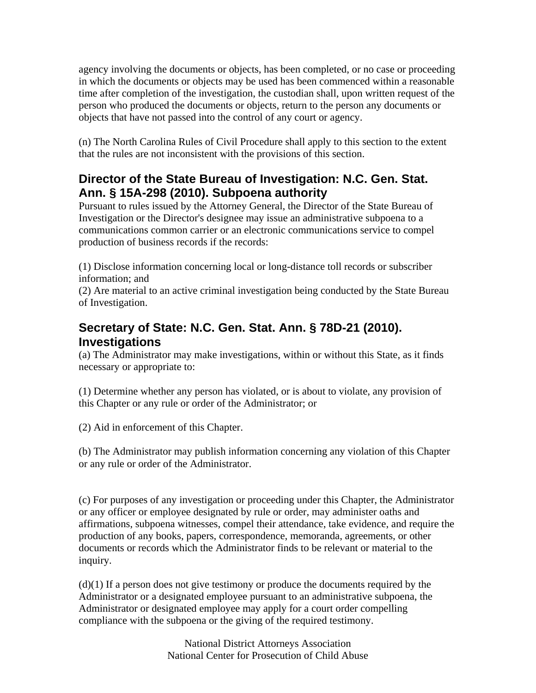agency involving the documents or objects, has been completed, or no case or proceeding in which the documents or objects may be used has been commenced within a reasonable time after completion of the investigation, the custodian shall, upon written request of the person who produced the documents or objects, return to the person any documents or objects that have not passed into the control of any court or agency.

(n) The North Carolina Rules of Civil Procedure shall apply to this section to the extent that the rules are not inconsistent with the provisions of this section.

### **Director of the State Bureau of Investigation: N.C. Gen. Stat. Ann. § 15A-298 (2010). Subpoena authority**

Pursuant to rules issued by the Attorney General, the Director of the State Bureau of Investigation or the Director's designee may issue an administrative subpoena to a communications common carrier or an electronic communications service to compel production of business records if the records:

(1) Disclose information concerning local or long-distance toll records or subscriber information; and

(2) Are material to an active criminal investigation being conducted by the State Bureau of Investigation.

# **Secretary of State: N.C. Gen. Stat. Ann. § 78D-21 (2010). Investigations**

(a) The Administrator may make investigations, within or without this State, as it finds necessary or appropriate to:

(1) Determine whether any person has violated, or is about to violate, any provision of this Chapter or any rule or order of the Administrator; or

(2) Aid in enforcement of this Chapter.

(b) The Administrator may publish information concerning any violation of this Chapter or any rule or order of the Administrator.

(c) For purposes of any investigation or proceeding under this Chapter, the Administrator or any officer or employee designated by rule or order, may administer oaths and affirmations, subpoena witnesses, compel their attendance, take evidence, and require the production of any books, papers, correspondence, memoranda, agreements, or other documents or records which the Administrator finds to be relevant or material to the inquiry.

(d)(1) If a person does not give testimony or produce the documents required by the Administrator or a designated employee pursuant to an administrative subpoena, the Administrator or designated employee may apply for a court order compelling compliance with the subpoena or the giving of the required testimony.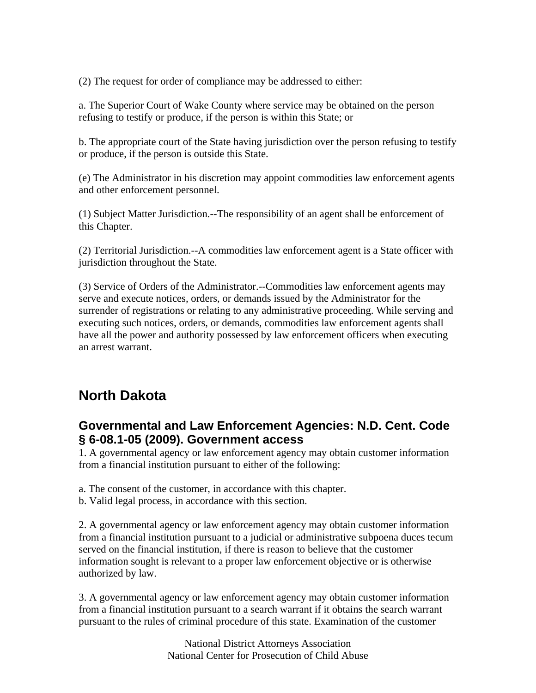(2) The request for order of compliance may be addressed to either:

a. The Superior Court of Wake County where service may be obtained on the person refusing to testify or produce, if the person is within this State; or

b. The appropriate court of the State having jurisdiction over the person refusing to testify or produce, if the person is outside this State.

(e) The Administrator in his discretion may appoint commodities law enforcement agents and other enforcement personnel.

(1) Subject Matter Jurisdiction.--The responsibility of an agent shall be enforcement of this Chapter.

(2) Territorial Jurisdiction.--A commodities law enforcement agent is a State officer with jurisdiction throughout the State.

(3) Service of Orders of the Administrator.--Commodities law enforcement agents may serve and execute notices, orders, or demands issued by the Administrator for the surrender of registrations or relating to any administrative proceeding. While serving and executing such notices, orders, or demands, commodities law enforcement agents shall have all the power and authority possessed by law enforcement officers when executing an arrest warrant.

# **North Dakota**

#### **Governmental and Law Enforcement Agencies: N.D. Cent. Code § 6-08.1-05 (2009). Government access**

1. A governmental agency or law enforcement agency may obtain customer information from a financial institution pursuant to either of the following:

- a. The consent of the customer, in accordance with this chapter.
- b. Valid legal process, in accordance with this section.

2. A governmental agency or law enforcement agency may obtain customer information from a financial institution pursuant to a judicial or administrative subpoena duces tecum served on the financial institution, if there is reason to believe that the customer information sought is relevant to a proper law enforcement objective or is otherwise authorized by law.

3. A governmental agency or law enforcement agency may obtain customer information from a financial institution pursuant to a search warrant if it obtains the search warrant pursuant to the rules of criminal procedure of this state. Examination of the customer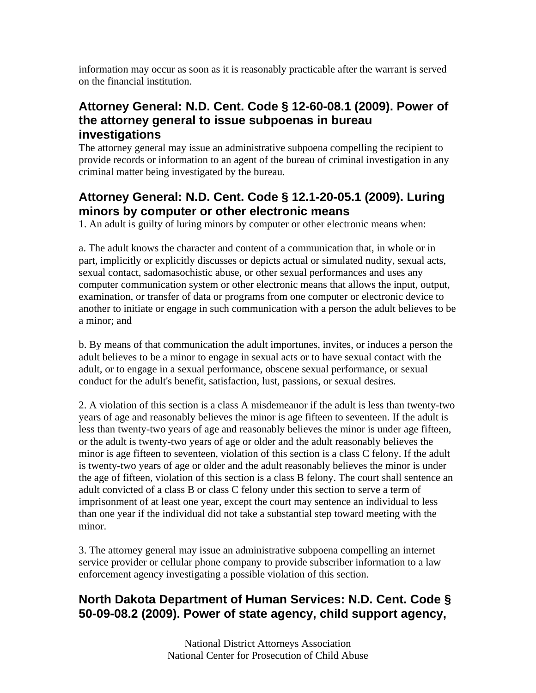information may occur as soon as it is reasonably practicable after the warrant is served on the financial institution.

### **Attorney General: N.D. Cent. Code § 12-60-08.1 (2009). Power of the attorney general to issue subpoenas in bureau investigations**

The attorney general may issue an administrative subpoena compelling the recipient to provide records or information to an agent of the bureau of criminal investigation in any criminal matter being investigated by the bureau.

# **Attorney General: N.D. Cent. Code § 12.1-20-05.1 (2009). Luring minors by computer or other electronic means**

1. An adult is guilty of luring minors by computer or other electronic means when:

a. The adult knows the character and content of a communication that, in whole or in part, implicitly or explicitly discusses or depicts actual or simulated nudity, sexual acts, sexual contact, sadomasochistic abuse, or other sexual performances and uses any computer communication system or other electronic means that allows the input, output, examination, or transfer of data or programs from one computer or electronic device to another to initiate or engage in such communication with a person the adult believes to be a minor; and

b. By means of that communication the adult importunes, invites, or induces a person the adult believes to be a minor to engage in sexual acts or to have sexual contact with the adult, or to engage in a sexual performance, obscene sexual performance, or sexual conduct for the adult's benefit, satisfaction, lust, passions, or sexual desires.

2. A violation of this section is a class A misdemeanor if the adult is less than twenty-two years of age and reasonably believes the minor is age fifteen to seventeen. If the adult is less than twenty-two years of age and reasonably believes the minor is under age fifteen, or the adult is twenty-two years of age or older and the adult reasonably believes the minor is age fifteen to seventeen, violation of this section is a class C felony. If the adult is twenty-two years of age or older and the adult reasonably believes the minor is under the age of fifteen, violation of this section is a class B felony. The court shall sentence an adult convicted of a class B or class C felony under this section to serve a term of imprisonment of at least one year, except the court may sentence an individual to less than one year if the individual did not take a substantial step toward meeting with the minor.

3. The attorney general may issue an administrative subpoena compelling an internet service provider or cellular phone company to provide subscriber information to a law enforcement agency investigating a possible violation of this section.

### **North Dakota Department of Human Services: N.D. Cent. Code § 50-09-08.2 (2009). Power of state agency, child support agency,**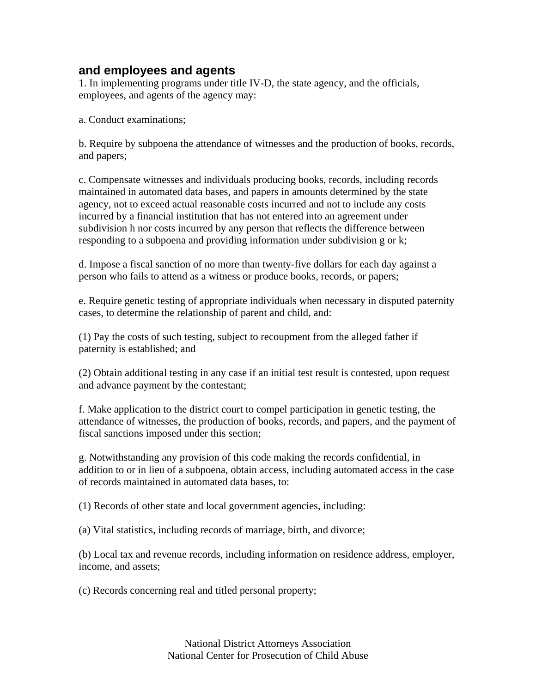#### **and employees and agents**

1. In implementing programs under title IV-D, the state agency, and the officials, employees, and agents of the agency may:

a. Conduct examinations;

b. Require by subpoena the attendance of witnesses and the production of books, records, and papers;

c. Compensate witnesses and individuals producing books, records, including records maintained in automated data bases, and papers in amounts determined by the state agency, not to exceed actual reasonable costs incurred and not to include any costs incurred by a financial institution that has not entered into an agreement under subdivision h nor costs incurred by any person that reflects the difference between responding to a subpoena and providing information under subdivision g or k;

d. Impose a fiscal sanction of no more than twenty-five dollars for each day against a person who fails to attend as a witness or produce books, records, or papers;

e. Require genetic testing of appropriate individuals when necessary in disputed paternity cases, to determine the relationship of parent and child, and:

(1) Pay the costs of such testing, subject to recoupment from the alleged father if paternity is established; and

(2) Obtain additional testing in any case if an initial test result is contested, upon request and advance payment by the contestant;

f. Make application to the district court to compel participation in genetic testing, the attendance of witnesses, the production of books, records, and papers, and the payment of fiscal sanctions imposed under this section;

g. Notwithstanding any provision of this code making the records confidential, in addition to or in lieu of a subpoena, obtain access, including automated access in the case of records maintained in automated data bases, to:

(1) Records of other state and local government agencies, including:

(a) Vital statistics, including records of marriage, birth, and divorce;

(b) Local tax and revenue records, including information on residence address, employer, income, and assets;

(c) Records concerning real and titled personal property;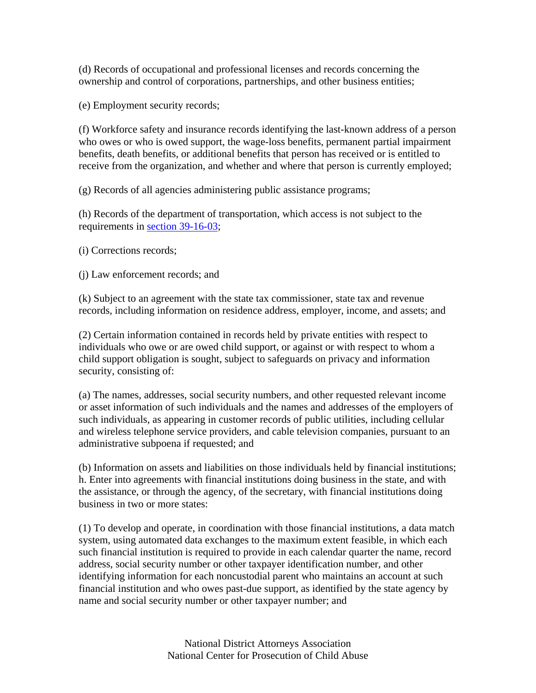(d) Records of occupational and professional licenses and records concerning the ownership and control of corporations, partnerships, and other business entities;

(e) Employment security records;

(f) Workforce safety and insurance records identifying the last-known address of a person who owes or who is owed support, the wage-loss benefits, permanent partial impairment benefits, death benefits, or additional benefits that person has received or is entitled to receive from the organization, and whether and where that person is currently employed;

(g) Records of all agencies administering public assistance programs;

(h) Records of the department of transportation, which access is not subject to the requirements in section 39-16-03;

(i) Corrections records;

(j) Law enforcement records; and

(k) Subject to an agreement with the state tax commissioner, state tax and revenue records, including information on residence address, employer, income, and assets; and

(2) Certain information contained in records held by private entities with respect to individuals who owe or are owed child support, or against or with respect to whom a child support obligation is sought, subject to safeguards on privacy and information security, consisting of:

(a) The names, addresses, social security numbers, and other requested relevant income or asset information of such individuals and the names and addresses of the employers of such individuals, as appearing in customer records of public utilities, including cellular and wireless telephone service providers, and cable television companies, pursuant to an administrative subpoena if requested; and

(b) Information on assets and liabilities on those individuals held by financial institutions; h. Enter into agreements with financial institutions doing business in the state, and with the assistance, or through the agency, of the secretary, with financial institutions doing business in two or more states:

(1) To develop and operate, in coordination with those financial institutions, a data match system, using automated data exchanges to the maximum extent feasible, in which each such financial institution is required to provide in each calendar quarter the name, record address, social security number or other taxpayer identification number, and other identifying information for each noncustodial parent who maintains an account at such financial institution and who owes past-due support, as identified by the state agency by name and social security number or other taxpayer number; and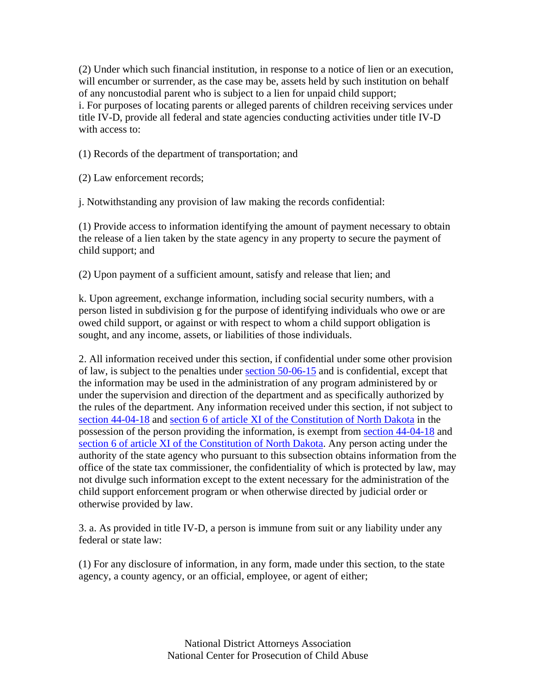(2) Under which such financial institution, in response to a notice of lien or an execution, will encumber or surrender, as the case may be, assets held by such institution on behalf of any noncustodial parent who is subject to a lien for unpaid child support; i. For purposes of locating parents or alleged parents of children receiving services under title IV-D, provide all federal and state agencies conducting activities under title IV-D with access to:

(1) Records of the department of transportation; and

(2) Law enforcement records;

j. Notwithstanding any provision of law making the records confidential:

(1) Provide access to information identifying the amount of payment necessary to obtain the release of a lien taken by the state agency in any property to secure the payment of child support; and

(2) Upon payment of a sufficient amount, satisfy and release that lien; and

k. Upon agreement, exchange information, including social security numbers, with a person listed in subdivision g for the purpose of identifying individuals who owe or are owed child support, or against or with respect to whom a child support obligation is sought, and any income, assets, or liabilities of those individuals.

2. All information received under this section, if confidential under some other provision of law, is subject to the penalties under section 50-06-15 and is confidential, except that the information may be used in the administration of any program administered by or under the supervision and direction of the department and as specifically authorized by the rules of the department. Any information received under this section, if not subject to section 44-04-18 and section 6 of article XI of the Constitution of North Dakota in the possession of the person providing the information, is exempt from section 44-04-18 and section 6 of article XI of the Constitution of North Dakota. Any person acting under the authority of the state agency who pursuant to this subsection obtains information from the office of the state tax commissioner, the confidentiality of which is protected by law, may not divulge such information except to the extent necessary for the administration of the child support enforcement program or when otherwise directed by judicial order or otherwise provided by law.

3. a. As provided in title IV-D, a person is immune from suit or any liability under any federal or state law:

(1) For any disclosure of information, in any form, made under this section, to the state agency, a county agency, or an official, employee, or agent of either;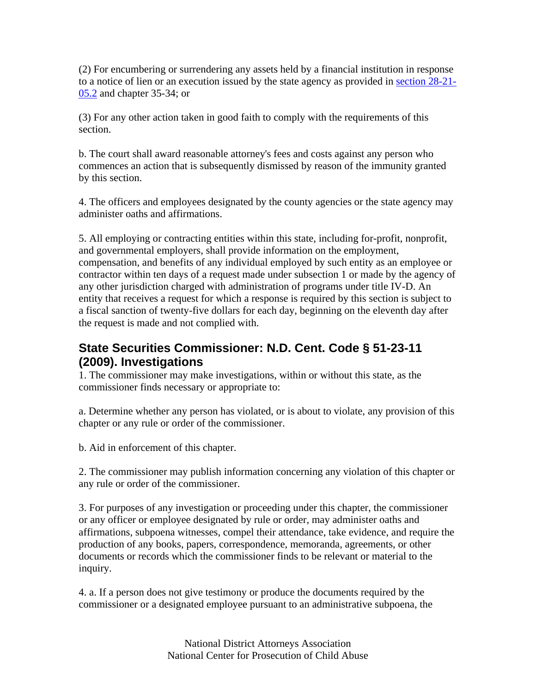(2) For encumbering or surrendering any assets held by a financial institution in response to a notice of lien or an execution issued by the state agency as provided in section 28-21- 05.2 and chapter 35-34; or

(3) For any other action taken in good faith to comply with the requirements of this section.

b. The court shall award reasonable attorney's fees and costs against any person who commences an action that is subsequently dismissed by reason of the immunity granted by this section.

4. The officers and employees designated by the county agencies or the state agency may administer oaths and affirmations.

5. All employing or contracting entities within this state, including for-profit, nonprofit, and governmental employers, shall provide information on the employment, compensation, and benefits of any individual employed by such entity as an employee or contractor within ten days of a request made under subsection 1 or made by the agency of any other jurisdiction charged with administration of programs under title IV-D. An entity that receives a request for which a response is required by this section is subject to a fiscal sanction of twenty-five dollars for each day, beginning on the eleventh day after the request is made and not complied with.

# **State Securities Commissioner: N.D. Cent. Code § 51-23-11 (2009). Investigations**

1. The commissioner may make investigations, within or without this state, as the commissioner finds necessary or appropriate to:

a. Determine whether any person has violated, or is about to violate, any provision of this chapter or any rule or order of the commissioner.

b. Aid in enforcement of this chapter.

2. The commissioner may publish information concerning any violation of this chapter or any rule or order of the commissioner.

3. For purposes of any investigation or proceeding under this chapter, the commissioner or any officer or employee designated by rule or order, may administer oaths and affirmations, subpoena witnesses, compel their attendance, take evidence, and require the production of any books, papers, correspondence, memoranda, agreements, or other documents or records which the commissioner finds to be relevant or material to the inquiry.

4. a. If a person does not give testimony or produce the documents required by the commissioner or a designated employee pursuant to an administrative subpoena, the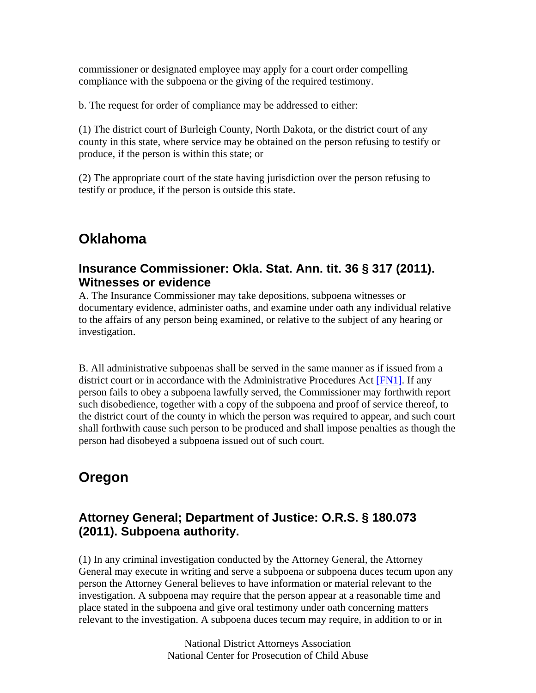commissioner or designated employee may apply for a court order compelling compliance with the subpoena or the giving of the required testimony.

b. The request for order of compliance may be addressed to either:

(1) The district court of Burleigh County, North Dakota, or the district court of any county in this state, where service may be obtained on the person refusing to testify or produce, if the person is within this state; or

(2) The appropriate court of the state having jurisdiction over the person refusing to testify or produce, if the person is outside this state.

# **Oklahoma**

#### **Insurance Commissioner: Okla. Stat. Ann. tit. 36 § 317 (2011). Witnesses or evidence**

A. The Insurance Commissioner may take depositions, subpoena witnesses or documentary evidence, administer oaths, and examine under oath any individual relative to the affairs of any person being examined, or relative to the subject of any hearing or investigation.

B. All administrative subpoenas shall be served in the same manner as if issued from a district court or in accordance with the Administrative Procedures Act [FN1]. If any person fails to obey a subpoena lawfully served, the Commissioner may forthwith report such disobedience, together with a copy of the subpoena and proof of service thereof, to the district court of the county in which the person was required to appear, and such court shall forthwith cause such person to be produced and shall impose penalties as though the person had disobeyed a subpoena issued out of such court.

# **Oregon**

# **Attorney General; Department of Justice: O.R.S. § 180.073 (2011). Subpoena authority.**

(1) In any criminal investigation conducted by the Attorney General, the Attorney General may execute in writing and serve a subpoena or subpoena duces tecum upon any person the Attorney General believes to have information or material relevant to the investigation. A subpoena may require that the person appear at a reasonable time and place stated in the subpoena and give oral testimony under oath concerning matters relevant to the investigation. A subpoena duces tecum may require, in addition to or in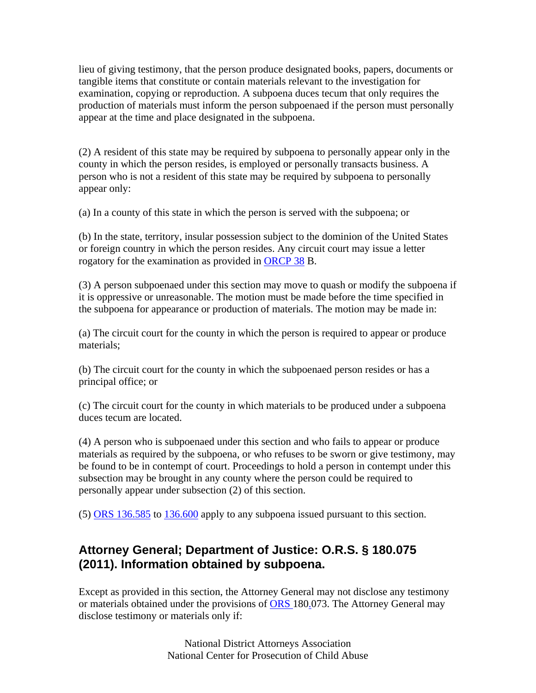lieu of giving testimony, that the person produce designated books, papers, documents or tangible items that constitute or contain materials relevant to the investigation for examination, copying or reproduction. A subpoena duces tecum that only requires the production of materials must inform the person subpoenaed if the person must personally appear at the time and place designated in the subpoena.

(2) A resident of this state may be required by subpoena to personally appear only in the county in which the person resides, is employed or personally transacts business. A person who is not a resident of this state may be required by subpoena to personally appear only:

(a) In a county of this state in which the person is served with the subpoena; or

(b) In the state, territory, insular possession subject to the dominion of the United States or foreign country in which the person resides. Any circuit court may issue a letter rogatory for the examination as provided in ORCP 38 B.

(3) A person subpoenaed under this section may move to quash or modify the subpoena if it is oppressive or unreasonable. The motion must be made before the time specified in the subpoena for appearance or production of materials. The motion may be made in:

(a) The circuit court for the county in which the person is required to appear or produce materials;

(b) The circuit court for the county in which the subpoenaed person resides or has a principal office; or

(c) The circuit court for the county in which materials to be produced under a subpoena duces tecum are located.

(4) A person who is subpoenaed under this section and who fails to appear or produce materials as required by the subpoena, or who refuses to be sworn or give testimony, may be found to be in contempt of court. Proceedings to hold a person in contempt under this subsection may be brought in any county where the person could be required to personally appear under subsection (2) of this section.

(5) ORS 136.585 to 136.600 apply to any subpoena issued pursuant to this section.

#### **Attorney General; Department of Justice: O.R.S. § 180.075 (2011). Information obtained by subpoena.**

Except as provided in this section, the Attorney General may not disclose any testimony or materials obtained under the provisions of ORS 180.073. The Attorney General may disclose testimony or materials only if: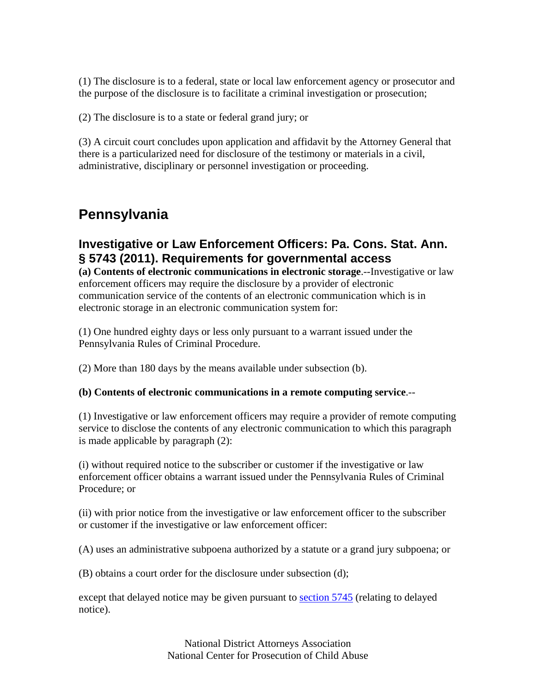(1) The disclosure is to a federal, state or local law enforcement agency or prosecutor and the purpose of the disclosure is to facilitate a criminal investigation or prosecution;

(2) The disclosure is to a state or federal grand jury; or

(3) A circuit court concludes upon application and affidavit by the Attorney General that there is a particularized need for disclosure of the testimony or materials in a civil, administrative, disciplinary or personnel investigation or proceeding.

# **Pennsylvania**

#### **Investigative or Law Enforcement Officers: Pa. Cons. Stat. Ann. § 5743 (2011). Requirements for governmental access**

**(a) Contents of electronic communications in electronic storage**.--Investigative or law enforcement officers may require the disclosure by a provider of electronic communication service of the contents of an electronic communication which is in electronic storage in an electronic communication system for:

(1) One hundred eighty days or less only pursuant to a warrant issued under the Pennsylvania Rules of Criminal Procedure.

(2) More than 180 days by the means available under subsection (b).

#### **(b) Contents of electronic communications in a remote computing service**.--

(1) Investigative or law enforcement officers may require a provider of remote computing service to disclose the contents of any electronic communication to which this paragraph is made applicable by paragraph (2):

(i) without required notice to the subscriber or customer if the investigative or law enforcement officer obtains a warrant issued under the Pennsylvania Rules of Criminal Procedure; or

(ii) with prior notice from the investigative or law enforcement officer to the subscriber or customer if the investigative or law enforcement officer:

(A) uses an administrative subpoena authorized by a statute or a grand jury subpoena; or

(B) obtains a court order for the disclosure under subsection (d);

except that delayed notice may be given pursuant to section 5745 (relating to delayed notice).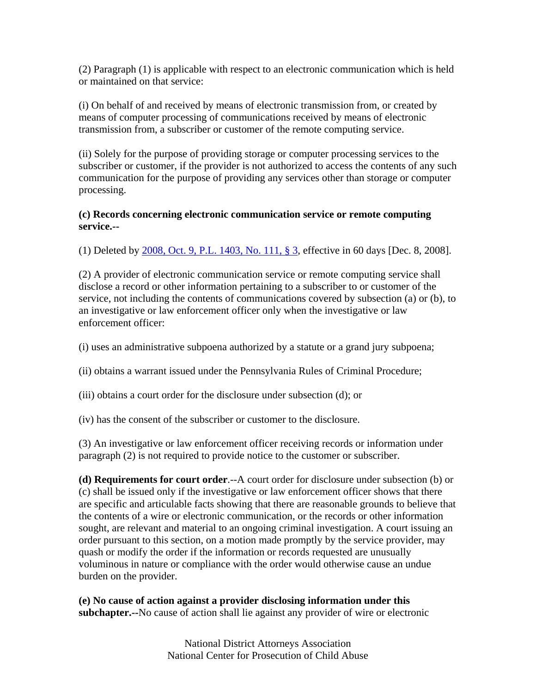(2) Paragraph (1) is applicable with respect to an electronic communication which is held or maintained on that service:

(i) On behalf of and received by means of electronic transmission from, or created by means of computer processing of communications received by means of electronic transmission from, a subscriber or customer of the remote computing service.

(ii) Solely for the purpose of providing storage or computer processing services to the subscriber or customer, if the provider is not authorized to access the contents of any such communication for the purpose of providing any services other than storage or computer processing.

#### **(c) Records concerning electronic communication service or remote computing service.--**

(1) Deleted by 2008, Oct. 9, P.L. 1403, No. 111, § 3, effective in 60 days [Dec. 8, 2008].

(2) A provider of electronic communication service or remote computing service shall disclose a record or other information pertaining to a subscriber to or customer of the service, not including the contents of communications covered by subsection (a) or (b), to an investigative or law enforcement officer only when the investigative or law enforcement officer:

(i) uses an administrative subpoena authorized by a statute or a grand jury subpoena;

- (ii) obtains a warrant issued under the Pennsylvania Rules of Criminal Procedure;
- (iii) obtains a court order for the disclosure under subsection (d); or

(iv) has the consent of the subscriber or customer to the disclosure.

(3) An investigative or law enforcement officer receiving records or information under paragraph (2) is not required to provide notice to the customer or subscriber.

**(d) Requirements for court order**.--A court order for disclosure under subsection (b) or (c) shall be issued only if the investigative or law enforcement officer shows that there are specific and articulable facts showing that there are reasonable grounds to believe that the contents of a wire or electronic communication, or the records or other information sought, are relevant and material to an ongoing criminal investigation. A court issuing an order pursuant to this section, on a motion made promptly by the service provider, may quash or modify the order if the information or records requested are unusually voluminous in nature or compliance with the order would otherwise cause an undue burden on the provider.

**(e) No cause of action against a provider disclosing information under this subchapter.--**No cause of action shall lie against any provider of wire or electronic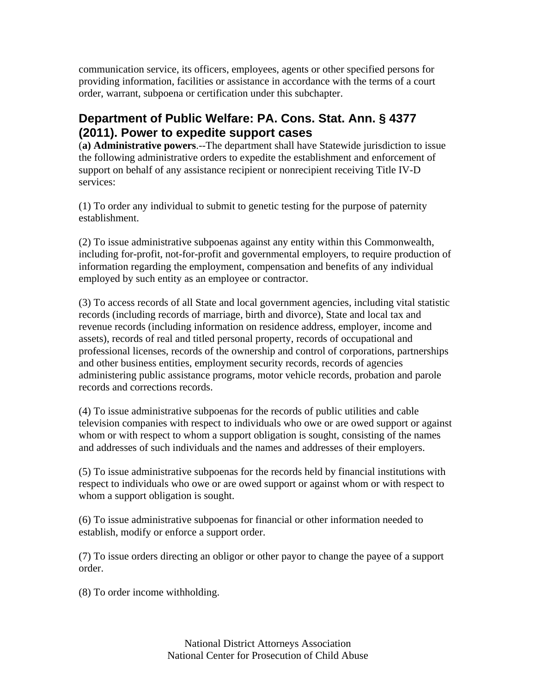communication service, its officers, employees, agents or other specified persons for providing information, facilities or assistance in accordance with the terms of a court order, warrant, subpoena or certification under this subchapter.

# **Department of Public Welfare: PA. Cons. Stat. Ann. § 4377 (2011). Power to expedite support cases**

(**a) Administrative powers**.--The department shall have Statewide jurisdiction to issue the following administrative orders to expedite the establishment and enforcement of support on behalf of any assistance recipient or nonrecipient receiving Title IV-D services:

(1) To order any individual to submit to genetic testing for the purpose of paternity establishment.

(2) To issue administrative subpoenas against any entity within this Commonwealth, including for-profit, not-for-profit and governmental employers, to require production of information regarding the employment, compensation and benefits of any individual employed by such entity as an employee or contractor.

(3) To access records of all State and local government agencies, including vital statistic records (including records of marriage, birth and divorce), State and local tax and revenue records (including information on residence address, employer, income and assets), records of real and titled personal property, records of occupational and professional licenses, records of the ownership and control of corporations, partnerships and other business entities, employment security records, records of agencies administering public assistance programs, motor vehicle records, probation and parole records and corrections records.

(4) To issue administrative subpoenas for the records of public utilities and cable television companies with respect to individuals who owe or are owed support or against whom or with respect to whom a support obligation is sought, consisting of the names and addresses of such individuals and the names and addresses of their employers.

(5) To issue administrative subpoenas for the records held by financial institutions with respect to individuals who owe or are owed support or against whom or with respect to whom a support obligation is sought.

(6) To issue administrative subpoenas for financial or other information needed to establish, modify or enforce a support order.

(7) To issue orders directing an obligor or other payor to change the payee of a support order.

(8) To order income withholding.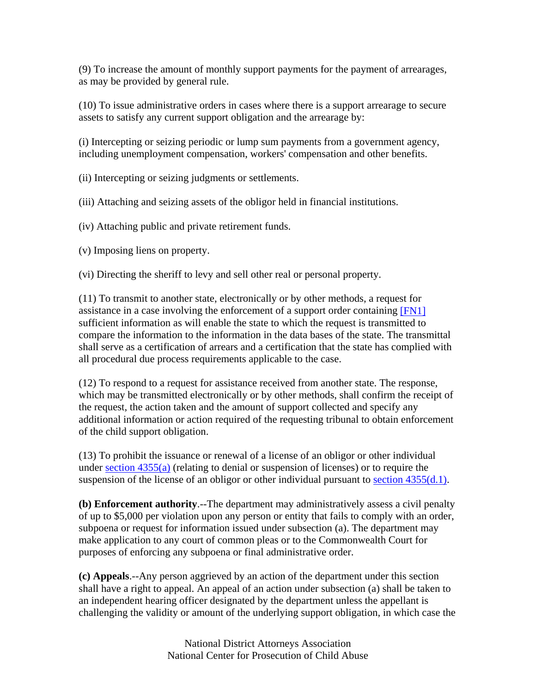(9) To increase the amount of monthly support payments for the payment of arrearages, as may be provided by general rule.

(10) To issue administrative orders in cases where there is a support arrearage to secure assets to satisfy any current support obligation and the arrearage by:

(i) Intercepting or seizing periodic or lump sum payments from a government agency, including unemployment compensation, workers' compensation and other benefits.

(ii) Intercepting or seizing judgments or settlements.

(iii) Attaching and seizing assets of the obligor held in financial institutions.

(iv) Attaching public and private retirement funds.

(v) Imposing liens on property.

(vi) Directing the sheriff to levy and sell other real or personal property.

(11) To transmit to another state, electronically or by other methods, a request for assistance in a case involving the enforcement of a support order containing [FN1] sufficient information as will enable the state to which the request is transmitted to compare the information to the information in the data bases of the state. The transmittal shall serve as a certification of arrears and a certification that the state has complied with all procedural due process requirements applicable to the case.

(12) To respond to a request for assistance received from another state. The response, which may be transmitted electronically or by other methods, shall confirm the receipt of the request, the action taken and the amount of support collected and specify any additional information or action required of the requesting tribunal to obtain enforcement of the child support obligation.

(13) To prohibit the issuance or renewal of a license of an obligor or other individual under section 4355(a) (relating to denial or suspension of licenses) or to require the suspension of the license of an obligor or other individual pursuant to section  $4355(d.1)$ .

**(b) Enforcement authority**.--The department may administratively assess a civil penalty of up to \$5,000 per violation upon any person or entity that fails to comply with an order, subpoena or request for information issued under subsection (a). The department may make application to any court of common pleas or to the Commonwealth Court for purposes of enforcing any subpoena or final administrative order.

**(c) Appeals**.--Any person aggrieved by an action of the department under this section shall have a right to appeal. An appeal of an action under subsection (a) shall be taken to an independent hearing officer designated by the department unless the appellant is challenging the validity or amount of the underlying support obligation, in which case the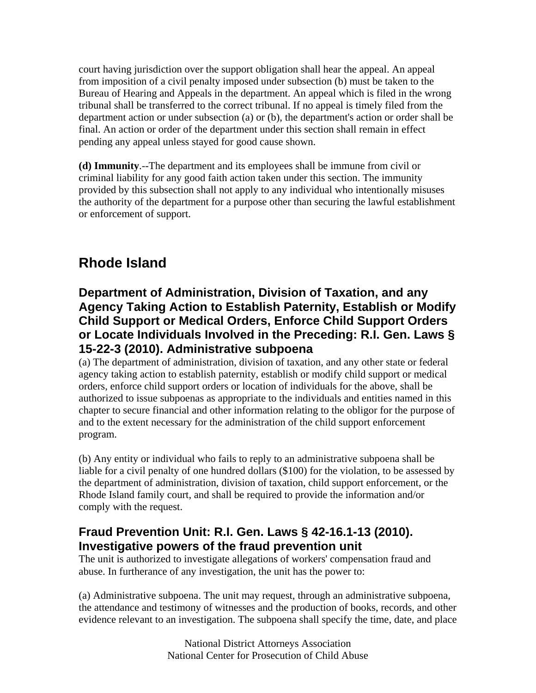court having jurisdiction over the support obligation shall hear the appeal. An appeal from imposition of a civil penalty imposed under subsection (b) must be taken to the Bureau of Hearing and Appeals in the department. An appeal which is filed in the wrong tribunal shall be transferred to the correct tribunal. If no appeal is timely filed from the department action or under subsection (a) or (b), the department's action or order shall be final. An action or order of the department under this section shall remain in effect pending any appeal unless stayed for good cause shown.

**(d) Immunity**.--The department and its employees shall be immune from civil or criminal liability for any good faith action taken under this section. The immunity provided by this subsection shall not apply to any individual who intentionally misuses the authority of the department for a purpose other than securing the lawful establishment or enforcement of support.

# **Rhode Island**

# **Department of Administration, Division of Taxation, and any Agency Taking Action to Establish Paternity, Establish or Modify Child Support or Medical Orders, Enforce Child Support Orders or Locate Individuals Involved in the Preceding: R.I. Gen. Laws § 15-22-3 (2010). Administrative subpoena**

(a) The department of administration, division of taxation, and any other state or federal agency taking action to establish paternity, establish or modify child support or medical orders, enforce child support orders or location of individuals for the above, shall be authorized to issue subpoenas as appropriate to the individuals and entities named in this chapter to secure financial and other information relating to the obligor for the purpose of and to the extent necessary for the administration of the child support enforcement program.

(b) Any entity or individual who fails to reply to an administrative subpoena shall be liable for a civil penalty of one hundred dollars (\$100) for the violation, to be assessed by the department of administration, division of taxation, child support enforcement, or the Rhode Island family court, and shall be required to provide the information and/or comply with the request.

### **Fraud Prevention Unit: R.I. Gen. Laws § 42-16.1-13 (2010). Investigative powers of the fraud prevention unit**

The unit is authorized to investigate allegations of workers' compensation fraud and abuse. In furtherance of any investigation, the unit has the power to:

(a) Administrative subpoena. The unit may request, through an administrative subpoena, the attendance and testimony of witnesses and the production of books, records, and other evidence relevant to an investigation. The subpoena shall specify the time, date, and place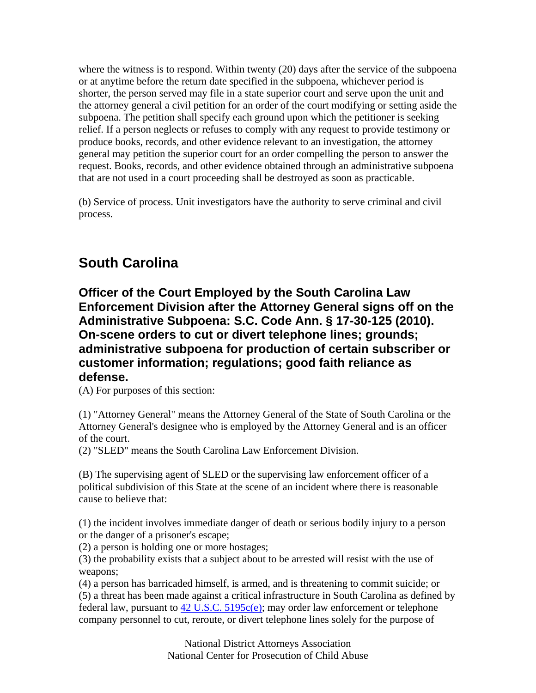where the witness is to respond. Within twenty (20) days after the service of the subpoena or at anytime before the return date specified in the subpoena, whichever period is shorter, the person served may file in a state superior court and serve upon the unit and the attorney general a civil petition for an order of the court modifying or setting aside the subpoena. The petition shall specify each ground upon which the petitioner is seeking relief. If a person neglects or refuses to comply with any request to provide testimony or produce books, records, and other evidence relevant to an investigation, the attorney general may petition the superior court for an order compelling the person to answer the request. Books, records, and other evidence obtained through an administrative subpoena that are not used in a court proceeding shall be destroyed as soon as practicable.

(b) Service of process. Unit investigators have the authority to serve criminal and civil process.

# **South Carolina**

**Officer of the Court Employed by the South Carolina Law Enforcement Division after the Attorney General signs off on the Administrative Subpoena: S.C. Code Ann. § 17-30-125 (2010). On-scene orders to cut or divert telephone lines; grounds; administrative subpoena for production of certain subscriber or customer information; regulations; good faith reliance as defense.**

(A) For purposes of this section:

(1) "Attorney General" means the Attorney General of the State of South Carolina or the Attorney General's designee who is employed by the Attorney General and is an officer of the court.

(2) "SLED" means the South Carolina Law Enforcement Division.

(B) The supervising agent of SLED or the supervising law enforcement officer of a political subdivision of this State at the scene of an incident where there is reasonable cause to believe that:

(1) the incident involves immediate danger of death or serious bodily injury to a person or the danger of a prisoner's escape;

(2) a person is holding one or more hostages;

(3) the probability exists that a subject about to be arrested will resist with the use of weapons;

(4) a person has barricaded himself, is armed, and is threatening to commit suicide; or (5) a threat has been made against a critical infrastructure in South Carolina as defined by federal law, pursuant to  $42 \text{ U.S.C. } 5195c(e)$ ; may order law enforcement or telephone company personnel to cut, reroute, or divert telephone lines solely for the purpose of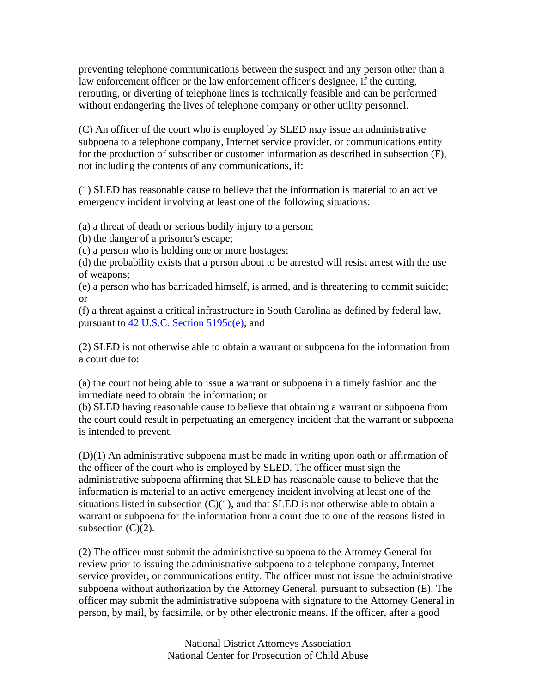preventing telephone communications between the suspect and any person other than a law enforcement officer or the law enforcement officer's designee, if the cutting, rerouting, or diverting of telephone lines is technically feasible and can be performed without endangering the lives of telephone company or other utility personnel.

(C) An officer of the court who is employed by SLED may issue an administrative subpoena to a telephone company, Internet service provider, or communications entity for the production of subscriber or customer information as described in subsection (F), not including the contents of any communications, if:

(1) SLED has reasonable cause to believe that the information is material to an active emergency incident involving at least one of the following situations:

(a) a threat of death or serious bodily injury to a person;

(b) the danger of a prisoner's escape;

(c) a person who is holding one or more hostages;

(d) the probability exists that a person about to be arrested will resist arrest with the use of weapons;

(e) a person who has barricaded himself, is armed, and is threatening to commit suicide; or

(f) a threat against a critical infrastructure in South Carolina as defined by federal law, pursuant to 42 U.S.C. Section 5195c(e); and

(2) SLED is not otherwise able to obtain a warrant or subpoena for the information from a court due to:

(a) the court not being able to issue a warrant or subpoena in a timely fashion and the immediate need to obtain the information; or

(b) SLED having reasonable cause to believe that obtaining a warrant or subpoena from the court could result in perpetuating an emergency incident that the warrant or subpoena is intended to prevent.

(D)(1) An administrative subpoena must be made in writing upon oath or affirmation of the officer of the court who is employed by SLED. The officer must sign the administrative subpoena affirming that SLED has reasonable cause to believe that the information is material to an active emergency incident involving at least one of the situations listed in subsection  $(C)(1)$ , and that SLED is not otherwise able to obtain a warrant or subpoena for the information from a court due to one of the reasons listed in subsection  $(C)(2)$ .

(2) The officer must submit the administrative subpoena to the Attorney General for review prior to issuing the administrative subpoena to a telephone company, Internet service provider, or communications entity. The officer must not issue the administrative subpoena without authorization by the Attorney General, pursuant to subsection (E). The officer may submit the administrative subpoena with signature to the Attorney General in person, by mail, by facsimile, or by other electronic means. If the officer, after a good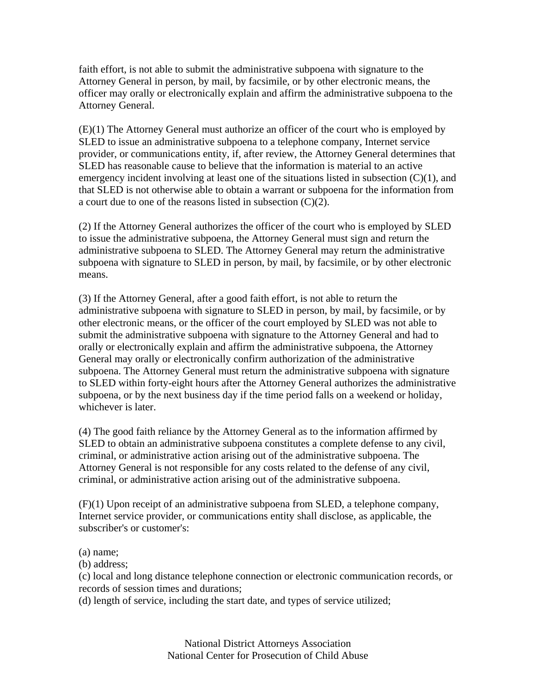faith effort, is not able to submit the administrative subpoena with signature to the Attorney General in person, by mail, by facsimile, or by other electronic means, the officer may orally or electronically explain and affirm the administrative subpoena to the Attorney General.

(E)(1) The Attorney General must authorize an officer of the court who is employed by SLED to issue an administrative subpoena to a telephone company, Internet service provider, or communications entity, if, after review, the Attorney General determines that SLED has reasonable cause to believe that the information is material to an active emergency incident involving at least one of the situations listed in subsection  $(C)(1)$ , and that SLED is not otherwise able to obtain a warrant or subpoena for the information from a court due to one of the reasons listed in subsection (C)(2).

(2) If the Attorney General authorizes the officer of the court who is employed by SLED to issue the administrative subpoena, the Attorney General must sign and return the administrative subpoena to SLED. The Attorney General may return the administrative subpoena with signature to SLED in person, by mail, by facsimile, or by other electronic means.

(3) If the Attorney General, after a good faith effort, is not able to return the administrative subpoena with signature to SLED in person, by mail, by facsimile, or by other electronic means, or the officer of the court employed by SLED was not able to submit the administrative subpoena with signature to the Attorney General and had to orally or electronically explain and affirm the administrative subpoena, the Attorney General may orally or electronically confirm authorization of the administrative subpoena. The Attorney General must return the administrative subpoena with signature to SLED within forty-eight hours after the Attorney General authorizes the administrative subpoena, or by the next business day if the time period falls on a weekend or holiday, whichever is later.

(4) The good faith reliance by the Attorney General as to the information affirmed by SLED to obtain an administrative subpoena constitutes a complete defense to any civil, criminal, or administrative action arising out of the administrative subpoena. The Attorney General is not responsible for any costs related to the defense of any civil, criminal, or administrative action arising out of the administrative subpoena.

(F)(1) Upon receipt of an administrative subpoena from SLED, a telephone company, Internet service provider, or communications entity shall disclose, as applicable, the subscriber's or customer's:

(a) name;

(b) address;

(c) local and long distance telephone connection or electronic communication records, or records of session times and durations;

(d) length of service, including the start date, and types of service utilized;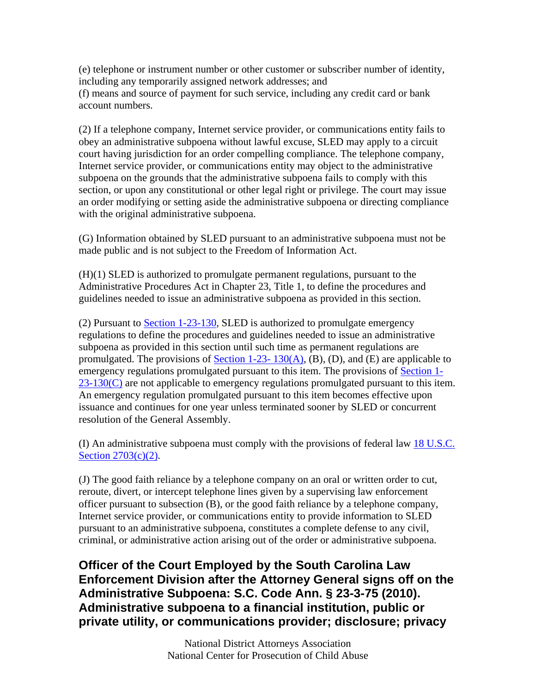(e) telephone or instrument number or other customer or subscriber number of identity, including any temporarily assigned network addresses; and (f) means and source of payment for such service, including any credit card or bank account numbers.

(2) If a telephone company, Internet service provider, or communications entity fails to obey an administrative subpoena without lawful excuse, SLED may apply to a circuit court having jurisdiction for an order compelling compliance. The telephone company, Internet service provider, or communications entity may object to the administrative subpoena on the grounds that the administrative subpoena fails to comply with this section, or upon any constitutional or other legal right or privilege. The court may issue an order modifying or setting aside the administrative subpoena or directing compliance with the original administrative subpoena.

(G) Information obtained by SLED pursuant to an administrative subpoena must not be made public and is not subject to the Freedom of Information Act.

(H)(1) SLED is authorized to promulgate permanent regulations, pursuant to the Administrative Procedures Act in Chapter 23, Title 1, to define the procedures and guidelines needed to issue an administrative subpoena as provided in this section.

(2) Pursuant to Section 1-23-130, SLED is authorized to promulgate emergency regulations to define the procedures and guidelines needed to issue an administrative subpoena as provided in this section until such time as permanent regulations are promulgated. The provisions of Section 1-23-  $130(A)$ , (B), (D), and (E) are applicable to emergency regulations promulgated pursuant to this item. The provisions of Section 1-  $23-130(C)$  are not applicable to emergency regulations promulgated pursuant to this item. An emergency regulation promulgated pursuant to this item becomes effective upon issuance and continues for one year unless terminated sooner by SLED or concurrent resolution of the General Assembly.

(I) An administrative subpoena must comply with the provisions of federal law 18 U.S.C. Section 2703(c)(2).

(J) The good faith reliance by a telephone company on an oral or written order to cut, reroute, divert, or intercept telephone lines given by a supervising law enforcement officer pursuant to subsection (B), or the good faith reliance by a telephone company, Internet service provider, or communications entity to provide information to SLED pursuant to an administrative subpoena, constitutes a complete defense to any civil, criminal, or administrative action arising out of the order or administrative subpoena.

**Officer of the Court Employed by the South Carolina Law Enforcement Division after the Attorney General signs off on the Administrative Subpoena: S.C. Code Ann. § 23-3-75 (2010). Administrative subpoena to a financial institution, public or private utility, or communications provider; disclosure; privacy**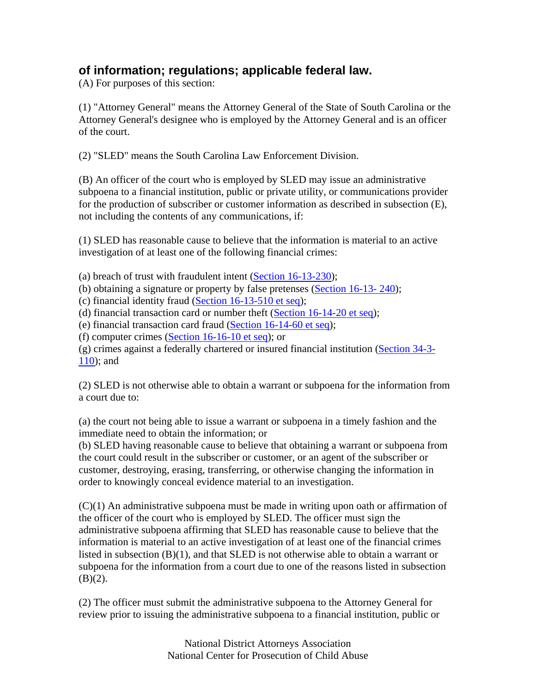## **of information; regulations; applicable federal law.**

(A) For purposes of this section:

(1) "Attorney General" means the Attorney General of the State of South Carolina or the Attorney General's designee who is employed by the Attorney General and is an officer of the court.

(2) "SLED" means the South Carolina Law Enforcement Division.

(B) An officer of the court who is employed by SLED may issue an administrative subpoena to a financial institution, public or private utility, or communications provider for the production of subscriber or customer information as described in subsection (E), not including the contents of any communications, if:

(1) SLED has reasonable cause to believe that the information is material to an active investigation of at least one of the following financial crimes:

(a) breach of trust with fraudulent intent (Section  $16-13-230$ );

(b) obtaining a signature or property by false pretenses  $(Section 16-13-240);$ 

(c) financial identity fraud (Section 16-13-510 et seq);

(d) financial transaction card or number theft (Section 16-14-20 et seq);

(e) financial transaction card fraud (Section 16-14-60 et seq);

(f) computer crimes (Section 16-16-10 et seq); or

(g) crimes against a federally chartered or insured financial institution (Section 34-3- 110); and

(2) SLED is not otherwise able to obtain a warrant or subpoena for the information from a court due to:

(a) the court not being able to issue a warrant or subpoena in a timely fashion and the immediate need to obtain the information; or

(b) SLED having reasonable cause to believe that obtaining a warrant or subpoena from the court could result in the subscriber or customer, or an agent of the subscriber or customer, destroying, erasing, transferring, or otherwise changing the information in order to knowingly conceal evidence material to an investigation.

 $(C)(1)$  An administrative subpoena must be made in writing upon oath or affirmation of the officer of the court who is employed by SLED. The officer must sign the administrative subpoena affirming that SLED has reasonable cause to believe that the information is material to an active investigation of at least one of the financial crimes listed in subsection (B)(1), and that SLED is not otherwise able to obtain a warrant or subpoena for the information from a court due to one of the reasons listed in subsection  $(B)(2)$ .

(2) The officer must submit the administrative subpoena to the Attorney General for review prior to issuing the administrative subpoena to a financial institution, public or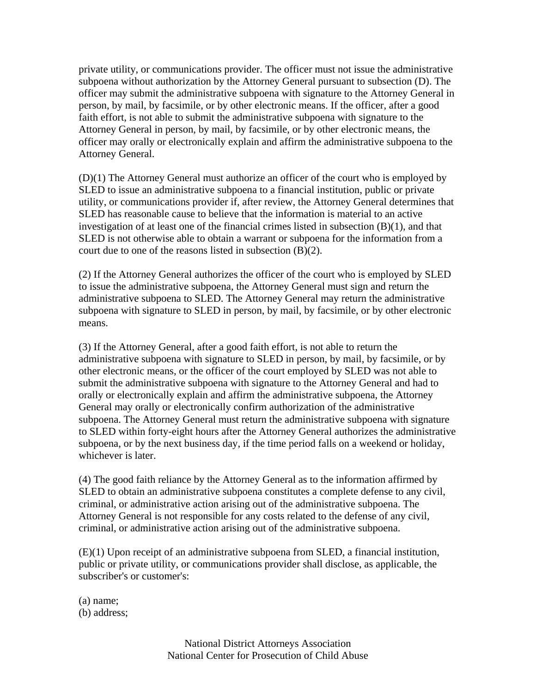private utility, or communications provider. The officer must not issue the administrative subpoena without authorization by the Attorney General pursuant to subsection (D). The officer may submit the administrative subpoena with signature to the Attorney General in person, by mail, by facsimile, or by other electronic means. If the officer, after a good faith effort, is not able to submit the administrative subpoena with signature to the Attorney General in person, by mail, by facsimile, or by other electronic means, the officer may orally or electronically explain and affirm the administrative subpoena to the Attorney General.

(D)(1) The Attorney General must authorize an officer of the court who is employed by SLED to issue an administrative subpoena to a financial institution, public or private utility, or communications provider if, after review, the Attorney General determines that SLED has reasonable cause to believe that the information is material to an active investigation of at least one of the financial crimes listed in subsection (B)(1), and that SLED is not otherwise able to obtain a warrant or subpoena for the information from a court due to one of the reasons listed in subsection (B)(2).

(2) If the Attorney General authorizes the officer of the court who is employed by SLED to issue the administrative subpoena, the Attorney General must sign and return the administrative subpoena to SLED. The Attorney General may return the administrative subpoena with signature to SLED in person, by mail, by facsimile, or by other electronic means.

(3) If the Attorney General, after a good faith effort, is not able to return the administrative subpoena with signature to SLED in person, by mail, by facsimile, or by other electronic means, or the officer of the court employed by SLED was not able to submit the administrative subpoena with signature to the Attorney General and had to orally or electronically explain and affirm the administrative subpoena, the Attorney General may orally or electronically confirm authorization of the administrative subpoena. The Attorney General must return the administrative subpoena with signature to SLED within forty-eight hours after the Attorney General authorizes the administrative subpoena, or by the next business day, if the time period falls on a weekend or holiday, whichever is later.

(4) The good faith reliance by the Attorney General as to the information affirmed by SLED to obtain an administrative subpoena constitutes a complete defense to any civil, criminal, or administrative action arising out of the administrative subpoena. The Attorney General is not responsible for any costs related to the defense of any civil, criminal, or administrative action arising out of the administrative subpoena.

(E)(1) Upon receipt of an administrative subpoena from SLED, a financial institution, public or private utility, or communications provider shall disclose, as applicable, the subscriber's or customer's:

(a) name; (b) address;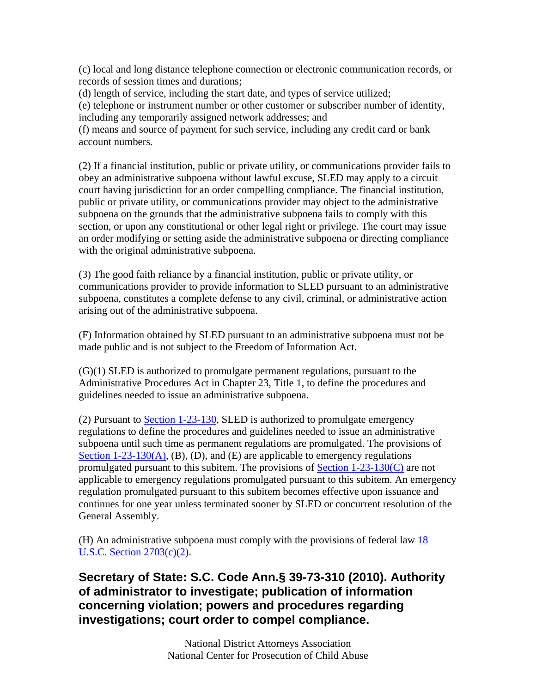(c) local and long distance telephone connection or electronic communication records, or records of session times and durations;

(d) length of service, including the start date, and types of service utilized;

(e) telephone or instrument number or other customer or subscriber number of identity, including any temporarily assigned network addresses; and

(f) means and source of payment for such service, including any credit card or bank account numbers.

(2) If a financial institution, public or private utility, or communications provider fails to obey an administrative subpoena without lawful excuse, SLED may apply to a circuit court having jurisdiction for an order compelling compliance. The financial institution, public or private utility, or communications provider may object to the administrative subpoena on the grounds that the administrative subpoena fails to comply with this section, or upon any constitutional or other legal right or privilege. The court may issue an order modifying or setting aside the administrative subpoena or directing compliance with the original administrative subpoena.

(3) The good faith reliance by a financial institution, public or private utility, or communications provider to provide information to SLED pursuant to an administrative subpoena, constitutes a complete defense to any civil, criminal, or administrative action arising out of the administrative subpoena.

(F) Information obtained by SLED pursuant to an administrative subpoena must not be made public and is not subject to the Freedom of Information Act.

(G)(1) SLED is authorized to promulgate permanent regulations, pursuant to the Administrative Procedures Act in Chapter 23, Title 1, to define the procedures and guidelines needed to issue an administrative subpoena.

(2) Pursuant to Section 1-23-130, SLED is authorized to promulgate emergency regulations to define the procedures and guidelines needed to issue an administrative subpoena until such time as permanent regulations are promulgated. The provisions of Section 1-23-130(A), (B), (D), and (E) are applicable to emergency regulations promulgated pursuant to this subitem. The provisions of Section 1-23-130(C) are not applicable to emergency regulations promulgated pursuant to this subitem. An emergency regulation promulgated pursuant to this subitem becomes effective upon issuance and continues for one year unless terminated sooner by SLED or concurrent resolution of the General Assembly.

(H) An administrative subpoena must comply with the provisions of federal law 18 U.S.C. Section 2703(c)(2).

## **Secretary of State: S.C. Code Ann.§ 39-73-310 (2010). Authority of administrator to investigate; publication of information concerning violation; powers and procedures regarding investigations; court order to compel compliance.**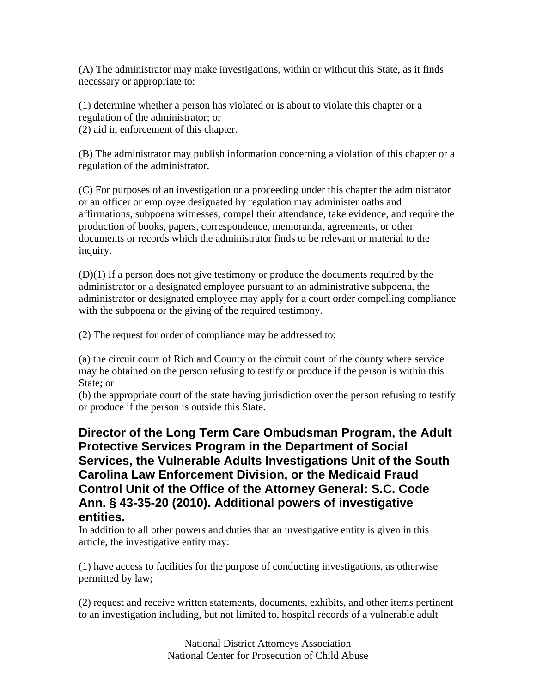(A) The administrator may make investigations, within or without this State, as it finds necessary or appropriate to:

(1) determine whether a person has violated or is about to violate this chapter or a regulation of the administrator; or

(2) aid in enforcement of this chapter.

(B) The administrator may publish information concerning a violation of this chapter or a regulation of the administrator.

(C) For purposes of an investigation or a proceeding under this chapter the administrator or an officer or employee designated by regulation may administer oaths and affirmations, subpoena witnesses, compel their attendance, take evidence, and require the production of books, papers, correspondence, memoranda, agreements, or other documents or records which the administrator finds to be relevant or material to the inquiry.

(D)(1) If a person does not give testimony or produce the documents required by the administrator or a designated employee pursuant to an administrative subpoena, the administrator or designated employee may apply for a court order compelling compliance with the subpoena or the giving of the required testimony.

(2) The request for order of compliance may be addressed to:

(a) the circuit court of Richland County or the circuit court of the county where service may be obtained on the person refusing to testify or produce if the person is within this State; or

(b) the appropriate court of the state having jurisdiction over the person refusing to testify or produce if the person is outside this State.

### **Director of the Long Term Care Ombudsman Program, the Adult Protective Services Program in the Department of Social Services, the Vulnerable Adults Investigations Unit of the South Carolina Law Enforcement Division, or the Medicaid Fraud Control Unit of the Office of the Attorney General: S.C. Code Ann. § 43-35-20 (2010). Additional powers of investigative entities.**

In addition to all other powers and duties that an investigative entity is given in this article, the investigative entity may:

(1) have access to facilities for the purpose of conducting investigations, as otherwise permitted by law;

(2) request and receive written statements, documents, exhibits, and other items pertinent to an investigation including, but not limited to, hospital records of a vulnerable adult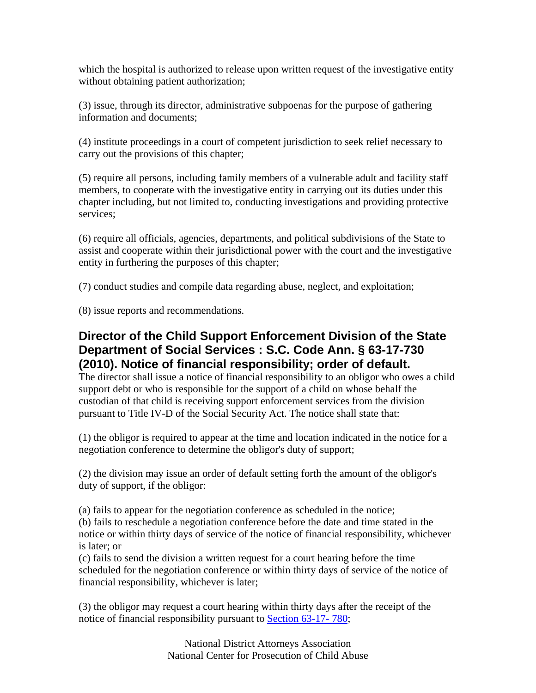which the hospital is authorized to release upon written request of the investigative entity without obtaining patient authorization;

(3) issue, through its director, administrative subpoenas for the purpose of gathering information and documents;

(4) institute proceedings in a court of competent jurisdiction to seek relief necessary to carry out the provisions of this chapter;

(5) require all persons, including family members of a vulnerable adult and facility staff members, to cooperate with the investigative entity in carrying out its duties under this chapter including, but not limited to, conducting investigations and providing protective services;

(6) require all officials, agencies, departments, and political subdivisions of the State to assist and cooperate within their jurisdictional power with the court and the investigative entity in furthering the purposes of this chapter;

(7) conduct studies and compile data regarding abuse, neglect, and exploitation;

(8) issue reports and recommendations.

### **Director of the Child Support Enforcement Division of the State Department of Social Services : S.C. Code Ann. § 63-17-730 (2010). Notice of financial responsibility; order of default.**

The director shall issue a notice of financial responsibility to an obligor who owes a child support debt or who is responsible for the support of a child on whose behalf the custodian of that child is receiving support enforcement services from the division pursuant to Title IV-D of the Social Security Act. The notice shall state that:

(1) the obligor is required to appear at the time and location indicated in the notice for a negotiation conference to determine the obligor's duty of support;

(2) the division may issue an order of default setting forth the amount of the obligor's duty of support, if the obligor:

(a) fails to appear for the negotiation conference as scheduled in the notice;

(b) fails to reschedule a negotiation conference before the date and time stated in the notice or within thirty days of service of the notice of financial responsibility, whichever is later; or

(c) fails to send the division a written request for a court hearing before the time scheduled for the negotiation conference or within thirty days of service of the notice of financial responsibility, whichever is later;

(3) the obligor may request a court hearing within thirty days after the receipt of the notice of financial responsibility pursuant to Section 63-17- 780;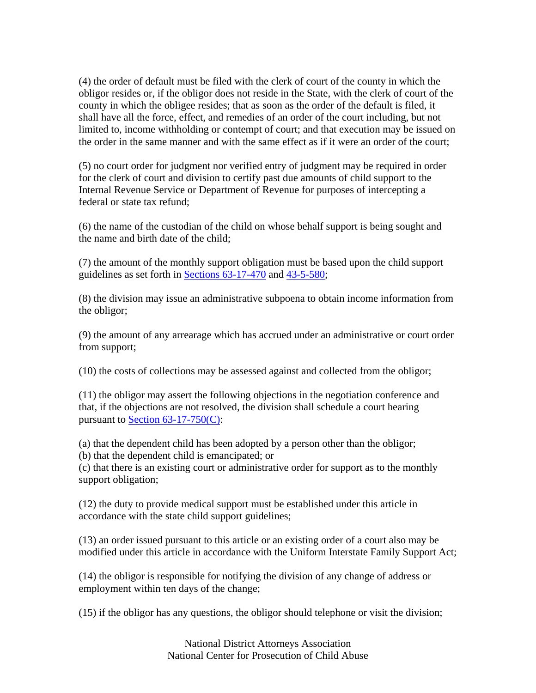(4) the order of default must be filed with the clerk of court of the county in which the obligor resides or, if the obligor does not reside in the State, with the clerk of court of the county in which the obligee resides; that as soon as the order of the default is filed, it shall have all the force, effect, and remedies of an order of the court including, but not limited to, income withholding or contempt of court; and that execution may be issued on the order in the same manner and with the same effect as if it were an order of the court;

(5) no court order for judgment nor verified entry of judgment may be required in order for the clerk of court and division to certify past due amounts of child support to the Internal Revenue Service or Department of Revenue for purposes of intercepting a federal or state tax refund;

(6) the name of the custodian of the child on whose behalf support is being sought and the name and birth date of the child;

(7) the amount of the monthly support obligation must be based upon the child support guidelines as set forth in Sections 63-17-470 and 43-5-580;

(8) the division may issue an administrative subpoena to obtain income information from the obligor;

(9) the amount of any arrearage which has accrued under an administrative or court order from support;

(10) the costs of collections may be assessed against and collected from the obligor;

(11) the obligor may assert the following objections in the negotiation conference and that, if the objections are not resolved, the division shall schedule a court hearing pursuant to Section 63-17-750(C):

(a) that the dependent child has been adopted by a person other than the obligor; (b) that the dependent child is emancipated; or

(c) that there is an existing court or administrative order for support as to the monthly support obligation;

(12) the duty to provide medical support must be established under this article in accordance with the state child support guidelines;

(13) an order issued pursuant to this article or an existing order of a court also may be modified under this article in accordance with the Uniform Interstate Family Support Act;

(14) the obligor is responsible for notifying the division of any change of address or employment within ten days of the change;

(15) if the obligor has any questions, the obligor should telephone or visit the division;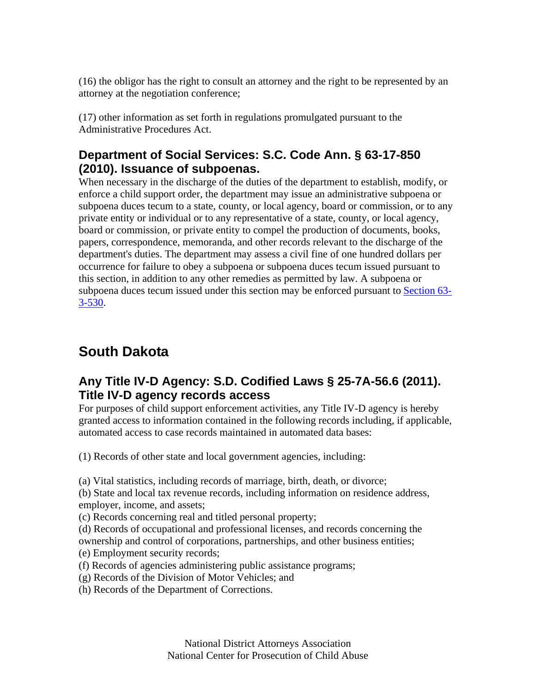(16) the obligor has the right to consult an attorney and the right to be represented by an attorney at the negotiation conference;

(17) other information as set forth in regulations promulgated pursuant to the Administrative Procedures Act.

# **Department of Social Services: S.C. Code Ann. § 63-17-850 (2010). Issuance of subpoenas.**

When necessary in the discharge of the duties of the department to establish, modify, or enforce a child support order, the department may issue an administrative subpoena or subpoena duces tecum to a state, county, or local agency, board or commission, or to any private entity or individual or to any representative of a state, county, or local agency, board or commission, or private entity to compel the production of documents, books, papers, correspondence, memoranda, and other records relevant to the discharge of the department's duties. The department may assess a civil fine of one hundred dollars per occurrence for failure to obey a subpoena or subpoena duces tecum issued pursuant to this section, in addition to any other remedies as permitted by law. A subpoena or subpoena duces tecum issued under this section may be enforced pursuant to Section 63- 3-530.

# **South Dakota**

# **Any Title IV-D Agency: S.D. Codified Laws § 25-7A-56.6 (2011). Title IV-D agency records access**

For purposes of child support enforcement activities, any Title IV-D agency is hereby granted access to information contained in the following records including, if applicable, automated access to case records maintained in automated data bases:

(1) Records of other state and local government agencies, including:

(a) Vital statistics, including records of marriage, birth, death, or divorce;

(b) State and local tax revenue records, including information on residence address, employer, income, and assets;

(c) Records concerning real and titled personal property;

(d) Records of occupational and professional licenses, and records concerning the ownership and control of corporations, partnerships, and other business entities;

(e) Employment security records;

(f) Records of agencies administering public assistance programs;

- (g) Records of the Division of Motor Vehicles; and
- (h) Records of the Department of Corrections.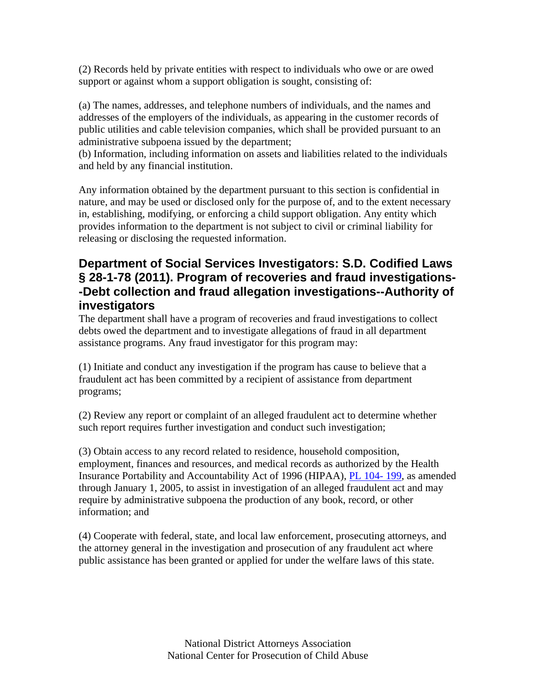(2) Records held by private entities with respect to individuals who owe or are owed support or against whom a support obligation is sought, consisting of:

(a) The names, addresses, and telephone numbers of individuals, and the names and addresses of the employers of the individuals, as appearing in the customer records of public utilities and cable television companies, which shall be provided pursuant to an administrative subpoena issued by the department;

(b) Information, including information on assets and liabilities related to the individuals and held by any financial institution.

Any information obtained by the department pursuant to this section is confidential in nature, and may be used or disclosed only for the purpose of, and to the extent necessary in, establishing, modifying, or enforcing a child support obligation. Any entity which provides information to the department is not subject to civil or criminal liability for releasing or disclosing the requested information.

## **Department of Social Services Investigators: S.D. Codified Laws § 28-1-78 (2011). Program of recoveries and fraud investigations- -Debt collection and fraud allegation investigations--Authority of investigators**

The department shall have a program of recoveries and fraud investigations to collect debts owed the department and to investigate allegations of fraud in all department assistance programs. Any fraud investigator for this program may:

(1) Initiate and conduct any investigation if the program has cause to believe that a fraudulent act has been committed by a recipient of assistance from department programs;

(2) Review any report or complaint of an alleged fraudulent act to determine whether such report requires further investigation and conduct such investigation;

(3) Obtain access to any record related to residence, household composition, employment, finances and resources, and medical records as authorized by the Health Insurance Portability and Accountability Act of 1996 (HIPAA), PL 104- 199, as amended through January 1, 2005, to assist in investigation of an alleged fraudulent act and may require by administrative subpoena the production of any book, record, or other information; and

(4) Cooperate with federal, state, and local law enforcement, prosecuting attorneys, and the attorney general in the investigation and prosecution of any fraudulent act where public assistance has been granted or applied for under the welfare laws of this state.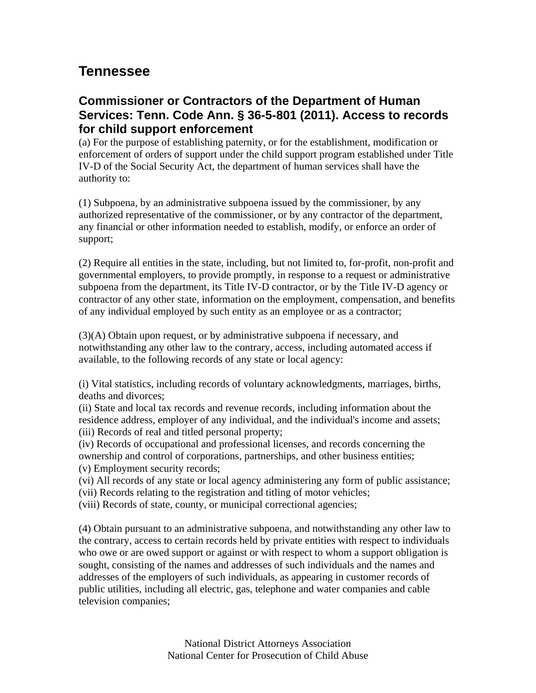# **Tennessee**

## **Commissioner or Contractors of the Department of Human Services: Tenn. Code Ann. § 36-5-801 (2011). Access to records for child support enforcement**

(a) For the purpose of establishing paternity, or for the establishment, modification or enforcement of orders of support under the child support program established under Title IV-D of the Social Security Act, the department of human services shall have the authority to:

(1) Subpoena, by an administrative subpoena issued by the commissioner, by any authorized representative of the commissioner, or by any contractor of the department, any financial or other information needed to establish, modify, or enforce an order of support;

(2) Require all entities in the state, including, but not limited to, for-profit, non-profit and governmental employers, to provide promptly, in response to a request or administrative subpoena from the department, its Title IV-D contractor, or by the Title IV-D agency or contractor of any other state, information on the employment, compensation, and benefits of any individual employed by such entity as an employee or as a contractor;

(3)(A) Obtain upon request, or by administrative subpoena if necessary, and notwithstanding any other law to the contrary, access, including automated access if available, to the following records of any state or local agency:

(i) Vital statistics, including records of voluntary acknowledgments, marriages, births, deaths and divorces;

(ii) State and local tax records and revenue records, including information about the residence address, employer of any individual, and the individual's income and assets; (iii) Records of real and titled personal property;

(iv) Records of occupational and professional licenses, and records concerning the ownership and control of corporations, partnerships, and other business entities;

(v) Employment security records;

- (vi) All records of any state or local agency administering any form of public assistance;
- (vii) Records relating to the registration and titling of motor vehicles;
- (viii) Records of state, county, or municipal correctional agencies;

(4) Obtain pursuant to an administrative subpoena, and notwithstanding any other law to the contrary, access to certain records held by private entities with respect to individuals who owe or are owed support or against or with respect to whom a support obligation is sought, consisting of the names and addresses of such individuals and the names and addresses of the employers of such individuals, as appearing in customer records of public utilities, including all electric, gas, telephone and water companies and cable television companies;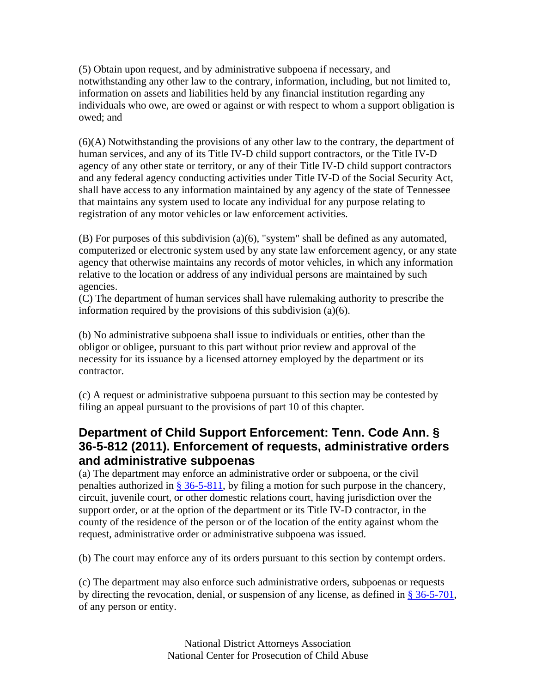(5) Obtain upon request, and by administrative subpoena if necessary, and notwithstanding any other law to the contrary, information, including, but not limited to, information on assets and liabilities held by any financial institution regarding any individuals who owe, are owed or against or with respect to whom a support obligation is owed; and

(6)(A) Notwithstanding the provisions of any other law to the contrary, the department of human services, and any of its Title IV-D child support contractors, or the Title IV-D agency of any other state or territory, or any of their Title IV-D child support contractors and any federal agency conducting activities under Title IV-D of the Social Security Act, shall have access to any information maintained by any agency of the state of Tennessee that maintains any system used to locate any individual for any purpose relating to registration of any motor vehicles or law enforcement activities.

(B) For purposes of this subdivision (a)(6), "system" shall be defined as any automated, computerized or electronic system used by any state law enforcement agency, or any state agency that otherwise maintains any records of motor vehicles, in which any information relative to the location or address of any individual persons are maintained by such agencies.

(C) The department of human services shall have rulemaking authority to prescribe the information required by the provisions of this subdivision (a)(6).

(b) No administrative subpoena shall issue to individuals or entities, other than the obligor or obligee, pursuant to this part without prior review and approval of the necessity for its issuance by a licensed attorney employed by the department or its contractor.

(c) A request or administrative subpoena pursuant to this section may be contested by filing an appeal pursuant to the provisions of part 10 of this chapter.

## **Department of Child Support Enforcement: Tenn. Code Ann. § 36-5-812 (2011). Enforcement of requests, administrative orders and administrative subpoenas**

(a) The department may enforce an administrative order or subpoena, or the civil penalties authorized in § 36-5-811, by filing a motion for such purpose in the chancery, circuit, juvenile court, or other domestic relations court, having jurisdiction over the support order, or at the option of the department or its Title IV-D contractor, in the county of the residence of the person or of the location of the entity against whom the request, administrative order or administrative subpoena was issued.

(b) The court may enforce any of its orders pursuant to this section by contempt orders.

(c) The department may also enforce such administrative orders, subpoenas or requests by directing the revocation, denial, or suspension of any license, as defined in § 36-5-701, of any person or entity.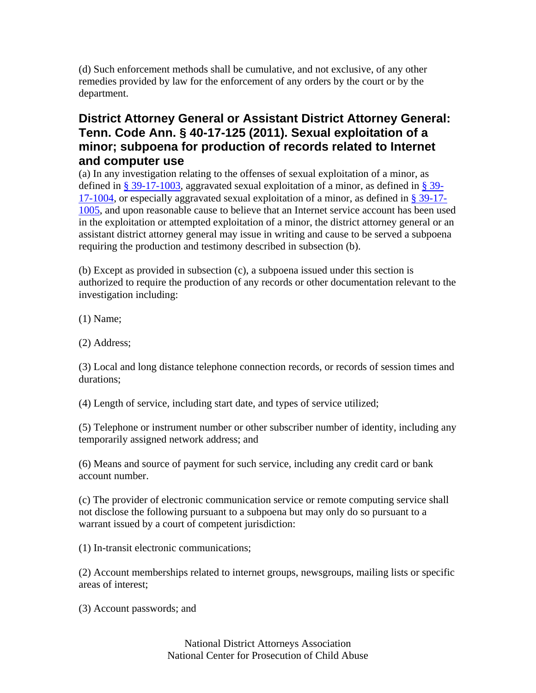(d) Such enforcement methods shall be cumulative, and not exclusive, of any other remedies provided by law for the enforcement of any orders by the court or by the department.

## **District Attorney General or Assistant District Attorney General: Tenn. Code Ann. § 40-17-125 (2011). Sexual exploitation of a minor; subpoena for production of records related to Internet and computer use**

(a) In any investigation relating to the offenses of sexual exploitation of a minor, as defined in  $\S 39-17-1003$ , aggravated sexual exploitation of a minor, as defined in  $\S 39-$ 17-1004, or especially aggravated sexual exploitation of a minor, as defined in § 39-17- 1005, and upon reasonable cause to believe that an Internet service account has been used in the exploitation or attempted exploitation of a minor, the district attorney general or an assistant district attorney general may issue in writing and cause to be served a subpoena requiring the production and testimony described in subsection (b).

(b) Except as provided in subsection (c), a subpoena issued under this section is authorized to require the production of any records or other documentation relevant to the investigation including:

(1) Name;

(2) Address;

(3) Local and long distance telephone connection records, or records of session times and durations;

(4) Length of service, including start date, and types of service utilized;

(5) Telephone or instrument number or other subscriber number of identity, including any temporarily assigned network address; and

(6) Means and source of payment for such service, including any credit card or bank account number.

(c) The provider of electronic communication service or remote computing service shall not disclose the following pursuant to a subpoena but may only do so pursuant to a warrant issued by a court of competent jurisdiction:

(1) In-transit electronic communications;

(2) Account memberships related to internet groups, newsgroups, mailing lists or specific areas of interest;

(3) Account passwords; and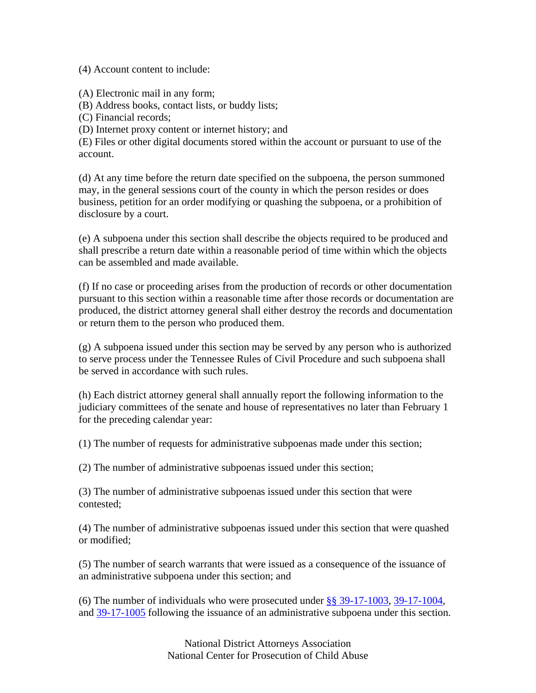(4) Account content to include:

(A) Electronic mail in any form;

(B) Address books, contact lists, or buddy lists;

(C) Financial records;

(D) Internet proxy content or internet history; and

(E) Files or other digital documents stored within the account or pursuant to use of the account.

(d) At any time before the return date specified on the subpoena, the person summoned may, in the general sessions court of the county in which the person resides or does business, petition for an order modifying or quashing the subpoena, or a prohibition of disclosure by a court.

(e) A subpoena under this section shall describe the objects required to be produced and shall prescribe a return date within a reasonable period of time within which the objects can be assembled and made available.

(f) If no case or proceeding arises from the production of records or other documentation pursuant to this section within a reasonable time after those records or documentation are produced, the district attorney general shall either destroy the records and documentation or return them to the person who produced them.

(g) A subpoena issued under this section may be served by any person who is authorized to serve process under the Tennessee Rules of Civil Procedure and such subpoena shall be served in accordance with such rules.

(h) Each district attorney general shall annually report the following information to the judiciary committees of the senate and house of representatives no later than February 1 for the preceding calendar year:

(1) The number of requests for administrative subpoenas made under this section;

(2) The number of administrative subpoenas issued under this section;

(3) The number of administrative subpoenas issued under this section that were contested;

(4) The number of administrative subpoenas issued under this section that were quashed or modified;

(5) The number of search warrants that were issued as a consequence of the issuance of an administrative subpoena under this section; and

(6) The number of individuals who were prosecuted under §§ 39-17-1003, 39-17-1004, and 39-17-1005 following the issuance of an administrative subpoena under this section.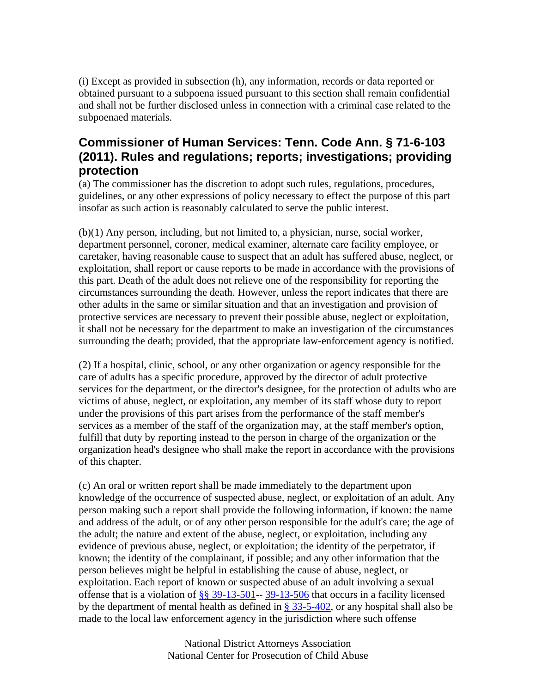(i) Except as provided in subsection (h), any information, records or data reported or obtained pursuant to a subpoena issued pursuant to this section shall remain confidential and shall not be further disclosed unless in connection with a criminal case related to the subpoenaed materials.

## **Commissioner of Human Services: Tenn. Code Ann. § 71-6-103 (2011). Rules and regulations; reports; investigations; providing protection**

(a) The commissioner has the discretion to adopt such rules, regulations, procedures, guidelines, or any other expressions of policy necessary to effect the purpose of this part insofar as such action is reasonably calculated to serve the public interest.

(b)(1) Any person, including, but not limited to, a physician, nurse, social worker, department personnel, coroner, medical examiner, alternate care facility employee, or caretaker, having reasonable cause to suspect that an adult has suffered abuse, neglect, or exploitation, shall report or cause reports to be made in accordance with the provisions of this part. Death of the adult does not relieve one of the responsibility for reporting the circumstances surrounding the death. However, unless the report indicates that there are other adults in the same or similar situation and that an investigation and provision of protective services are necessary to prevent their possible abuse, neglect or exploitation, it shall not be necessary for the department to make an investigation of the circumstances surrounding the death; provided, that the appropriate law-enforcement agency is notified.

(2) If a hospital, clinic, school, or any other organization or agency responsible for the care of adults has a specific procedure, approved by the director of adult protective services for the department, or the director's designee, for the protection of adults who are victims of abuse, neglect, or exploitation, any member of its staff whose duty to report under the provisions of this part arises from the performance of the staff member's services as a member of the staff of the organization may, at the staff member's option, fulfill that duty by reporting instead to the person in charge of the organization or the organization head's designee who shall make the report in accordance with the provisions of this chapter.

(c) An oral or written report shall be made immediately to the department upon knowledge of the occurrence of suspected abuse, neglect, or exploitation of an adult. Any person making such a report shall provide the following information, if known: the name and address of the adult, or of any other person responsible for the adult's care; the age of the adult; the nature and extent of the abuse, neglect, or exploitation, including any evidence of previous abuse, neglect, or exploitation; the identity of the perpetrator, if known; the identity of the complainant, if possible; and any other information that the person believes might be helpful in establishing the cause of abuse, neglect, or exploitation. Each report of known or suspected abuse of an adult involving a sexual offense that is a violation of  $\S$ § 39-13-501-- 39-13-506 that occurs in a facility licensed by the department of mental health as defined in § 33-5-402, or any hospital shall also be made to the local law enforcement agency in the jurisdiction where such offense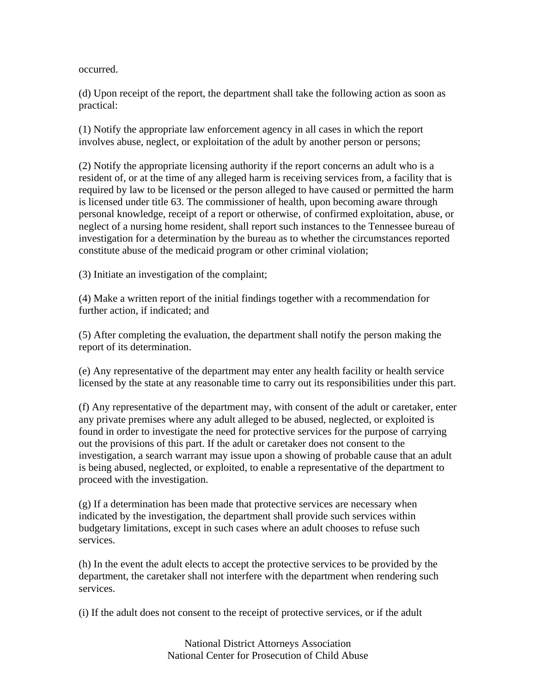occurred.

(d) Upon receipt of the report, the department shall take the following action as soon as practical:

(1) Notify the appropriate law enforcement agency in all cases in which the report involves abuse, neglect, or exploitation of the adult by another person or persons;

(2) Notify the appropriate licensing authority if the report concerns an adult who is a resident of, or at the time of any alleged harm is receiving services from, a facility that is required by law to be licensed or the person alleged to have caused or permitted the harm is licensed under title 63. The commissioner of health, upon becoming aware through personal knowledge, receipt of a report or otherwise, of confirmed exploitation, abuse, or neglect of a nursing home resident, shall report such instances to the Tennessee bureau of investigation for a determination by the bureau as to whether the circumstances reported constitute abuse of the medicaid program or other criminal violation;

(3) Initiate an investigation of the complaint;

(4) Make a written report of the initial findings together with a recommendation for further action, if indicated; and

(5) After completing the evaluation, the department shall notify the person making the report of its determination.

(e) Any representative of the department may enter any health facility or health service licensed by the state at any reasonable time to carry out its responsibilities under this part.

(f) Any representative of the department may, with consent of the adult or caretaker, enter any private premises where any adult alleged to be abused, neglected, or exploited is found in order to investigate the need for protective services for the purpose of carrying out the provisions of this part. If the adult or caretaker does not consent to the investigation, a search warrant may issue upon a showing of probable cause that an adult is being abused, neglected, or exploited, to enable a representative of the department to proceed with the investigation.

(g) If a determination has been made that protective services are necessary when indicated by the investigation, the department shall provide such services within budgetary limitations, except in such cases where an adult chooses to refuse such services.

(h) In the event the adult elects to accept the protective services to be provided by the department, the caretaker shall not interfere with the department when rendering such services.

(i) If the adult does not consent to the receipt of protective services, or if the adult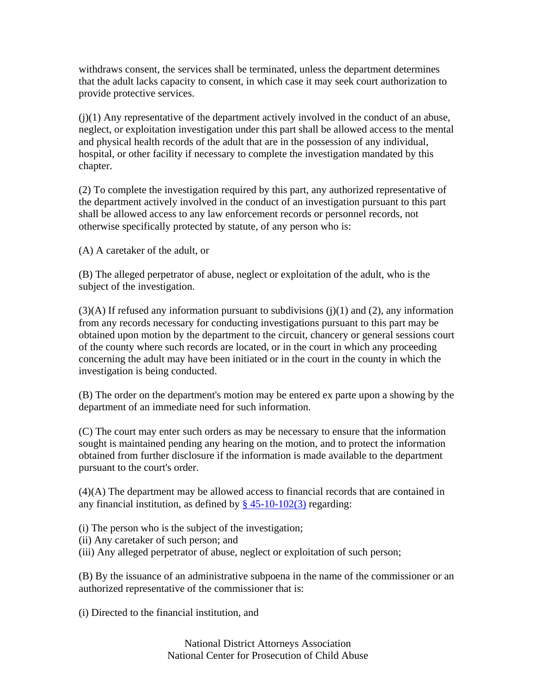withdraws consent, the services shall be terminated, unless the department determines that the adult lacks capacity to consent, in which case it may seek court authorization to provide protective services.

 $(j)(1)$  Any representative of the department actively involved in the conduct of an abuse, neglect, or exploitation investigation under this part shall be allowed access to the mental and physical health records of the adult that are in the possession of any individual, hospital, or other facility if necessary to complete the investigation mandated by this chapter.

(2) To complete the investigation required by this part, any authorized representative of the department actively involved in the conduct of an investigation pursuant to this part shall be allowed access to any law enforcement records or personnel records, not otherwise specifically protected by statute, of any person who is:

(A) A caretaker of the adult, or

(B) The alleged perpetrator of abuse, neglect or exploitation of the adult, who is the subject of the investigation.

 $(3)$ (A) If refused any information pursuant to subdivisions (j)(1) and (2), any information from any records necessary for conducting investigations pursuant to this part may be obtained upon motion by the department to the circuit, chancery or general sessions court of the county where such records are located, or in the court in which any proceeding concerning the adult may have been initiated or in the court in the county in which the investigation is being conducted.

(B) The order on the department's motion may be entered ex parte upon a showing by the department of an immediate need for such information.

(C) The court may enter such orders as may be necessary to ensure that the information sought is maintained pending any hearing on the motion, and to protect the information obtained from further disclosure if the information is made available to the department pursuant to the court's order.

(4)(A) The department may be allowed access to financial records that are contained in any financial institution, as defined by  $\S$  45-10-102(3) regarding:

(i) The person who is the subject of the investigation;

- (ii) Any caretaker of such person; and
- (iii) Any alleged perpetrator of abuse, neglect or exploitation of such person;

(B) By the issuance of an administrative subpoena in the name of the commissioner or an authorized representative of the commissioner that is:

(i) Directed to the financial institution, and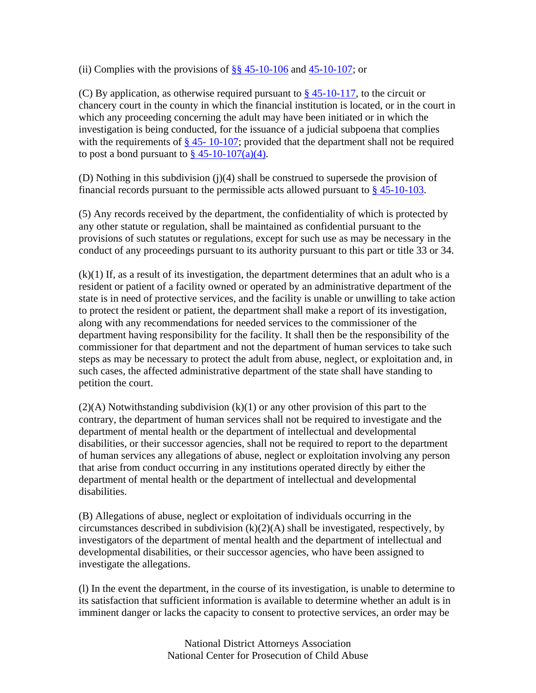(ii) Complies with the provisions of  $\S$ § 45-10-106 and 45-10-107; or

(C) By application, as otherwise required pursuant to  $\S 45{\text -}10{\text -}117$ , to the circuit or chancery court in the county in which the financial institution is located, or in the court in which any proceeding concerning the adult may have been initiated or in which the investigation is being conducted, for the issuance of a judicial subpoena that complies with the requirements of  $\S$  45- 10-107; provided that the department shall not be required to post a bond pursuant to  $\S$  45-10-107(a)(4).

(D) Nothing in this subdivision (j)(4) shall be construed to supersede the provision of financial records pursuant to the permissible acts allowed pursuant to  $\S$  45-10-103.

(5) Any records received by the department, the confidentiality of which is protected by any other statute or regulation, shall be maintained as confidential pursuant to the provisions of such statutes or regulations, except for such use as may be necessary in the conduct of any proceedings pursuant to its authority pursuant to this part or title 33 or 34.

(k)(1) If, as a result of its investigation, the department determines that an adult who is a resident or patient of a facility owned or operated by an administrative department of the state is in need of protective services, and the facility is unable or unwilling to take action to protect the resident or patient, the department shall make a report of its investigation, along with any recommendations for needed services to the commissioner of the department having responsibility for the facility. It shall then be the responsibility of the commissioner for that department and not the department of human services to take such steps as may be necessary to protect the adult from abuse, neglect, or exploitation and, in such cases, the affected administrative department of the state shall have standing to petition the court.

(2)(A) Notwithstanding subdivision (k)(1) or any other provision of this part to the contrary, the department of human services shall not be required to investigate and the department of mental health or the department of intellectual and developmental disabilities, or their successor agencies, shall not be required to report to the department of human services any allegations of abuse, neglect or exploitation involving any person that arise from conduct occurring in any institutions operated directly by either the department of mental health or the department of intellectual and developmental disabilities.

(B) Allegations of abuse, neglect or exploitation of individuals occurring in the circumstances described in subdivision  $(k)(2)(A)$  shall be investigated, respectively, by investigators of the department of mental health and the department of intellectual and developmental disabilities, or their successor agencies, who have been assigned to investigate the allegations.

(l) In the event the department, in the course of its investigation, is unable to determine to its satisfaction that sufficient information is available to determine whether an adult is in imminent danger or lacks the capacity to consent to protective services, an order may be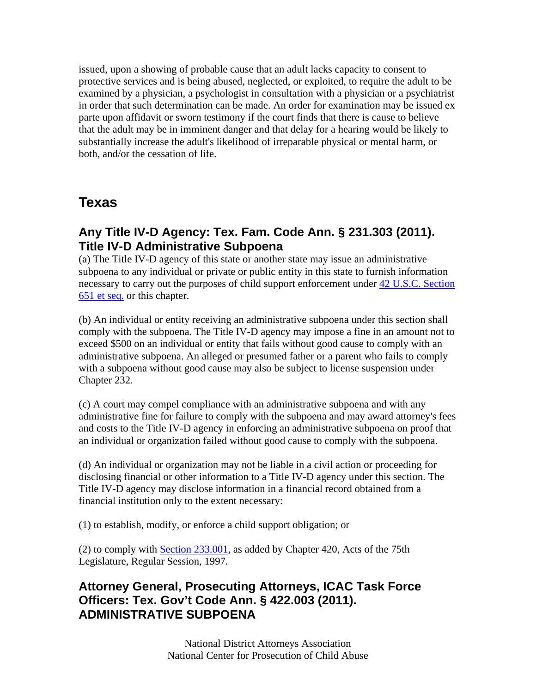issued, upon a showing of probable cause that an adult lacks capacity to consent to protective services and is being abused, neglected, or exploited, to require the adult to be examined by a physician, a psychologist in consultation with a physician or a psychiatrist in order that such determination can be made. An order for examination may be issued ex parte upon affidavit or sworn testimony if the court finds that there is cause to believe that the adult may be in imminent danger and that delay for a hearing would be likely to substantially increase the adult's likelihood of irreparable physical or mental harm, or both, and/or the cessation of life.

# **Texas**

## **Any Title IV-D Agency: Tex. Fam. Code Ann. § 231.303 (2011). Title IV-D Administrative Subpoena**

(a) The Title IV-D agency of this state or another state may issue an administrative subpoena to any individual or private or public entity in this state to furnish information necessary to carry out the purposes of child support enforcement under 42 U.S.C. Section 651 et seq. or this chapter.

(b) An individual or entity receiving an administrative subpoena under this section shall comply with the subpoena. The Title IV-D agency may impose a fine in an amount not to exceed \$500 on an individual or entity that fails without good cause to comply with an administrative subpoena. An alleged or presumed father or a parent who fails to comply with a subpoena without good cause may also be subject to license suspension under Chapter 232.

(c) A court may compel compliance with an administrative subpoena and with any administrative fine for failure to comply with the subpoena and may award attorney's fees and costs to the Title IV-D agency in enforcing an administrative subpoena on proof that an individual or organization failed without good cause to comply with the subpoena.

(d) An individual or organization may not be liable in a civil action or proceeding for disclosing financial or other information to a Title IV-D agency under this section. The Title IV-D agency may disclose information in a financial record obtained from a financial institution only to the extent necessary:

(1) to establish, modify, or enforce a child support obligation; or

(2) to comply with Section 233.001, as added by Chapter 420, Acts of the 75th Legislature, Regular Session, 1997.

## **Attorney General, Prosecuting Attorneys, ICAC Task Force Officers: Tex. Gov't Code Ann. § 422.003 (2011). ADMINISTRATIVE SUBPOENA**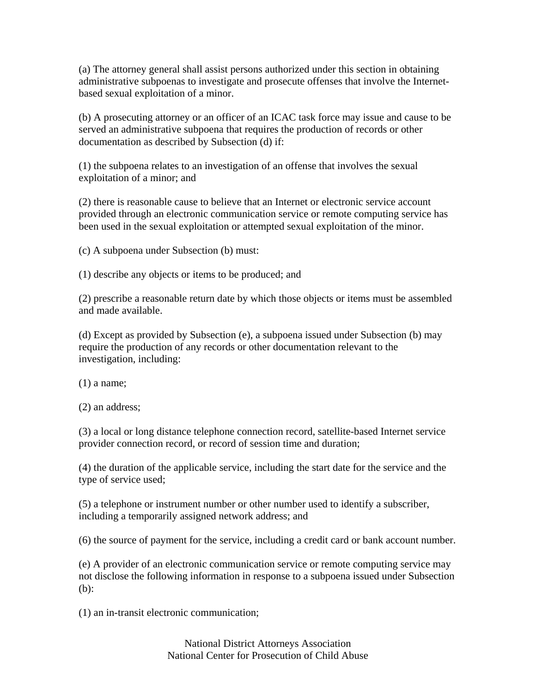(a) The attorney general shall assist persons authorized under this section in obtaining administrative subpoenas to investigate and prosecute offenses that involve the Internetbased sexual exploitation of a minor.

(b) A prosecuting attorney or an officer of an ICAC task force may issue and cause to be served an administrative subpoena that requires the production of records or other documentation as described by Subsection (d) if:

(1) the subpoena relates to an investigation of an offense that involves the sexual exploitation of a minor; and

(2) there is reasonable cause to believe that an Internet or electronic service account provided through an electronic communication service or remote computing service has been used in the sexual exploitation or attempted sexual exploitation of the minor.

(c) A subpoena under Subsection (b) must:

(1) describe any objects or items to be produced; and

(2) prescribe a reasonable return date by which those objects or items must be assembled and made available.

(d) Except as provided by Subsection (e), a subpoena issued under Subsection (b) may require the production of any records or other documentation relevant to the investigation, including:

(1) a name;

(2) an address;

(3) a local or long distance telephone connection record, satellite-based Internet service provider connection record, or record of session time and duration;

(4) the duration of the applicable service, including the start date for the service and the type of service used;

(5) a telephone or instrument number or other number used to identify a subscriber, including a temporarily assigned network address; and

(6) the source of payment for the service, including a credit card or bank account number.

(e) A provider of an electronic communication service or remote computing service may not disclose the following information in response to a subpoena issued under Subsection (b):

(1) an in-transit electronic communication;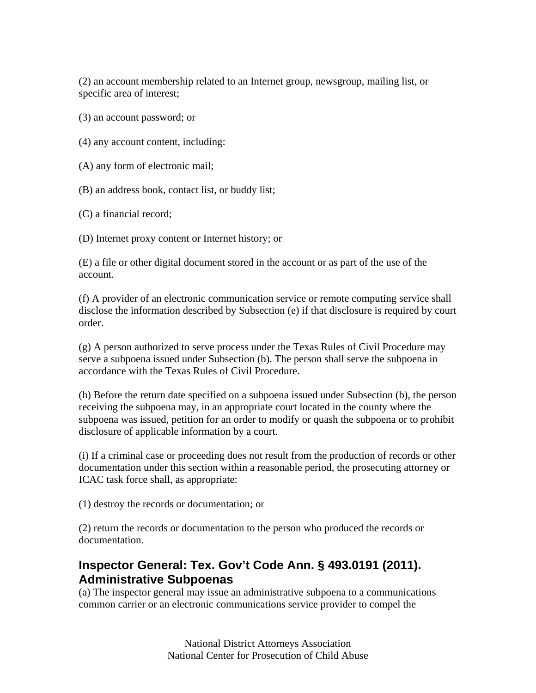(2) an account membership related to an Internet group, newsgroup, mailing list, or specific area of interest;

(3) an account password; or

(4) any account content, including:

(A) any form of electronic mail;

(B) an address book, contact list, or buddy list;

(C) a financial record;

(D) Internet proxy content or Internet history; or

(E) a file or other digital document stored in the account or as part of the use of the account.

(f) A provider of an electronic communication service or remote computing service shall disclose the information described by Subsection (e) if that disclosure is required by court order.

(g) A person authorized to serve process under the Texas Rules of Civil Procedure may serve a subpoena issued under Subsection (b). The person shall serve the subpoena in accordance with the Texas Rules of Civil Procedure.

(h) Before the return date specified on a subpoena issued under Subsection (b), the person receiving the subpoena may, in an appropriate court located in the county where the subpoena was issued, petition for an order to modify or quash the subpoena or to prohibit disclosure of applicable information by a court.

(i) If a criminal case or proceeding does not result from the production of records or other documentation under this section within a reasonable period, the prosecuting attorney or ICAC task force shall, as appropriate:

(1) destroy the records or documentation; or

(2) return the records or documentation to the person who produced the records or documentation.

## **Inspector General: Tex. Gov't Code Ann. § 493.0191 (2011). Administrative Subpoenas**

(a) The inspector general may issue an administrative subpoena to a communications common carrier or an electronic communications service provider to compel the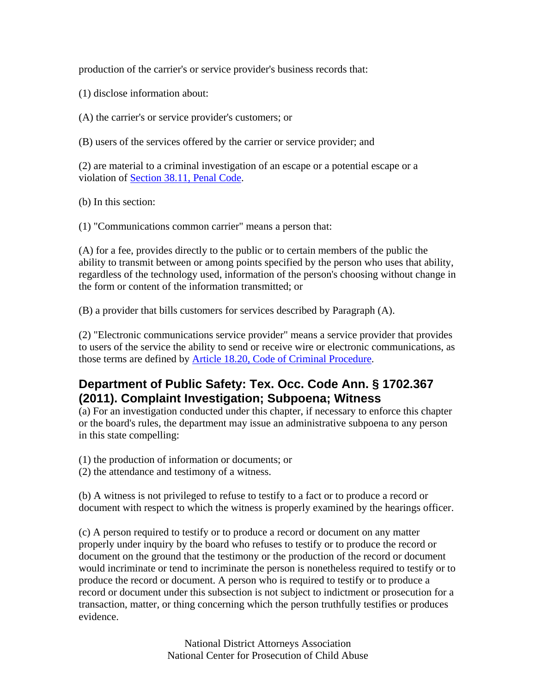production of the carrier's or service provider's business records that:

(1) disclose information about:

(A) the carrier's or service provider's customers; or

(B) users of the services offered by the carrier or service provider; and

(2) are material to a criminal investigation of an escape or a potential escape or a violation of Section 38.11, Penal Code.

(b) In this section:

(1) "Communications common carrier" means a person that:

(A) for a fee, provides directly to the public or to certain members of the public the ability to transmit between or among points specified by the person who uses that ability, regardless of the technology used, information of the person's choosing without change in the form or content of the information transmitted; or

(B) a provider that bills customers for services described by Paragraph (A).

(2) "Electronic communications service provider" means a service provider that provides to users of the service the ability to send or receive wire or electronic communications, as those terms are defined by Article 18.20, Code of Criminal Procedure.

#### **Department of Public Safety: Tex. Occ. Code Ann. § 1702.367 (2011). Complaint Investigation; Subpoena; Witness**

(a) For an investigation conducted under this chapter, if necessary to enforce this chapter or the board's rules, the department may issue an administrative subpoena to any person in this state compelling:

(1) the production of information or documents; or

(2) the attendance and testimony of a witness.

(b) A witness is not privileged to refuse to testify to a fact or to produce a record or document with respect to which the witness is properly examined by the hearings officer.

(c) A person required to testify or to produce a record or document on any matter properly under inquiry by the board who refuses to testify or to produce the record or document on the ground that the testimony or the production of the record or document would incriminate or tend to incriminate the person is nonetheless required to testify or to produce the record or document. A person who is required to testify or to produce a record or document under this subsection is not subject to indictment or prosecution for a transaction, matter, or thing concerning which the person truthfully testifies or produces evidence.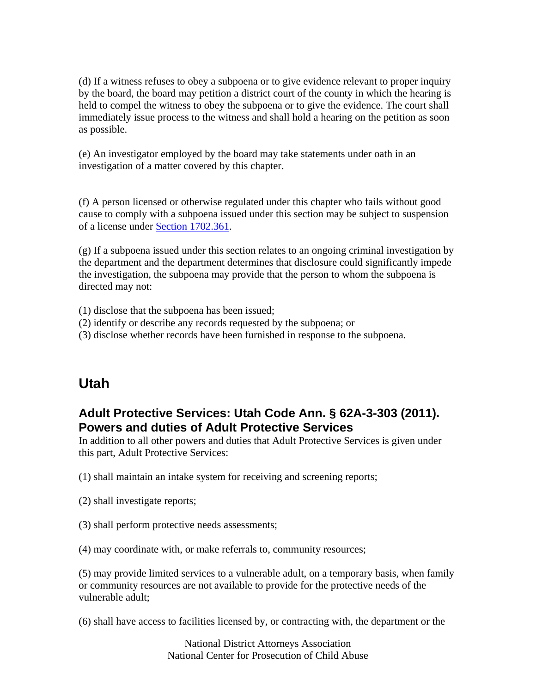(d) If a witness refuses to obey a subpoena or to give evidence relevant to proper inquiry by the board, the board may petition a district court of the county in which the hearing is held to compel the witness to obey the subpoena or to give the evidence. The court shall immediately issue process to the witness and shall hold a hearing on the petition as soon as possible.

(e) An investigator employed by the board may take statements under oath in an investigation of a matter covered by this chapter.

(f) A person licensed or otherwise regulated under this chapter who fails without good cause to comply with a subpoena issued under this section may be subject to suspension of a license under Section 1702.361.

(g) If a subpoena issued under this section relates to an ongoing criminal investigation by the department and the department determines that disclosure could significantly impede the investigation, the subpoena may provide that the person to whom the subpoena is directed may not:

- (1) disclose that the subpoena has been issued;
- (2) identify or describe any records requested by the subpoena; or
- (3) disclose whether records have been furnished in response to the subpoena.

# **Utah**

## **Adult Protective Services: Utah Code Ann. § 62A-3-303 (2011). Powers and duties of Adult Protective Services**

In addition to all other powers and duties that Adult Protective Services is given under this part, Adult Protective Services:

(1) shall maintain an intake system for receiving and screening reports;

- (2) shall investigate reports;
- (3) shall perform protective needs assessments;

(4) may coordinate with, or make referrals to, community resources;

(5) may provide limited services to a vulnerable adult, on a temporary basis, when family or community resources are not available to provide for the protective needs of the vulnerable adult;

(6) shall have access to facilities licensed by, or contracting with, the department or the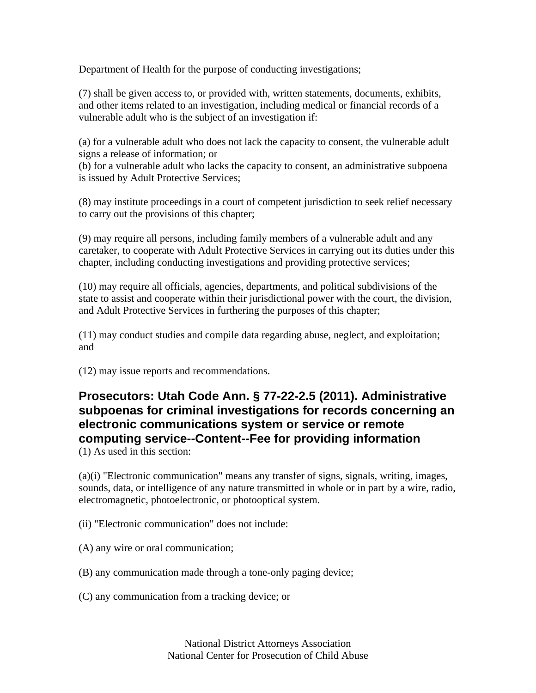Department of Health for the purpose of conducting investigations;

(7) shall be given access to, or provided with, written statements, documents, exhibits, and other items related to an investigation, including medical or financial records of a vulnerable adult who is the subject of an investigation if:

(a) for a vulnerable adult who does not lack the capacity to consent, the vulnerable adult signs a release of information; or

(b) for a vulnerable adult who lacks the capacity to consent, an administrative subpoena is issued by Adult Protective Services;

(8) may institute proceedings in a court of competent jurisdiction to seek relief necessary to carry out the provisions of this chapter;

(9) may require all persons, including family members of a vulnerable adult and any caretaker, to cooperate with Adult Protective Services in carrying out its duties under this chapter, including conducting investigations and providing protective services;

(10) may require all officials, agencies, departments, and political subdivisions of the state to assist and cooperate within their jurisdictional power with the court, the division, and Adult Protective Services in furthering the purposes of this chapter;

(11) may conduct studies and compile data regarding abuse, neglect, and exploitation; and

(12) may issue reports and recommendations.

# **Prosecutors: Utah Code Ann. § 77-22-2.5 (2011). Administrative subpoenas for criminal investigations for records concerning an electronic communications system or service or remote computing service--Content--Fee for providing information**

(1) As used in this section:

(a)(i) "Electronic communication" means any transfer of signs, signals, writing, images, sounds, data, or intelligence of any nature transmitted in whole or in part by a wire, radio, electromagnetic, photoelectronic, or photooptical system.

(ii) "Electronic communication" does not include:

(A) any wire or oral communication;

(B) any communication made through a tone-only paging device;

(C) any communication from a tracking device; or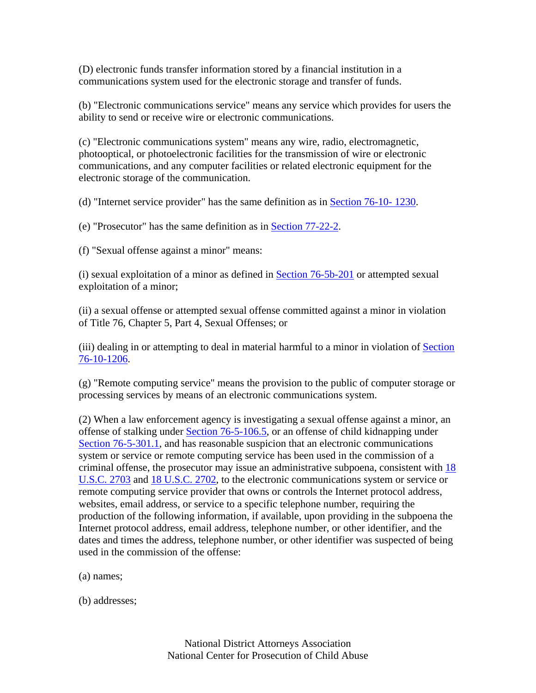(D) electronic funds transfer information stored by a financial institution in a communications system used for the electronic storage and transfer of funds.

(b) "Electronic communications service" means any service which provides for users the ability to send or receive wire or electronic communications.

(c) "Electronic communications system" means any wire, radio, electromagnetic, photooptical, or photoelectronic facilities for the transmission of wire or electronic communications, and any computer facilities or related electronic equipment for the electronic storage of the communication.

(d) "Internet service provider" has the same definition as in Section 76-10- 1230.

(e) "Prosecutor" has the same definition as in Section 77-22-2.

(f) "Sexual offense against a minor" means:

(i) sexual exploitation of a minor as defined in Section 76-5b-201 or attempted sexual exploitation of a minor;

(ii) a sexual offense or attempted sexual offense committed against a minor in violation of Title 76, Chapter 5, Part 4, Sexual Offenses; or

(iii) dealing in or attempting to deal in material harmful to a minor in violation of Section 76-10-1206.

(g) "Remote computing service" means the provision to the public of computer storage or processing services by means of an electronic communications system.

(2) When a law enforcement agency is investigating a sexual offense against a minor, an offense of stalking under Section 76-5-106.5, or an offense of child kidnapping under Section 76-5-301.1, and has reasonable suspicion that an electronic communications system or service or remote computing service has been used in the commission of a criminal offense, the prosecutor may issue an administrative subpoena, consistent with 18 U.S.C. 2703 and 18 U.S.C. 2702, to the electronic communications system or service or remote computing service provider that owns or controls the Internet protocol address, websites, email address, or service to a specific telephone number, requiring the production of the following information, if available, upon providing in the subpoena the Internet protocol address, email address, telephone number, or other identifier, and the dates and times the address, telephone number, or other identifier was suspected of being used in the commission of the offense:

(a) names;

(b) addresses;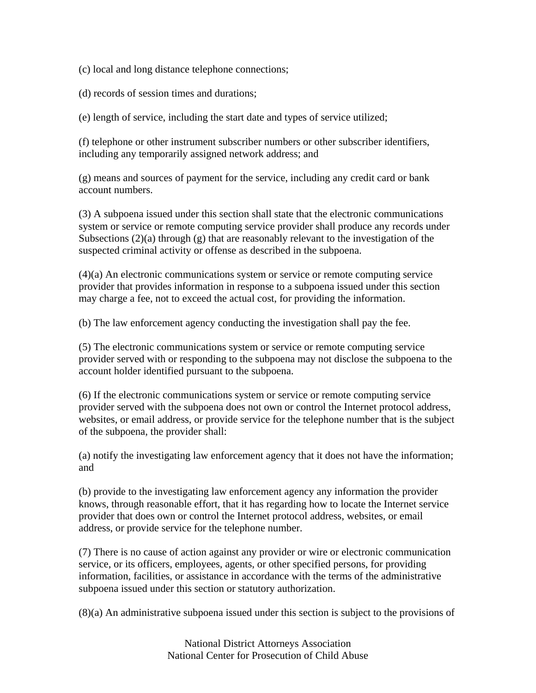(c) local and long distance telephone connections;

(d) records of session times and durations;

(e) length of service, including the start date and types of service utilized;

(f) telephone or other instrument subscriber numbers or other subscriber identifiers, including any temporarily assigned network address; and

(g) means and sources of payment for the service, including any credit card or bank account numbers.

(3) A subpoena issued under this section shall state that the electronic communications system or service or remote computing service provider shall produce any records under Subsections (2)(a) through (g) that are reasonably relevant to the investigation of the suspected criminal activity or offense as described in the subpoena.

(4)(a) An electronic communications system or service or remote computing service provider that provides information in response to a subpoena issued under this section may charge a fee, not to exceed the actual cost, for providing the information.

(b) The law enforcement agency conducting the investigation shall pay the fee.

(5) The electronic communications system or service or remote computing service provider served with or responding to the subpoena may not disclose the subpoena to the account holder identified pursuant to the subpoena.

(6) If the electronic communications system or service or remote computing service provider served with the subpoena does not own or control the Internet protocol address, websites, or email address, or provide service for the telephone number that is the subject of the subpoena, the provider shall:

(a) notify the investigating law enforcement agency that it does not have the information; and

(b) provide to the investigating law enforcement agency any information the provider knows, through reasonable effort, that it has regarding how to locate the Internet service provider that does own or control the Internet protocol address, websites, or email address, or provide service for the telephone number.

(7) There is no cause of action against any provider or wire or electronic communication service, or its officers, employees, agents, or other specified persons, for providing information, facilities, or assistance in accordance with the terms of the administrative subpoena issued under this section or statutory authorization.

(8)(a) An administrative subpoena issued under this section is subject to the provisions of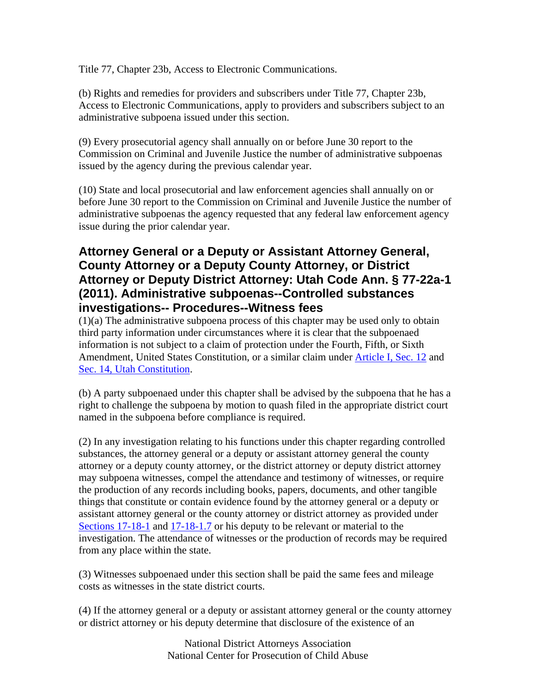Title 77, Chapter 23b, Access to Electronic Communications.

(b) Rights and remedies for providers and subscribers under Title 77, Chapter 23b, Access to Electronic Communications, apply to providers and subscribers subject to an administrative subpoena issued under this section.

(9) Every prosecutorial agency shall annually on or before June 30 report to the Commission on Criminal and Juvenile Justice the number of administrative subpoenas issued by the agency during the previous calendar year.

(10) State and local prosecutorial and law enforcement agencies shall annually on or before June 30 report to the Commission on Criminal and Juvenile Justice the number of administrative subpoenas the agency requested that any federal law enforcement agency issue during the prior calendar year.

## **Attorney General or a Deputy or Assistant Attorney General, County Attorney or a Deputy County Attorney, or District Attorney or Deputy District Attorney: Utah Code Ann. § 77-22a-1 (2011). Administrative subpoenas--Controlled substances investigations-- Procedures--Witness fees**

(1)(a) The administrative subpoena process of this chapter may be used only to obtain third party information under circumstances where it is clear that the subpoenaed information is not subject to a claim of protection under the Fourth, Fifth, or Sixth Amendment, United States Constitution, or a similar claim under Article I, Sec. 12 and Sec. 14, Utah Constitution.

(b) A party subpoenaed under this chapter shall be advised by the subpoena that he has a right to challenge the subpoena by motion to quash filed in the appropriate district court named in the subpoena before compliance is required.

(2) In any investigation relating to his functions under this chapter regarding controlled substances, the attorney general or a deputy or assistant attorney general the county attorney or a deputy county attorney, or the district attorney or deputy district attorney may subpoena witnesses, compel the attendance and testimony of witnesses, or require the production of any records including books, papers, documents, and other tangible things that constitute or contain evidence found by the attorney general or a deputy or assistant attorney general or the county attorney or district attorney as provided under Sections 17-18-1 and 17-18-1.7 or his deputy to be relevant or material to the investigation. The attendance of witnesses or the production of records may be required from any place within the state.

(3) Witnesses subpoenaed under this section shall be paid the same fees and mileage costs as witnesses in the state district courts.

(4) If the attorney general or a deputy or assistant attorney general or the county attorney or district attorney or his deputy determine that disclosure of the existence of an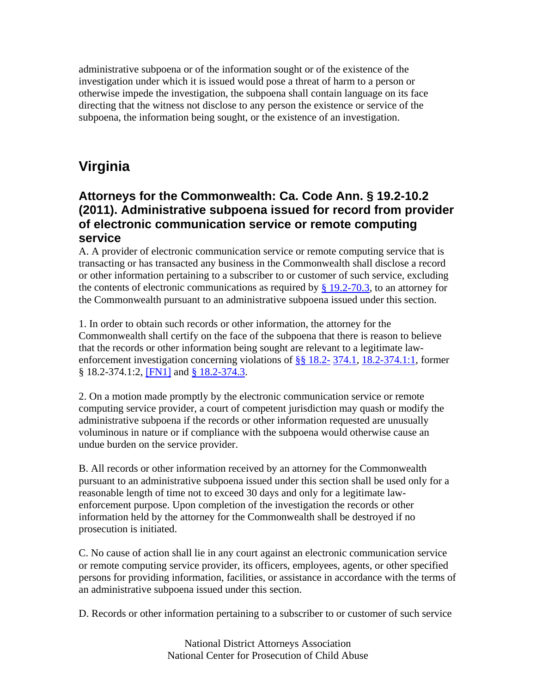administrative subpoena or of the information sought or of the existence of the investigation under which it is issued would pose a threat of harm to a person or otherwise impede the investigation, the subpoena shall contain language on its face directing that the witness not disclose to any person the existence or service of the subpoena, the information being sought, or the existence of an investigation.

# **Virginia**

## **Attorneys for the Commonwealth: Ca. Code Ann. § 19.2-10.2 (2011). Administrative subpoena issued for record from provider of electronic communication service or remote computing service**

A. A provider of electronic communication service or remote computing service that is transacting or has transacted any business in the Commonwealth shall disclose a record or other information pertaining to a subscriber to or customer of such service, excluding the contents of electronic communications as required by  $\S$  19.2-70.3, to an attorney for the Commonwealth pursuant to an administrative subpoena issued under this section.

1. In order to obtain such records or other information, the attorney for the Commonwealth shall certify on the face of the subpoena that there is reason to believe that the records or other information being sought are relevant to a legitimate lawenforcement investigation concerning violations of §§ 18.2- 374.1, 18.2-374.1:1, former § 18.2-374.1:2, [FN1] and § 18.2-374.3.

2. On a motion made promptly by the electronic communication service or remote computing service provider, a court of competent jurisdiction may quash or modify the administrative subpoena if the records or other information requested are unusually voluminous in nature or if compliance with the subpoena would otherwise cause an undue burden on the service provider.

B. All records or other information received by an attorney for the Commonwealth pursuant to an administrative subpoena issued under this section shall be used only for a reasonable length of time not to exceed 30 days and only for a legitimate lawenforcement purpose. Upon completion of the investigation the records or other information held by the attorney for the Commonwealth shall be destroyed if no prosecution is initiated.

C. No cause of action shall lie in any court against an electronic communication service or remote computing service provider, its officers, employees, agents, or other specified persons for providing information, facilities, or assistance in accordance with the terms of an administrative subpoena issued under this section.

D. Records or other information pertaining to a subscriber to or customer of such service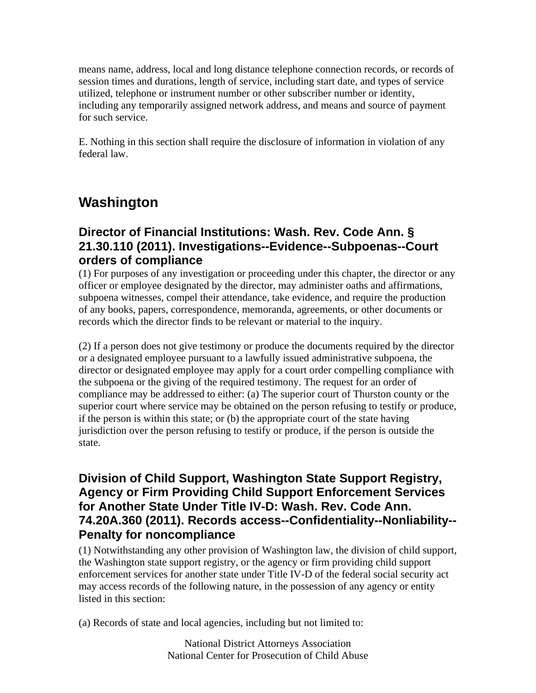means name, address, local and long distance telephone connection records, or records of session times and durations, length of service, including start date, and types of service utilized, telephone or instrument number or other subscriber number or identity, including any temporarily assigned network address, and means and source of payment for such service.

E. Nothing in this section shall require the disclosure of information in violation of any federal law.

# **Washington**

## **Director of Financial Institutions: Wash. Rev. Code Ann. § 21.30.110 (2011). Investigations--Evidence--Subpoenas--Court orders of compliance**

(1) For purposes of any investigation or proceeding under this chapter, the director or any officer or employee designated by the director, may administer oaths and affirmations, subpoena witnesses, compel their attendance, take evidence, and require the production of any books, papers, correspondence, memoranda, agreements, or other documents or records which the director finds to be relevant or material to the inquiry.

(2) If a person does not give testimony or produce the documents required by the director or a designated employee pursuant to a lawfully issued administrative subpoena, the director or designated employee may apply for a court order compelling compliance with the subpoena or the giving of the required testimony. The request for an order of compliance may be addressed to either: (a) The superior court of Thurston county or the superior court where service may be obtained on the person refusing to testify or produce, if the person is within this state; or (b) the appropriate court of the state having jurisdiction over the person refusing to testify or produce, if the person is outside the state.

### **Division of Child Support, Washington State Support Registry, Agency or Firm Providing Child Support Enforcement Services for Another State Under Title IV-D: Wash. Rev. Code Ann. 74.20A.360 (2011). Records access--Confidentiality--Nonliability-- Penalty for noncompliance**

(1) Notwithstanding any other provision of Washington law, the division of child support, the Washington state support registry, or the agency or firm providing child support enforcement services for another state under Title IV-D of the federal social security act may access records of the following nature, in the possession of any agency or entity listed in this section:

(a) Records of state and local agencies, including but not limited to: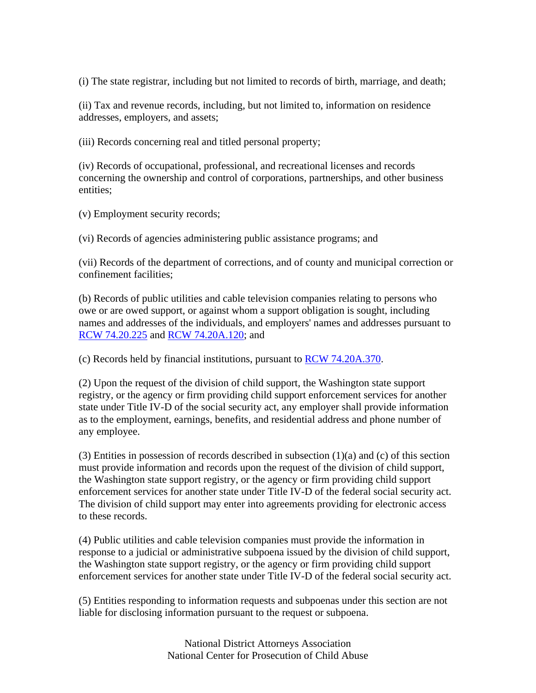(i) The state registrar, including but not limited to records of birth, marriage, and death;

(ii) Tax and revenue records, including, but not limited to, information on residence addresses, employers, and assets;

(iii) Records concerning real and titled personal property;

(iv) Records of occupational, professional, and recreational licenses and records concerning the ownership and control of corporations, partnerships, and other business entities;

(v) Employment security records;

(vi) Records of agencies administering public assistance programs; and

(vii) Records of the department of corrections, and of county and municipal correction or confinement facilities;

(b) Records of public utilities and cable television companies relating to persons who owe or are owed support, or against whom a support obligation is sought, including names and addresses of the individuals, and employers' names and addresses pursuant to RCW 74.20.225 and RCW 74.20A.120; and

(c) Records held by financial institutions, pursuant to RCW 74.20A.370.

(2) Upon the request of the division of child support, the Washington state support registry, or the agency or firm providing child support enforcement services for another state under Title IV-D of the social security act, any employer shall provide information as to the employment, earnings, benefits, and residential address and phone number of any employee.

(3) Entities in possession of records described in subsection  $(1)(a)$  and  $(c)$  of this section must provide information and records upon the request of the division of child support, the Washington state support registry, or the agency or firm providing child support enforcement services for another state under Title IV-D of the federal social security act. The division of child support may enter into agreements providing for electronic access to these records.

(4) Public utilities and cable television companies must provide the information in response to a judicial or administrative subpoena issued by the division of child support, the Washington state support registry, or the agency or firm providing child support enforcement services for another state under Title IV-D of the federal social security act.

(5) Entities responding to information requests and subpoenas under this section are not liable for disclosing information pursuant to the request or subpoena.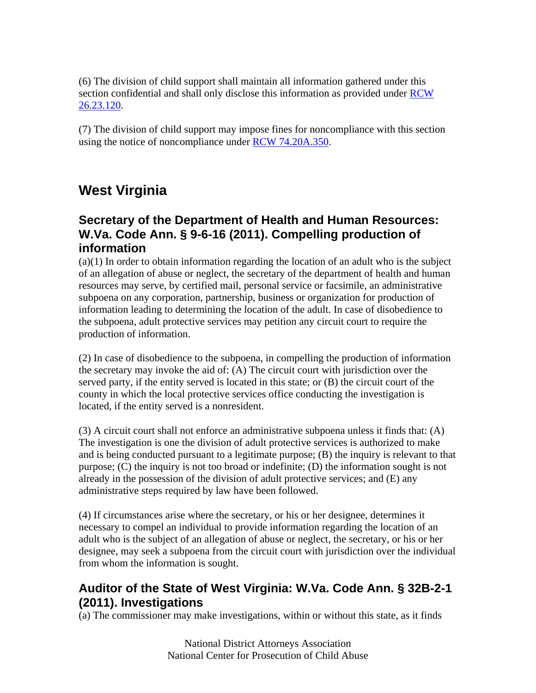(6) The division of child support shall maintain all information gathered under this section confidential and shall only disclose this information as provided under RCW 26.23.120.

(7) The division of child support may impose fines for noncompliance with this section using the notice of noncompliance under RCW 74.20A.350.

# **West Virginia**

## **Secretary of the Department of Health and Human Resources: W.Va. Code Ann. § 9-6-16 (2011). Compelling production of information**

(a)(1) In order to obtain information regarding the location of an adult who is the subject of an allegation of abuse or neglect, the secretary of the department of health and human resources may serve, by certified mail, personal service or facsimile, an administrative subpoena on any corporation, partnership, business or organization for production of information leading to determining the location of the adult. In case of disobedience to the subpoena, adult protective services may petition any circuit court to require the production of information.

(2) In case of disobedience to the subpoena, in compelling the production of information the secretary may invoke the aid of: (A) The circuit court with jurisdiction over the served party, if the entity served is located in this state; or (B) the circuit court of the county in which the local protective services office conducting the investigation is located, if the entity served is a nonresident.

(3) A circuit court shall not enforce an administrative subpoena unless it finds that: (A) The investigation is one the division of adult protective services is authorized to make and is being conducted pursuant to a legitimate purpose; (B) the inquiry is relevant to that purpose; (C) the inquiry is not too broad or indefinite; (D) the information sought is not already in the possession of the division of adult protective services; and (E) any administrative steps required by law have been followed.

(4) If circumstances arise where the secretary, or his or her designee, determines it necessary to compel an individual to provide information regarding the location of an adult who is the subject of an allegation of abuse or neglect, the secretary, or his or her designee, may seek a subpoena from the circuit court with jurisdiction over the individual from whom the information is sought.

## **Auditor of the State of West Virginia: W.Va. Code Ann. § 32B-2-1 (2011). Investigations**

(a) The commissioner may make investigations, within or without this state, as it finds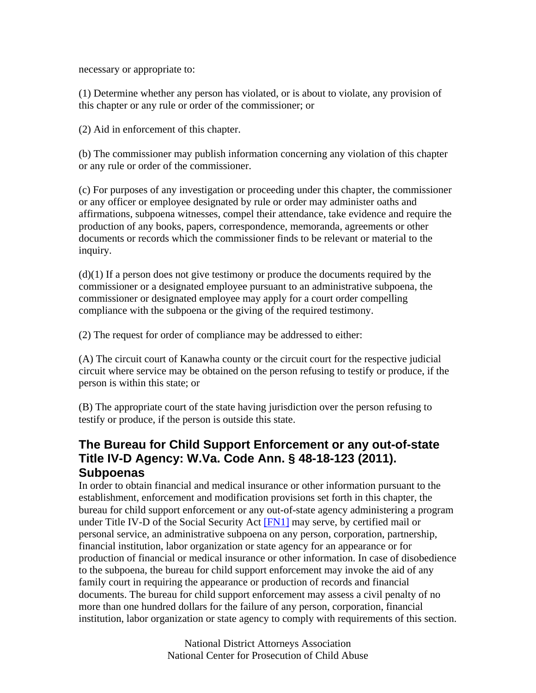necessary or appropriate to:

(1) Determine whether any person has violated, or is about to violate, any provision of this chapter or any rule or order of the commissioner; or

(2) Aid in enforcement of this chapter.

(b) The commissioner may publish information concerning any violation of this chapter or any rule or order of the commissioner.

(c) For purposes of any investigation or proceeding under this chapter, the commissioner or any officer or employee designated by rule or order may administer oaths and affirmations, subpoena witnesses, compel their attendance, take evidence and require the production of any books, papers, correspondence, memoranda, agreements or other documents or records which the commissioner finds to be relevant or material to the inquiry.

(d)(1) If a person does not give testimony or produce the documents required by the commissioner or a designated employee pursuant to an administrative subpoena, the commissioner or designated employee may apply for a court order compelling compliance with the subpoena or the giving of the required testimony.

(2) The request for order of compliance may be addressed to either:

(A) The circuit court of Kanawha county or the circuit court for the respective judicial circuit where service may be obtained on the person refusing to testify or produce, if the person is within this state; or

(B) The appropriate court of the state having jurisdiction over the person refusing to testify or produce, if the person is outside this state.

## **The Bureau for Child Support Enforcement or any out-of-state Title IV-D Agency: W.Va. Code Ann. § 48-18-123 (2011). Subpoenas**

In order to obtain financial and medical insurance or other information pursuant to the establishment, enforcement and modification provisions set forth in this chapter, the bureau for child support enforcement or any out-of-state agency administering a program under Title IV-D of the Social Security Act [FN1] may serve, by certified mail or personal service, an administrative subpoena on any person, corporation, partnership, financial institution, labor organization or state agency for an appearance or for production of financial or medical insurance or other information. In case of disobedience to the subpoena, the bureau for child support enforcement may invoke the aid of any family court in requiring the appearance or production of records and financial documents. The bureau for child support enforcement may assess a civil penalty of no more than one hundred dollars for the failure of any person, corporation, financial institution, labor organization or state agency to comply with requirements of this section.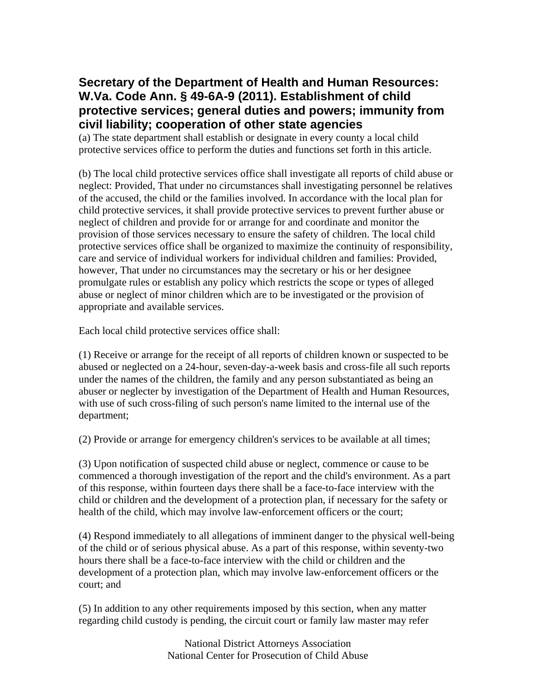## **Secretary of the Department of Health and Human Resources: W.Va. Code Ann. § 49-6A-9 (2011). Establishment of child protective services; general duties and powers; immunity from civil liability; cooperation of other state agencies**

(a) The state department shall establish or designate in every county a local child protective services office to perform the duties and functions set forth in this article.

(b) The local child protective services office shall investigate all reports of child abuse or neglect: Provided, That under no circumstances shall investigating personnel be relatives of the accused, the child or the families involved. In accordance with the local plan for child protective services, it shall provide protective services to prevent further abuse or neglect of children and provide for or arrange for and coordinate and monitor the provision of those services necessary to ensure the safety of children. The local child protective services office shall be organized to maximize the continuity of responsibility, care and service of individual workers for individual children and families: Provided, however, That under no circumstances may the secretary or his or her designee promulgate rules or establish any policy which restricts the scope or types of alleged abuse or neglect of minor children which are to be investigated or the provision of appropriate and available services.

Each local child protective services office shall:

(1) Receive or arrange for the receipt of all reports of children known or suspected to be abused or neglected on a 24-hour, seven-day-a-week basis and cross-file all such reports under the names of the children, the family and any person substantiated as being an abuser or neglecter by investigation of the Department of Health and Human Resources, with use of such cross-filing of such person's name limited to the internal use of the department;

(2) Provide or arrange for emergency children's services to be available at all times;

(3) Upon notification of suspected child abuse or neglect, commence or cause to be commenced a thorough investigation of the report and the child's environment. As a part of this response, within fourteen days there shall be a face-to-face interview with the child or children and the development of a protection plan, if necessary for the safety or health of the child, which may involve law-enforcement officers or the court;

(4) Respond immediately to all allegations of imminent danger to the physical well-being of the child or of serious physical abuse. As a part of this response, within seventy-two hours there shall be a face-to-face interview with the child or children and the development of a protection plan, which may involve law-enforcement officers or the court; and

(5) In addition to any other requirements imposed by this section, when any matter regarding child custody is pending, the circuit court or family law master may refer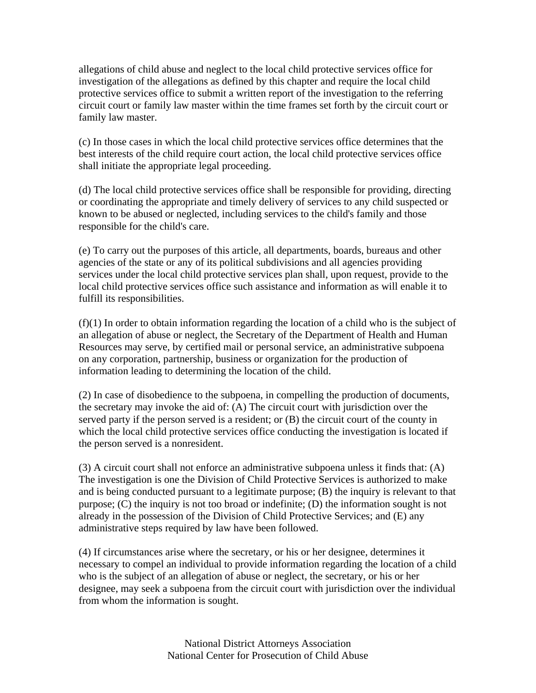allegations of child abuse and neglect to the local child protective services office for investigation of the allegations as defined by this chapter and require the local child protective services office to submit a written report of the investigation to the referring circuit court or family law master within the time frames set forth by the circuit court or family law master.

(c) In those cases in which the local child protective services office determines that the best interests of the child require court action, the local child protective services office shall initiate the appropriate legal proceeding.

(d) The local child protective services office shall be responsible for providing, directing or coordinating the appropriate and timely delivery of services to any child suspected or known to be abused or neglected, including services to the child's family and those responsible for the child's care.

(e) To carry out the purposes of this article, all departments, boards, bureaus and other agencies of the state or any of its political subdivisions and all agencies providing services under the local child protective services plan shall, upon request, provide to the local child protective services office such assistance and information as will enable it to fulfill its responsibilities.

(f)(1) In order to obtain information regarding the location of a child who is the subject of an allegation of abuse or neglect, the Secretary of the Department of Health and Human Resources may serve, by certified mail or personal service, an administrative subpoena on any corporation, partnership, business or organization for the production of information leading to determining the location of the child.

(2) In case of disobedience to the subpoena, in compelling the production of documents, the secretary may invoke the aid of: (A) The circuit court with jurisdiction over the served party if the person served is a resident; or (B) the circuit court of the county in which the local child protective services office conducting the investigation is located if the person served is a nonresident.

(3) A circuit court shall not enforce an administrative subpoena unless it finds that: (A) The investigation is one the Division of Child Protective Services is authorized to make and is being conducted pursuant to a legitimate purpose; (B) the inquiry is relevant to that purpose; (C) the inquiry is not too broad or indefinite; (D) the information sought is not already in the possession of the Division of Child Protective Services; and (E) any administrative steps required by law have been followed.

(4) If circumstances arise where the secretary, or his or her designee, determines it necessary to compel an individual to provide information regarding the location of a child who is the subject of an allegation of abuse or neglect, the secretary, or his or her designee, may seek a subpoena from the circuit court with jurisdiction over the individual from whom the information is sought.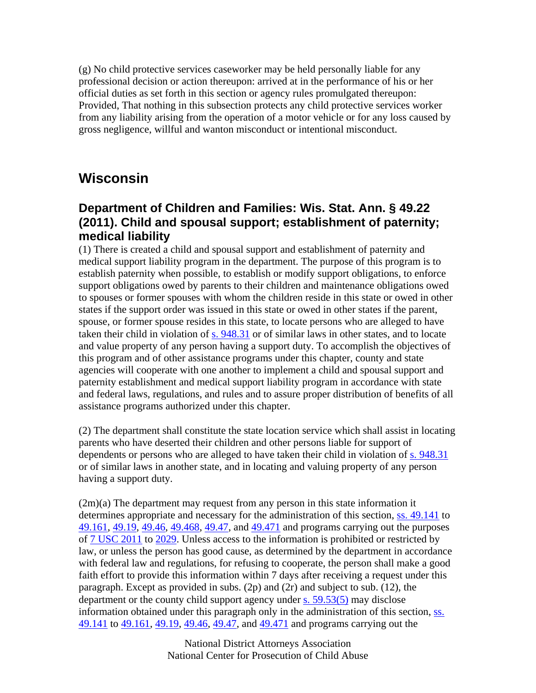(g) No child protective services caseworker may be held personally liable for any professional decision or action thereupon: arrived at in the performance of his or her official duties as set forth in this section or agency rules promulgated thereupon: Provided, That nothing in this subsection protects any child protective services worker from any liability arising from the operation of a motor vehicle or for any loss caused by gross negligence, willful and wanton misconduct or intentional misconduct.

# **Wisconsin**

### **Department of Children and Families: Wis. Stat. Ann. § 49.22 (2011). Child and spousal support; establishment of paternity; medical liability**

(1) There is created a child and spousal support and establishment of paternity and medical support liability program in the department. The purpose of this program is to establish paternity when possible, to establish or modify support obligations, to enforce support obligations owed by parents to their children and maintenance obligations owed to spouses or former spouses with whom the children reside in this state or owed in other states if the support order was issued in this state or owed in other states if the parent, spouse, or former spouse resides in this state, to locate persons who are alleged to have taken their child in violation of s. 948.31 or of similar laws in other states, and to locate and value property of any person having a support duty. To accomplish the objectives of this program and of other assistance programs under this chapter, county and state agencies will cooperate with one another to implement a child and spousal support and paternity establishment and medical support liability program in accordance with state and federal laws, regulations, and rules and to assure proper distribution of benefits of all assistance programs authorized under this chapter.

(2) The department shall constitute the state location service which shall assist in locating parents who have deserted their children and other persons liable for support of dependents or persons who are alleged to have taken their child in violation of s. 948.31 or of similar laws in another state, and in locating and valuing property of any person having a support duty.

(2m)(a) The department may request from any person in this state information it determines appropriate and necessary for the administration of this section, ss. 49.141 to 49.161, 49.19, 49.46, 49.468, 49.47, and 49.471 and programs carrying out the purposes of 7 USC 2011 to 2029. Unless access to the information is prohibited or restricted by law, or unless the person has good cause, as determined by the department in accordance with federal law and regulations, for refusing to cooperate, the person shall make a good faith effort to provide this information within 7 days after receiving a request under this paragraph. Except as provided in subs. (2p) and (2r) and subject to sub. (12), the department or the county child support agency under s. 59.53(5) may disclose information obtained under this paragraph only in the administration of this section, ss. 49.141 to 49.161, 49.19, 49.46, 49.47, and 49.471 and programs carrying out the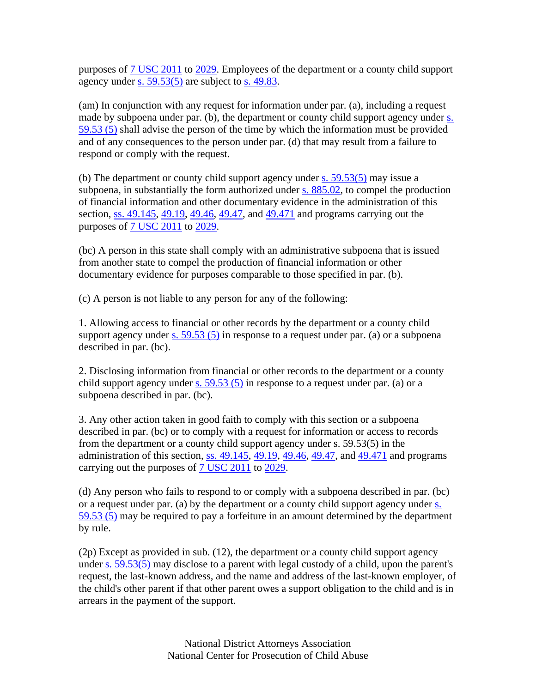purposes of 7 USC 2011 to 2029. Employees of the department or a county child support agency under s.  $59.53(5)$  are subject to s. 49.83.

(am) In conjunction with any request for information under par. (a), including a request made by subpoena under par. (b), the department or county child support agency under s. 59.53 (5) shall advise the person of the time by which the information must be provided and of any consequences to the person under par. (d) that may result from a failure to respond or comply with the request.

(b) The department or county child support agency under s. 59.53(5) may issue a subpoena, in substantially the form authorized under s. 885.02, to compel the production of financial information and other documentary evidence in the administration of this section, ss. 49.145, 49.19, 49.46, 49.47, and 49.471 and programs carrying out the purposes of 7 USC 2011 to 2029.

(bc) A person in this state shall comply with an administrative subpoena that is issued from another state to compel the production of financial information or other documentary evidence for purposes comparable to those specified in par. (b).

(c) A person is not liable to any person for any of the following:

1. Allowing access to financial or other records by the department or a county child support agency under  $\underline{s}$ . 59.53 (5) in response to a request under par. (a) or a subpoena described in par. (bc).

2. Disclosing information from financial or other records to the department or a county child support agency under  $\underline{s}$ . 59.53 (5) in response to a request under par. (a) or a subpoena described in par. (bc).

3. Any other action taken in good faith to comply with this section or a subpoena described in par. (bc) or to comply with a request for information or access to records from the department or a county child support agency under s. 59.53(5) in the administration of this section, ss. 49.145, 49.19, 49.46, 49.47, and 49.471 and programs carrying out the purposes of 7 USC 2011 to 2029.

(d) Any person who fails to respond to or comply with a subpoena described in par. (bc) or a request under par. (a) by the department or a county child support agency under s. 59.53 (5) may be required to pay a forfeiture in an amount determined by the department by rule.

(2p) Except as provided in sub. (12), the department or a county child support agency under s. 59.53(5) may disclose to a parent with legal custody of a child, upon the parent's request, the last-known address, and the name and address of the last-known employer, of the child's other parent if that other parent owes a support obligation to the child and is in arrears in the payment of the support.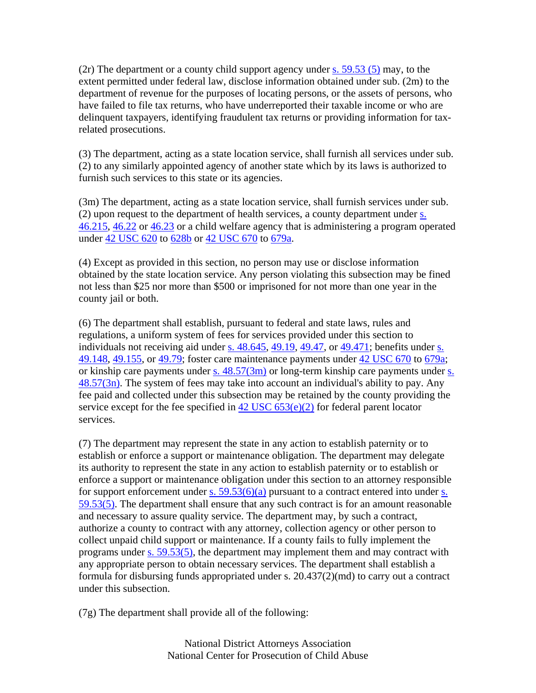$(2r)$  The department or a county child support agency under s. 59.53 (5) may, to the extent permitted under federal law, disclose information obtained under sub. (2m) to the department of revenue for the purposes of locating persons, or the assets of persons, who have failed to file tax returns, who have underreported their taxable income or who are delinquent taxpayers, identifying fraudulent tax returns or providing information for taxrelated prosecutions.

(3) The department, acting as a state location service, shall furnish all services under sub. (2) to any similarly appointed agency of another state which by its laws is authorized to furnish such services to this state or its agencies.

(3m) The department, acting as a state location service, shall furnish services under sub. (2) upon request to the department of health services, a county department under s. 46.215, 46.22 or 46.23 or a child welfare agency that is administering a program operated under 42 USC 620 to 628b or 42 USC 670 to 679a.

(4) Except as provided in this section, no person may use or disclose information obtained by the state location service. Any person violating this subsection may be fined not less than \$25 nor more than \$500 or imprisoned for not more than one year in the county jail or both.

(6) The department shall establish, pursuant to federal and state laws, rules and regulations, a uniform system of fees for services provided under this section to individuals not receiving aid under s. 48.645, 49.19, 49.47, or 49.471; benefits under s. 49.148, 49.155, or 49.79; foster care maintenance payments under 42 USC 670 to 679a; or kinship care payments under s.  $48.57(3m)$  or long-term kinship care payments under s.  $48.57(3n)$ . The system of fees may take into account an individual's ability to pay. Any fee paid and collected under this subsection may be retained by the county providing the service except for the fee specified in  $42 \text{ USC } 653(e)(2)$  for federal parent locator services.

(7) The department may represent the state in any action to establish paternity or to establish or enforce a support or maintenance obligation. The department may delegate its authority to represent the state in any action to establish paternity or to establish or enforce a support or maintenance obligation under this section to an attorney responsible for support enforcement under s.  $59.53(6)(a)$  pursuant to a contract entered into under s. 59.53(5). The department shall ensure that any such contract is for an amount reasonable and necessary to assure quality service. The department may, by such a contract, authorize a county to contract with any attorney, collection agency or other person to collect unpaid child support or maintenance. If a county fails to fully implement the programs under s. 59.53(5), the department may implement them and may contract with any appropriate person to obtain necessary services. The department shall establish a formula for disbursing funds appropriated under s. 20.437(2)(md) to carry out a contract under this subsection.

(7g) The department shall provide all of the following: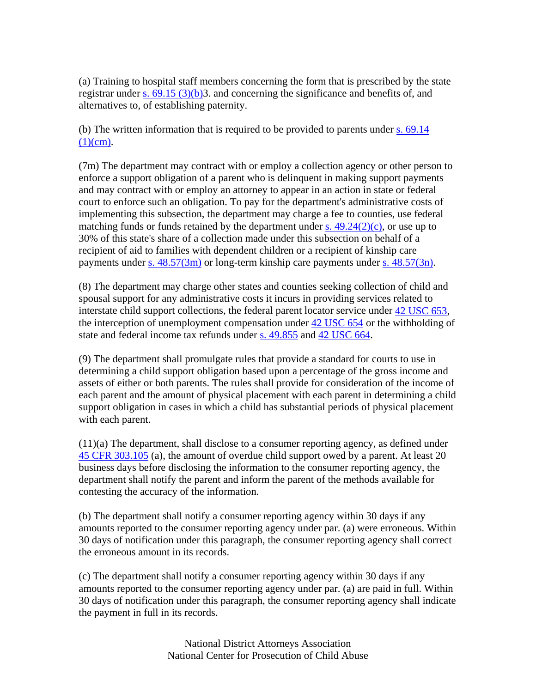(a) Training to hospital staff members concerning the form that is prescribed by the state registrar under s.  $69.15$  (3)(b)3. and concerning the significance and benefits of, and alternatives to, of establishing paternity.

(b) The written information that is required to be provided to parents under s. 69.14  $(1)(cm)$ .

(7m) The department may contract with or employ a collection agency or other person to enforce a support obligation of a parent who is delinquent in making support payments and may contract with or employ an attorney to appear in an action in state or federal court to enforce such an obligation. To pay for the department's administrative costs of implementing this subsection, the department may charge a fee to counties, use federal matching funds or funds retained by the department under s.  $49.24(2)(c)$ , or use up to 30% of this state's share of a collection made under this subsection on behalf of a recipient of aid to families with dependent children or a recipient of kinship care payments under s. 48.57(3m) or long-term kinship care payments under s. 48.57(3n).

(8) The department may charge other states and counties seeking collection of child and spousal support for any administrative costs it incurs in providing services related to interstate child support collections, the federal parent locator service under 42 USC 653, the interception of unemployment compensation under 42 USC 654 or the withholding of state and federal income tax refunds under s. 49.855 and 42 USC 664.

(9) The department shall promulgate rules that provide a standard for courts to use in determining a child support obligation based upon a percentage of the gross income and assets of either or both parents. The rules shall provide for consideration of the income of each parent and the amount of physical placement with each parent in determining a child support obligation in cases in which a child has substantial periods of physical placement with each parent.

(11)(a) The department, shall disclose to a consumer reporting agency, as defined under 45 CFR 303.105 (a), the amount of overdue child support owed by a parent. At least 20 business days before disclosing the information to the consumer reporting agency, the department shall notify the parent and inform the parent of the methods available for contesting the accuracy of the information.

(b) The department shall notify a consumer reporting agency within 30 days if any amounts reported to the consumer reporting agency under par. (a) were erroneous. Within 30 days of notification under this paragraph, the consumer reporting agency shall correct the erroneous amount in its records.

(c) The department shall notify a consumer reporting agency within 30 days if any amounts reported to the consumer reporting agency under par. (a) are paid in full. Within 30 days of notification under this paragraph, the consumer reporting agency shall indicate the payment in full in its records.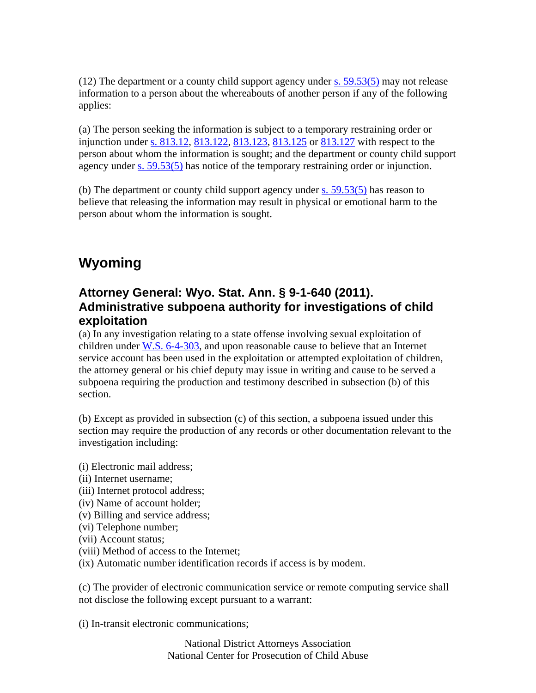(12) The department or a county child support agency under s.  $59.53(5)$  may not release information to a person about the whereabouts of another person if any of the following applies:

(a) The person seeking the information is subject to a temporary restraining order or injunction under s. 813.12, 813.122, 813.123, 813.125 or 813.127 with respect to the person about whom the information is sought; and the department or county child support agency under s. 59.53(5) has notice of the temporary restraining order or injunction.

(b) The department or county child support agency under s. 59.53(5) has reason to believe that releasing the information may result in physical or emotional harm to the person about whom the information is sought.

# **Wyoming**

### **Attorney General: Wyo. Stat. Ann. § 9-1-640 (2011). Administrative subpoena authority for investigations of child exploitation**

(a) In any investigation relating to a state offense involving sexual exploitation of children under W.S. 6-4-303, and upon reasonable cause to believe that an Internet service account has been used in the exploitation or attempted exploitation of children, the attorney general or his chief deputy may issue in writing and cause to be served a subpoena requiring the production and testimony described in subsection (b) of this section.

(b) Except as provided in subsection (c) of this section, a subpoena issued under this section may require the production of any records or other documentation relevant to the investigation including:

(i) Electronic mail address;

- (ii) Internet username;
- (iii) Internet protocol address;
- (iv) Name of account holder;
- (v) Billing and service address;
- (vi) Telephone number;
- (vii) Account status;
- (viii) Method of access to the Internet;
- (ix) Automatic number identification records if access is by modem.

(c) The provider of electronic communication service or remote computing service shall not disclose the following except pursuant to a warrant:

(i) In-transit electronic communications;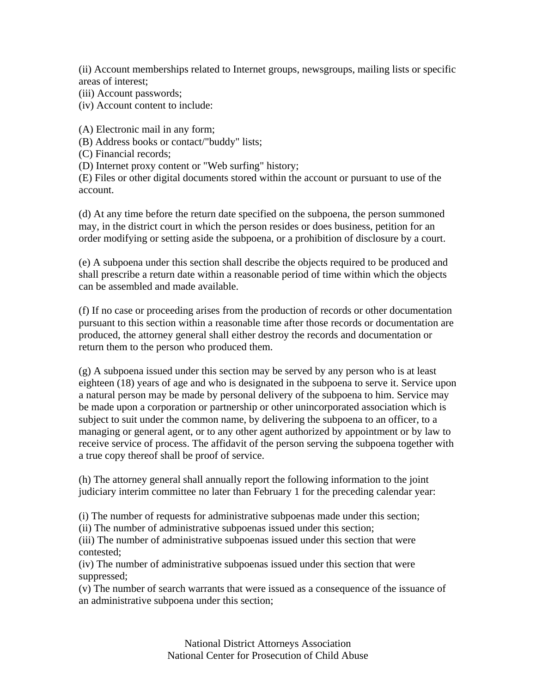(ii) Account memberships related to Internet groups, newsgroups, mailing lists or specific areas of interest;

(iii) Account passwords;

(iv) Account content to include:

(A) Electronic mail in any form;

(B) Address books or contact/"buddy" lists;

(C) Financial records;

(D) Internet proxy content or "Web surfing" history;

(E) Files or other digital documents stored within the account or pursuant to use of the account.

(d) At any time before the return date specified on the subpoena, the person summoned may, in the district court in which the person resides or does business, petition for an order modifying or setting aside the subpoena, or a prohibition of disclosure by a court.

(e) A subpoena under this section shall describe the objects required to be produced and shall prescribe a return date within a reasonable period of time within which the objects can be assembled and made available.

(f) If no case or proceeding arises from the production of records or other documentation pursuant to this section within a reasonable time after those records or documentation are produced, the attorney general shall either destroy the records and documentation or return them to the person who produced them.

(g) A subpoena issued under this section may be served by any person who is at least eighteen (18) years of age and who is designated in the subpoena to serve it. Service upon a natural person may be made by personal delivery of the subpoena to him. Service may be made upon a corporation or partnership or other unincorporated association which is subject to suit under the common name, by delivering the subpoena to an officer, to a managing or general agent, or to any other agent authorized by appointment or by law to receive service of process. The affidavit of the person serving the subpoena together with a true copy thereof shall be proof of service.

(h) The attorney general shall annually report the following information to the joint judiciary interim committee no later than February 1 for the preceding calendar year:

(i) The number of requests for administrative subpoenas made under this section;

(ii) The number of administrative subpoenas issued under this section;

(iii) The number of administrative subpoenas issued under this section that were contested;

(iv) The number of administrative subpoenas issued under this section that were suppressed;

(v) The number of search warrants that were issued as a consequence of the issuance of an administrative subpoena under this section;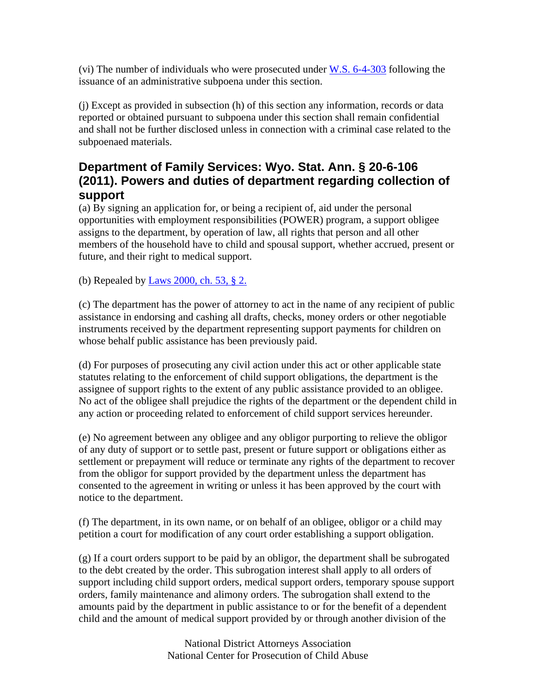(vi) The number of individuals who were prosecuted under W.S. 6-4-303 following the issuance of an administrative subpoena under this section.

(j) Except as provided in subsection (h) of this section any information, records or data reported or obtained pursuant to subpoena under this section shall remain confidential and shall not be further disclosed unless in connection with a criminal case related to the subpoenaed materials.

### **Department of Family Services: Wyo. Stat. Ann. § 20-6-106 (2011). Powers and duties of department regarding collection of support**

(a) By signing an application for, or being a recipient of, aid under the personal opportunities with employment responsibilities (POWER) program, a support obligee assigns to the department, by operation of law, all rights that person and all other members of the household have to child and spousal support, whether accrued, present or future, and their right to medical support.

(b) Repealed by Laws 2000, ch. 53, § 2.

(c) The department has the power of attorney to act in the name of any recipient of public assistance in endorsing and cashing all drafts, checks, money orders or other negotiable instruments received by the department representing support payments for children on whose behalf public assistance has been previously paid.

(d) For purposes of prosecuting any civil action under this act or other applicable state statutes relating to the enforcement of child support obligations, the department is the assignee of support rights to the extent of any public assistance provided to an obligee. No act of the obligee shall prejudice the rights of the department or the dependent child in any action or proceeding related to enforcement of child support services hereunder.

(e) No agreement between any obligee and any obligor purporting to relieve the obligor of any duty of support or to settle past, present or future support or obligations either as settlement or prepayment will reduce or terminate any rights of the department to recover from the obligor for support provided by the department unless the department has consented to the agreement in writing or unless it has been approved by the court with notice to the department.

(f) The department, in its own name, or on behalf of an obligee, obligor or a child may petition a court for modification of any court order establishing a support obligation.

(g) If a court orders support to be paid by an obligor, the department shall be subrogated to the debt created by the order. This subrogation interest shall apply to all orders of support including child support orders, medical support orders, temporary spouse support orders, family maintenance and alimony orders. The subrogation shall extend to the amounts paid by the department in public assistance to or for the benefit of a dependent child and the amount of medical support provided by or through another division of the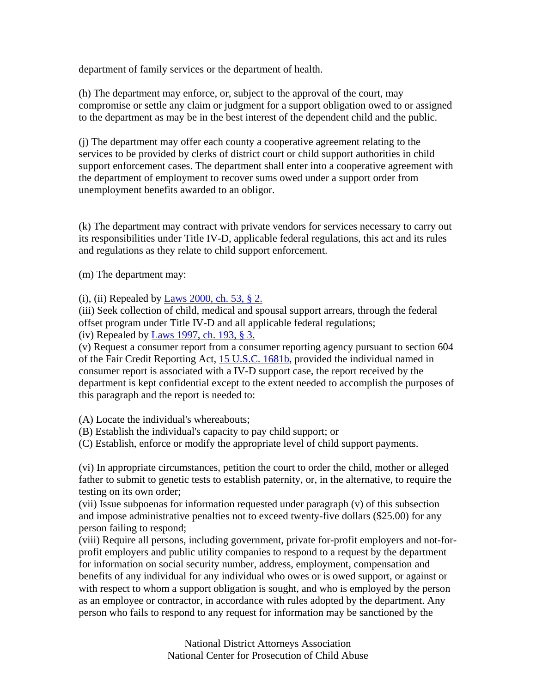department of family services or the department of health.

(h) The department may enforce, or, subject to the approval of the court, may compromise or settle any claim or judgment for a support obligation owed to or assigned to the department as may be in the best interest of the dependent child and the public.

(j) The department may offer each county a cooperative agreement relating to the services to be provided by clerks of district court or child support authorities in child support enforcement cases. The department shall enter into a cooperative agreement with the department of employment to recover sums owed under a support order from unemployment benefits awarded to an obligor.

(k) The department may contract with private vendors for services necessary to carry out its responsibilities under Title IV-D, applicable federal regulations, this act and its rules and regulations as they relate to child support enforcement.

(m) The department may:

(i), (ii) Repealed by Laws 2000, ch. 53, § 2.

(iii) Seek collection of child, medical and spousal support arrears, through the federal offset program under Title IV-D and all applicable federal regulations;

(iv) Repealed by Laws 1997, ch. 193, § 3.

(v) Request a consumer report from a consumer reporting agency pursuant to section 604 of the Fair Credit Reporting Act, 15 U.S.C. 1681b, provided the individual named in consumer report is associated with a IV-D support case, the report received by the department is kept confidential except to the extent needed to accomplish the purposes of this paragraph and the report is needed to:

(A) Locate the individual's whereabouts;

(B) Establish the individual's capacity to pay child support; or

(C) Establish, enforce or modify the appropriate level of child support payments.

(vi) In appropriate circumstances, petition the court to order the child, mother or alleged father to submit to genetic tests to establish paternity, or, in the alternative, to require the testing on its own order;

(vii) Issue subpoenas for information requested under paragraph (v) of this subsection and impose administrative penalties not to exceed twenty-five dollars (\$25.00) for any person failing to respond;

(viii) Require all persons, including government, private for-profit employers and not-forprofit employers and public utility companies to respond to a request by the department for information on social security number, address, employment, compensation and benefits of any individual for any individual who owes or is owed support, or against or with respect to whom a support obligation is sought, and who is employed by the person as an employee or contractor, in accordance with rules adopted by the department. Any person who fails to respond to any request for information may be sanctioned by the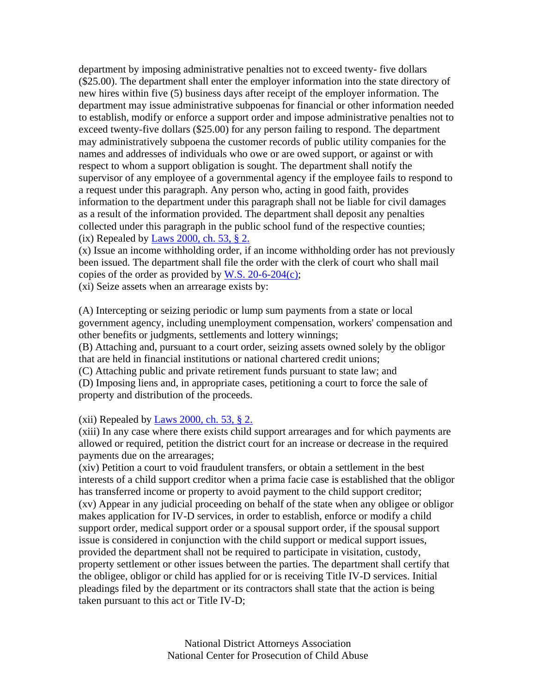department by imposing administrative penalties not to exceed twenty- five dollars (\$25.00). The department shall enter the employer information into the state directory of new hires within five (5) business days after receipt of the employer information. The department may issue administrative subpoenas for financial or other information needed to establish, modify or enforce a support order and impose administrative penalties not to exceed twenty-five dollars (\$25.00) for any person failing to respond. The department may administratively subpoena the customer records of public utility companies for the names and addresses of individuals who owe or are owed support, or against or with respect to whom a support obligation is sought. The department shall notify the supervisor of any employee of a governmental agency if the employee fails to respond to a request under this paragraph. Any person who, acting in good faith, provides information to the department under this paragraph shall not be liable for civil damages as a result of the information provided. The department shall deposit any penalties collected under this paragraph in the public school fund of the respective counties; (ix) Repealed by Laws 2000, ch. 53,  $\S$  2.

(x) Issue an income withholding order, if an income withholding order has not previously been issued. The department shall file the order with the clerk of court who shall mail copies of the order as provided by W.S.  $20-6-204(c)$ ;

(xi) Seize assets when an arrearage exists by:

(A) Intercepting or seizing periodic or lump sum payments from a state or local government agency, including unemployment compensation, workers' compensation and other benefits or judgments, settlements and lottery winnings;

(B) Attaching and, pursuant to a court order, seizing assets owned solely by the obligor that are held in financial institutions or national chartered credit unions;

(C) Attaching public and private retirement funds pursuant to state law; and

(D) Imposing liens and, in appropriate cases, petitioning a court to force the sale of property and distribution of the proceeds.

(xii) Repealed by Laws 2000, ch. 53,  $\S$  2.

(xiii) In any case where there exists child support arrearages and for which payments are allowed or required, petition the district court for an increase or decrease in the required payments due on the arrearages;

(xiv) Petition a court to void fraudulent transfers, or obtain a settlement in the best interests of a child support creditor when a prima facie case is established that the obligor has transferred income or property to avoid payment to the child support creditor; (xv) Appear in any judicial proceeding on behalf of the state when any obligee or obligor makes application for IV-D services, in order to establish, enforce or modify a child support order, medical support order or a spousal support order, if the spousal support issue is considered in conjunction with the child support or medical support issues, provided the department shall not be required to participate in visitation, custody, property settlement or other issues between the parties. The department shall certify that the obligee, obligor or child has applied for or is receiving Title IV-D services. Initial pleadings filed by the department or its contractors shall state that the action is being taken pursuant to this act or Title IV-D;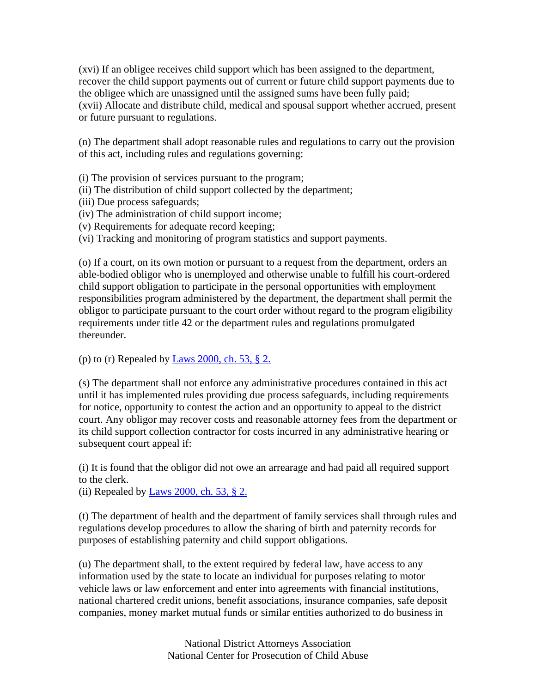(xvi) If an obligee receives child support which has been assigned to the department, recover the child support payments out of current or future child support payments due to the obligee which are unassigned until the assigned sums have been fully paid; (xvii) Allocate and distribute child, medical and spousal support whether accrued, present or future pursuant to regulations.

(n) The department shall adopt reasonable rules and regulations to carry out the provision of this act, including rules and regulations governing:

(i) The provision of services pursuant to the program;

- (ii) The distribution of child support collected by the department;
- (iii) Due process safeguards;
- (iv) The administration of child support income;
- (v) Requirements for adequate record keeping;
- (vi) Tracking and monitoring of program statistics and support payments.

(o) If a court, on its own motion or pursuant to a request from the department, orders an able-bodied obligor who is unemployed and otherwise unable to fulfill his court-ordered child support obligation to participate in the personal opportunities with employment responsibilities program administered by the department, the department shall permit the obligor to participate pursuant to the court order without regard to the program eligibility requirements under title 42 or the department rules and regulations promulgated thereunder.

#### (p) to (r) Repealed by Laws 2000, ch. 53,  $\S$  2.

(s) The department shall not enforce any administrative procedures contained in this act until it has implemented rules providing due process safeguards, including requirements for notice, opportunity to contest the action and an opportunity to appeal to the district court. Any obligor may recover costs and reasonable attorney fees from the department or its child support collection contractor for costs incurred in any administrative hearing or subsequent court appeal if:

(i) It is found that the obligor did not owe an arrearage and had paid all required support to the clerk.

(ii) Repealed by Laws 2000, ch. 53,  $\S$  2.

(t) The department of health and the department of family services shall through rules and regulations develop procedures to allow the sharing of birth and paternity records for purposes of establishing paternity and child support obligations.

(u) The department shall, to the extent required by federal law, have access to any information used by the state to locate an individual for purposes relating to motor vehicle laws or law enforcement and enter into agreements with financial institutions, national chartered credit unions, benefit associations, insurance companies, safe deposit companies, money market mutual funds or similar entities authorized to do business in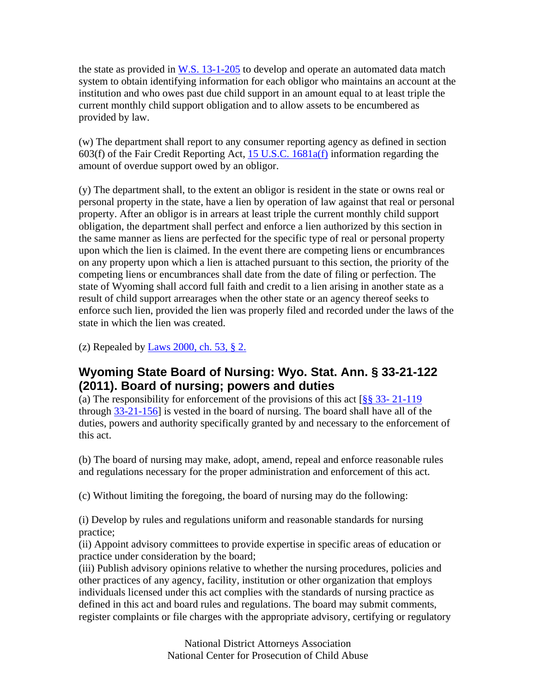the state as provided in W.S.  $13-1-205$  to develop and operate an automated data match system to obtain identifying information for each obligor who maintains an account at the institution and who owes past due child support in an amount equal to at least triple the current monthly child support obligation and to allow assets to be encumbered as provided by law.

(w) The department shall report to any consumer reporting agency as defined in section 603(f) of the Fair Credit Reporting Act, 15 U.S.C. 1681a(f) information regarding the amount of overdue support owed by an obligor.

(y) The department shall, to the extent an obligor is resident in the state or owns real or personal property in the state, have a lien by operation of law against that real or personal property. After an obligor is in arrears at least triple the current monthly child support obligation, the department shall perfect and enforce a lien authorized by this section in the same manner as liens are perfected for the specific type of real or personal property upon which the lien is claimed. In the event there are competing liens or encumbrances on any property upon which a lien is attached pursuant to this section, the priority of the competing liens or encumbrances shall date from the date of filing or perfection. The state of Wyoming shall accord full faith and credit to a lien arising in another state as a result of child support arrearages when the other state or an agency thereof seeks to enforce such lien, provided the lien was properly filed and recorded under the laws of the state in which the lien was created.

(z) Repealed by Laws 2000, ch. 53,  $\S$  2.

### **Wyoming State Board of Nursing: Wyo. Stat. Ann. § 33-21-122 (2011). Board of nursing; powers and duties**

(a) The responsibility for enforcement of the provisions of this act  $\frac{88}{8}$  33- 21-119 through 33-21-156] is vested in the board of nursing. The board shall have all of the duties, powers and authority specifically granted by and necessary to the enforcement of this act.

(b) The board of nursing may make, adopt, amend, repeal and enforce reasonable rules and regulations necessary for the proper administration and enforcement of this act.

(c) Without limiting the foregoing, the board of nursing may do the following:

(i) Develop by rules and regulations uniform and reasonable standards for nursing practice;

(ii) Appoint advisory committees to provide expertise in specific areas of education or practice under consideration by the board;

(iii) Publish advisory opinions relative to whether the nursing procedures, policies and other practices of any agency, facility, institution or other organization that employs individuals licensed under this act complies with the standards of nursing practice as defined in this act and board rules and regulations. The board may submit comments, register complaints or file charges with the appropriate advisory, certifying or regulatory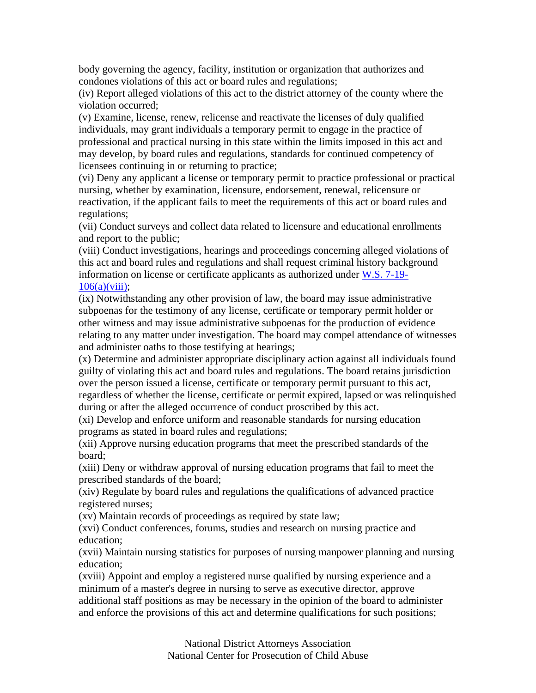body governing the agency, facility, institution or organization that authorizes and condones violations of this act or board rules and regulations;

(iv) Report alleged violations of this act to the district attorney of the county where the violation occurred;

(v) Examine, license, renew, relicense and reactivate the licenses of duly qualified individuals, may grant individuals a temporary permit to engage in the practice of professional and practical nursing in this state within the limits imposed in this act and may develop, by board rules and regulations, standards for continued competency of licensees continuing in or returning to practice;

(vi) Deny any applicant a license or temporary permit to practice professional or practical nursing, whether by examination, licensure, endorsement, renewal, relicensure or reactivation, if the applicant fails to meet the requirements of this act or board rules and regulations;

(vii) Conduct surveys and collect data related to licensure and educational enrollments and report to the public;

(viii) Conduct investigations, hearings and proceedings concerning alleged violations of this act and board rules and regulations and shall request criminal history background information on license or certificate applicants as authorized under W.S. 7-19-  $106(a)(viii)$ ;

(ix) Notwithstanding any other provision of law, the board may issue administrative subpoenas for the testimony of any license, certificate or temporary permit holder or other witness and may issue administrative subpoenas for the production of evidence relating to any matter under investigation. The board may compel attendance of witnesses and administer oaths to those testifying at hearings;

(x) Determine and administer appropriate disciplinary action against all individuals found guilty of violating this act and board rules and regulations. The board retains jurisdiction over the person issued a license, certificate or temporary permit pursuant to this act, regardless of whether the license, certificate or permit expired, lapsed or was relinquished during or after the alleged occurrence of conduct proscribed by this act.

(xi) Develop and enforce uniform and reasonable standards for nursing education programs as stated in board rules and regulations;

(xii) Approve nursing education programs that meet the prescribed standards of the board;

(xiii) Deny or withdraw approval of nursing education programs that fail to meet the prescribed standards of the board;

(xiv) Regulate by board rules and regulations the qualifications of advanced practice registered nurses;

(xv) Maintain records of proceedings as required by state law;

(xvi) Conduct conferences, forums, studies and research on nursing practice and education;

(xvii) Maintain nursing statistics for purposes of nursing manpower planning and nursing education;

(xviii) Appoint and employ a registered nurse qualified by nursing experience and a minimum of a master's degree in nursing to serve as executive director, approve additional staff positions as may be necessary in the opinion of the board to administer and enforce the provisions of this act and determine qualifications for such positions;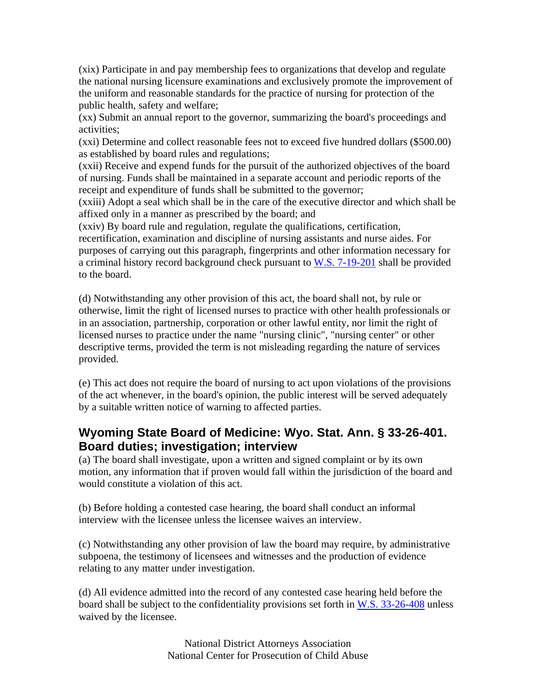(xix) Participate in and pay membership fees to organizations that develop and regulate the national nursing licensure examinations and exclusively promote the improvement of the uniform and reasonable standards for the practice of nursing for protection of the public health, safety and welfare;

(xx) Submit an annual report to the governor, summarizing the board's proceedings and activities;

(xxi) Determine and collect reasonable fees not to exceed five hundred dollars (\$500.00) as established by board rules and regulations;

(xxii) Receive and expend funds for the pursuit of the authorized objectives of the board of nursing. Funds shall be maintained in a separate account and periodic reports of the receipt and expenditure of funds shall be submitted to the governor;

(xxiii) Adopt a seal which shall be in the care of the executive director and which shall be affixed only in a manner as prescribed by the board; and

(xxiv) By board rule and regulation, regulate the qualifications, certification,

recertification, examination and discipline of nursing assistants and nurse aides. For purposes of carrying out this paragraph, fingerprints and other information necessary for a criminal history record background check pursuant to W.S. 7-19-201 shall be provided to the board.

(d) Notwithstanding any other provision of this act, the board shall not, by rule or otherwise, limit the right of licensed nurses to practice with other health professionals or in an association, partnership, corporation or other lawful entity, nor limit the right of licensed nurses to practice under the name "nursing clinic", "nursing center" or other descriptive terms, provided the term is not misleading regarding the nature of services provided.

(e) This act does not require the board of nursing to act upon violations of the provisions of the act whenever, in the board's opinion, the public interest will be served adequately by a suitable written notice of warning to affected parties.

### **Wyoming State Board of Medicine: Wyo. Stat. Ann. § 33-26-401. Board duties; investigation; interview**

(a) The board shall investigate, upon a written and signed complaint or by its own motion, any information that if proven would fall within the jurisdiction of the board and would constitute a violation of this act.

(b) Before holding a contested case hearing, the board shall conduct an informal interview with the licensee unless the licensee waives an interview.

(c) Notwithstanding any other provision of law the board may require, by administrative subpoena, the testimony of licensees and witnesses and the production of evidence relating to any matter under investigation.

(d) All evidence admitted into the record of any contested case hearing held before the board shall be subject to the confidentiality provisions set forth in W.S. 33-26-408 unless waived by the licensee.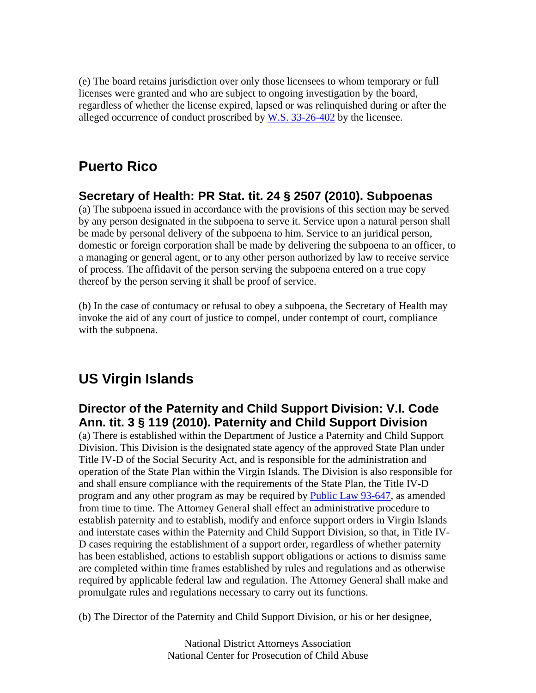(e) The board retains jurisdiction over only those licensees to whom temporary or full licenses were granted and who are subject to ongoing investigation by the board, regardless of whether the license expired, lapsed or was relinquished during or after the alleged occurrence of conduct proscribed by  $W.S.$  33-26-402 by the licensee.

## **Puerto Rico**

### **Secretary of Health: PR Stat. tit. 24 § 2507 (2010). Subpoenas**

(a) The subpoena issued in accordance with the provisions of this section may be served by any person designated in the subpoena to serve it. Service upon a natural person shall be made by personal delivery of the subpoena to him. Service to an juridical person, domestic or foreign corporation shall be made by delivering the subpoena to an officer, to a managing or general agent, or to any other person authorized by law to receive service of process. The affidavit of the person serving the subpoena entered on a true copy thereof by the person serving it shall be proof of service.

(b) In the case of contumacy or refusal to obey a subpoena, the Secretary of Health may invoke the aid of any court of justice to compel, under contempt of court, compliance with the subpoena.

## **US Virgin Islands**

### **Director of the Paternity and Child Support Division: V.I. Code Ann. tit. 3 § 119 (2010). Paternity and Child Support Division**

(a) There is established within the Department of Justice a Paternity and Child Support Division. This Division is the designated state agency of the approved State Plan under Title IV-D of the Social Security Act, and is responsible for the administration and operation of the State Plan within the Virgin Islands. The Division is also responsible for and shall ensure compliance with the requirements of the State Plan, the Title IV-D program and any other program as may be required by Public Law 93-647, as amended from time to time. The Attorney General shall effect an administrative procedure to establish paternity and to establish, modify and enforce support orders in Virgin Islands and interstate cases within the Paternity and Child Support Division, so that, in Title IV-D cases requiring the establishment of a support order, regardless of whether paternity has been established, actions to establish support obligations or actions to dismiss same are completed within time frames established by rules and regulations and as otherwise required by applicable federal law and regulation. The Attorney General shall make and promulgate rules and regulations necessary to carry out its functions.

(b) The Director of the Paternity and Child Support Division, or his or her designee,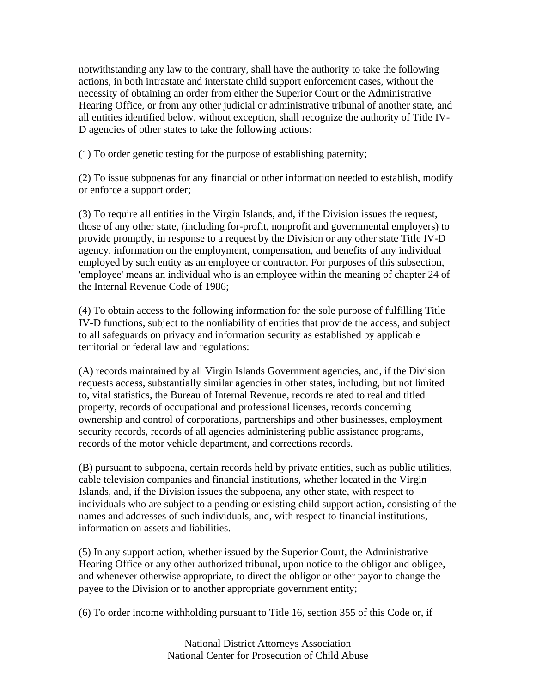notwithstanding any law to the contrary, shall have the authority to take the following actions, in both intrastate and interstate child support enforcement cases, without the necessity of obtaining an order from either the Superior Court or the Administrative Hearing Office, or from any other judicial or administrative tribunal of another state, and all entities identified below, without exception, shall recognize the authority of Title IV-D agencies of other states to take the following actions:

(1) To order genetic testing for the purpose of establishing paternity;

(2) To issue subpoenas for any financial or other information needed to establish, modify or enforce a support order;

(3) To require all entities in the Virgin Islands, and, if the Division issues the request, those of any other state, (including for-profit, nonprofit and governmental employers) to provide promptly, in response to a request by the Division or any other state Title IV-D agency, information on the employment, compensation, and benefits of any individual employed by such entity as an employee or contractor. For purposes of this subsection, 'employee' means an individual who is an employee within the meaning of chapter 24 of the Internal Revenue Code of 1986;

(4) To obtain access to the following information for the sole purpose of fulfilling Title IV-D functions, subject to the nonliability of entities that provide the access, and subject to all safeguards on privacy and information security as established by applicable territorial or federal law and regulations:

(A) records maintained by all Virgin Islands Government agencies, and, if the Division requests access, substantially similar agencies in other states, including, but not limited to, vital statistics, the Bureau of Internal Revenue, records related to real and titled property, records of occupational and professional licenses, records concerning ownership and control of corporations, partnerships and other businesses, employment security records, records of all agencies administering public assistance programs, records of the motor vehicle department, and corrections records.

(B) pursuant to subpoena, certain records held by private entities, such as public utilities, cable television companies and financial institutions, whether located in the Virgin Islands, and, if the Division issues the subpoena, any other state, with respect to individuals who are subject to a pending or existing child support action, consisting of the names and addresses of such individuals, and, with respect to financial institutions, information on assets and liabilities.

(5) In any support action, whether issued by the Superior Court, the Administrative Hearing Office or any other authorized tribunal, upon notice to the obligor and obligee, and whenever otherwise appropriate, to direct the obligor or other payor to change the payee to the Division or to another appropriate government entity;

(6) To order income withholding pursuant to Title 16, section 355 of this Code or, if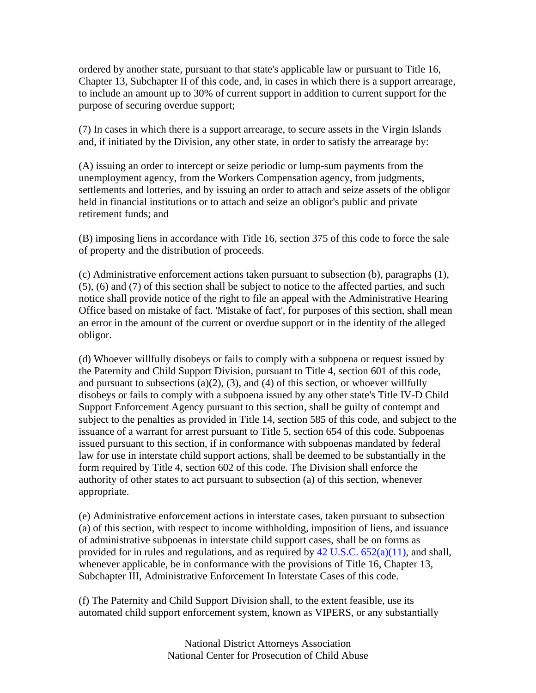ordered by another state, pursuant to that state's applicable law or pursuant to Title 16, Chapter 13, Subchapter II of this code, and, in cases in which there is a support arrearage, to include an amount up to 30% of current support in addition to current support for the purpose of securing overdue support;

(7) In cases in which there is a support arrearage, to secure assets in the Virgin Islands and, if initiated by the Division, any other state, in order to satisfy the arrearage by:

(A) issuing an order to intercept or seize periodic or lump-sum payments from the unemployment agency, from the Workers Compensation agency, from judgments, settlements and lotteries, and by issuing an order to attach and seize assets of the obligor held in financial institutions or to attach and seize an obligor's public and private retirement funds; and

(B) imposing liens in accordance with Title 16, section 375 of this code to force the sale of property and the distribution of proceeds.

(c) Administrative enforcement actions taken pursuant to subsection (b), paragraphs (1), (5), (6) and (7) of this section shall be subject to notice to the affected parties, and such notice shall provide notice of the right to file an appeal with the Administrative Hearing Office based on mistake of fact. 'Mistake of fact', for purposes of this section, shall mean an error in the amount of the current or overdue support or in the identity of the alleged obligor.

(d) Whoever willfully disobeys or fails to comply with a subpoena or request issued by the Paternity and Child Support Division, pursuant to Title 4, section 601 of this code, and pursuant to subsections (a)(2), (3), and (4) of this section, or whoever willfully disobeys or fails to comply with a subpoena issued by any other state's Title IV-D Child Support Enforcement Agency pursuant to this section, shall be guilty of contempt and subject to the penalties as provided in Title 14, section 585 of this code, and subject to the issuance of a warrant for arrest pursuant to Title 5, section 654 of this code. Subpoenas issued pursuant to this section, if in conformance with subpoenas mandated by federal law for use in interstate child support actions, shall be deemed to be substantially in the form required by Title 4, section 602 of this code. The Division shall enforce the authority of other states to act pursuant to subsection (a) of this section, whenever appropriate.

(e) Administrative enforcement actions in interstate cases, taken pursuant to subsection (a) of this section, with respect to income withholding, imposition of liens, and issuance of administrative subpoenas in interstate child support cases, shall be on forms as provided for in rules and regulations, and as required by  $42 \text{ U.S.C. } 652(a)(11)$ , and shall, whenever applicable, be in conformance with the provisions of Title 16, Chapter 13, Subchapter III, Administrative Enforcement In Interstate Cases of this code.

(f) The Paternity and Child Support Division shall, to the extent feasible, use its automated child support enforcement system, known as VIPERS, or any substantially